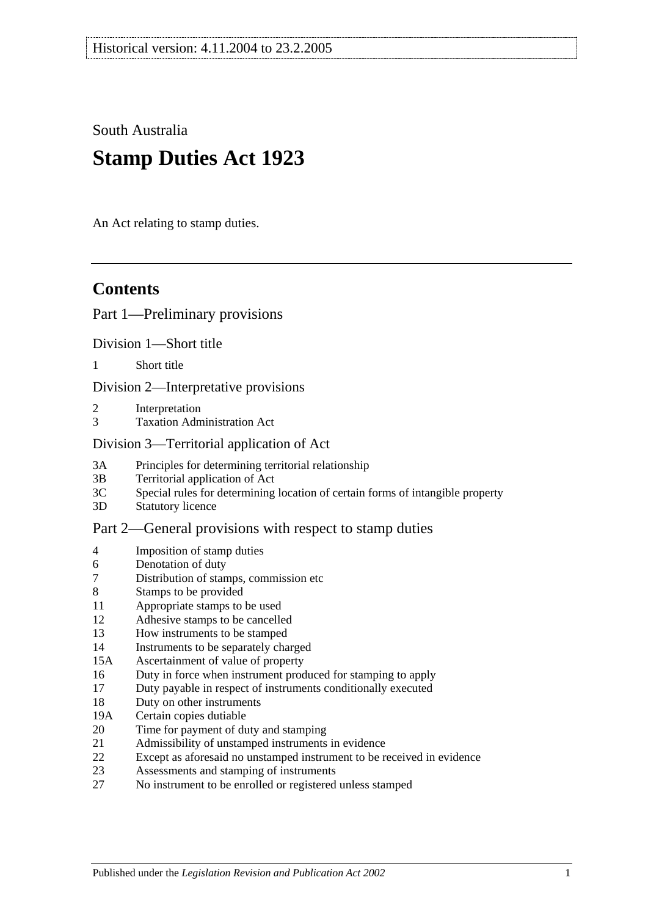South Australia

# **Stamp Duties Act 1923**

An Act relating to stamp duties.

# **Contents**

## [Part 1—Preliminary provisions](#page-6-0)

[Division 1—Short title](#page-6-1)

1 [Short title](#page-6-2)

[Division 2—Interpretative provisions](#page-6-3)

- 2 [Interpretation](#page-6-4)
- 3 [Taxation Administration Act](#page-9-0)

#### [Division 3—Territorial application of Act](#page-9-1)

- 3A [Principles for determining territorial relationship](#page-9-2)
- 3B [Territorial application of Act](#page-10-0)
- 3C [Special rules for determining location of certain forms of intangible property](#page-10-1)
- 3D [Statutory licence](#page-11-0)

#### [Part 2—General provisions with respect to stamp duties](#page-12-0)

- 4 [Imposition of stamp duties](#page-12-1)
- 6 [Denotation of duty](#page-12-2)
- 7 [Distribution of stamps, commission etc](#page-12-3)
- 8 [Stamps to be provided](#page-12-4)
- 11 [Appropriate stamps to be used](#page-12-5)
- 12 [Adhesive stamps to be cancelled](#page-13-0)
- 13 [How instruments to be stamped](#page-13-1)
- 14 [Instruments to be separately charged](#page-13-2)
- 15A [Ascertainment of value of property](#page-13-3)
- 16 [Duty in force when instrument produced for stamping to apply](#page-14-0)
- 17 [Duty payable in respect of instruments conditionally executed](#page-14-1)
- 18 [Duty on other instruments](#page-14-2)
- 19A [Certain copies dutiable](#page-14-3)
- 20 [Time for payment of duty and stamping](#page-15-0)
- 21 [Admissibility of unstamped instruments in evidence](#page-15-1)
- 22 [Except as aforesaid no unstamped instrument to be received in evidence](#page-15-2)
- 23 [Assessments and stamping of instruments](#page-16-0)
- 27 [No instrument to be enrolled or registered unless stamped](#page-16-1)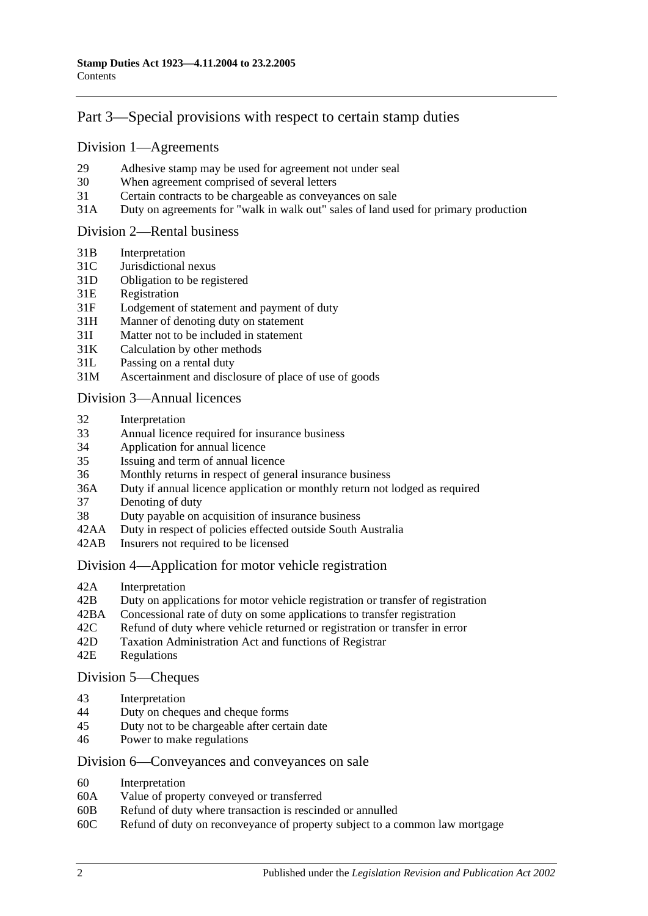## [Part 3—Special provisions with respect to certain stamp duties](#page-18-0)

#### [Division 1—Agreements](#page-18-1)

- 29 [Adhesive stamp may be used for agreement not under seal](#page-18-2)
- 30 [When agreement comprised of several letters](#page-18-3)
- 31 [Certain contracts to be chargeable as conveyances on sale](#page-18-4)
- 31A [Duty on agreements for "walk in walk out" sales of land used for primary production](#page-19-0)

#### [Division 2—Rental business](#page-19-1)

- 31B [Interpretation](#page-19-2)
- 31C [Jurisdictional nexus](#page-21-0)
- 31D [Obligation to be registered](#page-21-1)
- 31E [Registration](#page-21-2)
- 31F [Lodgement of statement and payment of duty](#page-21-3)
- 31H [Manner of denoting duty on statement](#page-22-0)
- 31I [Matter not to be included in statement](#page-23-0)
- 31K [Calculation by other methods](#page-24-0)
- 31L [Passing on a rental duty](#page-25-0)
- 31M [Ascertainment and disclosure of place of use of goods](#page-25-1)

#### [Division 3—Annual licences](#page-26-0)

- 32 [Interpretation](#page-26-1)
- 33 [Annual licence required for insurance business](#page-26-2)
- 34 [Application for annual licence](#page-27-0)
- 35 [Issuing and term of annual licence](#page-27-1)
- 36 [Monthly returns in respect of general insurance business](#page-27-2)
- 36A [Duty if annual licence application or monthly return not lodged as required](#page-27-3)
- 37 [Denoting of duty](#page-28-0)
- 38 [Duty payable on acquisition of insurance business](#page-28-1)
- 42AA [Duty in respect of policies effected outside South Australia](#page-28-2)
- 42AB [Insurers not required to be licensed](#page-28-3)

#### [Division 4—Application for motor vehicle registration](#page-29-0)

- 42A [Interpretation](#page-29-1)
- 42B [Duty on applications for motor vehicle registration or transfer of registration](#page-30-0)
- 42BA [Concessional rate of duty on some applications to transfer registration](#page-32-0)
- 42C [Refund of duty where vehicle returned or registration or transfer in error](#page-32-1)
- 42D [Taxation Administration Act and functions of Registrar](#page-32-2)
- 42E [Regulations](#page-33-0)

#### [Division 5—Cheques](#page-33-1)

- 43 [Interpretation](#page-33-2)
- 44 [Duty on cheques and cheque forms](#page-33-3)
- 45 [Duty not to be chargeable after certain date](#page-34-0)
- 46 [Power to make regulations](#page-34-1)

#### [Division 6—Conveyances and conveyances on sale](#page-34-2)

- 60 [Interpretation](#page-34-3)
- 60A [Value of property conveyed or transferred](#page-35-0)
- 60B [Refund of duty where transaction is rescinded or annulled](#page-37-0)
- 60C [Refund of duty on reconveyance of property subject to a common law mortgage](#page-37-1)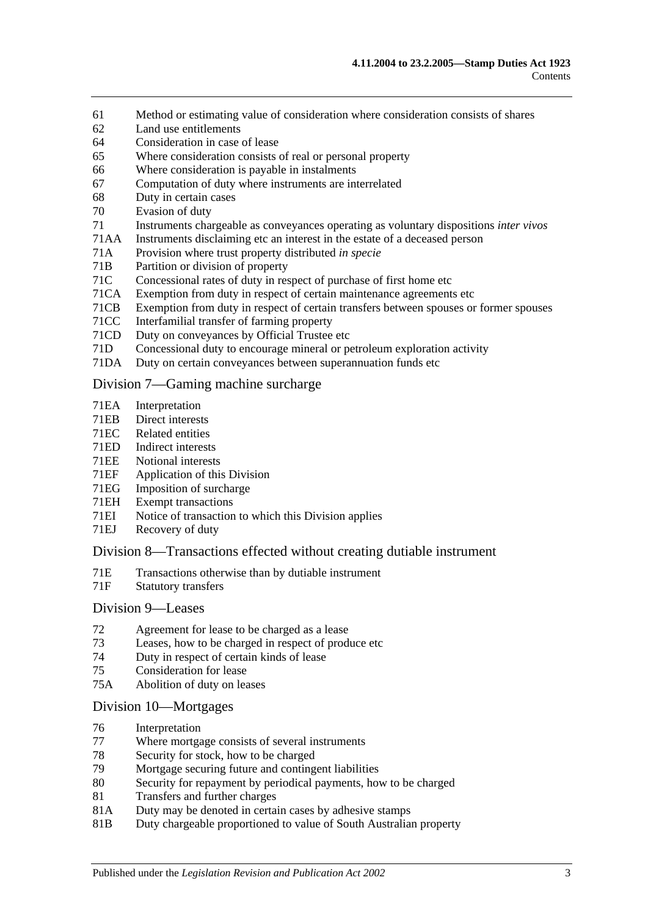- 61 [Method or estimating value of consideration where consideration](#page-37-2) consists of shares
- 62 [Land use entitlements](#page-38-0)
- 64 [Consideration in case of lease](#page-38-1)
- 65 [Where consideration consists of real or personal property](#page-38-2)
- 66 [Where consideration is payable in instalments](#page-38-3)
- 67 [Computation of duty where instruments are interrelated](#page-39-0)
- 68 [Duty in certain cases](#page-39-1)
- 70 [Evasion of duty](#page-40-0)
- 71 [Instruments chargeable as conveyances operating as voluntary dispositions](#page-40-1) *inter vivos*
- 71AA [Instruments disclaiming etc an interest in the estate of a deceased person](#page-44-0)
- 71A [Provision where trust property distributed](#page-44-1) *in specie*
- 71B [Partition or division of property](#page-44-2)
- 71C [Concessional rates of duty in respect of purchase of first home etc](#page-44-3)<br>71CA Exemption from duty in respect of certain maintenance agreements
- [Exemption from duty in respect of certain maintenance agreements etc](#page-48-0)
- 71CB [Exemption from duty in respect of certain transfers between spouses or former spouses](#page-49-0)
- 71CC [Interfamilial transfer of farming property](#page-50-0)
- 71CD [Duty on conveyances by Official Trustee etc](#page-52-0)
- 71D [Concessional duty to encourage mineral or petroleum exploration activity](#page-52-1)
- 71DA [Duty on certain conveyances between superannuation funds etc](#page-53-0)

#### [Division 7—Gaming machine surcharge](#page-55-0)

- 71EA [Interpretation](#page-55-1)
- 71EB [Direct interests](#page-56-0)<br>71EC Related entities
- 71EC [Related entities](#page-57-0)<br>71ED Indirect interest
- [Indirect interests](#page-57-1)
- 71EE [Notional interests](#page-57-2)
- 71EF [Application of this Division](#page-58-0)
- 71EG [Imposition of surcharge](#page-58-1)<br>71EH Exempt transactions
- [Exempt transactions](#page-59-0)
- 71EI [Notice of transaction to which this Division applies](#page-59-1)
- 71EJ [Recovery of duty](#page-59-2)

#### [Division 8—Transactions effected without creating dutiable instrument](#page-60-0)

- 71E [Transactions otherwise than by dutiable instrument](#page-60-1)
- 71F [Statutory transfers](#page-61-0)

#### [Division 9—Leases](#page-62-0)

- 72 [Agreement for lease to be charged as a lease](#page-62-1)
- 73 [Leases, how to be charged in respect of produce etc](#page-62-2)
- 74 [Duty in respect of certain kinds of lease](#page-63-0)
- 75 [Consideration for lease](#page-63-1)
- 75A [Abolition of duty on leases](#page-64-0)

#### [Division 10—Mortgages](#page-64-1)

- 76 [Interpretation](#page-64-2)
- 77 [Where mortgage consists of several instruments](#page-65-0)
- 78 [Security for stock, how to be charged](#page-65-1)<br>79 Mortgage securing future and conting
- 79 [Mortgage securing future and contingent liabilities](#page-65-2)<br>80 Security for repayment by periodical payments how
- [Security for repayment by periodical payments, how to be charged](#page-67-0)
- 81 [Transfers and further charges](#page-67-1)
- 81A [Duty may be denoted in certain cases by adhesive stamps](#page-67-2)
- 81B [Duty chargeable proportioned to value of South Australian property](#page-67-3)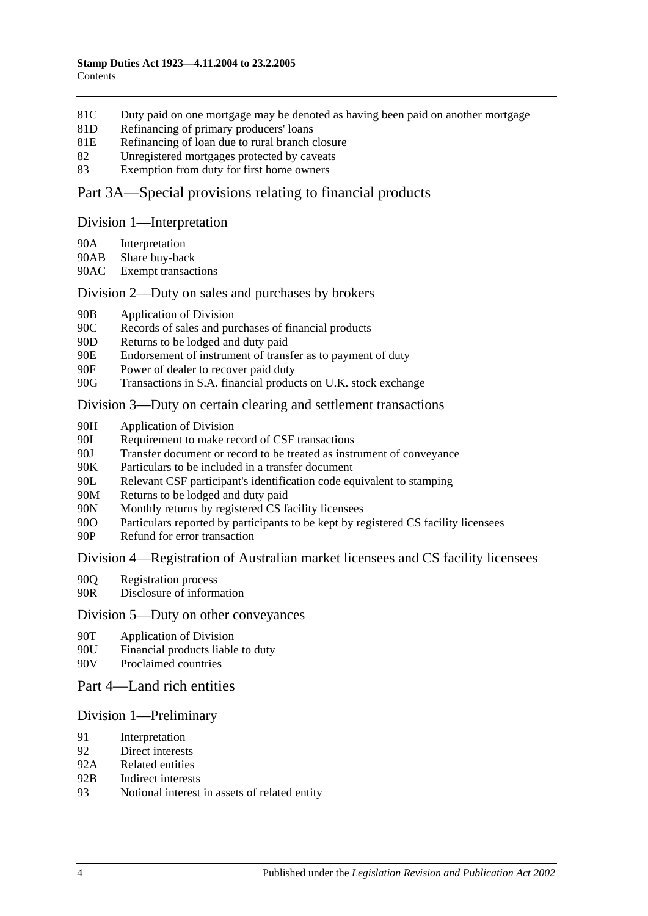- 81C [Duty paid on one mortgage may be denoted as having been paid on another mortgage](#page-68-0)
- 81D [Refinancing of primary producers' loans](#page-69-0)
- 81E [Refinancing of loan due to rural branch closure](#page-69-1)
- 82 [Unregistered mortgages protected by caveats](#page-70-0)
- 83 [Exemption from duty for first home owners](#page-71-0)

#### [Part 3A—Special provisions relating to financial products](#page-72-0)

#### [Division 1—Interpretation](#page-72-1)

- 90A [Interpretation](#page-72-2)
- 90AB [Share buy-back](#page-74-0)
- 90AC [Exempt transactions](#page-74-1)

#### [Division 2—Duty on sales and purchases by brokers](#page-74-2)

- 90B [Application of Division](#page-74-3)
- 90C [Records of sales and purchases of financial products](#page-75-0)
- 90D [Returns to be lodged and duty paid](#page-76-0)
- 90E [Endorsement of instrument of transfer as to payment of duty](#page-77-0)
- 90F [Power of dealer to recover paid duty](#page-77-1)
- 90G [Transactions in S.A. financial products on U.K. stock exchange](#page-77-2)

#### [Division 3—Duty on certain clearing and settlement transactions](#page-79-0)

- 90H [Application of Division](#page-79-1)
- 90I [Requirement to make record of CSF transactions](#page-80-0)
- 90J [Transfer document or record to be treated as instrument of conveyance](#page-80-1)
- 90K [Particulars to be included in a transfer document](#page-81-0)<br>90I. Relevant CSF participant's identification code eq
- [Relevant CSF participant's identification code equivalent to stamping](#page-81-1)
- 90M [Returns to be lodged and duty paid](#page-81-2)
- 90N [Monthly returns by registered CS facility licensees](#page-81-3)
- 90O [Particulars reported by participants to be kept by registered CS facility licensees](#page-82-0)
- 90P [Refund for error transaction](#page-82-1)

#### [Division 4—Registration of Australian market licensees and CS facility licensees](#page-82-2)

- 90Q [Registration process](#page-82-3)
- 90R [Disclosure of information](#page-83-0)

#### [Division 5—Duty on other conveyances](#page-83-1)

- 90T [Application of Division](#page-83-2)
- 90U [Financial products liable to duty](#page-83-3)
- 90V [Proclaimed countries](#page-83-4)
- [Part 4—Land rich entities](#page-84-0)

#### [Division 1—Preliminary](#page-84-1)

- 91 [Interpretation](#page-84-2)
- 92 [Direct interests](#page-86-0)
- 92A [Related entities](#page-87-0)
- 92B [Indirect interests](#page-87-1)
- 93 [Notional interest in assets of related entity](#page-87-2)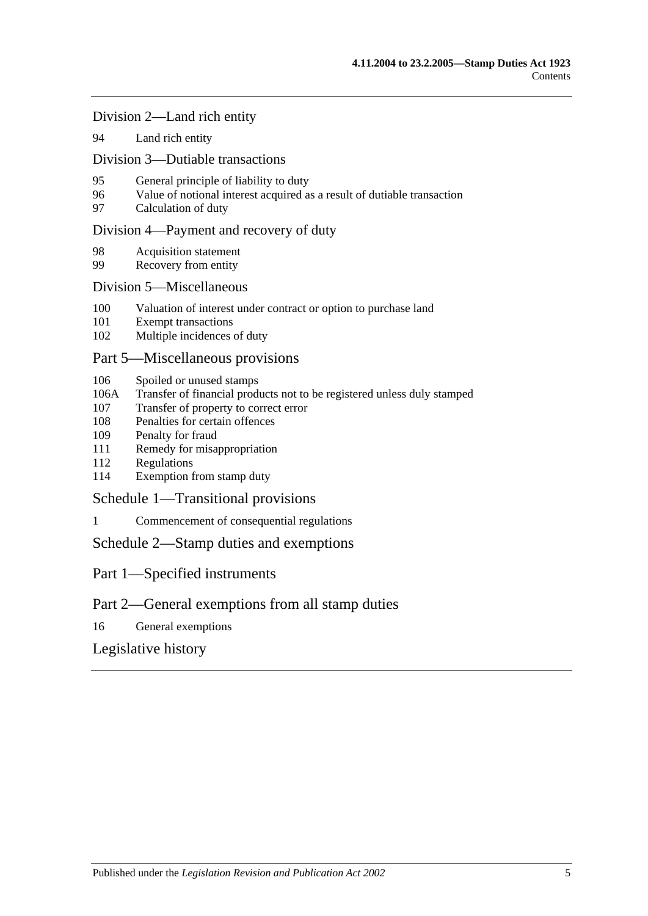[Division 2—Land rich entity](#page-88-0)

94 [Land rich entity](#page-88-1)

[Division 3—Dutiable transactions](#page-89-0)

- 95 [General principle of liability to duty](#page-89-1)
- 96 [Value of notional interest acquired as a result of dutiable transaction](#page-89-2)
- 97 [Calculation of duty](#page-90-0)

#### [Division 4—Payment and recovery of duty](#page-91-0)

- 98 [Acquisition statement](#page-91-1)
- 99 [Recovery from entity](#page-91-2)

#### [Division 5—Miscellaneous](#page-92-0)

- 100 [Valuation of interest under contract or option to purchase land](#page-92-1)
- 101 [Exempt transactions](#page-92-2)
- 102 [Multiple incidences of duty](#page-93-0)

#### [Part 5—Miscellaneous provisions](#page-94-0)

- 106 [Spoiled or unused stamps](#page-94-1)
- 106A [Transfer of financial products not to be registered unless duly stamped](#page-94-2)
- 107 [Transfer of property to correct error](#page-95-0)
- 108 [Penalties for certain offences](#page-95-1)
- 109 [Penalty for fraud](#page-96-0)
- 111 [Remedy for misappropriation](#page-96-1)
- 112 [Regulations](#page-96-2)
- 114 [Exemption from stamp duty](#page-97-0)

[Schedule 1—Transitional provisions](#page-98-0)

1 [Commencement of consequential regulations](#page-98-1)

[Schedule 2—Stamp duties and exemptions](#page-98-2)

Part 1—Specified instruments

## Part 2—General exemptions from all stamp duties

16 [General exemptions](#page-111-0)

[Legislative history](#page-116-0)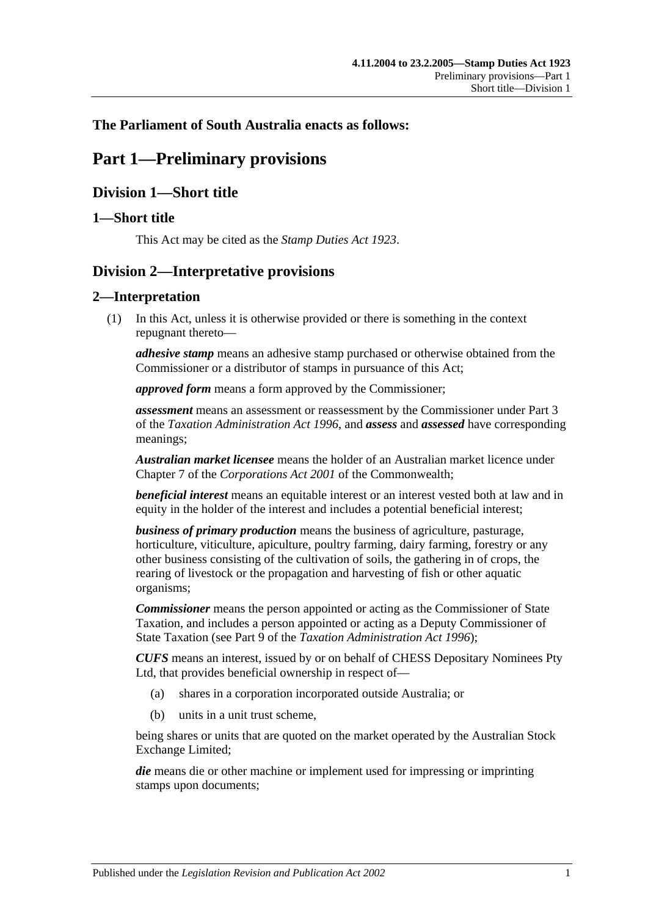## <span id="page-6-0"></span>**The Parliament of South Australia enacts as follows:**

# **Part 1—Preliminary provisions**

## <span id="page-6-1"></span>**Division 1—Short title**

## <span id="page-6-2"></span>**1—Short title**

This Act may be cited as the *Stamp Duties Act 1923*.

## <span id="page-6-3"></span>**Division 2—Interpretative provisions**

## <span id="page-6-4"></span>**2—Interpretation**

(1) In this Act, unless it is otherwise provided or there is something in the context repugnant thereto—

*adhesive stamp* means an adhesive stamp purchased or otherwise obtained from the Commissioner or a distributor of stamps in pursuance of this Act;

*approved form* means a form approved by the Commissioner;

*assessment* means an assessment or reassessment by the Commissioner under Part 3 of the *[Taxation Administration Act](http://www.legislation.sa.gov.au/index.aspx?action=legref&type=act&legtitle=Taxation%20Administration%20Act%201996) 1996*, and *assess* and *assessed* have corresponding meanings;

*Australian market licensee* means the holder of an Australian market licence under Chapter 7 of the *Corporations Act 2001* of the Commonwealth;

*beneficial interest* means an equitable interest or an interest vested both at law and in equity in the holder of the interest and includes a potential beneficial interest;

*business of primary production* means the business of agriculture, pasturage, horticulture, viticulture, apiculture, poultry farming, dairy farming, forestry or any other business consisting of the cultivation of soils, the gathering in of crops, the rearing of livestock or the propagation and harvesting of fish or other aquatic organisms;

*Commissioner* means the person appointed or acting as the Commissioner of State Taxation, and includes a person appointed or acting as a Deputy Commissioner of State Taxation (see Part 9 of the *[Taxation Administration Act](http://www.legislation.sa.gov.au/index.aspx?action=legref&type=act&legtitle=Taxation%20Administration%20Act%201996) 1996*);

*CUFS* means an interest, issued by or on behalf of CHESS Depositary Nominees Pty Ltd, that provides beneficial ownership in respect of—

- (a) shares in a corporation incorporated outside Australia; or
- (b) units in a unit trust scheme,

being shares or units that are quoted on the market operated by the Australian Stock Exchange Limited;

*die* means die or other machine or implement used for impressing or imprinting stamps upon documents;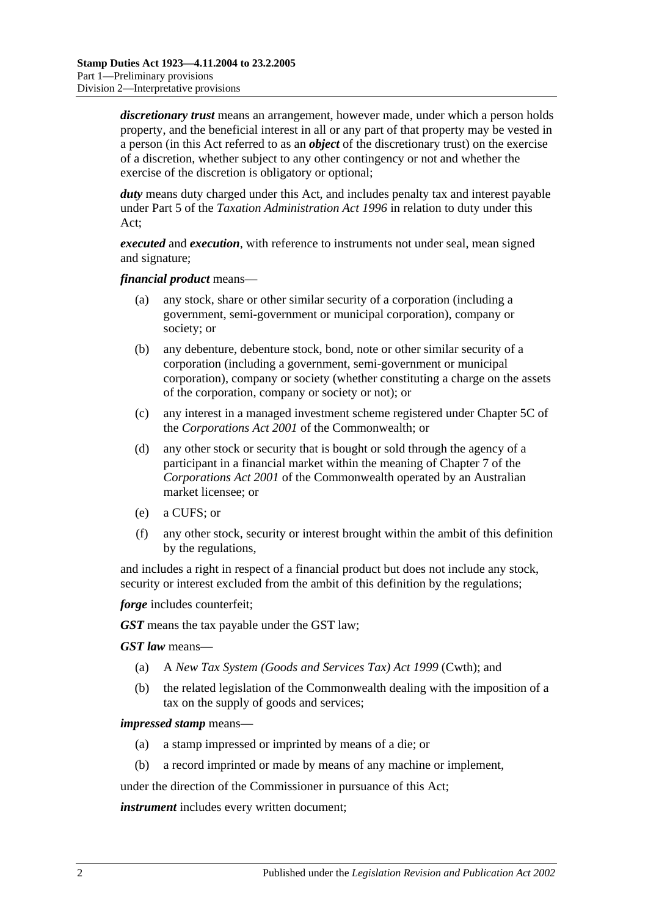*discretionary trust* means an arrangement, however made, under which a person holds property, and the beneficial interest in all or any part of that property may be vested in a person (in this Act referred to as an *object* of the discretionary trust) on the exercise of a discretion, whether subject to any other contingency or not and whether the exercise of the discretion is obligatory or optional;

*duty* means duty charged under this Act, and includes penalty tax and interest payable under Part 5 of the *[Taxation Administration Act](http://www.legislation.sa.gov.au/index.aspx?action=legref&type=act&legtitle=Taxation%20Administration%20Act%201996) 1996* in relation to duty under this Act;

*executed* and *execution*, with reference to instruments not under seal, mean signed and signature;

*financial product* means—

- (a) any stock, share or other similar security of a corporation (including a government, semi-government or municipal corporation), company or society; or
- (b) any debenture, debenture stock, bond, note or other similar security of a corporation (including a government, semi-government or municipal corporation), company or society (whether constituting a charge on the assets of the corporation, company or society or not); or
- (c) any interest in a managed investment scheme registered under Chapter 5C of the *Corporations Act 2001* of the Commonwealth; or
- (d) any other stock or security that is bought or sold through the agency of a participant in a financial market within the meaning of Chapter 7 of the *Corporations Act 2001* of the Commonwealth operated by an Australian market licensee; or
- (e) a CUFS; or
- (f) any other stock, security or interest brought within the ambit of this definition by the regulations,

and includes a right in respect of a financial product but does not include any stock, security or interest excluded from the ambit of this definition by the regulations;

*forge* includes counterfeit;

*GST* means the tax payable under the GST law;

*GST law* means—

- (a) A *New Tax System (Goods and Services Tax) Act 1999* (Cwth); and
- (b) the related legislation of the Commonwealth dealing with the imposition of a tax on the supply of goods and services;

#### *impressed stamp* means—

- (a) a stamp impressed or imprinted by means of a die; or
- (b) a record imprinted or made by means of any machine or implement,

under the direction of the Commissioner in pursuance of this Act;

*instrument* includes every written document;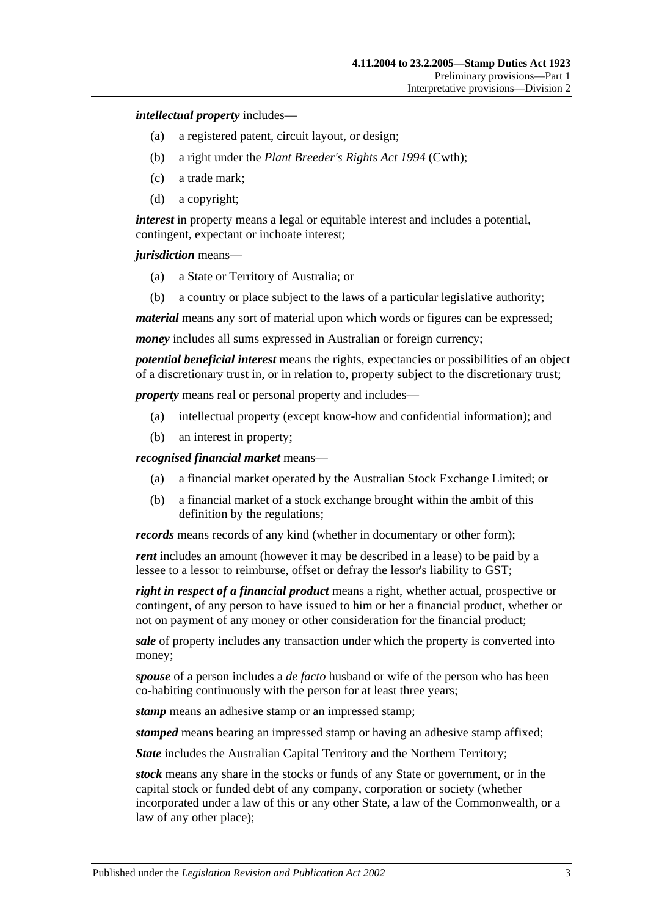*intellectual property* includes—

- (a) a registered patent, circuit layout, or design;
- (b) a right under the *Plant Breeder's Rights Act 1994* (Cwth);
- (c) a trade mark;
- (d) a copyright;

*interest* in property means a legal or equitable interest and includes a potential, contingent, expectant or inchoate interest;

*jurisdiction* means—

- (a) a State or Territory of Australia; or
- (b) a country or place subject to the laws of a particular legislative authority;

*material* means any sort of material upon which words or figures can be expressed;

*money* includes all sums expressed in Australian or foreign currency;

*potential beneficial interest* means the rights, expectancies or possibilities of an object of a discretionary trust in, or in relation to, property subject to the discretionary trust;

*property* means real or personal property and includes—

- (a) intellectual property (except know-how and confidential information); and
- (b) an interest in property;

*recognised financial market* means—

- (a) a financial market operated by the Australian Stock Exchange Limited; or
- (b) a financial market of a stock exchange brought within the ambit of this definition by the regulations;

*records* means records of any kind (whether in documentary or other form);

*rent* includes an amount (however it may be described in a lease) to be paid by a lessee to a lessor to reimburse, offset or defray the lessor's liability to GST;

*right in respect of a financial product* means a right, whether actual, prospective or contingent, of any person to have issued to him or her a financial product, whether or not on payment of any money or other consideration for the financial product;

*sale* of property includes any transaction under which the property is converted into money;

*spouse* of a person includes a *de facto* husband or wife of the person who has been co-habiting continuously with the person for at least three years;

*stamp* means an adhesive stamp or an impressed stamp;

*stamped* means bearing an impressed stamp or having an adhesive stamp affixed;

*State* includes the Australian Capital Territory and the Northern Territory;

*stock* means any share in the stocks or funds of any State or government, or in the capital stock or funded debt of any company, corporation or society (whether incorporated under a law of this or any other State, a law of the Commonwealth, or a law of any other place);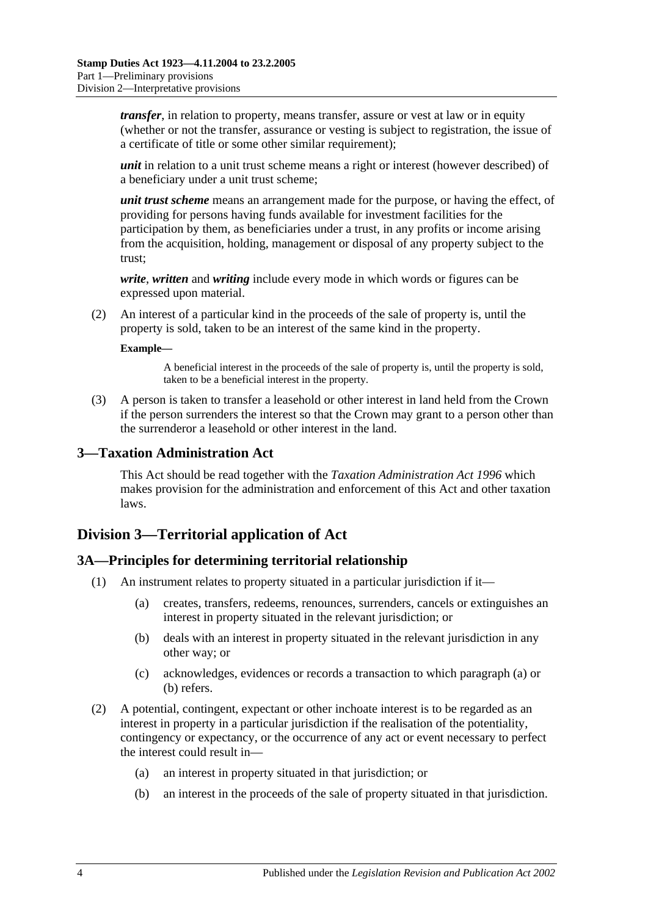*transfer*, in relation to property, means transfer, assure or vest at law or in equity (whether or not the transfer, assurance or vesting is subject to registration, the issue of a certificate of title or some other similar requirement);

*unit* in relation to a unit trust scheme means a right or interest (however described) of a beneficiary under a unit trust scheme;

*unit trust scheme* means an arrangement made for the purpose, or having the effect, of providing for persons having funds available for investment facilities for the participation by them, as beneficiaries under a trust, in any profits or income arising from the acquisition, holding, management or disposal of any property subject to the trust;

*write*, *written* and *writing* include every mode in which words or figures can be expressed upon material.

(2) An interest of a particular kind in the proceeds of the sale of property is, until the property is sold, taken to be an interest of the same kind in the property.

#### **Example—**

A beneficial interest in the proceeds of the sale of property is, until the property is sold, taken to be a beneficial interest in the property.

(3) A person is taken to transfer a leasehold or other interest in land held from the Crown if the person surrenders the interest so that the Crown may grant to a person other than the surrenderor a leasehold or other interest in the land.

#### <span id="page-9-0"></span>**3—Taxation Administration Act**

This Act should be read together with the *[Taxation Administration Act](http://www.legislation.sa.gov.au/index.aspx?action=legref&type=act&legtitle=Taxation%20Administration%20Act%201996) 1996* which makes provision for the administration and enforcement of this Act and other taxation laws.

## <span id="page-9-1"></span>**Division 3—Territorial application of Act**

#### <span id="page-9-2"></span>**3A—Principles for determining territorial relationship**

- <span id="page-9-4"></span><span id="page-9-3"></span>(1) An instrument relates to property situated in a particular jurisdiction if it—
	- (a) creates, transfers, redeems, renounces, surrenders, cancels or extinguishes an interest in property situated in the relevant jurisdiction; or
	- (b) deals with an interest in property situated in the relevant jurisdiction in any other way; or
	- (c) acknowledges, evidences or records a transaction to which [paragraph](#page-9-3) (a) or [\(b\)](#page-9-4) refers.
- (2) A potential, contingent, expectant or other inchoate interest is to be regarded as an interest in property in a particular jurisdiction if the realisation of the potentiality, contingency or expectancy, or the occurrence of any act or event necessary to perfect the interest could result in—
	- (a) an interest in property situated in that jurisdiction; or
	- (b) an interest in the proceeds of the sale of property situated in that jurisdiction.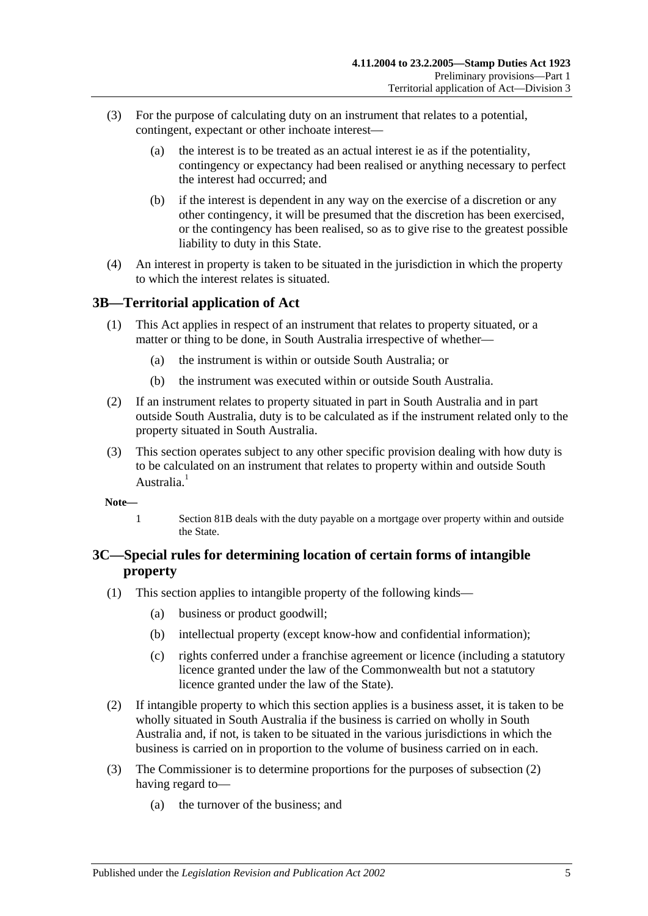- (3) For the purpose of calculating duty on an instrument that relates to a potential, contingent, expectant or other inchoate interest—
	- (a) the interest is to be treated as an actual interest ie as if the potentiality, contingency or expectancy had been realised or anything necessary to perfect the interest had occurred; and
	- (b) if the interest is dependent in any way on the exercise of a discretion or any other contingency, it will be presumed that the discretion has been exercised, or the contingency has been realised, so as to give rise to the greatest possible liability to duty in this State.
- (4) An interest in property is taken to be situated in the jurisdiction in which the property to which the interest relates is situated.

## <span id="page-10-0"></span>**3B—Territorial application of Act**

- (1) This Act applies in respect of an instrument that relates to property situated, or a matter or thing to be done, in South Australia irrespective of whether—
	- (a) the instrument is within or outside South Australia; or
	- (b) the instrument was executed within or outside South Australia.
- (2) If an instrument relates to property situated in part in South Australia and in part outside South Australia, duty is to be calculated as if the instrument related only to the property situated in South Australia.
- (3) This section operates subject to any other specific provision dealing with how duty is to be calculated on an instrument that relates to property within and outside South Australia<sup>1</sup>
- **Note—**
	- 1 [Section](#page-67-3) 81B deals with the duty payable on a mortgage over property within and outside the State.

## <span id="page-10-1"></span>**3C—Special rules for determining location of certain forms of intangible property**

- (1) This section applies to intangible property of the following kinds—
	- (a) business or product goodwill;
	- (b) intellectual property (except know-how and confidential information);
	- (c) rights conferred under a franchise agreement or licence (including a statutory licence granted under the law of the Commonwealth but not a statutory licence granted under the law of the State).
- <span id="page-10-2"></span>(2) If intangible property to which this section applies is a business asset, it is taken to be wholly situated in South Australia if the business is carried on wholly in South Australia and, if not, is taken to be situated in the various jurisdictions in which the business is carried on in proportion to the volume of business carried on in each.
- (3) The Commissioner is to determine proportions for the purposes of [subsection](#page-10-2) (2) having regard to—
	- (a) the turnover of the business; and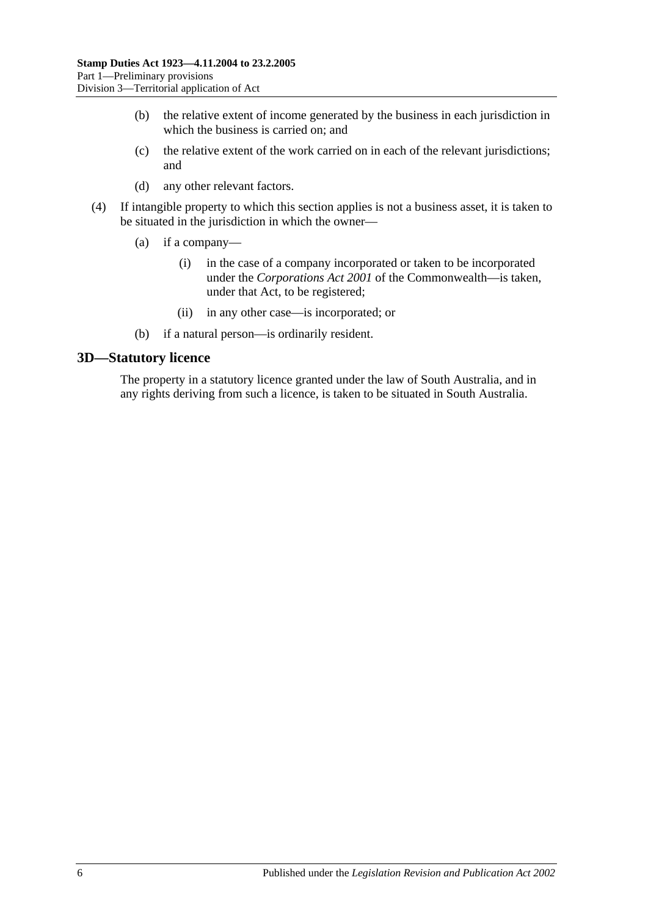- (b) the relative extent of income generated by the business in each jurisdiction in which the business is carried on; and
- (c) the relative extent of the work carried on in each of the relevant jurisdictions; and
- (d) any other relevant factors.
- (4) If intangible property to which this section applies is not a business asset, it is taken to be situated in the jurisdiction in which the owner—
	- (a) if a company—
		- (i) in the case of a company incorporated or taken to be incorporated under the *Corporations Act 2001* of the Commonwealth—is taken, under that Act, to be registered;
		- (ii) in any other case—is incorporated; or
	- (b) if a natural person—is ordinarily resident.

#### <span id="page-11-0"></span>**3D—Statutory licence**

The property in a statutory licence granted under the law of South Australia, and in any rights deriving from such a licence, is taken to be situated in South Australia.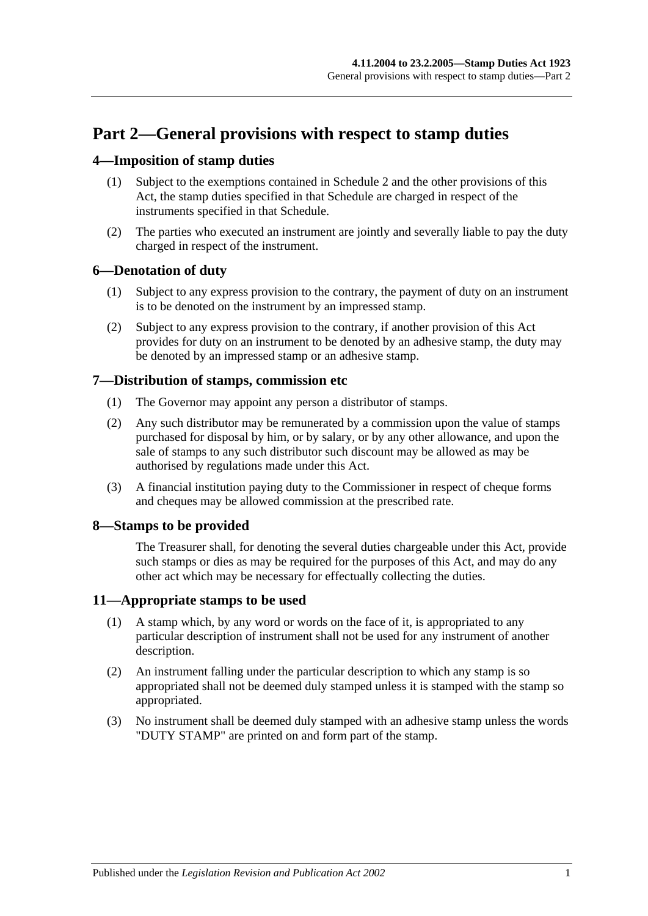# <span id="page-12-0"></span>**Part 2—General provisions with respect to stamp duties**

## <span id="page-12-1"></span>**4—Imposition of stamp duties**

- (1) Subject to the exemptions contained in [Schedule 2](#page-98-2) and the other provisions of this Act, the stamp duties specified in that Schedule are charged in respect of the instruments specified in that Schedule.
- (2) The parties who executed an instrument are jointly and severally liable to pay the duty charged in respect of the instrument.

## <span id="page-12-2"></span>**6—Denotation of duty**

- (1) Subject to any express provision to the contrary, the payment of duty on an instrument is to be denoted on the instrument by an impressed stamp.
- (2) Subject to any express provision to the contrary, if another provision of this Act provides for duty on an instrument to be denoted by an adhesive stamp, the duty may be denoted by an impressed stamp or an adhesive stamp.

## <span id="page-12-3"></span>**7—Distribution of stamps, commission etc**

- (1) The Governor may appoint any person a distributor of stamps.
- (2) Any such distributor may be remunerated by a commission upon the value of stamps purchased for disposal by him, or by salary, or by any other allowance, and upon the sale of stamps to any such distributor such discount may be allowed as may be authorised by regulations made under this Act.
- (3) A financial institution paying duty to the Commissioner in respect of cheque forms and cheques may be allowed commission at the prescribed rate.

## <span id="page-12-4"></span>**8—Stamps to be provided**

The Treasurer shall, for denoting the several duties chargeable under this Act, provide such stamps or dies as may be required for the purposes of this Act, and may do any other act which may be necessary for effectually collecting the duties.

## <span id="page-12-5"></span>**11—Appropriate stamps to be used**

- (1) A stamp which, by any word or words on the face of it, is appropriated to any particular description of instrument shall not be used for any instrument of another description.
- (2) An instrument falling under the particular description to which any stamp is so appropriated shall not be deemed duly stamped unless it is stamped with the stamp so appropriated.
- (3) No instrument shall be deemed duly stamped with an adhesive stamp unless the words "DUTY STAMP" are printed on and form part of the stamp.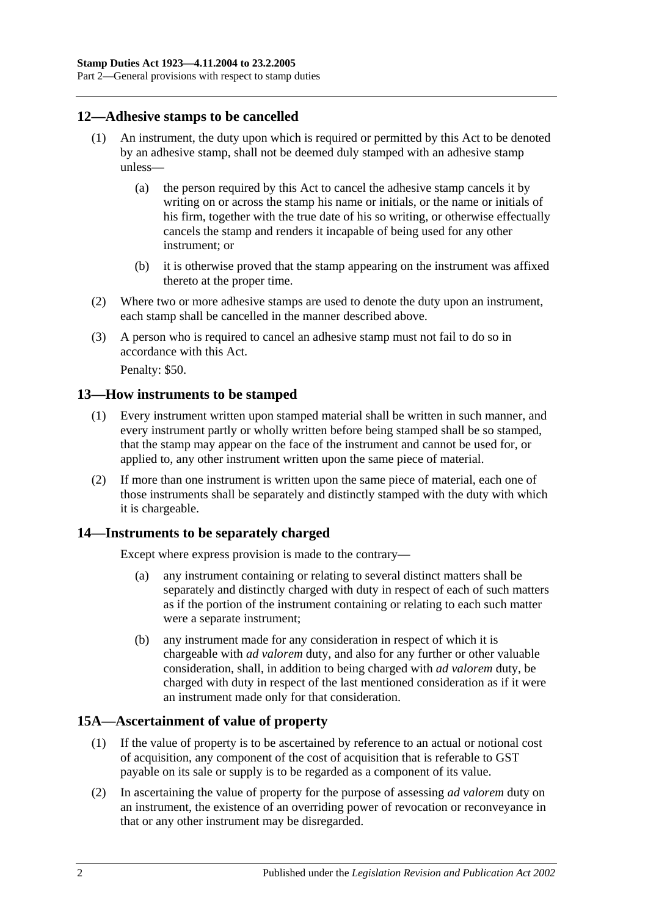## <span id="page-13-0"></span>**12—Adhesive stamps to be cancelled**

- (1) An instrument, the duty upon which is required or permitted by this Act to be denoted by an adhesive stamp, shall not be deemed duly stamped with an adhesive stamp unless—
	- (a) the person required by this Act to cancel the adhesive stamp cancels it by writing on or across the stamp his name or initials, or the name or initials of his firm, together with the true date of his so writing, or otherwise effectually cancels the stamp and renders it incapable of being used for any other instrument; or
	- (b) it is otherwise proved that the stamp appearing on the instrument was affixed thereto at the proper time.
- (2) Where two or more adhesive stamps are used to denote the duty upon an instrument, each stamp shall be cancelled in the manner described above.
- (3) A person who is required to cancel an adhesive stamp must not fail to do so in accordance with this Act.

Penalty: \$50.

#### <span id="page-13-1"></span>**13—How instruments to be stamped**

- (1) Every instrument written upon stamped material shall be written in such manner, and every instrument partly or wholly written before being stamped shall be so stamped, that the stamp may appear on the face of the instrument and cannot be used for, or applied to, any other instrument written upon the same piece of material.
- (2) If more than one instrument is written upon the same piece of material, each one of those instruments shall be separately and distinctly stamped with the duty with which it is chargeable.

## <span id="page-13-2"></span>**14—Instruments to be separately charged**

Except where express provision is made to the contrary—

- (a) any instrument containing or relating to several distinct matters shall be separately and distinctly charged with duty in respect of each of such matters as if the portion of the instrument containing or relating to each such matter were a separate instrument;
- (b) any instrument made for any consideration in respect of which it is chargeable with *ad valorem* duty, and also for any further or other valuable consideration, shall, in addition to being charged with *ad valorem* duty, be charged with duty in respect of the last mentioned consideration as if it were an instrument made only for that consideration.

## <span id="page-13-3"></span>**15A—Ascertainment of value of property**

- (1) If the value of property is to be ascertained by reference to an actual or notional cost of acquisition, any component of the cost of acquisition that is referable to GST payable on its sale or supply is to be regarded as a component of its value.
- (2) In ascertaining the value of property for the purpose of assessing *ad valorem* duty on an instrument, the existence of an overriding power of revocation or reconveyance in that or any other instrument may be disregarded.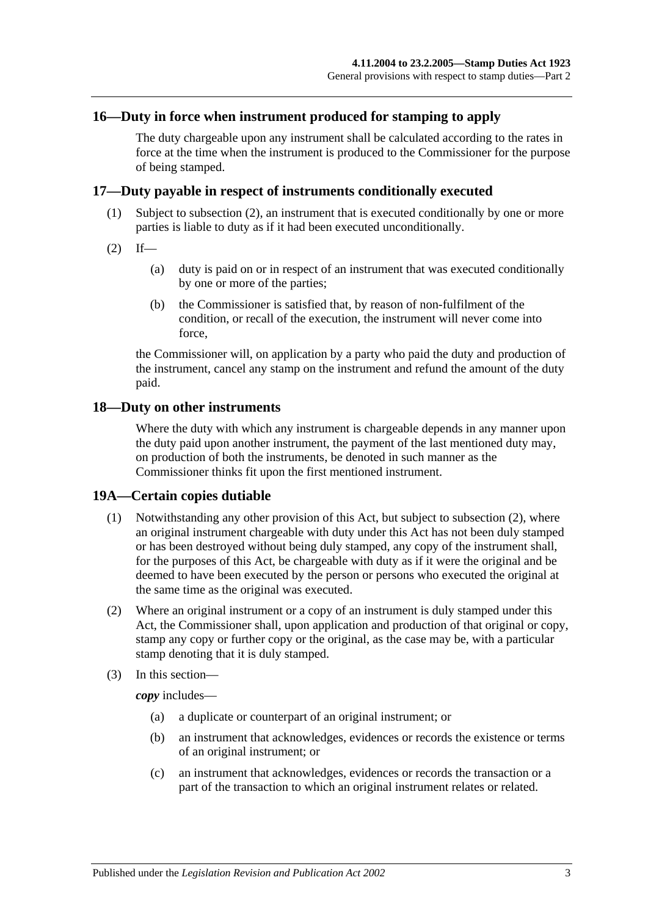#### <span id="page-14-0"></span>**16—Duty in force when instrument produced for stamping to apply**

The duty chargeable upon any instrument shall be calculated according to the rates in force at the time when the instrument is produced to the Commissioner for the purpose of being stamped.

#### <span id="page-14-1"></span>**17—Duty payable in respect of instruments conditionally executed**

- (1) Subject to [subsection](#page-14-4) (2), an instrument that is executed conditionally by one or more parties is liable to duty as if it had been executed unconditionally.
- <span id="page-14-4"></span> $(2)$  If—
	- (a) duty is paid on or in respect of an instrument that was executed conditionally by one or more of the parties;
	- (b) the Commissioner is satisfied that, by reason of non-fulfilment of the condition, or recall of the execution, the instrument will never come into force,

the Commissioner will, on application by a party who paid the duty and production of the instrument, cancel any stamp on the instrument and refund the amount of the duty paid.

#### <span id="page-14-2"></span>**18—Duty on other instruments**

Where the duty with which any instrument is chargeable depends in any manner upon the duty paid upon another instrument, the payment of the last mentioned duty may, on production of both the instruments, be denoted in such manner as the Commissioner thinks fit upon the first mentioned instrument.

#### <span id="page-14-3"></span>**19A—Certain copies dutiable**

- (1) Notwithstanding any other provision of this Act, but subject to [subsection](#page-14-5) (2), where an original instrument chargeable with duty under this Act has not been duly stamped or has been destroyed without being duly stamped, any copy of the instrument shall, for the purposes of this Act, be chargeable with duty as if it were the original and be deemed to have been executed by the person or persons who executed the original at the same time as the original was executed.
- <span id="page-14-5"></span>(2) Where an original instrument or a copy of an instrument is duly stamped under this Act, the Commissioner shall, upon application and production of that original or copy, stamp any copy or further copy or the original, as the case may be, with a particular stamp denoting that it is duly stamped.
- (3) In this section—

*copy* includes—

- (a) a duplicate or counterpart of an original instrument; or
- (b) an instrument that acknowledges, evidences or records the existence or terms of an original instrument; or
- (c) an instrument that acknowledges, evidences or records the transaction or a part of the transaction to which an original instrument relates or related.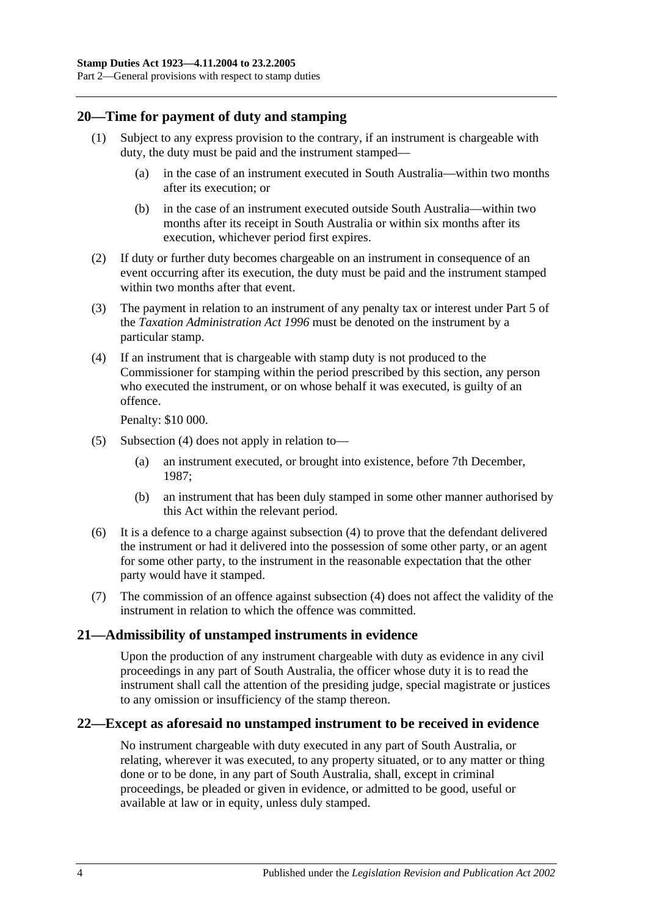## <span id="page-15-0"></span>**20—Time for payment of duty and stamping**

- (1) Subject to any express provision to the contrary, if an instrument is chargeable with duty, the duty must be paid and the instrument stamped—
	- (a) in the case of an instrument executed in South Australia—within two months after its execution; or
	- (b) in the case of an instrument executed outside South Australia—within two months after its receipt in South Australia or within six months after its execution, whichever period first expires.
- (2) If duty or further duty becomes chargeable on an instrument in consequence of an event occurring after its execution, the duty must be paid and the instrument stamped within two months after that event.
- (3) The payment in relation to an instrument of any penalty tax or interest under Part 5 of the *[Taxation Administration Act](http://www.legislation.sa.gov.au/index.aspx?action=legref&type=act&legtitle=Taxation%20Administration%20Act%201996) 1996* must be denoted on the instrument by a particular stamp.
- <span id="page-15-3"></span>(4) If an instrument that is chargeable with stamp duty is not produced to the Commissioner for stamping within the period prescribed by this section, any person who executed the instrument, or on whose behalf it was executed, is guilty of an offence.

Penalty: \$10 000.

- (5) [Subsection](#page-15-3) (4) does not apply in relation to—
	- (a) an instrument executed, or brought into existence, before 7th December, 1987;
	- (b) an instrument that has been duly stamped in some other manner authorised by this Act within the relevant period.
- (6) It is a defence to a charge against [subsection](#page-15-3) (4) to prove that the defendant delivered the instrument or had it delivered into the possession of some other party, or an agent for some other party, to the instrument in the reasonable expectation that the other party would have it stamped.
- (7) The commission of an offence against [subsection](#page-15-3) (4) does not affect the validity of the instrument in relation to which the offence was committed.

## <span id="page-15-1"></span>**21—Admissibility of unstamped instruments in evidence**

Upon the production of any instrument chargeable with duty as evidence in any civil proceedings in any part of South Australia, the officer whose duty it is to read the instrument shall call the attention of the presiding judge, special magistrate or justices to any omission or insufficiency of the stamp thereon.

## <span id="page-15-2"></span>**22—Except as aforesaid no unstamped instrument to be received in evidence**

No instrument chargeable with duty executed in any part of South Australia, or relating, wherever it was executed, to any property situated, or to any matter or thing done or to be done, in any part of South Australia, shall, except in criminal proceedings, be pleaded or given in evidence, or admitted to be good, useful or available at law or in equity, unless duly stamped.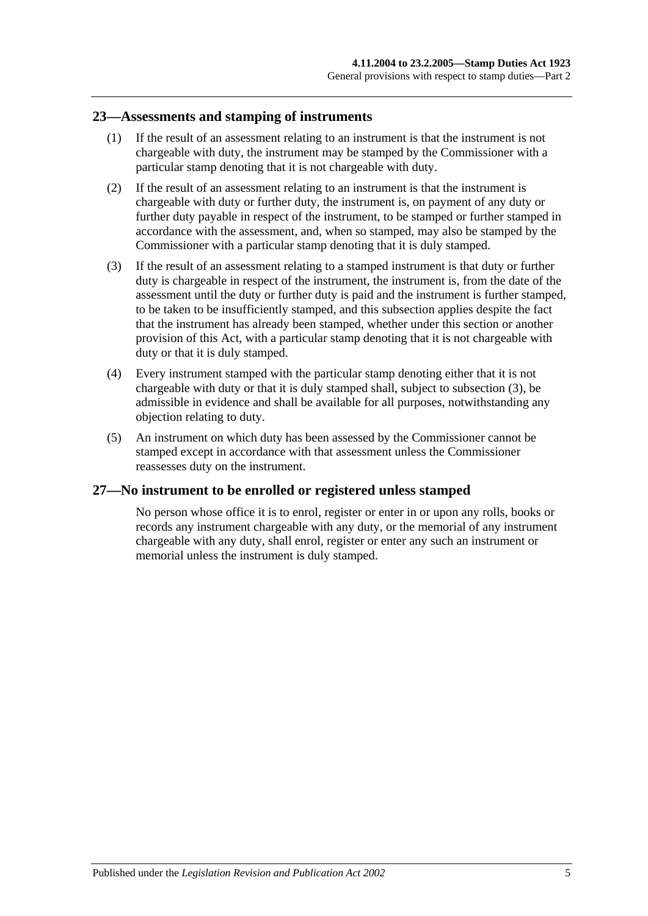#### <span id="page-16-0"></span>**23—Assessments and stamping of instruments**

- (1) If the result of an assessment relating to an instrument is that the instrument is not chargeable with duty, the instrument may be stamped by the Commissioner with a particular stamp denoting that it is not chargeable with duty.
- (2) If the result of an assessment relating to an instrument is that the instrument is chargeable with duty or further duty, the instrument is, on payment of any duty or further duty payable in respect of the instrument, to be stamped or further stamped in accordance with the assessment, and, when so stamped, may also be stamped by the Commissioner with a particular stamp denoting that it is duly stamped.
- <span id="page-16-2"></span>(3) If the result of an assessment relating to a stamped instrument is that duty or further duty is chargeable in respect of the instrument, the instrument is, from the date of the assessment until the duty or further duty is paid and the instrument is further stamped, to be taken to be insufficiently stamped, and this subsection applies despite the fact that the instrument has already been stamped, whether under this section or another provision of this Act, with a particular stamp denoting that it is not chargeable with duty or that it is duly stamped.
- (4) Every instrument stamped with the particular stamp denoting either that it is not chargeable with duty or that it is duly stamped shall, subject to [subsection](#page-16-2) (3), be admissible in evidence and shall be available for all purposes, notwithstanding any objection relating to duty.
- (5) An instrument on which duty has been assessed by the Commissioner cannot be stamped except in accordance with that assessment unless the Commissioner reassesses duty on the instrument.

## <span id="page-16-1"></span>**27—No instrument to be enrolled or registered unless stamped**

No person whose office it is to enrol, register or enter in or upon any rolls, books or records any instrument chargeable with any duty, or the memorial of any instrument chargeable with any duty, shall enrol, register or enter any such an instrument or memorial unless the instrument is duly stamped.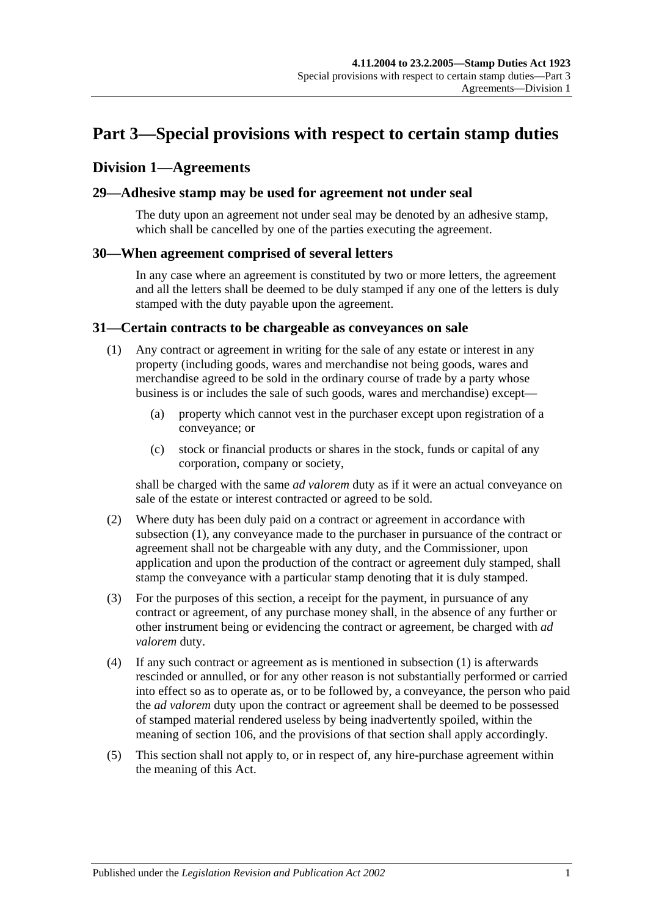# <span id="page-18-0"></span>**Part 3—Special provisions with respect to certain stamp duties**

## <span id="page-18-1"></span>**Division 1—Agreements**

#### <span id="page-18-2"></span>**29—Adhesive stamp may be used for agreement not under seal**

The duty upon an agreement not under seal may be denoted by an adhesive stamp, which shall be cancelled by one of the parties executing the agreement.

#### <span id="page-18-3"></span>**30—When agreement comprised of several letters**

In any case where an agreement is constituted by two or more letters, the agreement and all the letters shall be deemed to be duly stamped if any one of the letters is duly stamped with the duty payable upon the agreement.

#### <span id="page-18-5"></span><span id="page-18-4"></span>**31—Certain contracts to be chargeable as conveyances on sale**

- (1) Any contract or agreement in writing for the sale of any estate or interest in any property (including goods, wares and merchandise not being goods, wares and merchandise agreed to be sold in the ordinary course of trade by a party whose business is or includes the sale of such goods, wares and merchandise) except—
	- (a) property which cannot vest in the purchaser except upon registration of a conveyance; or
	- (c) stock or financial products or shares in the stock, funds or capital of any corporation, company or society,

shall be charged with the same *ad valorem* duty as if it were an actual conveyance on sale of the estate or interest contracted or agreed to be sold.

- (2) Where duty has been duly paid on a contract or agreement in accordance with [subsection](#page-18-5) (1), any conveyance made to the purchaser in pursuance of the contract or agreement shall not be chargeable with any duty, and the Commissioner, upon application and upon the production of the contract or agreement duly stamped, shall stamp the conveyance with a particular stamp denoting that it is duly stamped.
- (3) For the purposes of this section, a receipt for the payment, in pursuance of any contract or agreement, of any purchase money shall, in the absence of any further or other instrument being or evidencing the contract or agreement, be charged with *ad valorem* duty.
- (4) If any such contract or agreement as is mentioned in [subsection](#page-18-5) (1) is afterwards rescinded or annulled, or for any other reason is not substantially performed or carried into effect so as to operate as, or to be followed by, a conveyance, the person who paid the *ad valorem* duty upon the contract or agreement shall be deemed to be possessed of stamped material rendered useless by being inadvertently spoiled, within the meaning of [section](#page-94-1) 106, and the provisions of that section shall apply accordingly.
- (5) This section shall not apply to, or in respect of, any hire-purchase agreement within the meaning of this Act.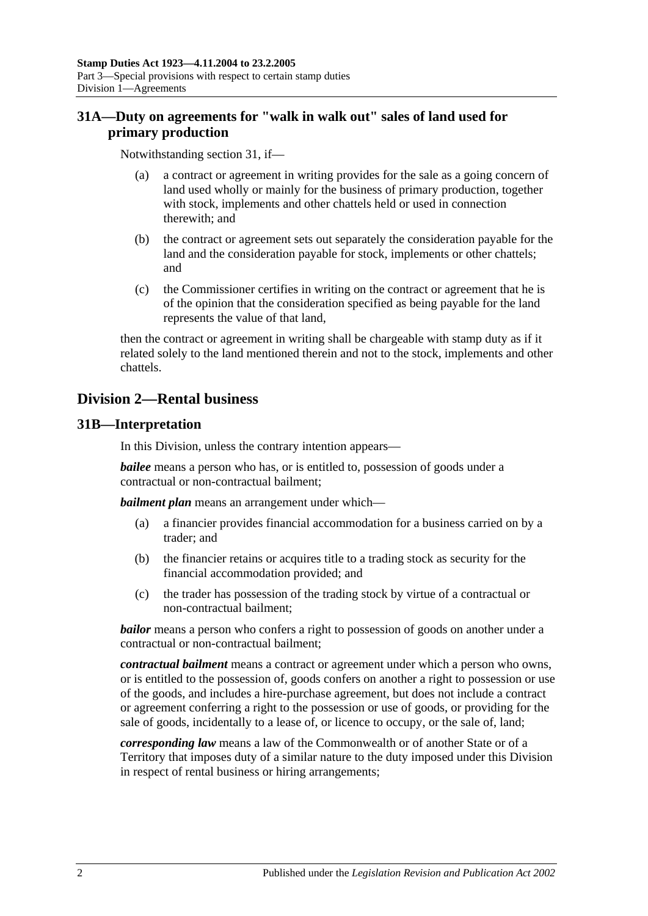## <span id="page-19-0"></span>**31A—Duty on agreements for "walk in walk out" sales of land used for primary production**

Notwithstanding [section](#page-18-4) 31, if—

- (a) a contract or agreement in writing provides for the sale as a going concern of land used wholly or mainly for the business of primary production, together with stock, implements and other chattels held or used in connection therewith; and
- (b) the contract or agreement sets out separately the consideration payable for the land and the consideration payable for stock, implements or other chattels; and
- (c) the Commissioner certifies in writing on the contract or agreement that he is of the opinion that the consideration specified as being payable for the land represents the value of that land,

then the contract or agreement in writing shall be chargeable with stamp duty as if it related solely to the land mentioned therein and not to the stock, implements and other chattels.

## <span id="page-19-1"></span>**Division 2—Rental business**

## <span id="page-19-2"></span>**31B—Interpretation**

In this Division, unless the contrary intention appears—

*bailee* means a person who has, or is entitled to, possession of goods under a contractual or non-contractual bailment;

*bailment plan* means an arrangement under which—

- (a) a financier provides financial accommodation for a business carried on by a trader; and
- (b) the financier retains or acquires title to a trading stock as security for the financial accommodation provided; and
- (c) the trader has possession of the trading stock by virtue of a contractual or non-contractual bailment;

*bailor* means a person who confers a right to possession of goods on another under a contractual or non-contractual bailment;

*contractual bailment* means a contract or agreement under which a person who owns, or is entitled to the possession of, goods confers on another a right to possession or use of the goods, and includes a hire-purchase agreement, but does not include a contract or agreement conferring a right to the possession or use of goods, or providing for the sale of goods, incidentally to a lease of, or licence to occupy, or the sale of, land;

*corresponding law* means a law of the Commonwealth or of another State or of a Territory that imposes duty of a similar nature to the duty imposed under this Division in respect of rental business or hiring arrangements;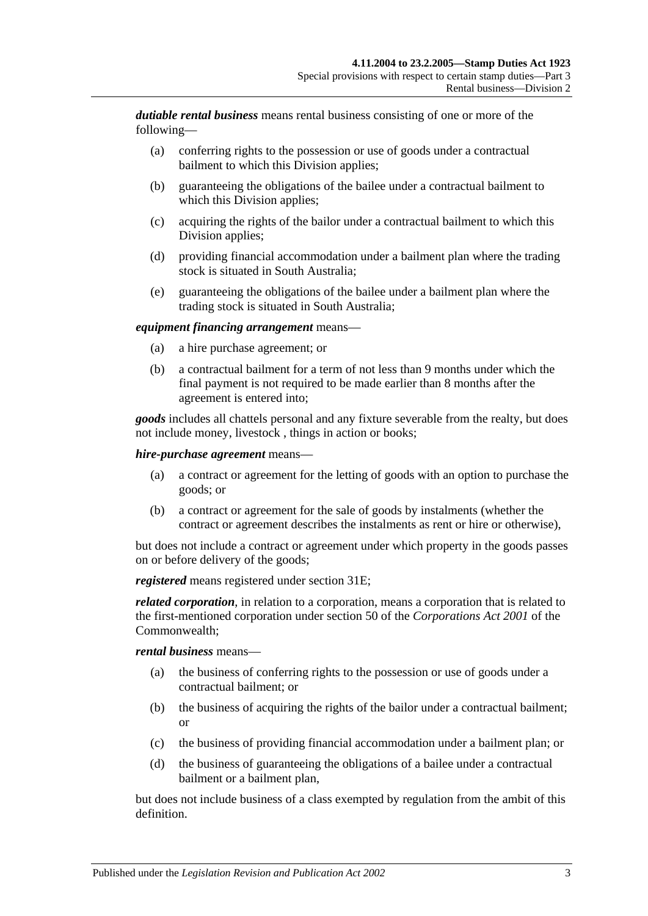*dutiable rental business* means rental business consisting of one or more of the following—

- (a) conferring rights to the possession or use of goods under a contractual bailment to which this Division applies;
- (b) guaranteeing the obligations of the bailee under a contractual bailment to which this Division applies;
- (c) acquiring the rights of the bailor under a contractual bailment to which this Division applies;
- (d) providing financial accommodation under a bailment plan where the trading stock is situated in South Australia;
- (e) guaranteeing the obligations of the bailee under a bailment plan where the trading stock is situated in South Australia;

#### *equipment financing arrangement* means—

- (a) a hire purchase agreement; or
- (b) a contractual bailment for a term of not less than 9 months under which the final payment is not required to be made earlier than 8 months after the agreement is entered into;

*goods* includes all chattels personal and any fixture severable from the realty, but does not include money, livestock , things in action or books;

#### *hire-purchase agreement* means—

- (a) a contract or agreement for the letting of goods with an option to purchase the goods; or
- (b) a contract or agreement for the sale of goods by instalments (whether the contract or agreement describes the instalments as rent or hire or otherwise),

but does not include a contract or agreement under which property in the goods passes on or before delivery of the goods;

*registered* means registered under [section](#page-21-2) 31E;

*related corporation*, in relation to a corporation, means a corporation that is related to the first-mentioned corporation under section 50 of the *Corporations Act 2001* of the Commonwealth;

#### *rental business* means—

- (a) the business of conferring rights to the possession or use of goods under a contractual bailment; or
- (b) the business of acquiring the rights of the bailor under a contractual bailment; or
- (c) the business of providing financial accommodation under a bailment plan; or
- (d) the business of guaranteeing the obligations of a bailee under a contractual bailment or a bailment plan,

but does not include business of a class exempted by regulation from the ambit of this definition.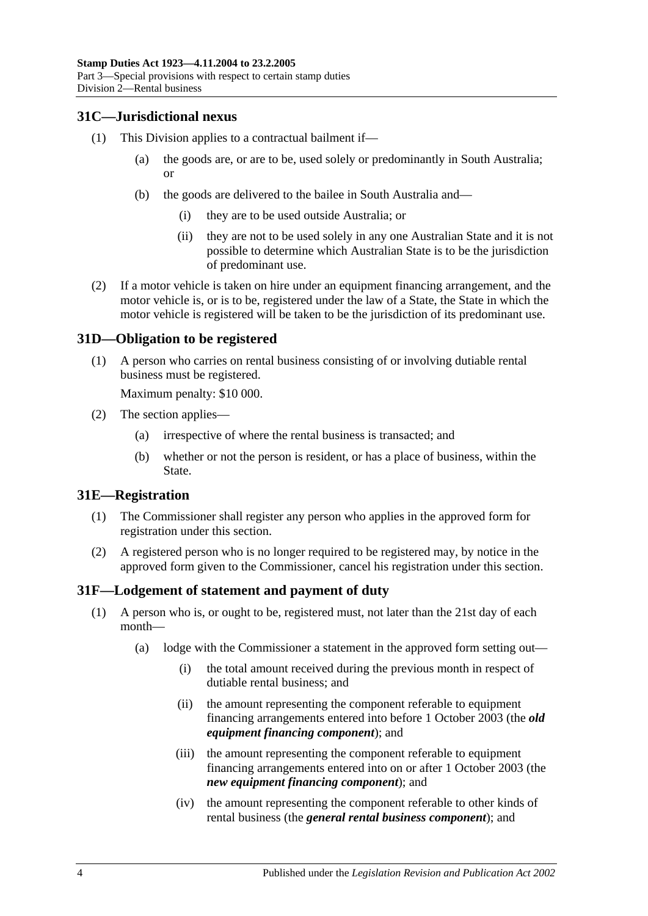## <span id="page-21-0"></span>**31C—Jurisdictional nexus**

- (1) This Division applies to a contractual bailment if—
	- (a) the goods are, or are to be, used solely or predominantly in South Australia; or
	- (b) the goods are delivered to the bailee in South Australia and—
		- (i) they are to be used outside Australia; or
		- (ii) they are not to be used solely in any one Australian State and it is not possible to determine which Australian State is to be the jurisdiction of predominant use.
- (2) If a motor vehicle is taken on hire under an equipment financing arrangement, and the motor vehicle is, or is to be, registered under the law of a State, the State in which the motor vehicle is registered will be taken to be the jurisdiction of its predominant use.

#### <span id="page-21-1"></span>**31D—Obligation to be registered**

(1) A person who carries on rental business consisting of or involving dutiable rental business must be registered.

Maximum penalty: \$10 000.

- (2) The section applies—
	- (a) irrespective of where the rental business is transacted; and
	- (b) whether or not the person is resident, or has a place of business, within the State.

#### <span id="page-21-2"></span>**31E—Registration**

- (1) The Commissioner shall register any person who applies in the approved form for registration under this section.
- (2) A registered person who is no longer required to be registered may, by notice in the approved form given to the Commissioner, cancel his registration under this section.

#### <span id="page-21-4"></span><span id="page-21-3"></span>**31F—Lodgement of statement and payment of duty**

- (1) A person who is, or ought to be, registered must, not later than the 21st day of each month—
	- (a) lodge with the Commissioner a statement in the approved form setting out—
		- (i) the total amount received during the previous month in respect of dutiable rental business; and
		- (ii) the amount representing the component referable to equipment financing arrangements entered into before 1 October 2003 (the *old equipment financing component*); and
		- (iii) the amount representing the component referable to equipment financing arrangements entered into on or after 1 October 2003 (the *new equipment financing component*); and
		- (iv) the amount representing the component referable to other kinds of rental business (the *general rental business component*); and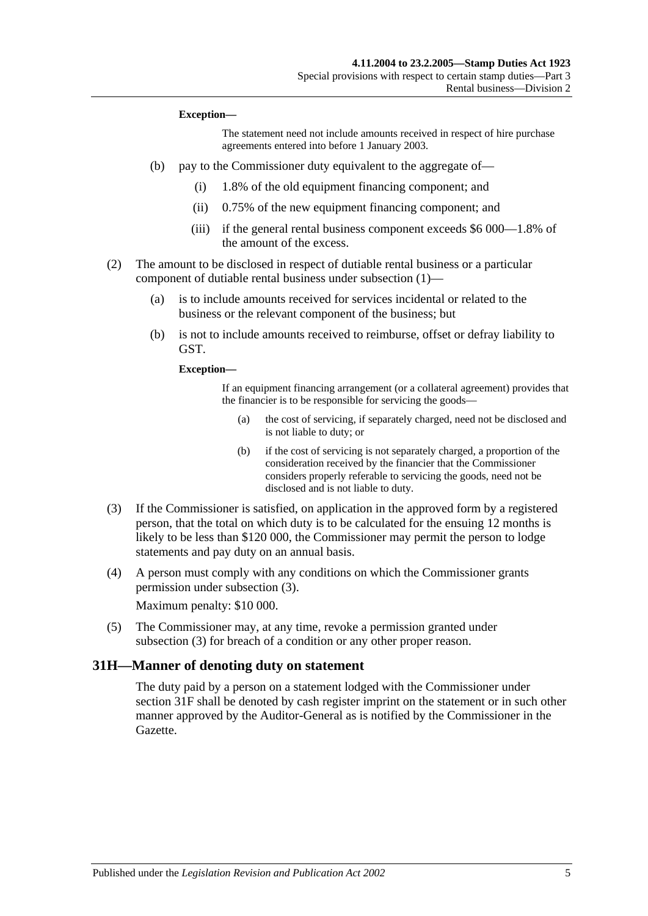#### **Exception—**

The statement need not include amounts received in respect of hire purchase agreements entered into before 1 January 2003.

- (b) pay to the Commissioner duty equivalent to the aggregate of—
	- (i) 1.8% of the old equipment financing component; and
	- (ii) 0.75% of the new equipment financing component; and
	- (iii) if the general rental business component exceeds \$6 000—1.8% of the amount of the excess.
- (2) The amount to be disclosed in respect of dutiable rental business or a particular component of dutiable rental business under [subsection](#page-21-4) (1)—
	- (a) is to include amounts received for services incidental or related to the business or the relevant component of the business; but
	- (b) is not to include amounts received to reimburse, offset or defray liability to GST.

**Exception—**

If an equipment financing arrangement (or a collateral agreement) provides that the financier is to be responsible for servicing the goods—

- (a) the cost of servicing, if separately charged, need not be disclosed and is not liable to duty; or
- (b) if the cost of servicing is not separately charged, a proportion of the consideration received by the financier that the Commissioner considers properly referable to servicing the goods, need not be disclosed and is not liable to duty.
- <span id="page-22-1"></span>(3) If the Commissioner is satisfied, on application in the approved form by a registered person, that the total on which duty is to be calculated for the ensuing 12 months is likely to be less than \$120 000, the Commissioner may permit the person to lodge statements and pay duty on an annual basis.
- (4) A person must comply with any conditions on which the Commissioner grants permission under [subsection](#page-22-1) (3).

Maximum penalty: \$10 000.

(5) The Commissioner may, at any time, revoke a permission granted under [subsection](#page-22-1) (3) for breach of a condition or any other proper reason.

#### <span id="page-22-0"></span>**31H—Manner of denoting duty on statement**

The duty paid by a person on a statement lodged with the Commissioner under [section](#page-21-3) 31F shall be denoted by cash register imprint on the statement or in such other manner approved by the Auditor-General as is notified by the Commissioner in the Gazette.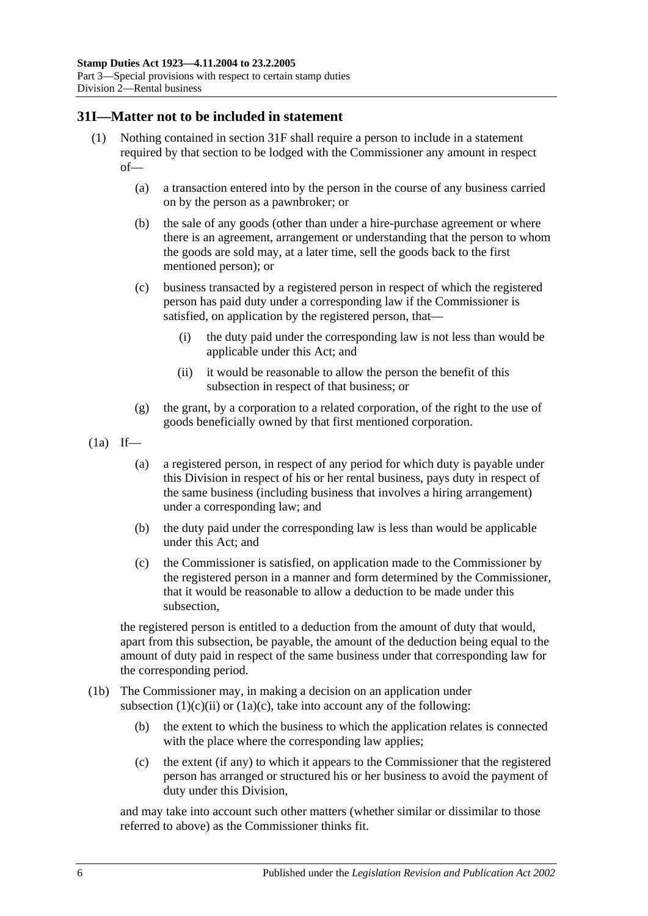#### <span id="page-23-0"></span>**31I—Matter not to be included in statement**

- (1) Nothing contained in [section](#page-21-3) 31F shall require a person to include in a statement required by that section to be lodged with the Commissioner any amount in respect of—
	- (a) a transaction entered into by the person in the course of any business carried on by the person as a pawnbroker; or
	- (b) the sale of any goods (other than under a hire-purchase agreement or where there is an agreement, arrangement or understanding that the person to whom the goods are sold may, at a later time, sell the goods back to the first mentioned person); or
	- (c) business transacted by a registered person in respect of which the registered person has paid duty under a corresponding law if the Commissioner is satisfied, on application by the registered person, that—
		- (i) the duty paid under the corresponding law is not less than would be applicable under this Act; and
		- (ii) it would be reasonable to allow the person the benefit of this subsection in respect of that business; or
	- (g) the grant, by a corporation to a related corporation, of the right to the use of goods beneficially owned by that first mentioned corporation.
- <span id="page-23-1"></span> $(1a)$  If—
	- (a) a registered person, in respect of any period for which duty is payable under this Division in respect of his or her rental business, pays duty in respect of the same business (including business that involves a hiring arrangement) under a corresponding law; and
	- (b) the duty paid under the corresponding law is less than would be applicable under this Act; and
	- (c) the Commissioner is satisfied, on application made to the Commissioner by the registered person in a manner and form determined by the Commissioner, that it would be reasonable to allow a deduction to be made under this subsection,

<span id="page-23-2"></span>the registered person is entitled to a deduction from the amount of duty that would, apart from this subsection, be payable, the amount of the deduction being equal to the amount of duty paid in respect of the same business under that corresponding law for the corresponding period.

- (1b) The Commissioner may, in making a decision on an application under [subsection](#page-23-1)  $(1)(c)(ii)$  or  $(1a)(c)$ , take into account any of the following:
	- (b) the extent to which the business to which the application relates is connected with the place where the corresponding law applies;
	- (c) the extent (if any) to which it appears to the Commissioner that the registered person has arranged or structured his or her business to avoid the payment of duty under this Division,

and may take into account such other matters (whether similar or dissimilar to those referred to above) as the Commissioner thinks fit.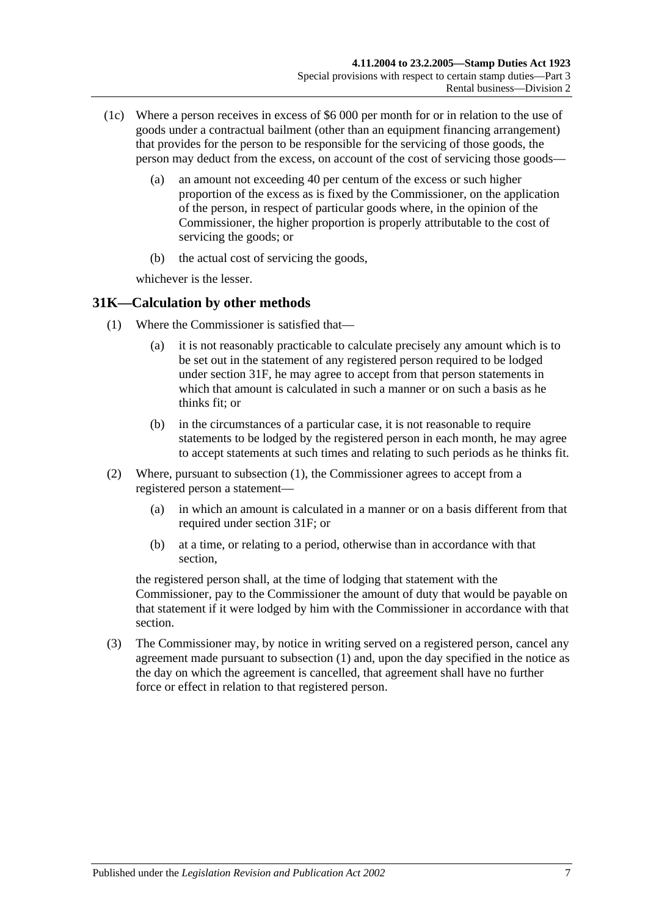- (1c) Where a person receives in excess of \$6 000 per month for or in relation to the use of goods under a contractual bailment (other than an equipment financing arrangement) that provides for the person to be responsible for the servicing of those goods, the person may deduct from the excess, on account of the cost of servicing those goods—
	- (a) an amount not exceeding 40 per centum of the excess or such higher proportion of the excess as is fixed by the Commissioner, on the application of the person, in respect of particular goods where, in the opinion of the Commissioner, the higher proportion is properly attributable to the cost of servicing the goods; or
	- (b) the actual cost of servicing the goods,

whichever is the lesser.

## <span id="page-24-1"></span><span id="page-24-0"></span>**31K—Calculation by other methods**

- (1) Where the Commissioner is satisfied that—
	- (a) it is not reasonably practicable to calculate precisely any amount which is to be set out in the statement of any registered person required to be lodged under [section](#page-21-3) 31F, he may agree to accept from that person statements in which that amount is calculated in such a manner or on such a basis as he thinks fit: or
	- (b) in the circumstances of a particular case, it is not reasonable to require statements to be lodged by the registered person in each month, he may agree to accept statements at such times and relating to such periods as he thinks fit.
- (2) Where, pursuant to [subsection](#page-24-1) (1), the Commissioner agrees to accept from a registered person a statement—
	- (a) in which an amount is calculated in a manner or on a basis different from that required under [section](#page-21-3) 31F; or
	- (b) at a time, or relating to a period, otherwise than in accordance with that section,

the registered person shall, at the time of lodging that statement with the Commissioner, pay to the Commissioner the amount of duty that would be payable on that statement if it were lodged by him with the Commissioner in accordance with that section.

(3) The Commissioner may, by notice in writing served on a registered person, cancel any agreement made pursuant to [subsection](#page-24-1) (1) and, upon the day specified in the notice as the day on which the agreement is cancelled, that agreement shall have no further force or effect in relation to that registered person.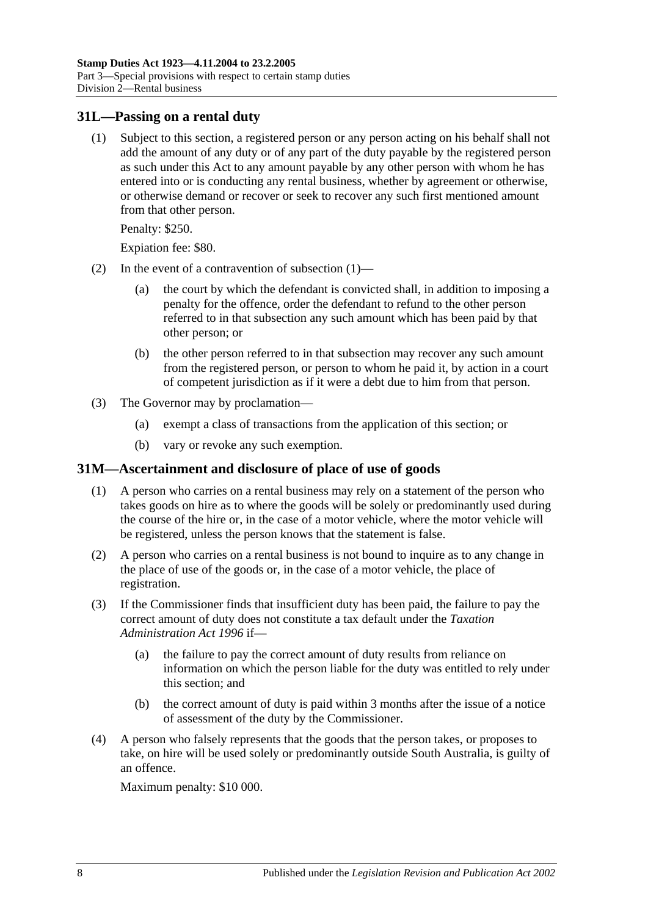#### <span id="page-25-2"></span><span id="page-25-0"></span>**31L—Passing on a rental duty**

(1) Subject to this section, a registered person or any person acting on his behalf shall not add the amount of any duty or of any part of the duty payable by the registered person as such under this Act to any amount payable by any other person with whom he has entered into or is conducting any rental business, whether by agreement or otherwise, or otherwise demand or recover or seek to recover any such first mentioned amount from that other person.

Penalty: \$250.

Expiation fee: \$80.

- (2) In the event of a contravention of [subsection](#page-25-2) (1)—
	- (a) the court by which the defendant is convicted shall, in addition to imposing a penalty for the offence, order the defendant to refund to the other person referred to in that subsection any such amount which has been paid by that other person; or
	- (b) the other person referred to in that subsection may recover any such amount from the registered person, or person to whom he paid it, by action in a court of competent jurisdiction as if it were a debt due to him from that person.
- (3) The Governor may by proclamation—
	- (a) exempt a class of transactions from the application of this section; or
	- (b) vary or revoke any such exemption.

#### <span id="page-25-1"></span>**31M—Ascertainment and disclosure of place of use of goods**

- (1) A person who carries on a rental business may rely on a statement of the person who takes goods on hire as to where the goods will be solely or predominantly used during the course of the hire or, in the case of a motor vehicle, where the motor vehicle will be registered, unless the person knows that the statement is false.
- (2) A person who carries on a rental business is not bound to inquire as to any change in the place of use of the goods or, in the case of a motor vehicle, the place of registration.
- (3) If the Commissioner finds that insufficient duty has been paid, the failure to pay the correct amount of duty does not constitute a tax default under the *[Taxation](http://www.legislation.sa.gov.au/index.aspx?action=legref&type=act&legtitle=Taxation%20Administration%20Act%201996)  [Administration Act](http://www.legislation.sa.gov.au/index.aspx?action=legref&type=act&legtitle=Taxation%20Administration%20Act%201996) 1996* if—
	- (a) the failure to pay the correct amount of duty results from reliance on information on which the person liable for the duty was entitled to rely under this section; and
	- (b) the correct amount of duty is paid within 3 months after the issue of a notice of assessment of the duty by the Commissioner.
- (4) A person who falsely represents that the goods that the person takes, or proposes to take, on hire will be used solely or predominantly outside South Australia, is guilty of an offence.

Maximum penalty: \$10 000.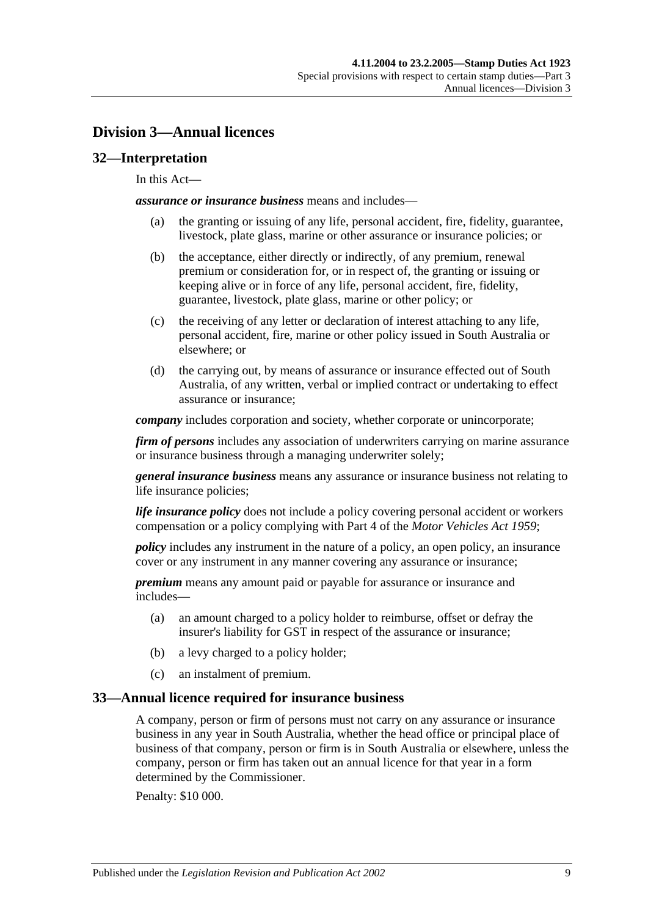## <span id="page-26-0"></span>**Division 3—Annual licences**

#### <span id="page-26-1"></span>**32—Interpretation**

#### In this Act—

*assurance or insurance business* means and includes—

- (a) the granting or issuing of any life, personal accident, fire, fidelity, guarantee, livestock, plate glass, marine or other assurance or insurance policies; or
- (b) the acceptance, either directly or indirectly, of any premium, renewal premium or consideration for, or in respect of, the granting or issuing or keeping alive or in force of any life, personal accident, fire, fidelity, guarantee, livestock, plate glass, marine or other policy; or
- (c) the receiving of any letter or declaration of interest attaching to any life, personal accident, fire, marine or other policy issued in South Australia or elsewhere; or
- (d) the carrying out, by means of assurance or insurance effected out of South Australia, of any written, verbal or implied contract or undertaking to effect assurance or insurance;

*company* includes corporation and society, whether corporate or unincorporate;

*firm of persons* includes any association of underwriters carrying on marine assurance or insurance business through a managing underwriter solely;

*general insurance business* means any assurance or insurance business not relating to life insurance policies;

*life insurance policy* does not include a policy covering personal accident or workers compensation or a policy complying with Part 4 of the *[Motor Vehicles Act](http://www.legislation.sa.gov.au/index.aspx?action=legref&type=act&legtitle=Motor%20Vehicles%20Act%201959) 1959*;

*policy* includes any instrument in the nature of a policy, an open policy, an insurance cover or any instrument in any manner covering any assurance or insurance;

*premium* means any amount paid or payable for assurance or insurance and includes—

- (a) an amount charged to a policy holder to reimburse, offset or defray the insurer's liability for GST in respect of the assurance or insurance;
- (b) a levy charged to a policy holder;
- (c) an instalment of premium.

#### <span id="page-26-2"></span>**33—Annual licence required for insurance business**

A company, person or firm of persons must not carry on any assurance or insurance business in any year in South Australia, whether the head office or principal place of business of that company, person or firm is in South Australia or elsewhere, unless the company, person or firm has taken out an annual licence for that year in a form determined by the Commissioner.

Penalty: \$10 000.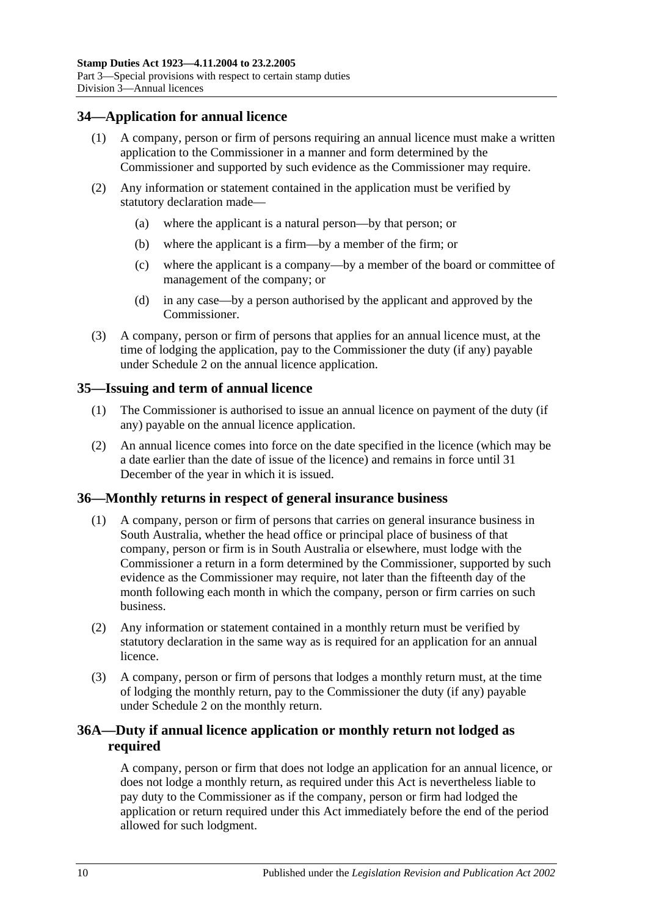## <span id="page-27-0"></span>**34—Application for annual licence**

- (1) A company, person or firm of persons requiring an annual licence must make a written application to the Commissioner in a manner and form determined by the Commissioner and supported by such evidence as the Commissioner may require.
- (2) Any information or statement contained in the application must be verified by statutory declaration made—
	- (a) where the applicant is a natural person—by that person; or
	- (b) where the applicant is a firm—by a member of the firm; or
	- (c) where the applicant is a company—by a member of the board or committee of management of the company; or
	- (d) in any case—by a person authorised by the applicant and approved by the Commissioner.
- (3) A company, person or firm of persons that applies for an annual licence must, at the time of lodging the application, pay to the Commissioner the duty (if any) payable under [Schedule 2](#page-98-2) on the annual licence application.

## <span id="page-27-1"></span>**35—Issuing and term of annual licence**

- (1) The Commissioner is authorised to issue an annual licence on payment of the duty (if any) payable on the annual licence application.
- (2) An annual licence comes into force on the date specified in the licence (which may be a date earlier than the date of issue of the licence) and remains in force until 31 December of the year in which it is issued.

## <span id="page-27-2"></span>**36—Monthly returns in respect of general insurance business**

- (1) A company, person or firm of persons that carries on general insurance business in South Australia, whether the head office or principal place of business of that company, person or firm is in South Australia or elsewhere, must lodge with the Commissioner a return in a form determined by the Commissioner, supported by such evidence as the Commissioner may require, not later than the fifteenth day of the month following each month in which the company, person or firm carries on such business.
- (2) Any information or statement contained in a monthly return must be verified by statutory declaration in the same way as is required for an application for an annual licence.
- (3) A company, person or firm of persons that lodges a monthly return must, at the time of lodging the monthly return, pay to the Commissioner the duty (if any) payable under [Schedule 2](#page-98-2) on the monthly return.

## <span id="page-27-3"></span>**36A—Duty if annual licence application or monthly return not lodged as required**

A company, person or firm that does not lodge an application for an annual licence, or does not lodge a monthly return, as required under this Act is nevertheless liable to pay duty to the Commissioner as if the company, person or firm had lodged the application or return required under this Act immediately before the end of the period allowed for such lodgment.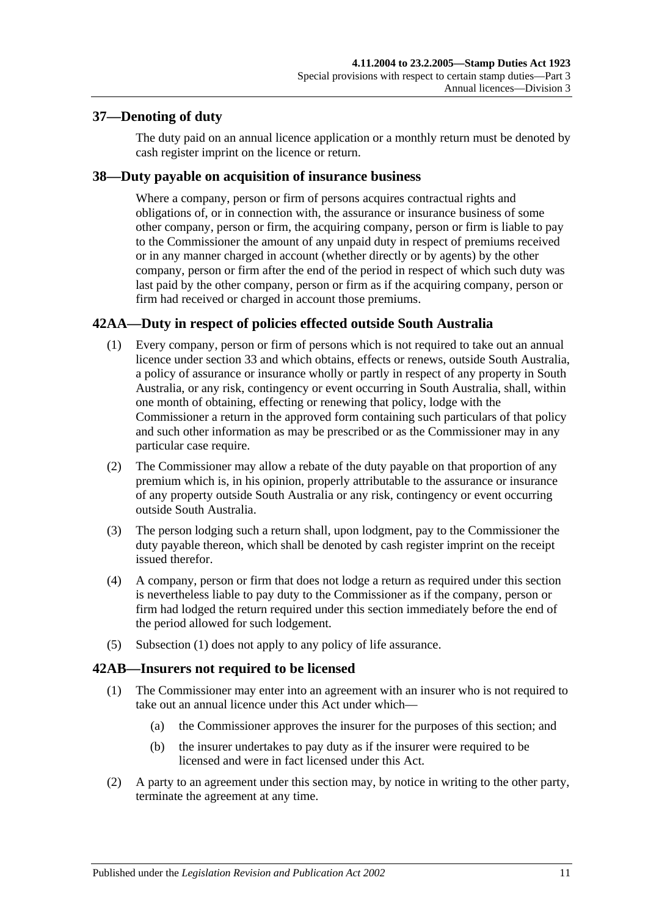## <span id="page-28-0"></span>**37—Denoting of duty**

The duty paid on an annual licence application or a monthly return must be denoted by cash register imprint on the licence or return.

## <span id="page-28-1"></span>**38—Duty payable on acquisition of insurance business**

Where a company, person or firm of persons acquires contractual rights and obligations of, or in connection with, the assurance or insurance business of some other company, person or firm, the acquiring company, person or firm is liable to pay to the Commissioner the amount of any unpaid duty in respect of premiums received or in any manner charged in account (whether directly or by agents) by the other company, person or firm after the end of the period in respect of which such duty was last paid by the other company, person or firm as if the acquiring company, person or firm had received or charged in account those premiums.

## <span id="page-28-4"></span><span id="page-28-2"></span>**42AA—Duty in respect of policies effected outside South Australia**

- (1) Every company, person or firm of persons which is not required to take out an annual licence under [section](#page-26-2) 33 and which obtains, effects or renews, outside South Australia, a policy of assurance or insurance wholly or partly in respect of any property in South Australia, or any risk, contingency or event occurring in South Australia, shall, within one month of obtaining, effecting or renewing that policy, lodge with the Commissioner a return in the approved form containing such particulars of that policy and such other information as may be prescribed or as the Commissioner may in any particular case require.
- (2) The Commissioner may allow a rebate of the duty payable on that proportion of any premium which is, in his opinion, properly attributable to the assurance or insurance of any property outside South Australia or any risk, contingency or event occurring outside South Australia.
- (3) The person lodging such a return shall, upon lodgment, pay to the Commissioner the duty payable thereon, which shall be denoted by cash register imprint on the receipt issued therefor.
- (4) A company, person or firm that does not lodge a return as required under this section is nevertheless liable to pay duty to the Commissioner as if the company, person or firm had lodged the return required under this section immediately before the end of the period allowed for such lodgement.
- (5) [Subsection](#page-28-4) (1) does not apply to any policy of life assurance.

## <span id="page-28-3"></span>**42AB—Insurers not required to be licensed**

- (1) The Commissioner may enter into an agreement with an insurer who is not required to take out an annual licence under this Act under which—
	- (a) the Commissioner approves the insurer for the purposes of this section; and
	- (b) the insurer undertakes to pay duty as if the insurer were required to be licensed and were in fact licensed under this Act.
- (2) A party to an agreement under this section may, by notice in writing to the other party, terminate the agreement at any time.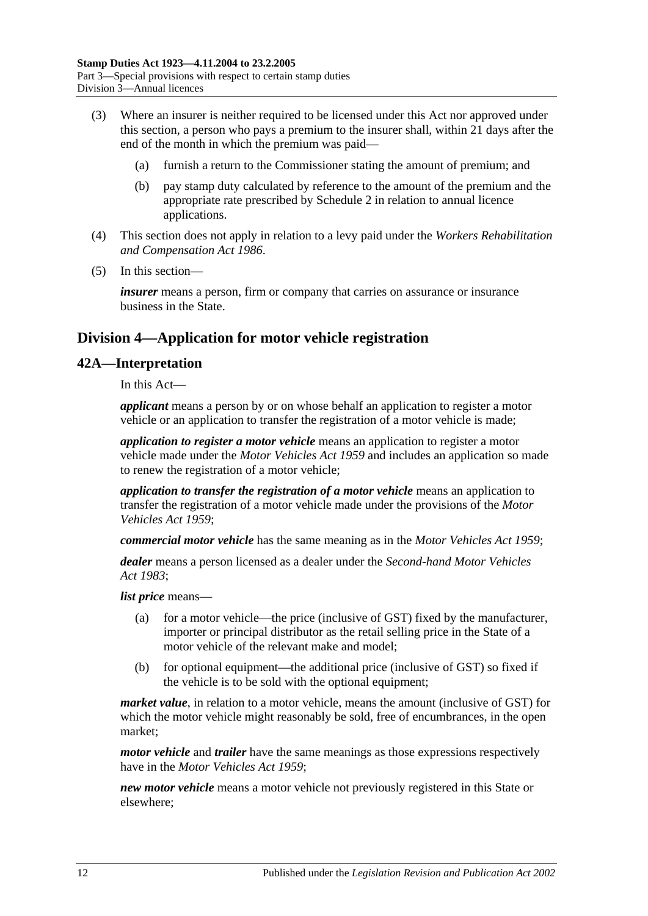- (3) Where an insurer is neither required to be licensed under this Act nor approved under this section, a person who pays a premium to the insurer shall, within 21 days after the end of the month in which the premium was paid—
	- (a) furnish a return to the Commissioner stating the amount of premium; and
	- (b) pay stamp duty calculated by reference to the amount of the premium and the appropriate rate prescribed by [Schedule 2](#page-98-2) in relation to annual licence applications.
- (4) This section does not apply in relation to a levy paid under the *[Workers Rehabilitation](http://www.legislation.sa.gov.au/index.aspx?action=legref&type=act&legtitle=Workers%20Rehabilitation%20and%20Compensation%20Act%201986)  [and Compensation Act](http://www.legislation.sa.gov.au/index.aspx?action=legref&type=act&legtitle=Workers%20Rehabilitation%20and%20Compensation%20Act%201986) 1986*.
- (5) In this section—

*insurer* means a person, firm or company that carries on assurance or insurance business in the State.

## <span id="page-29-0"></span>**Division 4—Application for motor vehicle registration**

## <span id="page-29-1"></span>**42A—Interpretation**

In this Act—

*applicant* means a person by or on whose behalf an application to register a motor vehicle or an application to transfer the registration of a motor vehicle is made;

*application to register a motor vehicle* means an application to register a motor vehicle made under the *[Motor Vehicles Act](http://www.legislation.sa.gov.au/index.aspx?action=legref&type=act&legtitle=Motor%20Vehicles%20Act%201959) 1959* and includes an application so made to renew the registration of a motor vehicle;

*application to transfer the registration of a motor vehicle* means an application to transfer the registration of a motor vehicle made under the provisions of the *[Motor](http://www.legislation.sa.gov.au/index.aspx?action=legref&type=act&legtitle=Motor%20Vehicles%20Act%201959)  [Vehicles Act](http://www.legislation.sa.gov.au/index.aspx?action=legref&type=act&legtitle=Motor%20Vehicles%20Act%201959) 1959*;

*commercial motor vehicle* has the same meaning as in the *[Motor Vehicles Act](http://www.legislation.sa.gov.au/index.aspx?action=legref&type=act&legtitle=Motor%20Vehicles%20Act%201959) 1959*;

*dealer* means a person licensed as a dealer under the *[Second-hand Motor Vehicles](http://www.legislation.sa.gov.au/index.aspx?action=legref&type=act&legtitle=Second-hand%20Motor%20Vehicles%20Act%201983)  Act [1983](http://www.legislation.sa.gov.au/index.aspx?action=legref&type=act&legtitle=Second-hand%20Motor%20Vehicles%20Act%201983)*;

*list price* means—

- (a) for a motor vehicle—the price (inclusive of GST) fixed by the manufacturer, importer or principal distributor as the retail selling price in the State of a motor vehicle of the relevant make and model;
- (b) for optional equipment—the additional price (inclusive of GST) so fixed if the vehicle is to be sold with the optional equipment;

*market value*, in relation to a motor vehicle, means the amount (inclusive of GST) for which the motor vehicle might reasonably be sold, free of encumbrances, in the open market;

*motor vehicle* and *trailer* have the same meanings as those expressions respectively have in the *[Motor Vehicles Act](http://www.legislation.sa.gov.au/index.aspx?action=legref&type=act&legtitle=Motor%20Vehicles%20Act%201959) 1959*;

*new motor vehicle* means a motor vehicle not previously registered in this State or elsewhere;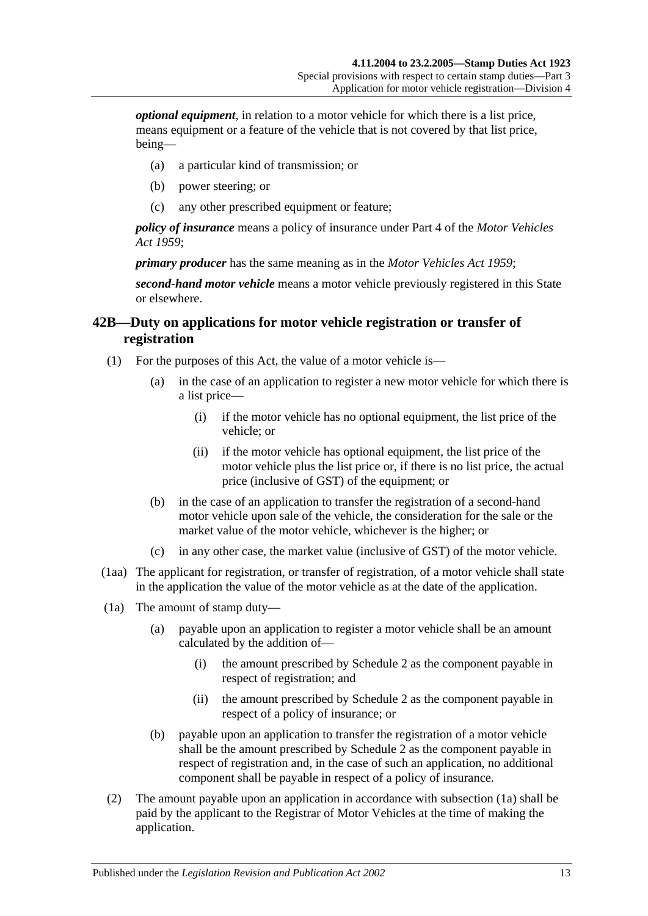*optional equipment*, in relation to a motor vehicle for which there is a list price, means equipment or a feature of the vehicle that is not covered by that list price, being—

- (a) a particular kind of transmission; or
- (b) power steering; or
- (c) any other prescribed equipment or feature;

*policy of insurance* means a policy of insurance under Part 4 of the *[Motor Vehicles](http://www.legislation.sa.gov.au/index.aspx?action=legref&type=act&legtitle=Motor%20Vehicles%20Act%201959)  Act [1959](http://www.legislation.sa.gov.au/index.aspx?action=legref&type=act&legtitle=Motor%20Vehicles%20Act%201959)*;

*primary producer* has the same meaning as in the *[Motor Vehicles Act](http://www.legislation.sa.gov.au/index.aspx?action=legref&type=act&legtitle=Motor%20Vehicles%20Act%201959) 1959*;

*second-hand motor vehicle* means a motor vehicle previously registered in this State or elsewhere.

## <span id="page-30-0"></span>**42B—Duty on applications for motor vehicle registration or transfer of registration**

- (1) For the purposes of this Act, the value of a motor vehicle is—
	- (a) in the case of an application to register a new motor vehicle for which there is a list price—
		- (i) if the motor vehicle has no optional equipment, the list price of the vehicle; or
		- (ii) if the motor vehicle has optional equipment, the list price of the motor vehicle plus the list price or, if there is no list price, the actual price (inclusive of GST) of the equipment; or
	- (b) in the case of an application to transfer the registration of a second-hand motor vehicle upon sale of the vehicle, the consideration for the sale or the market value of the motor vehicle, whichever is the higher; or
	- (c) in any other case, the market value (inclusive of GST) of the motor vehicle.
- (1aa) The applicant for registration, or transfer of registration, of a motor vehicle shall state in the application the value of the motor vehicle as at the date of the application.
- <span id="page-30-1"></span>(1a) The amount of stamp duty—
	- (a) payable upon an application to register a motor vehicle shall be an amount calculated by the addition of—
		- (i) the amount prescribed by [Schedule 2](#page-98-2) as the component payable in respect of registration; and
		- (ii) the amount prescribed by [Schedule 2](#page-98-2) as the component payable in respect of a policy of insurance; or
	- (b) payable upon an application to transfer the registration of a motor vehicle shall be the amount prescribed by [Schedule 2](#page-98-2) as the component payable in respect of registration and, in the case of such an application, no additional component shall be payable in respect of a policy of insurance.
- (2) The amount payable upon an application in accordance with [subsection](#page-30-1) (1a) shall be paid by the applicant to the Registrar of Motor Vehicles at the time of making the application.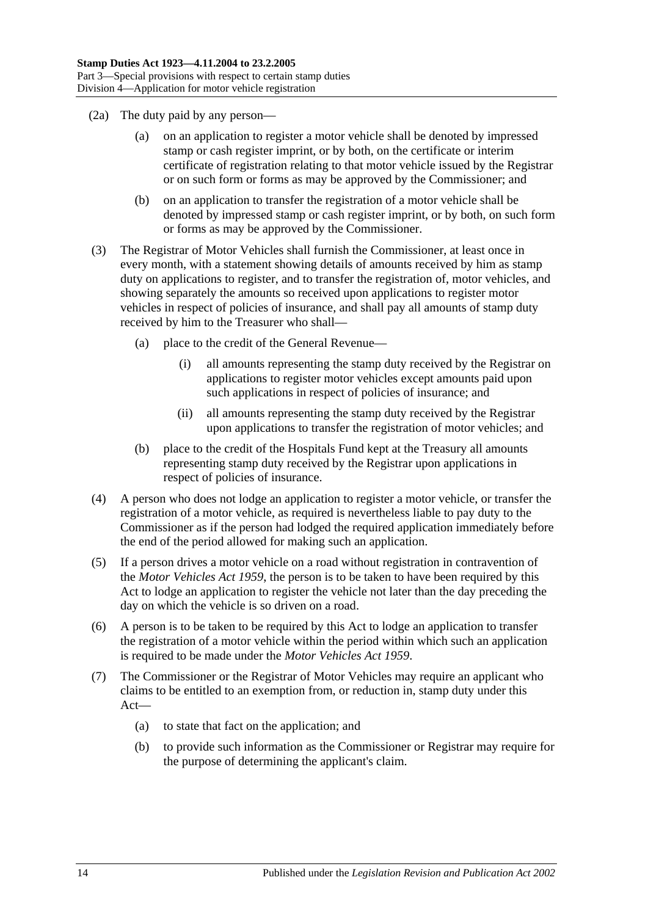- (2a) The duty paid by any person—
	- (a) on an application to register a motor vehicle shall be denoted by impressed stamp or cash register imprint, or by both, on the certificate or interim certificate of registration relating to that motor vehicle issued by the Registrar or on such form or forms as may be approved by the Commissioner; and
	- (b) on an application to transfer the registration of a motor vehicle shall be denoted by impressed stamp or cash register imprint, or by both, on such form or forms as may be approved by the Commissioner.
- (3) The Registrar of Motor Vehicles shall furnish the Commissioner, at least once in every month, with a statement showing details of amounts received by him as stamp duty on applications to register, and to transfer the registration of, motor vehicles, and showing separately the amounts so received upon applications to register motor vehicles in respect of policies of insurance, and shall pay all amounts of stamp duty received by him to the Treasurer who shall—
	- (a) place to the credit of the General Revenue—
		- (i) all amounts representing the stamp duty received by the Registrar on applications to register motor vehicles except amounts paid upon such applications in respect of policies of insurance; and
		- (ii) all amounts representing the stamp duty received by the Registrar upon applications to transfer the registration of motor vehicles; and
	- (b) place to the credit of the Hospitals Fund kept at the Treasury all amounts representing stamp duty received by the Registrar upon applications in respect of policies of insurance.
- (4) A person who does not lodge an application to register a motor vehicle, or transfer the registration of a motor vehicle, as required is nevertheless liable to pay duty to the Commissioner as if the person had lodged the required application immediately before the end of the period allowed for making such an application.
- (5) If a person drives a motor vehicle on a road without registration in contravention of the *[Motor Vehicles Act](http://www.legislation.sa.gov.au/index.aspx?action=legref&type=act&legtitle=Motor%20Vehicles%20Act%201959) 1959*, the person is to be taken to have been required by this Act to lodge an application to register the vehicle not later than the day preceding the day on which the vehicle is so driven on a road.
- (6) A person is to be taken to be required by this Act to lodge an application to transfer the registration of a motor vehicle within the period within which such an application is required to be made under the *[Motor Vehicles Act](http://www.legislation.sa.gov.au/index.aspx?action=legref&type=act&legtitle=Motor%20Vehicles%20Act%201959) 1959*.
- (7) The Commissioner or the Registrar of Motor Vehicles may require an applicant who claims to be entitled to an exemption from, or reduction in, stamp duty under this Act—
	- (a) to state that fact on the application; and
	- (b) to provide such information as the Commissioner or Registrar may require for the purpose of determining the applicant's claim.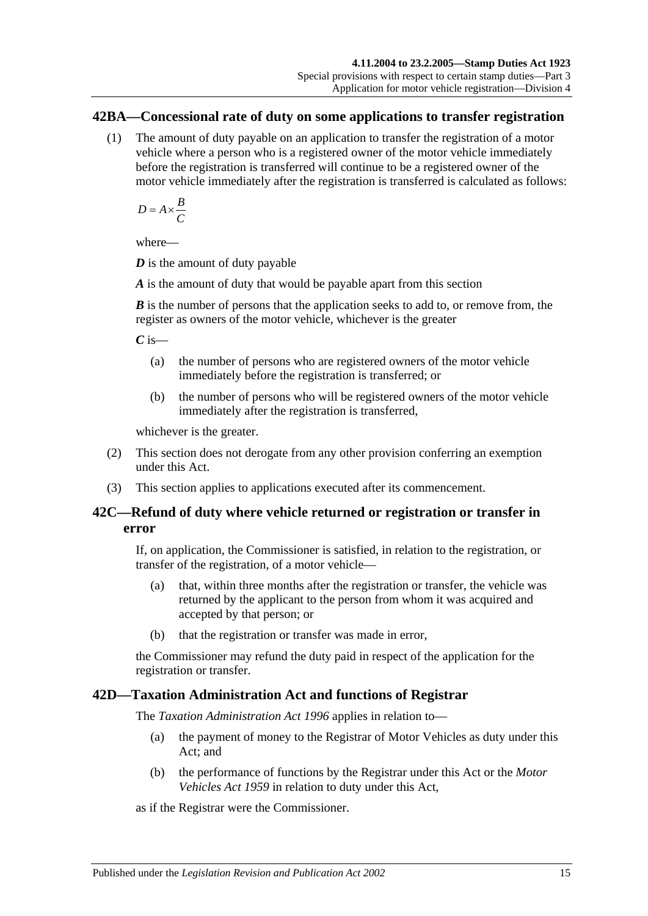#### <span id="page-32-0"></span>**42BA—Concessional rate of duty on some applications to transfer registration**

(1) The amount of duty payable on an application to transfer the registration of a motor vehicle where a person who is a registered owner of the motor vehicle immediately before the registration is transferred will continue to be a registered owner of the motor vehicle immediately after the registration is transferred is calculated as follows:

$$
D = A \times \frac{B}{C}
$$

where—

*D* is the amount of duty payable

*A* is the amount of duty that would be payable apart from this section

*B* is the number of persons that the application seeks to add to, or remove from, the register as owners of the motor vehicle, whichever is the greater

*C* is—

- (a) the number of persons who are registered owners of the motor vehicle immediately before the registration is transferred; or
- (b) the number of persons who will be registered owners of the motor vehicle immediately after the registration is transferred,

whichever is the greater.

- (2) This section does not derogate from any other provision conferring an exemption under this Act.
- (3) This section applies to applications executed after its commencement.

## <span id="page-32-1"></span>**42C—Refund of duty where vehicle returned or registration or transfer in error**

If, on application, the Commissioner is satisfied, in relation to the registration, or transfer of the registration, of a motor vehicle—

- (a) that, within three months after the registration or transfer, the vehicle was returned by the applicant to the person from whom it was acquired and accepted by that person; or
- (b) that the registration or transfer was made in error,

the Commissioner may refund the duty paid in respect of the application for the registration or transfer.

## <span id="page-32-2"></span>**42D—Taxation Administration Act and functions of Registrar**

The *[Taxation Administration Act](http://www.legislation.sa.gov.au/index.aspx?action=legref&type=act&legtitle=Taxation%20Administration%20Act%201996) 1996* applies in relation to—

- (a) the payment of money to the Registrar of Motor Vehicles as duty under this Act; and
- (b) the performance of functions by the Registrar under this Act or the *[Motor](http://www.legislation.sa.gov.au/index.aspx?action=legref&type=act&legtitle=Motor%20Vehicles%20Act%201959)  [Vehicles Act](http://www.legislation.sa.gov.au/index.aspx?action=legref&type=act&legtitle=Motor%20Vehicles%20Act%201959) 1959* in relation to duty under this Act,

as if the Registrar were the Commissioner.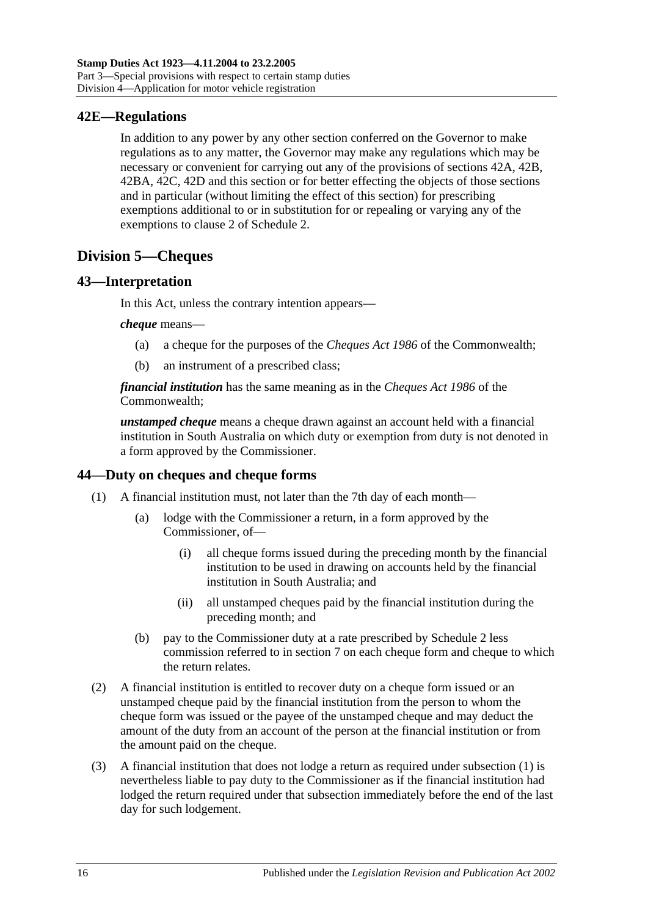## <span id="page-33-0"></span>**42E—Regulations**

In addition to any power by any other section conferred on the Governor to make regulations as to any matter, the Governor may make any regulations which may be necessary or convenient for carrying out any of the provisions of [sections](#page-29-1) 42A, [42B,](#page-30-0) [42BA,](#page-32-0) [42C,](#page-32-1) [42D](#page-32-2) and this section or for better effecting the objects of those sections and in particular (without limiting the effect of this section) for prescribing exemptions additional to or in substitution for or repealing or varying any of the exemptions to clause 2 of [Schedule 2.](#page-98-2)

# <span id="page-33-1"></span>**Division 5—Cheques**

## <span id="page-33-2"></span>**43—Interpretation**

In this Act, unless the contrary intention appears—

#### *cheque* means—

- (a) a cheque for the purposes of the *Cheques Act 1986* of the Commonwealth;
- (b) an instrument of a prescribed class;

*financial institution* has the same meaning as in the *Cheques Act 1986* of the Commonwealth;

*unstamped cheque* means a cheque drawn against an account held with a financial institution in South Australia on which duty or exemption from duty is not denoted in a form approved by the Commissioner.

## <span id="page-33-4"></span><span id="page-33-3"></span>**44—Duty on cheques and cheque forms**

- (1) A financial institution must, not later than the 7th day of each month—
	- (a) lodge with the Commissioner a return, in a form approved by the Commissioner, of—
		- (i) all cheque forms issued during the preceding month by the financial institution to be used in drawing on accounts held by the financial institution in South Australia; and
		- (ii) all unstamped cheques paid by the financial institution during the preceding month; and
	- (b) pay to the Commissioner duty at a rate prescribed by [Schedule 2](#page-98-2) less commission referred to in [section](#page-12-3) 7 on each cheque form and cheque to which the return relates.
- (2) A financial institution is entitled to recover duty on a cheque form issued or an unstamped cheque paid by the financial institution from the person to whom the cheque form was issued or the payee of the unstamped cheque and may deduct the amount of the duty from an account of the person at the financial institution or from the amount paid on the cheque.
- (3) A financial institution that does not lodge a return as required under [subsection](#page-33-4) (1) is nevertheless liable to pay duty to the Commissioner as if the financial institution had lodged the return required under that subsection immediately before the end of the last day for such lodgement.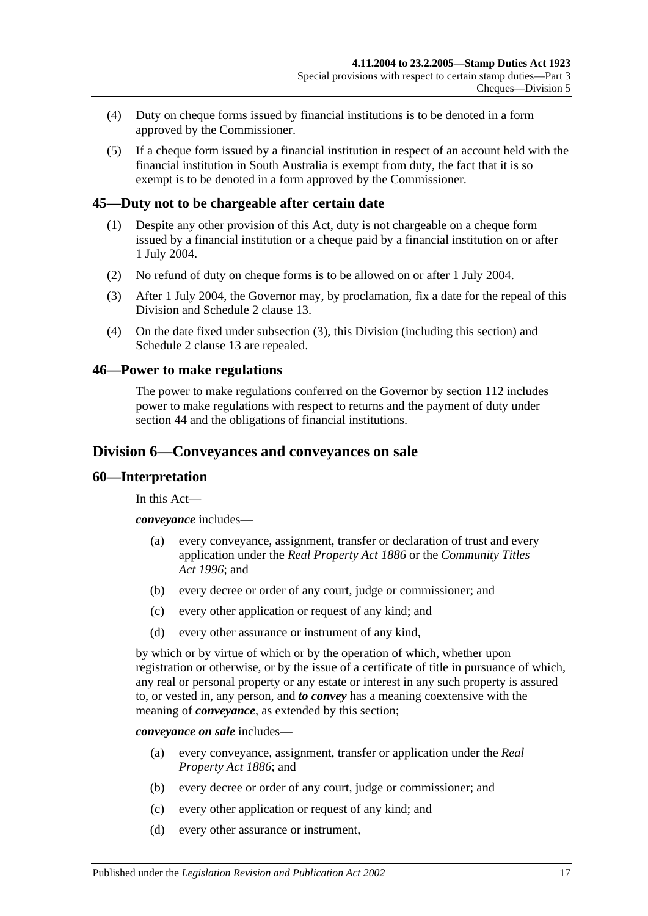- (4) Duty on cheque forms issued by financial institutions is to be denoted in a form approved by the Commissioner.
- (5) If a cheque form issued by a financial institution in respect of an account held with the financial institution in South Australia is exempt from duty, the fact that it is so exempt is to be denoted in a form approved by the Commissioner.

#### <span id="page-34-0"></span>**45—Duty not to be chargeable after certain date**

- (1) Despite any other provision of this Act, duty is not chargeable on a cheque form issued by a financial institution or a cheque paid by a financial institution on or after 1 July 2004.
- (2) No refund of duty on cheque forms is to be allowed on or after 1 July 2004.
- <span id="page-34-4"></span>(3) After 1 July 2004, the Governor may, by proclamation, fix a date for the repeal of this Division and Schedule 2 clause 13.
- (4) On the date fixed under [subsection](#page-34-4) (3), this Division (including this section) and Schedule 2 clause 13 are repealed.

#### <span id="page-34-1"></span>**46—Power to make regulations**

The power to make regulations conferred on the Governor by [section](#page-96-2) 112 includes power to make regulations with respect to returns and the payment of duty under [section](#page-33-3) 44 and the obligations of financial institutions.

#### <span id="page-34-2"></span>**Division 6—Conveyances and conveyances on sale**

#### <span id="page-34-3"></span>**60—Interpretation**

In this Act—

*conveyance* includes—

- (a) every conveyance, assignment, transfer or declaration of trust and every application under the *[Real Property Act](http://www.legislation.sa.gov.au/index.aspx?action=legref&type=act&legtitle=Real%20Property%20Act%201886) 1886* or the *[Community Titles](http://www.legislation.sa.gov.au/index.aspx?action=legref&type=act&legtitle=Community%20Titles%20Act%201996)  Act [1996](http://www.legislation.sa.gov.au/index.aspx?action=legref&type=act&legtitle=Community%20Titles%20Act%201996)*; and
- (b) every decree or order of any court, judge or commissioner; and
- (c) every other application or request of any kind; and
- (d) every other assurance or instrument of any kind,

by which or by virtue of which or by the operation of which, whether upon registration or otherwise, or by the issue of a certificate of title in pursuance of which, any real or personal property or any estate or interest in any such property is assured to, or vested in, any person, and *to convey* has a meaning coextensive with the meaning of *conveyance*, as extended by this section;

*conveyance on sale* includes—

- (a) every conveyance, assignment, transfer or application under the *[Real](http://www.legislation.sa.gov.au/index.aspx?action=legref&type=act&legtitle=Real%20Property%20Act%201886)  [Property Act](http://www.legislation.sa.gov.au/index.aspx?action=legref&type=act&legtitle=Real%20Property%20Act%201886) 1886*; and
- (b) every decree or order of any court, judge or commissioner; and
- (c) every other application or request of any kind; and
- (d) every other assurance or instrument,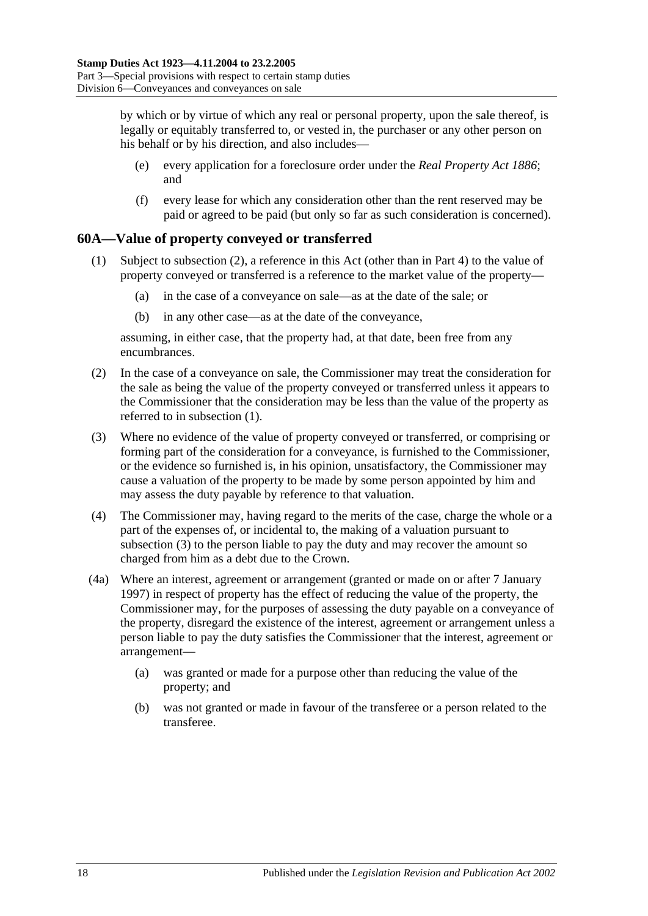by which or by virtue of which any real or personal property, upon the sale thereof, is legally or equitably transferred to, or vested in, the purchaser or any other person on his behalf or by his direction, and also includes—

- (e) every application for a foreclosure order under the *[Real Property Act](http://www.legislation.sa.gov.au/index.aspx?action=legref&type=act&legtitle=Real%20Property%20Act%201886) 1886*; and
- (f) every lease for which any consideration other than the rent reserved may be paid or agreed to be paid (but only so far as such consideration is concerned).

## <span id="page-35-2"></span><span id="page-35-0"></span>**60A—Value of property conveyed or transferred**

- (1) Subject to [subsection](#page-35-1) (2), a reference in this Act (other than in [Part 4\)](#page-84-0) to the value of property conveyed or transferred is a reference to the market value of the property—
	- (a) in the case of a conveyance on sale—as at the date of the sale; or
	- (b) in any other case—as at the date of the conveyance,

assuming, in either case, that the property had, at that date, been free from any encumbrances.

- <span id="page-35-1"></span>(2) In the case of a conveyance on sale, the Commissioner may treat the consideration for the sale as being the value of the property conveyed or transferred unless it appears to the Commissioner that the consideration may be less than the value of the property as referred to in [subsection](#page-35-2) (1).
- <span id="page-35-3"></span>(3) Where no evidence of the value of property conveyed or transferred, or comprising or forming part of the consideration for a conveyance, is furnished to the Commissioner, or the evidence so furnished is, in his opinion, unsatisfactory, the Commissioner may cause a valuation of the property to be made by some person appointed by him and may assess the duty payable by reference to that valuation.
- (4) The Commissioner may, having regard to the merits of the case, charge the whole or a part of the expenses of, or incidental to, the making of a valuation pursuant to [subsection](#page-35-3) (3) to the person liable to pay the duty and may recover the amount so charged from him as a debt due to the Crown.
- (4a) Where an interest, agreement or arrangement (granted or made on or after 7 January 1997) in respect of property has the effect of reducing the value of the property, the Commissioner may, for the purposes of assessing the duty payable on a conveyance of the property, disregard the existence of the interest, agreement or arrangement unless a person liable to pay the duty satisfies the Commissioner that the interest, agreement or arrangement—
	- (a) was granted or made for a purpose other than reducing the value of the property; and
	- (b) was not granted or made in favour of the transferee or a person related to the transferee.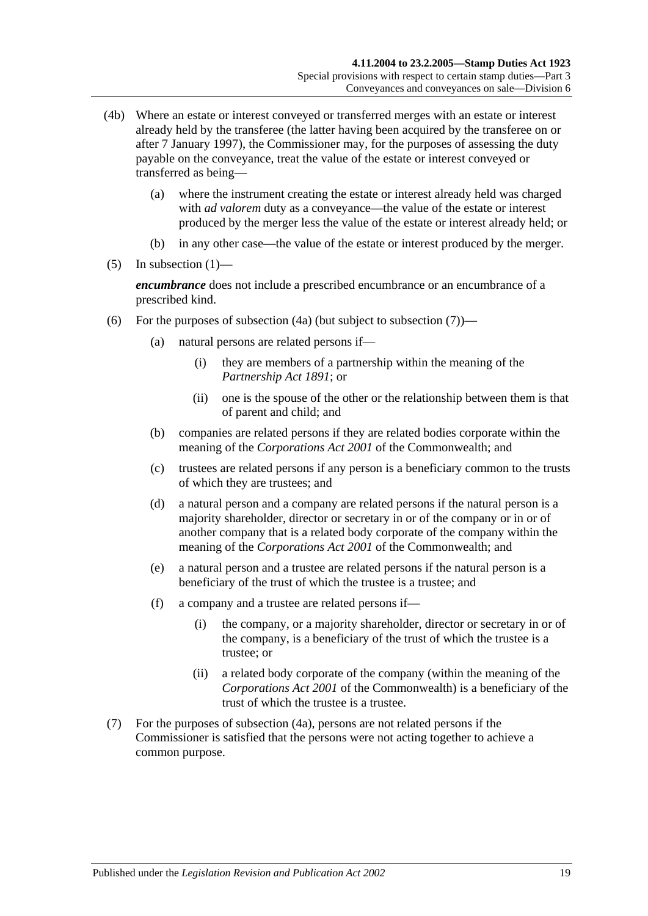- (4b) Where an estate or interest conveyed or transferred merges with an estate or interest already held by the transferee (the latter having been acquired by the transferee on or after 7 January 1997), the Commissioner may, for the purposes of assessing the duty payable on the conveyance, treat the value of the estate or interest conveyed or transferred as being—
	- (a) where the instrument creating the estate or interest already held was charged with *ad valorem* duty as a conveyance—the value of the estate or interest produced by the merger less the value of the estate or interest already held; or
	- (b) in any other case—the value of the estate or interest produced by the merger.
- $(5)$  In [subsection](#page-35-0)  $(1)$ —

*encumbrance* does not include a prescribed encumbrance or an encumbrance of a prescribed kind.

- <span id="page-36-1"></span>(6) For the purposes of [subsection](#page-36-0)  $(4a)$  (but subject to subsection  $(7)$ )—
	- (a) natural persons are related persons if—
		- (i) they are members of a partnership within the meaning of the *[Partnership Act](http://www.legislation.sa.gov.au/index.aspx?action=legref&type=act&legtitle=Partnership%20Act%201891) 1891*; or
		- (ii) one is the spouse of the other or the relationship between them is that of parent and child; and
	- (b) companies are related persons if they are related bodies corporate within the meaning of the *Corporations Act 2001* of the Commonwealth; and
	- (c) trustees are related persons if any person is a beneficiary common to the trusts of which they are trustees; and
	- (d) a natural person and a company are related persons if the natural person is a majority shareholder, director or secretary in or of the company or in or of another company that is a related body corporate of the company within the meaning of the *Corporations Act 2001* of the Commonwealth; and
	- (e) a natural person and a trustee are related persons if the natural person is a beneficiary of the trust of which the trustee is a trustee; and
	- (f) a company and a trustee are related persons if—
		- (i) the company, or a majority shareholder, director or secretary in or of the company, is a beneficiary of the trust of which the trustee is a trustee; or
		- (ii) a related body corporate of the company (within the meaning of the *Corporations Act 2001* of the Commonwealth) is a beneficiary of the trust of which the trustee is a trustee.
- <span id="page-36-0"></span>(7) For the purposes of [subsection](#page-35-1) (4a), persons are not related persons if the Commissioner is satisfied that the persons were not acting together to achieve a common purpose.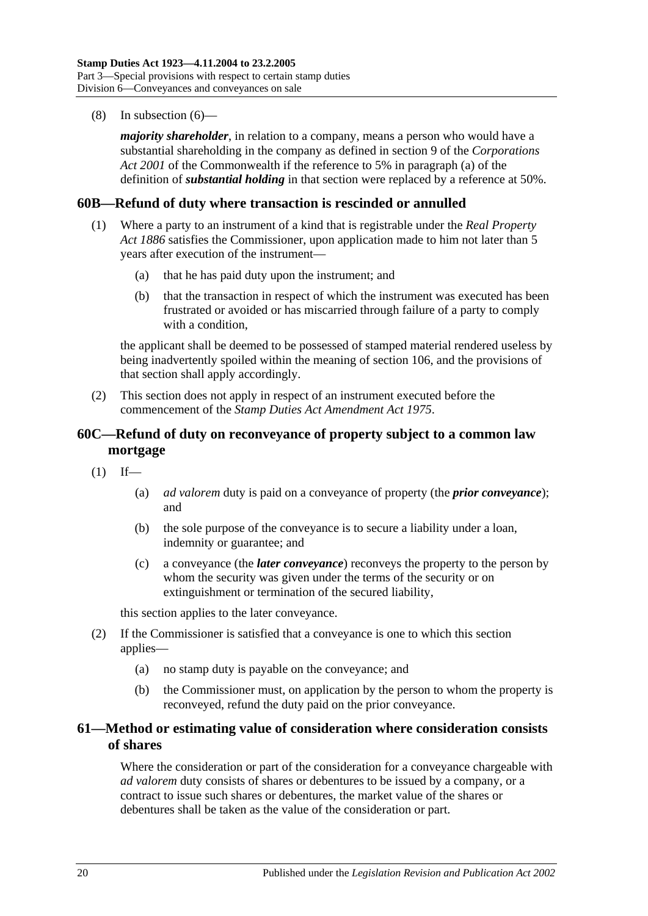(8) In [subsection](#page-36-1) (6)—

*majority shareholder*, in relation to a company, means a person who would have a substantial shareholding in the company as defined in section 9 of the *Corporations Act 2001* of the Commonwealth if the reference to 5% in paragraph (a) of the definition of *substantial holding* in that section were replaced by a reference at 50%.

### **60B—Refund of duty where transaction is rescinded or annulled**

- (1) Where a party to an instrument of a kind that is registrable under the *[Real Property](http://www.legislation.sa.gov.au/index.aspx?action=legref&type=act&legtitle=Real%20Property%20Act%201886)  Act [1886](http://www.legislation.sa.gov.au/index.aspx?action=legref&type=act&legtitle=Real%20Property%20Act%201886)* satisfies the Commissioner, upon application made to him not later than 5 years after execution of the instrument—
	- (a) that he has paid duty upon the instrument; and
	- (b) that the transaction in respect of which the instrument was executed has been frustrated or avoided or has miscarried through failure of a party to comply with a condition.

the applicant shall be deemed to be possessed of stamped material rendered useless by being inadvertently spoiled within the meaning of [section](#page-94-0) 106, and the provisions of that section shall apply accordingly.

(2) This section does not apply in respect of an instrument executed before the commencement of the *[Stamp Duties Act Amendment Act](http://www.legislation.sa.gov.au/index.aspx?action=legref&type=act&legtitle=Stamp%20Duties%20Act%20Amendment%20Act%201975) 1975*.

# **60C—Refund of duty on reconveyance of property subject to a common law mortgage**

- $(1)$  If—
	- (a) *ad valorem* duty is paid on a conveyance of property (the *prior conveyance*); and
	- (b) the sole purpose of the conveyance is to secure a liability under a loan, indemnity or guarantee; and
	- (c) a conveyance (the *later conveyance*) reconveys the property to the person by whom the security was given under the terms of the security or on extinguishment or termination of the secured liability,

this section applies to the later conveyance.

- (2) If the Commissioner is satisfied that a conveyance is one to which this section applies—
	- (a) no stamp duty is payable on the conveyance; and
	- (b) the Commissioner must, on application by the person to whom the property is reconveyed, refund the duty paid on the prior conveyance.

# **61—Method or estimating value of consideration where consideration consists of shares**

Where the consideration or part of the consideration for a conveyance chargeable with *ad valorem* duty consists of shares or debentures to be issued by a company, or a contract to issue such shares or debentures, the market value of the shares or debentures shall be taken as the value of the consideration or part.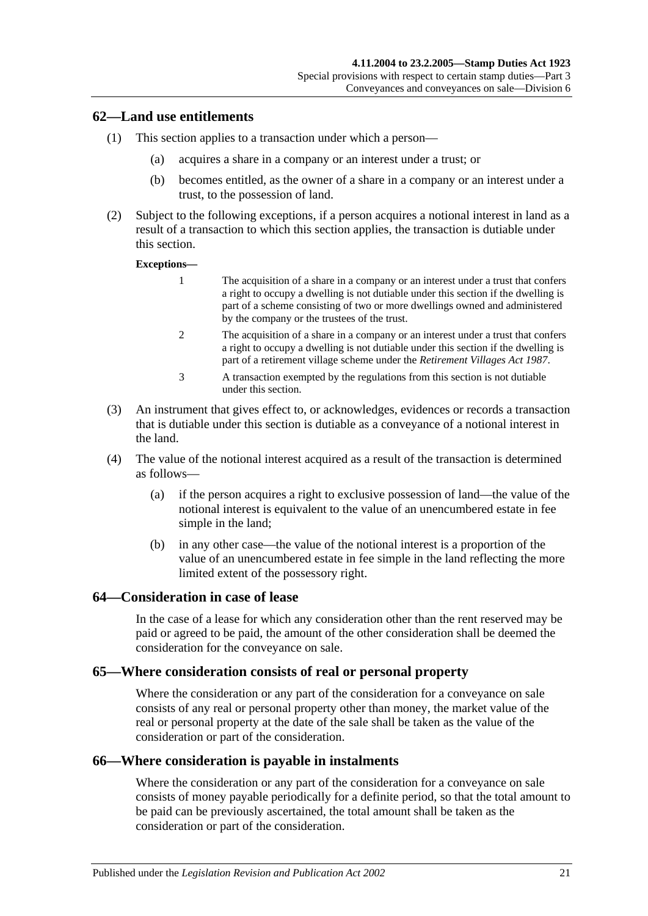## **62—Land use entitlements**

- (1) This section applies to a transaction under which a person—
	- (a) acquires a share in a company or an interest under a trust; or
	- (b) becomes entitled, as the owner of a share in a company or an interest under a trust, to the possession of land.
- (2) Subject to the following exceptions, if a person acquires a notional interest in land as a result of a transaction to which this section applies, the transaction is dutiable under this section.

#### **Exceptions—**

- 1 The acquisition of a share in a company or an interest under a trust that confers a right to occupy a dwelling is not dutiable under this section if the dwelling is part of a scheme consisting of two or more dwellings owned and administered by the company or the trustees of the trust.
- 2 The acquisition of a share in a company or an interest under a trust that confers a right to occupy a dwelling is not dutiable under this section if the dwelling is part of a retirement village scheme under the *[Retirement Villages Act](http://www.legislation.sa.gov.au/index.aspx?action=legref&type=act&legtitle=Retirement%20Villages%20Act%201987) 1987*.
- 3 A transaction exempted by the regulations from this section is not dutiable under this section.
- (3) An instrument that gives effect to, or acknowledges, evidences or records a transaction that is dutiable under this section is dutiable as a conveyance of a notional interest in the land.
- (4) The value of the notional interest acquired as a result of the transaction is determined as follows—
	- (a) if the person acquires a right to exclusive possession of land—the value of the notional interest is equivalent to the value of an unencumbered estate in fee simple in the land;
	- (b) in any other case—the value of the notional interest is a proportion of the value of an unencumbered estate in fee simple in the land reflecting the more limited extent of the possessory right.

#### **64—Consideration in case of lease**

In the case of a lease for which any consideration other than the rent reserved may be paid or agreed to be paid, the amount of the other consideration shall be deemed the consideration for the conveyance on sale.

### **65—Where consideration consists of real or personal property**

Where the consideration or any part of the consideration for a conveyance on sale consists of any real or personal property other than money, the market value of the real or personal property at the date of the sale shall be taken as the value of the consideration or part of the consideration.

#### **66—Where consideration is payable in instalments**

Where the consideration or any part of the consideration for a conveyance on sale consists of money payable periodically for a definite period, so that the total amount to be paid can be previously ascertained, the total amount shall be taken as the consideration or part of the consideration.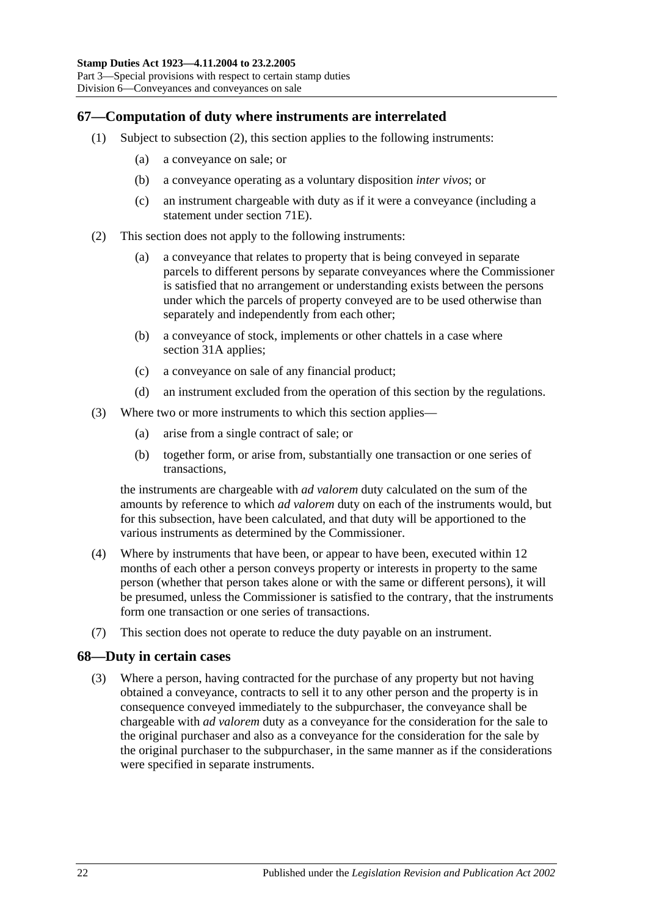# **67—Computation of duty where instruments are interrelated**

- (1) Subject to [subsection](#page-39-0) (2), this section applies to the following instruments:
	- (a) a conveyance on sale; or
	- (b) a conveyance operating as a voluntary disposition *inter vivos*; or
	- (c) an instrument chargeable with duty as if it were a conveyance (including a statement under [section](#page-60-0) 71E).
- <span id="page-39-0"></span>(2) This section does not apply to the following instruments:
	- (a) a conveyance that relates to property that is being conveyed in separate parcels to different persons by separate conveyances where the Commissioner is satisfied that no arrangement or understanding exists between the persons under which the parcels of property conveyed are to be used otherwise than separately and independently from each other;
	- (b) a conveyance of stock, implements or other chattels in a case where [section](#page-19-0) 31A applies;
	- (c) a conveyance on sale of any financial product;
	- (d) an instrument excluded from the operation of this section by the regulations.
- (3) Where two or more instruments to which this section applies—
	- (a) arise from a single contract of sale; or
	- (b) together form, or arise from, substantially one transaction or one series of transactions,

the instruments are chargeable with *ad valorem* duty calculated on the sum of the amounts by reference to which *ad valorem* duty on each of the instruments would, but for this subsection, have been calculated, and that duty will be apportioned to the various instruments as determined by the Commissioner.

- (4) Where by instruments that have been, or appear to have been, executed within 12 months of each other a person conveys property or interests in property to the same person (whether that person takes alone or with the same or different persons), it will be presumed, unless the Commissioner is satisfied to the contrary, that the instruments form one transaction or one series of transactions.
- (7) This section does not operate to reduce the duty payable on an instrument.

# **68—Duty in certain cases**

(3) Where a person, having contracted for the purchase of any property but not having obtained a conveyance, contracts to sell it to any other person and the property is in consequence conveyed immediately to the subpurchaser, the conveyance shall be chargeable with *ad valorem* duty as a conveyance for the consideration for the sale to the original purchaser and also as a conveyance for the consideration for the sale by the original purchaser to the subpurchaser, in the same manner as if the considerations were specified in separate instruments.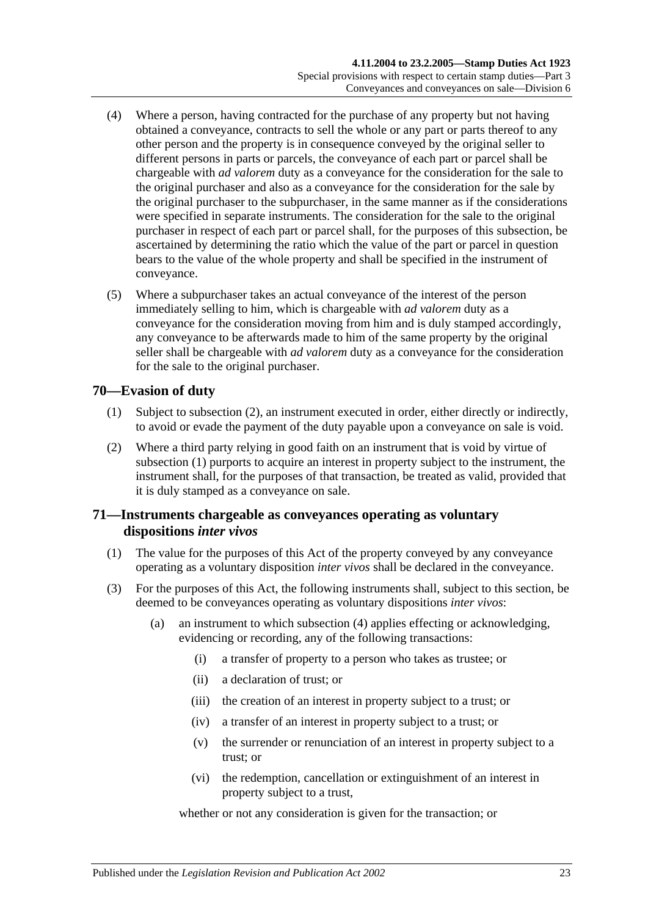- (4) Where a person, having contracted for the purchase of any property but not having obtained a conveyance, contracts to sell the whole or any part or parts thereof to any other person and the property is in consequence conveyed by the original seller to different persons in parts or parcels, the conveyance of each part or parcel shall be chargeable with *ad valorem* duty as a conveyance for the consideration for the sale to the original purchaser and also as a conveyance for the consideration for the sale by the original purchaser to the subpurchaser, in the same manner as if the considerations were specified in separate instruments. The consideration for the sale to the original purchaser in respect of each part or parcel shall, for the purposes of this subsection, be ascertained by determining the ratio which the value of the part or parcel in question bears to the value of the whole property and shall be specified in the instrument of conveyance.
- (5) Where a subpurchaser takes an actual conveyance of the interest of the person immediately selling to him, which is chargeable with *ad valorem* duty as a conveyance for the consideration moving from him and is duly stamped accordingly, any conveyance to be afterwards made to him of the same property by the original seller shall be chargeable with *ad valorem* duty as a conveyance for the consideration for the sale to the original purchaser.

# <span id="page-40-1"></span>**70—Evasion of duty**

- (1) Subject to [subsection](#page-40-0) (2), an instrument executed in order, either directly or indirectly, to avoid or evade the payment of the duty payable upon a conveyance on sale is void.
- <span id="page-40-0"></span>(2) Where a third party relying in good faith on an instrument that is void by virtue of [subsection](#page-40-1) (1) purports to acquire an interest in property subject to the instrument, the instrument shall, for the purposes of that transaction, be treated as valid, provided that it is duly stamped as a conveyance on sale.

# **71—Instruments chargeable as conveyances operating as voluntary dispositions** *inter vivos*

- (1) The value for the purposes of this Act of the property conveyed by any conveyance operating as a voluntary disposition *inter vivos* shall be declared in the conveyance.
- <span id="page-40-2"></span>(3) For the purposes of this Act, the following instruments shall, subject to this section, be deemed to be conveyances operating as voluntary dispositions *inter vivos*:
	- (a) an instrument to which [subsection](#page-41-0) (4) applies effecting or acknowledging, evidencing or recording, any of the following transactions:
		- (i) a transfer of property to a person who takes as trustee; or
		- (ii) a declaration of trust; or
		- (iii) the creation of an interest in property subject to a trust; or
		- (iv) a transfer of an interest in property subject to a trust; or
		- (v) the surrender or renunciation of an interest in property subject to a trust; or
		- (vi) the redemption, cancellation or extinguishment of an interest in property subject to a trust,

whether or not any consideration is given for the transaction; or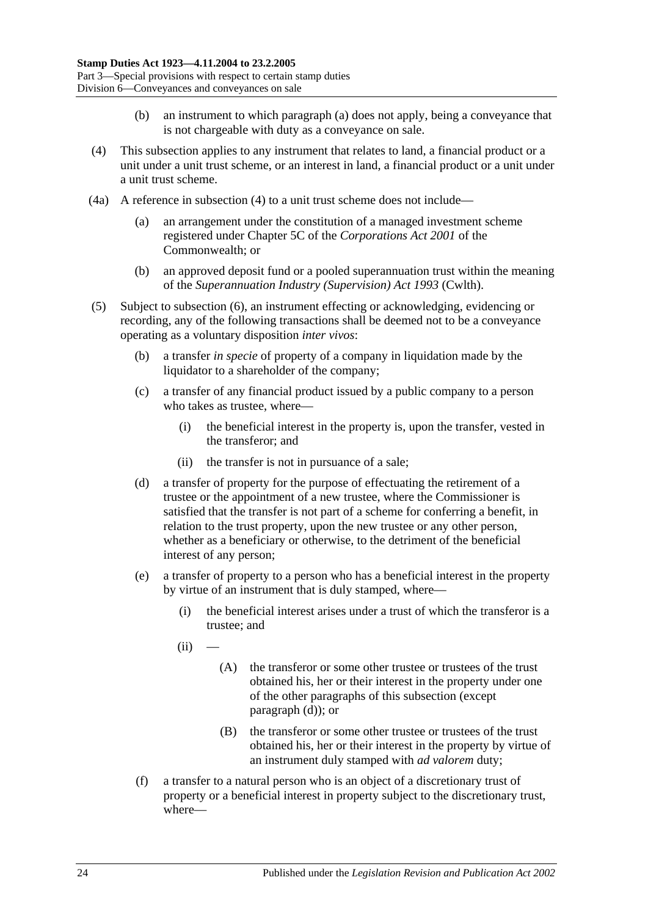- (b) an instrument to which [paragraph](#page-40-2) (a) does not apply, being a conveyance that is not chargeable with duty as a conveyance on sale.
- <span id="page-41-0"></span>(4) This subsection applies to any instrument that relates to land, a financial product or a unit under a unit trust scheme, or an interest in land, a financial product or a unit under a unit trust scheme.
- (4a) A reference in [subsection](#page-41-0) (4) to a unit trust scheme does not include—
	- (a) an arrangement under the constitution of a managed investment scheme registered under Chapter 5C of the *Corporations Act 2001* of the Commonwealth; or
	- (b) an approved deposit fund or a pooled superannuation trust within the meaning of the *Superannuation Industry (Supervision) Act 1993* (Cwlth).
- <span id="page-41-3"></span><span id="page-41-2"></span><span id="page-41-1"></span>(5) Subject to [subsection](#page-42-0) (6), an instrument effecting or acknowledging, evidencing or recording, any of the following transactions shall be deemed not to be a conveyance operating as a voluntary disposition *inter vivos*:
	- (b) a transfer *in specie* of property of a company in liquidation made by the liquidator to a shareholder of the company;
	- (c) a transfer of any financial product issued by a public company to a person who takes as trustee, where—
		- (i) the beneficial interest in the property is, upon the transfer, vested in the transferor; and
		- (ii) the transfer is not in pursuance of a sale;
	- (d) a transfer of property for the purpose of effectuating the retirement of a trustee or the appointment of a new trustee, where the Commissioner is satisfied that the transfer is not part of a scheme for conferring a benefit, in relation to the trust property, upon the new trustee or any other person, whether as a beneficiary or otherwise, to the detriment of the beneficial interest of any person;
	- (e) a transfer of property to a person who has a beneficial interest in the property by virtue of an instrument that is duly stamped, where—
		- (i) the beneficial interest arises under a trust of which the transferor is a trustee; and
		- $(ii)$ 
			- (A) the transferor or some other trustee or trustees of the trust obtained his, her or their interest in the property under one of the other paragraphs of this subsection (except [paragraph](#page-41-1) (d)); or
			- (B) the transferor or some other trustee or trustees of the trust obtained his, her or their interest in the property by virtue of an instrument duly stamped with *ad valorem* duty;
	- (f) a transfer to a natural person who is an object of a discretionary trust of property or a beneficial interest in property subject to the discretionary trust, where—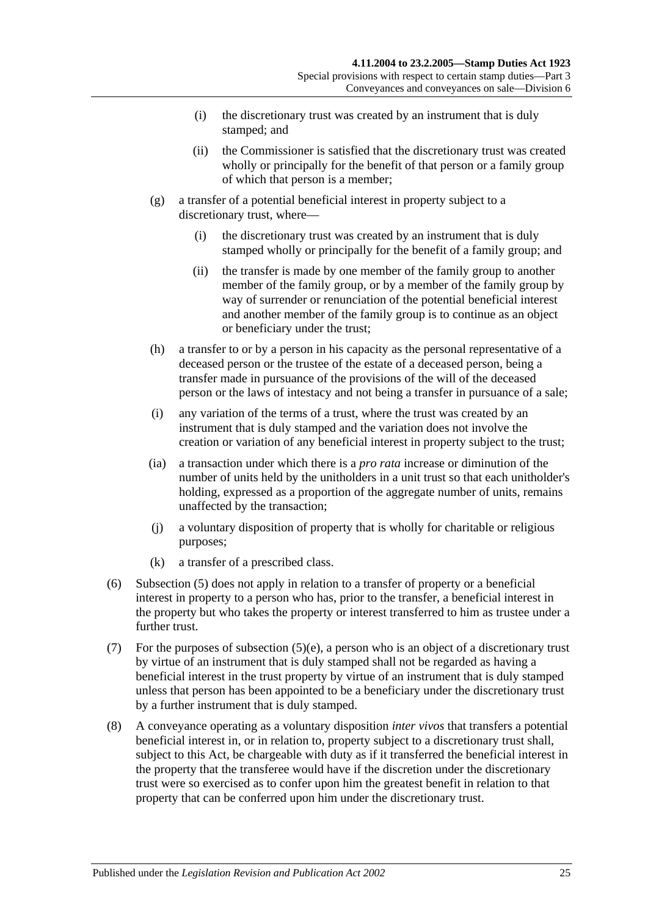- (i) the discretionary trust was created by an instrument that is duly stamped; and
- (ii) the Commissioner is satisfied that the discretionary trust was created wholly or principally for the benefit of that person or a family group of which that person is a member;
- (g) a transfer of a potential beneficial interest in property subject to a discretionary trust, where—
	- (i) the discretionary trust was created by an instrument that is duly stamped wholly or principally for the benefit of a family group; and
	- (ii) the transfer is made by one member of the family group to another member of the family group, or by a member of the family group by way of surrender or renunciation of the potential beneficial interest and another member of the family group is to continue as an object or beneficiary under the trust;
- (h) a transfer to or by a person in his capacity as the personal representative of a deceased person or the trustee of the estate of a deceased person, being a transfer made in pursuance of the provisions of the will of the deceased person or the laws of intestacy and not being a transfer in pursuance of a sale;
- (i) any variation of the terms of a trust, where the trust was created by an instrument that is duly stamped and the variation does not involve the creation or variation of any beneficial interest in property subject to the trust;
- (ia) a transaction under which there is a *pro rata* increase or diminution of the number of units held by the unitholders in a unit trust so that each unitholder's holding, expressed as a proportion of the aggregate number of units, remains unaffected by the transaction;
- (j) a voluntary disposition of property that is wholly for charitable or religious purposes;
- (k) a transfer of a prescribed class.
- <span id="page-42-0"></span>(6) [Subsection](#page-41-2) (5) does not apply in relation to a transfer of property or a beneficial interest in property to a person who has, prior to the transfer, a beneficial interest in the property but who takes the property or interest transferred to him as trustee under a further trust.
- (7) For the purposes of [subsection](#page-41-3) (5)(e), a person who is an object of a discretionary trust by virtue of an instrument that is duly stamped shall not be regarded as having a beneficial interest in the trust property by virtue of an instrument that is duly stamped unless that person has been appointed to be a beneficiary under the discretionary trust by a further instrument that is duly stamped.
- (8) A conveyance operating as a voluntary disposition *inter vivos* that transfers a potential beneficial interest in, or in relation to, property subject to a discretionary trust shall, subject to this Act, be chargeable with duty as if it transferred the beneficial interest in the property that the transferee would have if the discretion under the discretionary trust were so exercised as to confer upon him the greatest benefit in relation to that property that can be conferred upon him under the discretionary trust.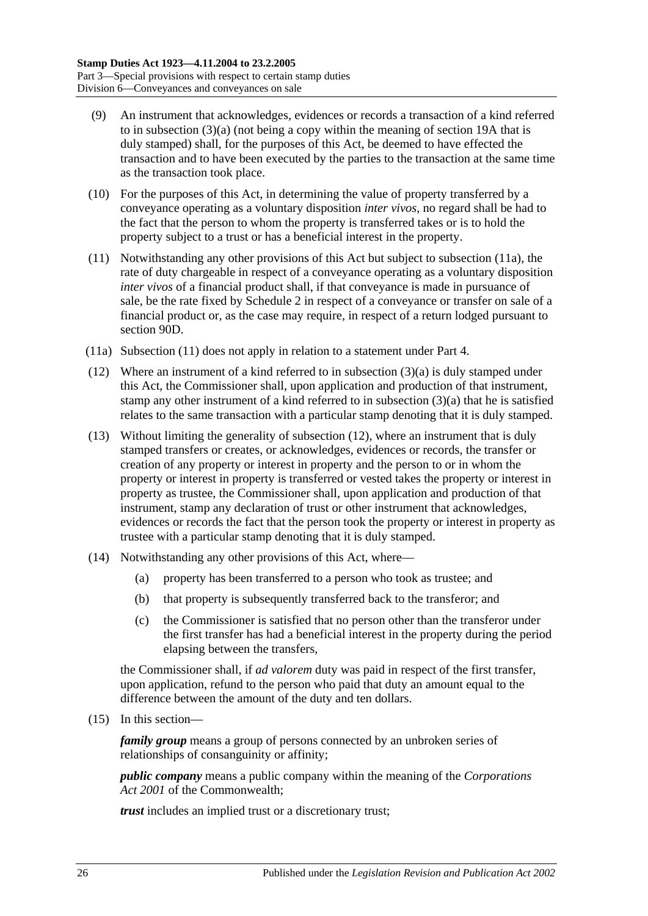- (9) An instrument that acknowledges, evidences or records a transaction of a kind referred to in [subsection](#page-40-2) (3)(a) (not being a copy within the meaning of [section](#page-14-0) 19A that is duly stamped) shall, for the purposes of this Act, be deemed to have effected the transaction and to have been executed by the parties to the transaction at the same time as the transaction took place.
- (10) For the purposes of this Act, in determining the value of property transferred by a conveyance operating as a voluntary disposition *inter vivos*, no regard shall be had to the fact that the person to whom the property is transferred takes or is to hold the property subject to a trust or has a beneficial interest in the property.
- <span id="page-43-1"></span>(11) Notwithstanding any other provisions of this Act but subject to [subsection](#page-43-0) (11a), the rate of duty chargeable in respect of a conveyance operating as a voluntary disposition *inter vivos* of a financial product shall, if that conveyance is made in pursuance of sale, be the rate fixed by [Schedule 2](#page-98-0) in respect of a conveyance or transfer on sale of a financial product or, as the case may require, in respect of a return lodged pursuant to [section](#page-76-0) 90D.
- <span id="page-43-0"></span>(11a) [Subsection](#page-43-1) (11) does not apply in relation to a statement under [Part 4.](#page-84-0)
- <span id="page-43-2"></span>(12) Where an instrument of a kind referred to in [subsection](#page-40-2) (3)(a) is duly stamped under this Act, the Commissioner shall, upon application and production of that instrument, stamp any other instrument of a kind referred to in [subsection](#page-40-2)  $(3)(a)$  that he is satisfied relates to the same transaction with a particular stamp denoting that it is duly stamped.
- (13) Without limiting the generality of [subsection](#page-43-2) (12), where an instrument that is duly stamped transfers or creates, or acknowledges, evidences or records, the transfer or creation of any property or interest in property and the person to or in whom the property or interest in property is transferred or vested takes the property or interest in property as trustee, the Commissioner shall, upon application and production of that instrument, stamp any declaration of trust or other instrument that acknowledges, evidences or records the fact that the person took the property or interest in property as trustee with a particular stamp denoting that it is duly stamped.
- (14) Notwithstanding any other provisions of this Act, where—
	- (a) property has been transferred to a person who took as trustee; and
	- (b) that property is subsequently transferred back to the transferor; and
	- (c) the Commissioner is satisfied that no person other than the transferor under the first transfer has had a beneficial interest in the property during the period elapsing between the transfers,

the Commissioner shall, if *ad valorem* duty was paid in respect of the first transfer, upon application, refund to the person who paid that duty an amount equal to the difference between the amount of the duty and ten dollars.

<span id="page-43-3"></span>(15) In this section—

*family group* means a group of persons connected by an unbroken series of relationships of consanguinity or affinity;

*public company* means a public company within the meaning of the *Corporations Act 2001* of the Commonwealth;

*trust* includes an implied trust or a discretionary trust;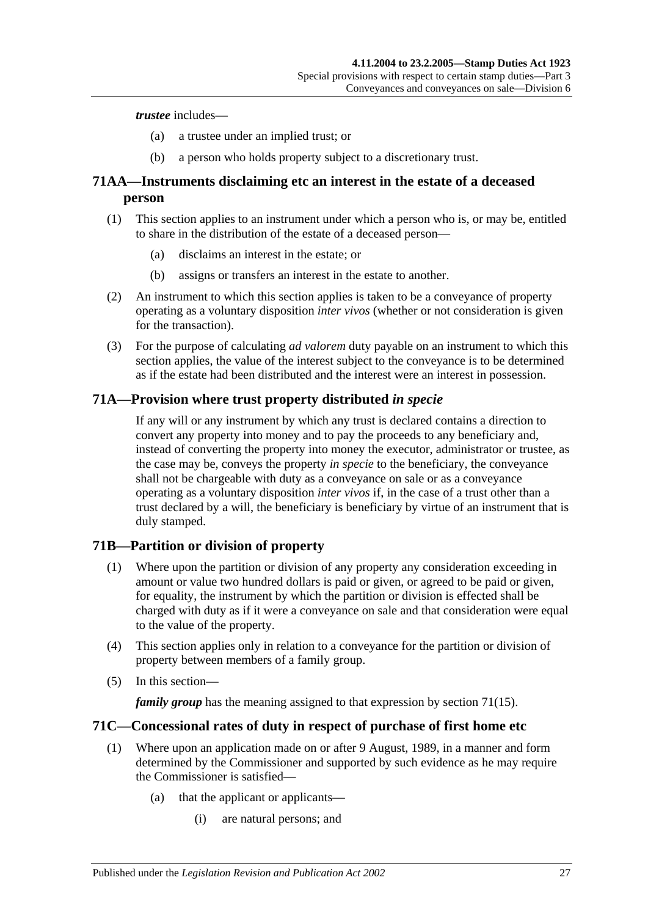#### *trustee* includes—

- (a) a trustee under an implied trust; or
- (b) a person who holds property subject to a discretionary trust.

# **71AA—Instruments disclaiming etc an interest in the estate of a deceased person**

- (1) This section applies to an instrument under which a person who is, or may be, entitled to share in the distribution of the estate of a deceased person—
	- (a) disclaims an interest in the estate; or
	- (b) assigns or transfers an interest in the estate to another.
- (2) An instrument to which this section applies is taken to be a conveyance of property operating as a voluntary disposition *inter vivos* (whether or not consideration is given for the transaction).
- (3) For the purpose of calculating *ad valorem* duty payable on an instrument to which this section applies, the value of the interest subject to the conveyance is to be determined as if the estate had been distributed and the interest were an interest in possession.

### **71A—Provision where trust property distributed** *in specie*

If any will or any instrument by which any trust is declared contains a direction to convert any property into money and to pay the proceeds to any beneficiary and, instead of converting the property into money the executor, administrator or trustee, as the case may be, conveys the property *in specie* to the beneficiary, the conveyance shall not be chargeable with duty as a conveyance on sale or as a conveyance operating as a voluntary disposition *inter vivos* if, in the case of a trust other than a trust declared by a will, the beneficiary is beneficiary by virtue of an instrument that is duly stamped.

# **71B—Partition or division of property**

- (1) Where upon the partition or division of any property any consideration exceeding in amount or value two hundred dollars is paid or given, or agreed to be paid or given, for equality, the instrument by which the partition or division is effected shall be charged with duty as if it were a conveyance on sale and that consideration were equal to the value of the property.
- (4) This section applies only in relation to a conveyance for the partition or division of property between members of a family group.
- (5) In this section—

*family group* has the meaning assigned to that expression by [section](#page-43-3) 71(15).

#### **71C—Concessional rates of duty in respect of purchase of first home etc**

- (1) Where upon an application made on or after 9 August, 1989, in a manner and form determined by the Commissioner and supported by such evidence as he may require the Commissioner is satisfied—
	- (a) that the applicant or applicants—
		- (i) are natural persons; and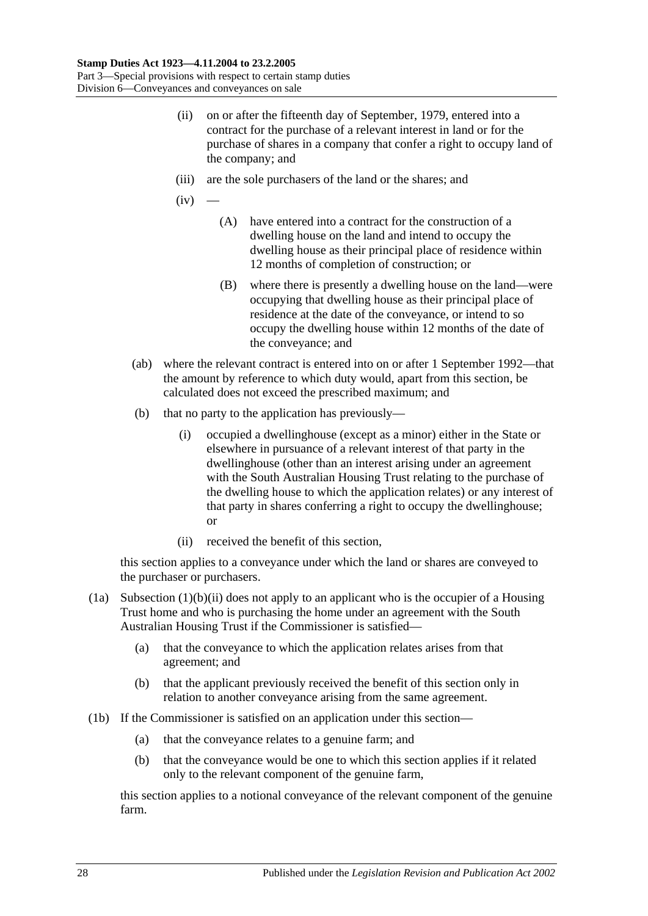- <span id="page-45-2"></span>(ii) on or after the fifteenth day of September, 1979, entered into a contract for the purchase of a relevant interest in land or for the purchase of shares in a company that confer a right to occupy land of the company; and
- <span id="page-45-1"></span>(iii) are the sole purchasers of the land or the shares; and
- $(iv)$ 
	- (A) have entered into a contract for the construction of a dwelling house on the land and intend to occupy the dwelling house as their principal place of residence within 12 months of completion of construction; or
	- (B) where there is presently a dwelling house on the land—were occupying that dwelling house as their principal place of residence at the date of the conveyance, or intend to so occupy the dwelling house within 12 months of the date of the conveyance; and
- (ab) where the relevant contract is entered into on or after 1 September 1992—that the amount by reference to which duty would, apart from this section, be calculated does not exceed the prescribed maximum; and
- (b) that no party to the application has previously—
	- (i) occupied a dwellinghouse (except as a minor) either in the State or elsewhere in pursuance of a relevant interest of that party in the dwellinghouse (other than an interest arising under an agreement with the South Australian Housing Trust relating to the purchase of the dwelling house to which the application relates) or any interest of that party in shares conferring a right to occupy the dwellinghouse; or
	- (ii) received the benefit of this section,

<span id="page-45-0"></span>this section applies to a conveyance under which the land or shares are conveyed to the purchaser or purchasers.

- (1a) [Subsection](#page-45-0)  $(1)(b)(ii)$  does not apply to an applicant who is the occupier of a Housing Trust home and who is purchasing the home under an agreement with the South Australian Housing Trust if the Commissioner is satisfied—
	- (a) that the conveyance to which the application relates arises from that agreement; and
	- (b) that the applicant previously received the benefit of this section only in relation to another conveyance arising from the same agreement.
- (1b) If the Commissioner is satisfied on an application under this section—
	- (a) that the conveyance relates to a genuine farm; and
	- (b) that the conveyance would be one to which this section applies if it related only to the relevant component of the genuine farm,

this section applies to a notional conveyance of the relevant component of the genuine farm.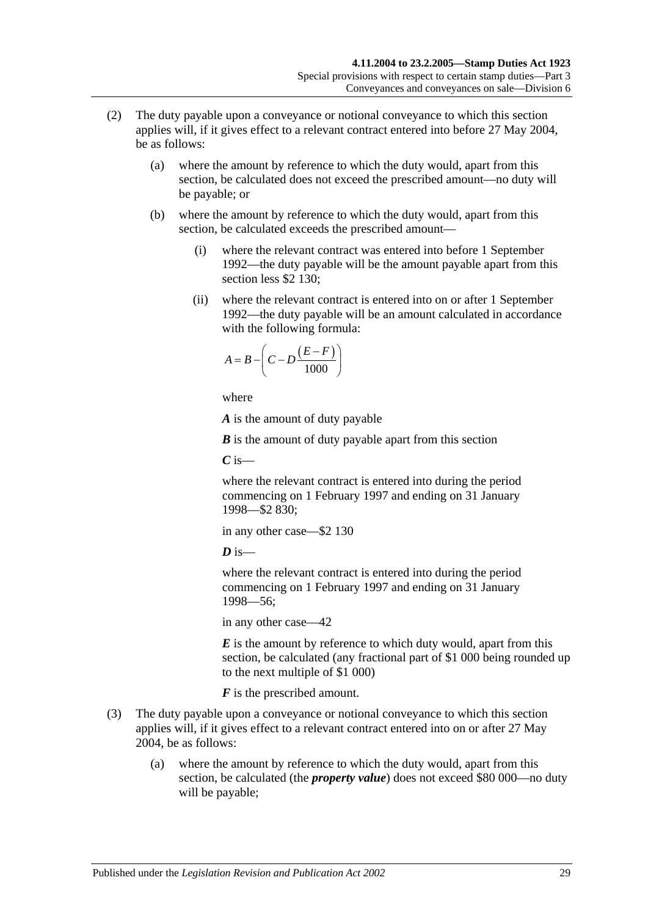- (2) The duty payable upon a conveyance or notional conveyance to which this section applies will, if it gives effect to a relevant contract entered into before 27 May 2004, be as follows:
	- (a) where the amount by reference to which the duty would, apart from this section, be calculated does not exceed the prescribed amount—no duty will be payable; or
	- (b) where the amount by reference to which the duty would, apart from this section, be calculated exceeds the prescribed amount—
		- (i) where the relevant contract was entered into before 1 September 1992—the duty payable will be the amount payable apart from this section less \$2 130;
		- (ii) where the relevant contract is entered into on or after 1 September 1992—the duty payable will be an amount calculated in accordance with the following formula:

$$
A = B - \left(C - D \frac{(E - F)}{1000}\right)
$$

where

*A* is the amount of duty payable

*B* is the amount of duty payable apart from this section

*C* is—

where the relevant contract is entered into during the period commencing on 1 February 1997 and ending on 31 January 1998—\$2 830;

in any other case—\$2 130

 $\boldsymbol{D}$  is—

where the relevant contract is entered into during the period commencing on 1 February 1997 and ending on 31 January 1998—56;

in any other case—42

*E* is the amount by reference to which duty would, apart from this section, be calculated (any fractional part of \$1 000 being rounded up to the next multiple of \$1 000)

*F* is the prescribed amount.

- (3) The duty payable upon a conveyance or notional conveyance to which this section applies will, if it gives effect to a relevant contract entered into on or after 27 May 2004, be as follows:
	- (a) where the amount by reference to which the duty would, apart from this section, be calculated (the *property value*) does not exceed \$80 000—no duty will be payable;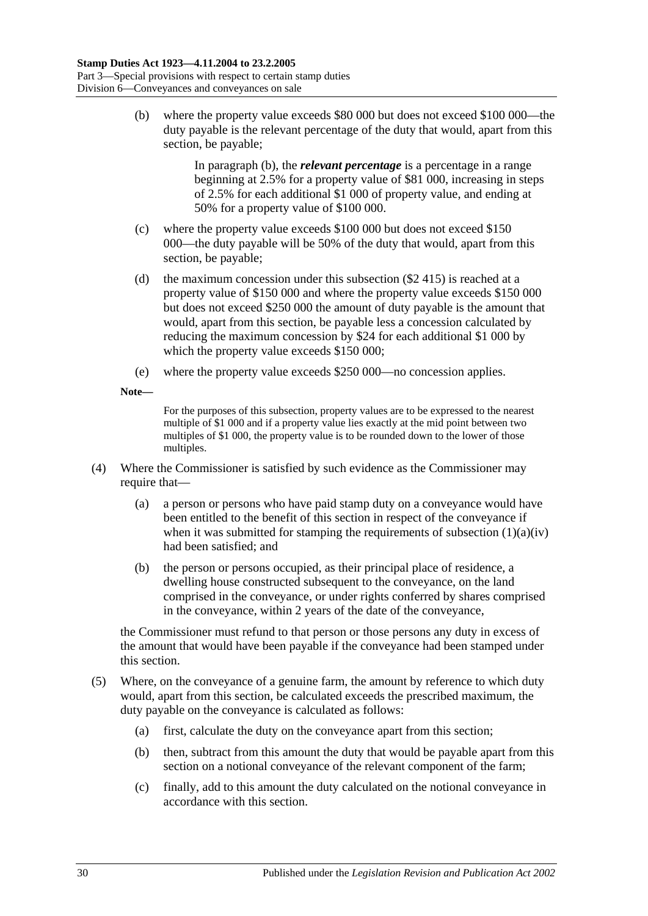<span id="page-47-0"></span>(b) where the property value exceeds \$80 000 but does not exceed \$100 000—the duty payable is the relevant percentage of the duty that would, apart from this section, be payable;

> In [paragraph](#page-47-0) (b), the *relevant percentage* is a percentage in a range beginning at 2.5% for a property value of \$81 000, increasing in steps of 2.5% for each additional \$1 000 of property value, and ending at 50% for a property value of \$100 000.

- (c) where the property value exceeds \$100 000 but does not exceed \$150 000—the duty payable will be 50% of the duty that would, apart from this section, be payable;
- (d) the maximum concession under this subsection (\$2 415) is reached at a property value of \$150 000 and where the property value exceeds \$150 000 but does not exceed \$250 000 the amount of duty payable is the amount that would, apart from this section, be payable less a concession calculated by reducing the maximum concession by \$24 for each additional \$1 000 by which the property value exceeds \$150 000;
- (e) where the property value exceeds \$250 000—no concession applies.
- **Note—**

For the purposes of this subsection, property values are to be expressed to the nearest multiple of \$1 000 and if a property value lies exactly at the mid point between two multiples of \$1 000, the property value is to be rounded down to the lower of those multiples.

- (4) Where the Commissioner is satisfied by such evidence as the Commissioner may require that—
	- (a) a person or persons who have paid stamp duty on a conveyance would have been entitled to the benefit of this section in respect of the conveyance if when it was submitted for stamping the requirements of [subsection](#page-45-1)  $(1)(a)(iv)$ had been satisfied; and
	- (b) the person or persons occupied, as their principal place of residence, a dwelling house constructed subsequent to the conveyance, on the land comprised in the conveyance, or under rights conferred by shares comprised in the conveyance, within 2 years of the date of the conveyance,

the Commissioner must refund to that person or those persons any duty in excess of the amount that would have been payable if the conveyance had been stamped under this section.

- (5) Where, on the conveyance of a genuine farm, the amount by reference to which duty would, apart from this section, be calculated exceeds the prescribed maximum, the duty payable on the conveyance is calculated as follows:
	- (a) first, calculate the duty on the conveyance apart from this section;
	- (b) then, subtract from this amount the duty that would be payable apart from this section on a notional conveyance of the relevant component of the farm;
	- (c) finally, add to this amount the duty calculated on the notional conveyance in accordance with this section.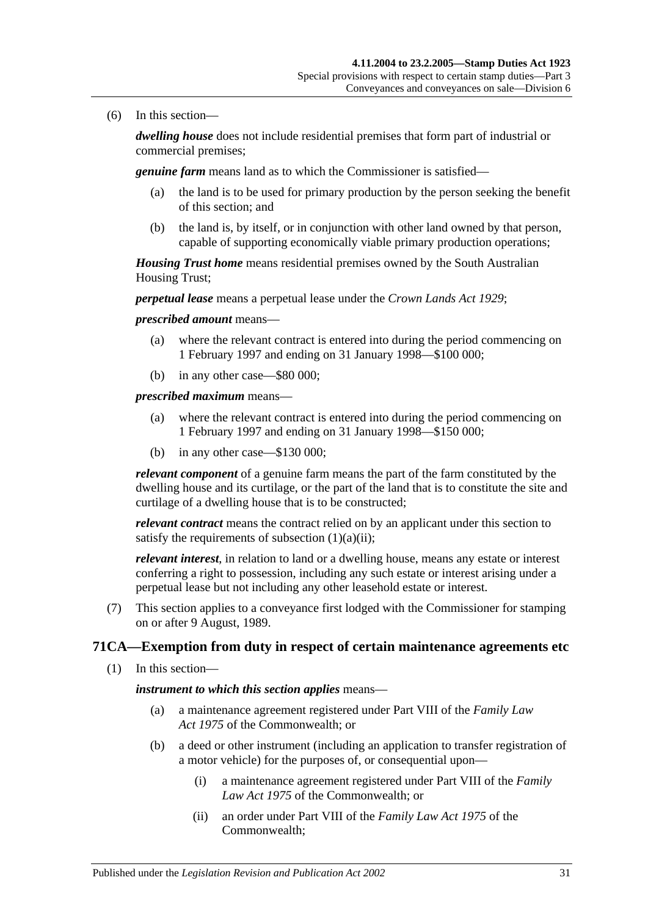(6) In this section—

*dwelling house* does not include residential premises that form part of industrial or commercial premises;

*genuine farm* means land as to which the Commissioner is satisfied—

- (a) the land is to be used for primary production by the person seeking the benefit of this section; and
- (b) the land is, by itself, or in conjunction with other land owned by that person, capable of supporting economically viable primary production operations;

*Housing Trust home* means residential premises owned by the South Australian Housing Trust;

*perpetual lease* means a perpetual lease under the *[Crown Lands Act](http://www.legislation.sa.gov.au/index.aspx?action=legref&type=act&legtitle=Crown%20Lands%20Act%201929) 1929*;

*prescribed amount* means—

- (a) where the relevant contract is entered into during the period commencing on 1 February 1997 and ending on 31 January 1998—\$100 000;
- (b) in any other case—\$80 000;

*prescribed maximum* means—

- (a) where the relevant contract is entered into during the period commencing on 1 February 1997 and ending on 31 January 1998—\$150 000;
- (b) in any other case—\$130 000;

*relevant component* of a genuine farm means the part of the farm constituted by the dwelling house and its curtilage, or the part of the land that is to constitute the site and curtilage of a dwelling house that is to be constructed;

*relevant contract* means the contract relied on by an applicant under this section to satisfy the requirements of [subsection](#page-45-2)  $(1)(a)(ii)$ ;

*relevant interest*, in relation to land or a dwelling house, means any estate or interest conferring a right to possession, including any such estate or interest arising under a perpetual lease but not including any other leasehold estate or interest.

(7) This section applies to a conveyance first lodged with the Commissioner for stamping on or after 9 August, 1989.

# **71CA—Exemption from duty in respect of certain maintenance agreements etc**

(1) In this section—

*instrument to which this section applies* means—

- (a) a maintenance agreement registered under Part VIII of the *Family Law Act 1975* of the Commonwealth; or
- (b) a deed or other instrument (including an application to transfer registration of a motor vehicle) for the purposes of, or consequential upon—
	- (i) a maintenance agreement registered under Part VIII of the *Family Law Act 1975* of the Commonwealth; or
	- (ii) an order under Part VIII of the *Family Law Act 1975* of the Commonwealth;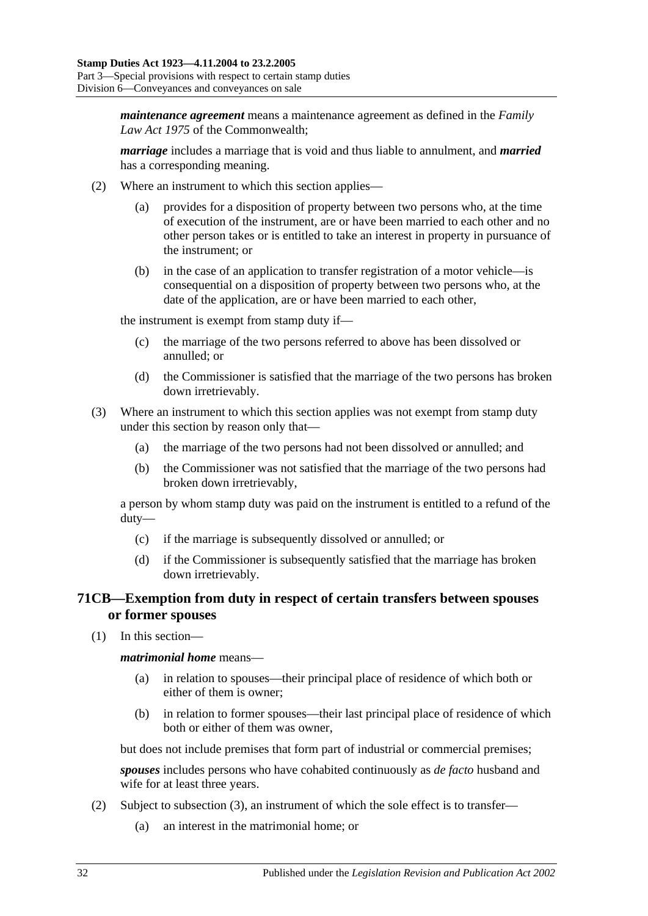*maintenance agreement* means a maintenance agreement as defined in the *Family Law Act 1975* of the Commonwealth;

*marriage* includes a marriage that is void and thus liable to annulment, and *married* has a corresponding meaning.

- (2) Where an instrument to which this section applies
	- provides for a disposition of property between two persons who, at the time of execution of the instrument, are or have been married to each other and no other person takes or is entitled to take an interest in property in pursuance of the instrument; or
	- (b) in the case of an application to transfer registration of a motor vehicle—is consequential on a disposition of property between two persons who, at the date of the application, are or have been married to each other,

the instrument is exempt from stamp duty if—

- (c) the marriage of the two persons referred to above has been dissolved or annulled; or
- (d) the Commissioner is satisfied that the marriage of the two persons has broken down irretrievably.
- (3) Where an instrument to which this section applies was not exempt from stamp duty under this section by reason only that—
	- (a) the marriage of the two persons had not been dissolved or annulled; and
	- (b) the Commissioner was not satisfied that the marriage of the two persons had broken down irretrievably,

a person by whom stamp duty was paid on the instrument is entitled to a refund of the duty—

- (c) if the marriage is subsequently dissolved or annulled; or
- (d) if the Commissioner is subsequently satisfied that the marriage has broken down irretrievably.

# **71CB—Exemption from duty in respect of certain transfers between spouses or former spouses**

(1) In this section—

*matrimonial home* means—

- (a) in relation to spouses—their principal place of residence of which both or either of them is owner;
- (b) in relation to former spouses—their last principal place of residence of which both or either of them was owner,

but does not include premises that form part of industrial or commercial premises;

*spouses* includes persons who have cohabited continuously as *de facto* husband and wife for at least three years.

- <span id="page-49-0"></span>(2) Subject to [subsection](#page-50-0) (3), an instrument of which the sole effect is to transfer—
	- (a) an interest in the matrimonial home; or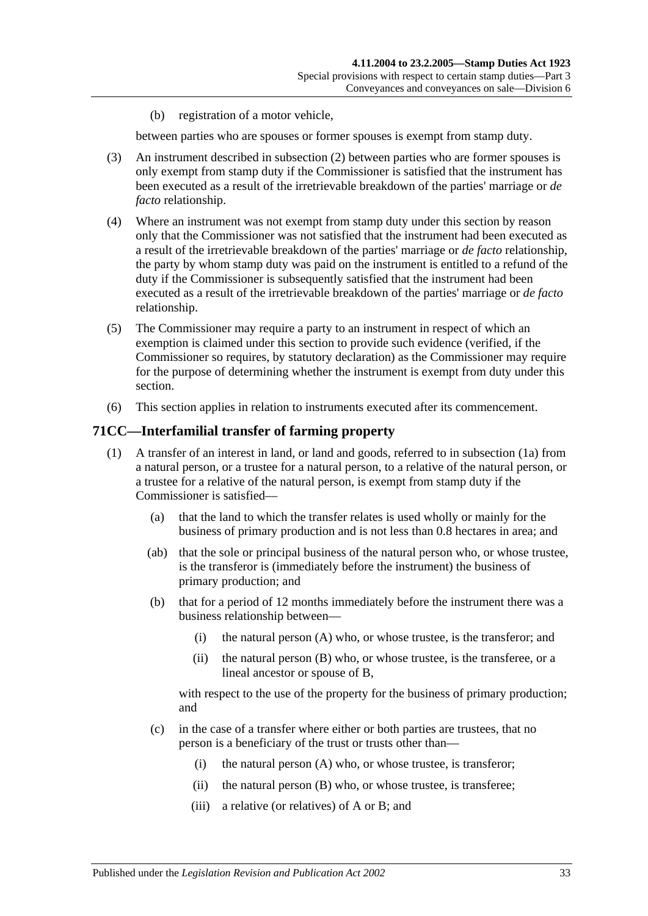(b) registration of a motor vehicle,

between parties who are spouses or former spouses is exempt from stamp duty.

- <span id="page-50-0"></span>(3) An instrument described in [subsection](#page-49-0) (2) between parties who are former spouses is only exempt from stamp duty if the Commissioner is satisfied that the instrument has been executed as a result of the irretrievable breakdown of the parties' marriage or *de facto* relationship.
- (4) Where an instrument was not exempt from stamp duty under this section by reason only that the Commissioner was not satisfied that the instrument had been executed as a result of the irretrievable breakdown of the parties' marriage or *de facto* relationship, the party by whom stamp duty was paid on the instrument is entitled to a refund of the duty if the Commissioner is subsequently satisfied that the instrument had been executed as a result of the irretrievable breakdown of the parties' marriage or *de facto* relationship.
- (5) The Commissioner may require a party to an instrument in respect of which an exemption is claimed under this section to provide such evidence (verified, if the Commissioner so requires, by statutory declaration) as the Commissioner may require for the purpose of determining whether the instrument is exempt from duty under this section.
- (6) This section applies in relation to instruments executed after its commencement.

### <span id="page-50-1"></span>**71CC—Interfamilial transfer of farming property**

- (1) A transfer of an interest in land, or land and goods, referred to in [subsection](#page-51-0) (1a) from a natural person, or a trustee for a natural person, to a relative of the natural person, or a trustee for a relative of the natural person, is exempt from stamp duty if the Commissioner is satisfied—
	- (a) that the land to which the transfer relates is used wholly or mainly for the business of primary production and is not less than 0.8 hectares in area; and
	- (ab) that the sole or principal business of the natural person who, or whose trustee, is the transferor is (immediately before the instrument) the business of primary production; and
	- (b) that for a period of 12 months immediately before the instrument there was a business relationship between—
		- (i) the natural person (A) who, or whose trustee, is the transferor; and
		- (ii) the natural person (B) who, or whose trustee, is the transferee, or a lineal ancestor or spouse of B,

<span id="page-50-2"></span>with respect to the use of the property for the business of primary production; and

- (c) in the case of a transfer where either or both parties are trustees, that no person is a beneficiary of the trust or trusts other than—
	- (i) the natural person (A) who, or whose trustee, is transferor;
	- (ii) the natural person (B) who, or whose trustee, is transferee;
	- (iii) a relative (or relatives) of A or B; and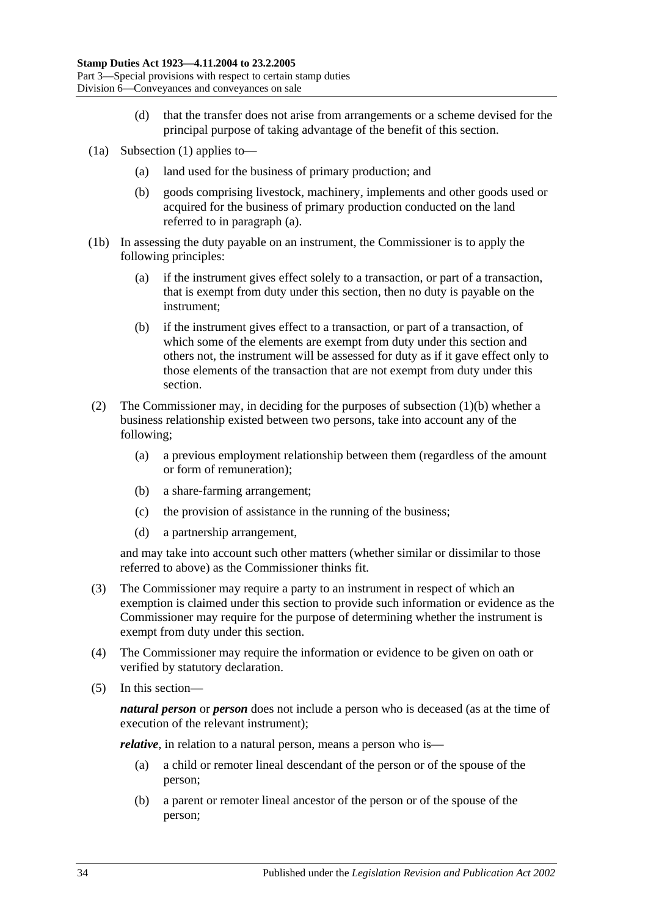- (d) that the transfer does not arise from arrangements or a scheme devised for the principal purpose of taking advantage of the benefit of this section.
- <span id="page-51-1"></span><span id="page-51-0"></span>(1a) [Subsection](#page-50-1) (1) applies to—
	- (a) land used for the business of primary production; and
	- (b) goods comprising livestock, machinery, implements and other goods used or acquired for the business of primary production conducted on the land referred to in [paragraph](#page-51-1) (a).
- (1b) In assessing the duty payable on an instrument, the Commissioner is to apply the following principles:
	- (a) if the instrument gives effect solely to a transaction, or part of a transaction, that is exempt from duty under this section, then no duty is payable on the instrument;
	- (b) if the instrument gives effect to a transaction, or part of a transaction, of which some of the elements are exempt from duty under this section and others not, the instrument will be assessed for duty as if it gave effect only to those elements of the transaction that are not exempt from duty under this section.
- (2) The Commissioner may, in deciding for the purposes of [subsection](#page-50-2) (1)(b) whether a business relationship existed between two persons, take into account any of the following;
	- (a) a previous employment relationship between them (regardless of the amount or form of remuneration);
	- (b) a share-farming arrangement;
	- (c) the provision of assistance in the running of the business;
	- (d) a partnership arrangement,

and may take into account such other matters (whether similar or dissimilar to those referred to above) as the Commissioner thinks fit.

- (3) The Commissioner may require a party to an instrument in respect of which an exemption is claimed under this section to provide such information or evidence as the Commissioner may require for the purpose of determining whether the instrument is exempt from duty under this section.
- (4) The Commissioner may require the information or evidence to be given on oath or verified by statutory declaration.
- (5) In this section—

*natural person* or *person* does not include a person who is deceased (as at the time of execution of the relevant instrument);

<span id="page-51-2"></span>*relative*, in relation to a natural person, means a person who is—

- (a) a child or remoter lineal descendant of the person or of the spouse of the person;
- <span id="page-51-3"></span>(b) a parent or remoter lineal ancestor of the person or of the spouse of the person;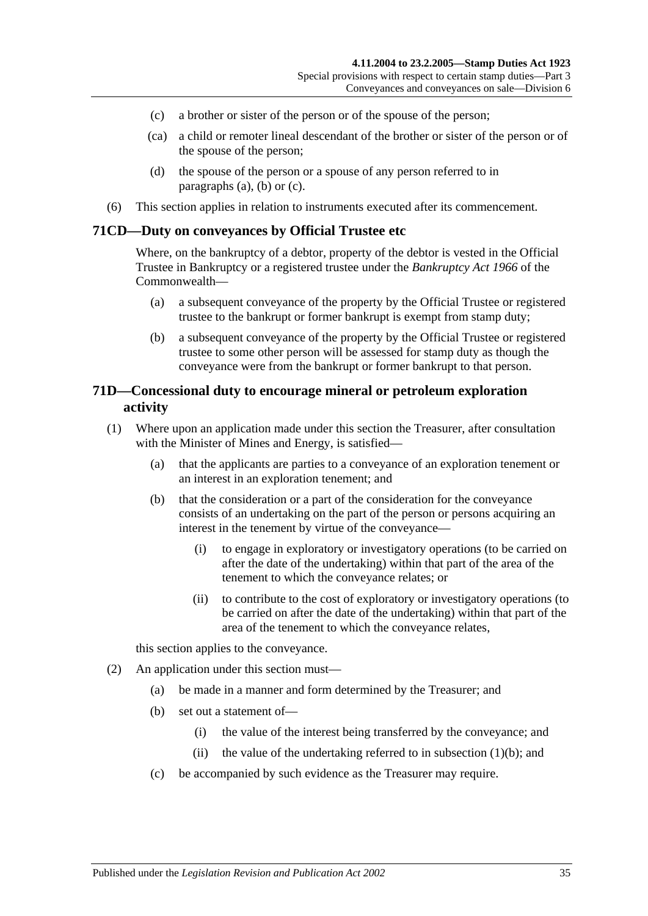- <span id="page-52-0"></span>(c) a brother or sister of the person or of the spouse of the person;
- (ca) a child or remoter lineal descendant of the brother or sister of the person or of the spouse of the person;
- (d) the spouse of the person or a spouse of any person referred to in [paragraphs](#page-51-2) (a), [\(b\)](#page-51-3) or [\(c\).](#page-52-0)
- (6) This section applies in relation to instruments executed after its commencement.

#### **71CD—Duty on conveyances by Official Trustee etc**

Where, on the bankruptcy of a debtor, property of the debtor is vested in the Official Trustee in Bankruptcy or a registered trustee under the *Bankruptcy Act 1966* of the Commonwealth—

- (a) a subsequent conveyance of the property by the Official Trustee or registered trustee to the bankrupt or former bankrupt is exempt from stamp duty;
- (b) a subsequent conveyance of the property by the Official Trustee or registered trustee to some other person will be assessed for stamp duty as though the conveyance were from the bankrupt or former bankrupt to that person.

### **71D—Concessional duty to encourage mineral or petroleum exploration activity**

- <span id="page-52-1"></span>(1) Where upon an application made under this section the Treasurer, after consultation with the Minister of Mines and Energy, is satisfied—
	- (a) that the applicants are parties to a conveyance of an exploration tenement or an interest in an exploration tenement; and
	- (b) that the consideration or a part of the consideration for the conveyance consists of an undertaking on the part of the person or persons acquiring an interest in the tenement by virtue of the conveyance—
		- (i) to engage in exploratory or investigatory operations (to be carried on after the date of the undertaking) within that part of the area of the tenement to which the conveyance relates; or
		- (ii) to contribute to the cost of exploratory or investigatory operations (to be carried on after the date of the undertaking) within that part of the area of the tenement to which the conveyance relates,

this section applies to the conveyance.

- (2) An application under this section must—
	- (a) be made in a manner and form determined by the Treasurer; and
	- (b) set out a statement of—
		- (i) the value of the interest being transferred by the conveyance; and
		- (ii) the value of the undertaking referred to in [subsection](#page-52-1)  $(1)(b)$ ; and
	- (c) be accompanied by such evidence as the Treasurer may require.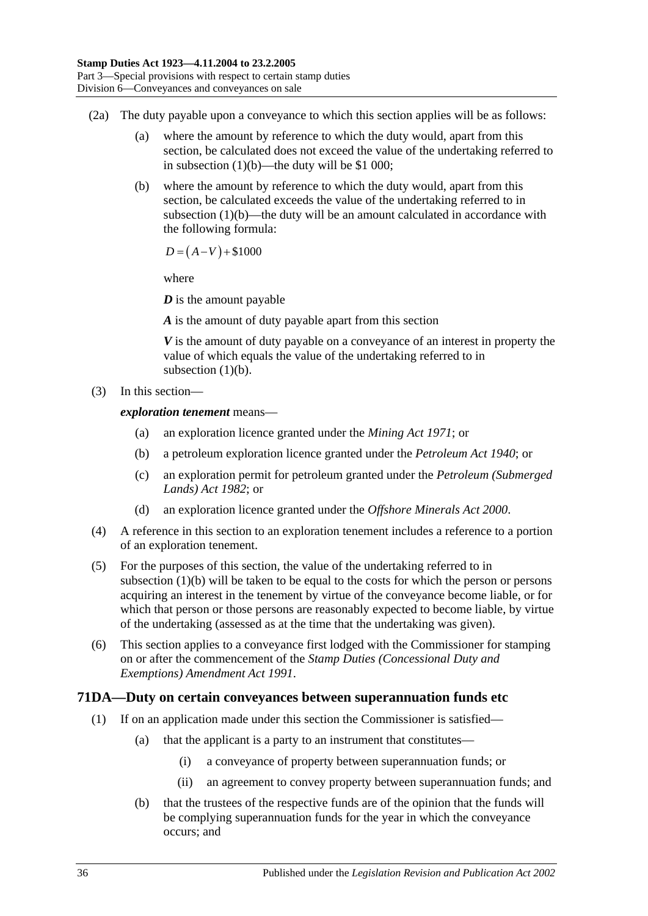- (2a) The duty payable upon a conveyance to which this section applies will be as follows:
	- (a) where the amount by reference to which the duty would, apart from this section, be calculated does not exceed the value of the undertaking referred to in [subsection](#page-52-1) (1)(b)—the duty will be \$1 000;
	- (b) where the amount by reference to which the duty would, apart from this section, be calculated exceeds the value of the undertaking referred to in [subsection](#page-52-1)  $(1)(b)$ —the duty will be an amount calculated in accordance with the following formula:

 $D = (A-V) + $1000$ 

where

*D* is the amount payable

*A* is the amount of duty payable apart from this section

*V* is the amount of duty payable on a conveyance of an interest in property the value of which equals the value of the undertaking referred to in [subsection](#page-52-1)  $(1)(b)$ .

(3) In this section—

*exploration tenement* means—

- (a) an exploration licence granted under the *[Mining Act](http://www.legislation.sa.gov.au/index.aspx?action=legref&type=act&legtitle=Mining%20Act%201971) 1971*; or
- (b) a petroleum exploration licence granted under the *[Petroleum Act](http://www.legislation.sa.gov.au/index.aspx?action=legref&type=act&legtitle=Petroleum%20Act%201940) 1940*; or
- (c) an exploration permit for petroleum granted under the *[Petroleum \(Submerged](http://www.legislation.sa.gov.au/index.aspx?action=legref&type=act&legtitle=Petroleum%20(Submerged%20Lands)%20Act%201982)  [Lands\) Act](http://www.legislation.sa.gov.au/index.aspx?action=legref&type=act&legtitle=Petroleum%20(Submerged%20Lands)%20Act%201982) 1982*; or
- (d) an exploration licence granted under the *[Offshore Minerals Act](http://www.legislation.sa.gov.au/index.aspx?action=legref&type=act&legtitle=Offshore%20Minerals%20Act%202000) 2000*.
- (4) A reference in this section to an exploration tenement includes a reference to a portion of an exploration tenement.
- (5) For the purposes of this section, the value of the undertaking referred to in [subsection](#page-52-1) (1)(b) will be taken to be equal to the costs for which the person or persons acquiring an interest in the tenement by virtue of the conveyance become liable, or for which that person or those persons are reasonably expected to become liable, by virtue of the undertaking (assessed as at the time that the undertaking was given).
- (6) This section applies to a conveyance first lodged with the Commissioner for stamping on or after the commencement of the *[Stamp Duties \(Concessional Duty and](http://www.legislation.sa.gov.au/index.aspx?action=legref&type=act&legtitle=Stamp%20Duties%20(Concessional%20Duty%20and%20Exemptions)%20Amendment%20Act%201991)  [Exemptions\) Amendment Act](http://www.legislation.sa.gov.au/index.aspx?action=legref&type=act&legtitle=Stamp%20Duties%20(Concessional%20Duty%20and%20Exemptions)%20Amendment%20Act%201991) 1991*.

# <span id="page-53-0"></span>**71DA—Duty on certain conveyances between superannuation funds etc**

- (1) If on an application made under this section the Commissioner is satisfied—
	- (a) that the applicant is a party to an instrument that constitutes—
		- (i) a conveyance of property between superannuation funds; or
		- (ii) an agreement to convey property between superannuation funds; and
	- (b) that the trustees of the respective funds are of the opinion that the funds will be complying superannuation funds for the year in which the conveyance occurs; and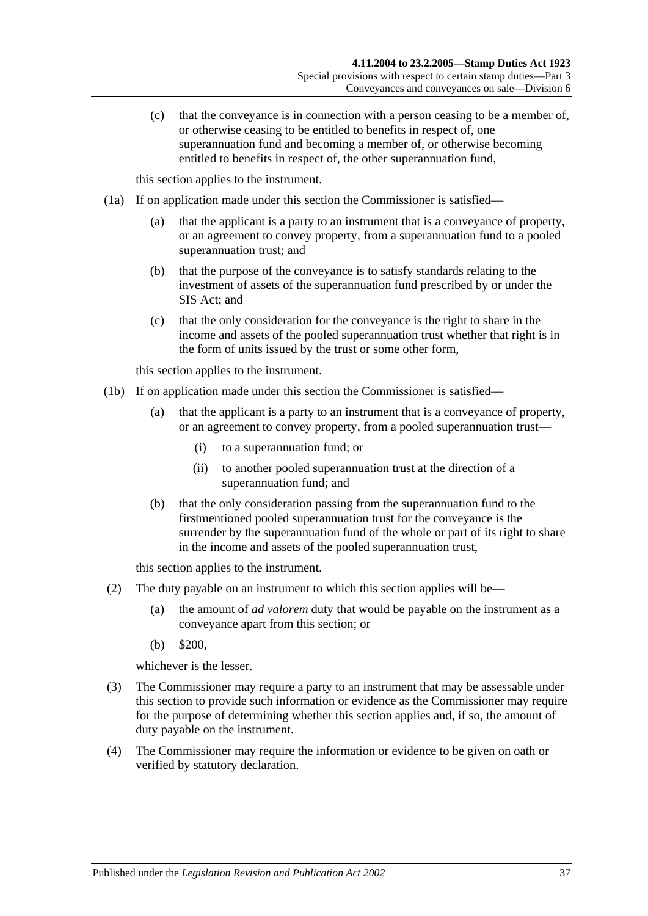(c) that the conveyance is in connection with a person ceasing to be a member of, or otherwise ceasing to be entitled to benefits in respect of, one superannuation fund and becoming a member of, or otherwise becoming entitled to benefits in respect of, the other superannuation fund,

this section applies to the instrument.

- <span id="page-54-0"></span>(1a) If on application made under this section the Commissioner is satisfied—
	- (a) that the applicant is a party to an instrument that is a conveyance of property, or an agreement to convey property, from a superannuation fund to a pooled superannuation trust; and
	- (b) that the purpose of the conveyance is to satisfy standards relating to the investment of assets of the superannuation fund prescribed by or under the SIS Act; and
	- (c) that the only consideration for the conveyance is the right to share in the income and assets of the pooled superannuation trust whether that right is in the form of units issued by the trust or some other form,

this section applies to the instrument.

- <span id="page-54-1"></span>(1b) If on application made under this section the Commissioner is satisfied—
	- (a) that the applicant is a party to an instrument that is a conveyance of property, or an agreement to convey property, from a pooled superannuation trust—
		- (i) to a superannuation fund; or
		- (ii) to another pooled superannuation trust at the direction of a superannuation fund; and
	- (b) that the only consideration passing from the superannuation fund to the firstmentioned pooled superannuation trust for the conveyance is the surrender by the superannuation fund of the whole or part of its right to share in the income and assets of the pooled superannuation trust,

this section applies to the instrument.

- (2) The duty payable on an instrument to which this section applies will be—
	- (a) the amount of *ad valorem* duty that would be payable on the instrument as a conveyance apart from this section; or
	- (b) \$200,

whichever is the lesser.

- (3) The Commissioner may require a party to an instrument that may be assessable under this section to provide such information or evidence as the Commissioner may require for the purpose of determining whether this section applies and, if so, the amount of duty payable on the instrument.
- (4) The Commissioner may require the information or evidence to be given on oath or verified by statutory declaration.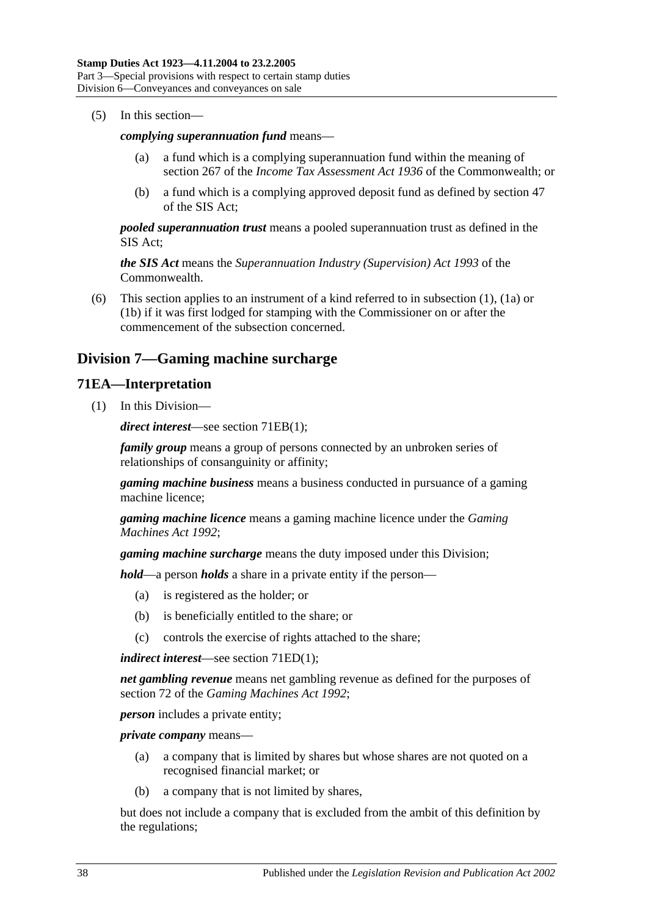(5) In this section—

#### *complying superannuation fund* means—

- (a) a fund which is a complying superannuation fund within the meaning of section 267 of the *Income Tax Assessment Act 1936* of the Commonwealth; or
- (b) a fund which is a complying approved deposit fund as defined by section 47 of the SIS Act;

*pooled superannuation trust* means a pooled superannuation trust as defined in the SIS Act;

*the SIS Act* means the *Superannuation Industry (Supervision) Act 1993* of the Commonwealth.

(6) This section applies to an instrument of a kind referred to in [subsection](#page-53-0) (1), [\(1a\)](#page-54-0) or [\(1b\)](#page-54-1) if it was first lodged for stamping with the Commissioner on or after the commencement of the subsection concerned.

# **Division 7—Gaming machine surcharge**

### **71EA—Interpretation**

(1) In this Division—

*direct interest*—see section [71EB\(1\);](#page-56-0)

*family group* means a group of persons connected by an unbroken series of relationships of consanguinity or affinity;

*gaming machine business* means a business conducted in pursuance of a gaming machine licence;

*gaming machine licence* means a gaming machine licence under the *[Gaming](http://www.legislation.sa.gov.au/index.aspx?action=legref&type=act&legtitle=Gaming%20Machines%20Act%201992)  [Machines Act](http://www.legislation.sa.gov.au/index.aspx?action=legref&type=act&legtitle=Gaming%20Machines%20Act%201992) 1992*;

*gaming machine surcharge* means the duty imposed under this Division;

*hold*—a person *holds* a share in a private entity if the person—

- (a) is registered as the holder; or
- (b) is beneficially entitled to the share; or
- (c) controls the exercise of rights attached to the share;

*indirect interest*—see section [71ED\(1\);](#page-57-0)

*net gambling revenue* means net gambling revenue as defined for the purposes of section 72 of the *[Gaming Machines Act](http://www.legislation.sa.gov.au/index.aspx?action=legref&type=act&legtitle=Gaming%20Machines%20Act%201992) 1992*;

*person* includes a private entity;

*private company* means—

- (a) a company that is limited by shares but whose shares are not quoted on a recognised financial market; or
- (b) a company that is not limited by shares,

but does not include a company that is excluded from the ambit of this definition by the regulations;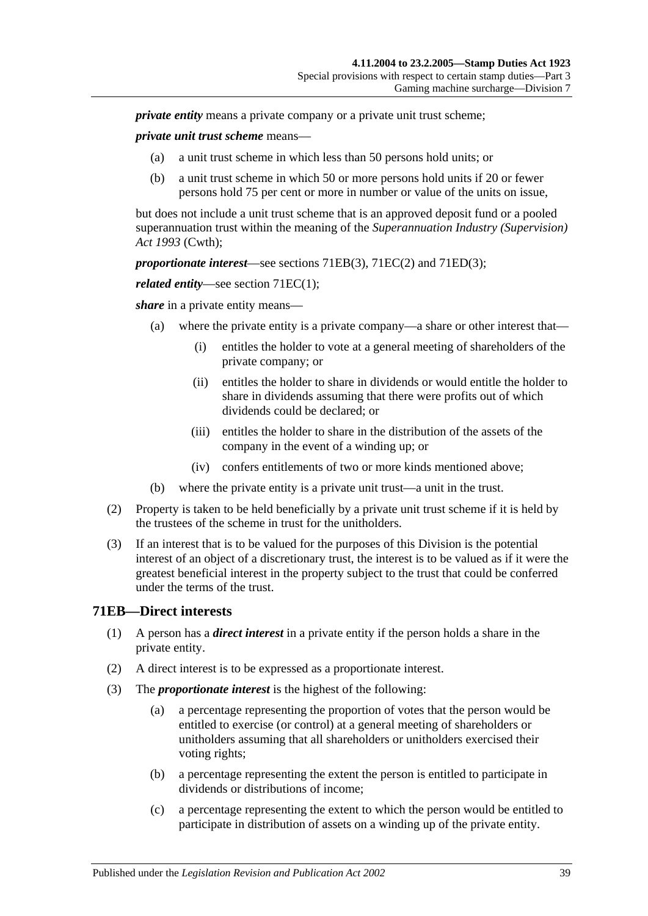*private entity* means a private company or a private unit trust scheme:

*private unit trust scheme* means—

- (a) a unit trust scheme in which less than 50 persons hold units; or
- (b) a unit trust scheme in which 50 or more persons hold units if 20 or fewer persons hold 75 per cent or more in number or value of the units on issue,

but does not include a unit trust scheme that is an approved deposit fund or a pooled superannuation trust within the meaning of the *Superannuation Industry (Supervision) Act 1993* (Cwth);

*proportionate interest*—see sections [71EB\(3\),](#page-56-1) [71EC\(2\)](#page-57-1) and [71ED\(3\);](#page-57-2)

*related entity—see section 71EC(1):* 

*share* in a private entity means—

- (a) where the private entity is a private company—a share or other interest that—
	- (i) entitles the holder to vote at a general meeting of shareholders of the private company; or
	- (ii) entitles the holder to share in dividends or would entitle the holder to share in dividends assuming that there were profits out of which dividends could be declared; or
	- (iii) entitles the holder to share in the distribution of the assets of the company in the event of a winding up; or
	- (iv) confers entitlements of two or more kinds mentioned above;
- (b) where the private entity is a private unit trust—a unit in the trust.
- (2) Property is taken to be held beneficially by a private unit trust scheme if it is held by the trustees of the scheme in trust for the unitholders.
- (3) If an interest that is to be valued for the purposes of this Division is the potential interest of an object of a discretionary trust, the interest is to be valued as if it were the greatest beneficial interest in the property subject to the trust that could be conferred under the terms of the trust.

#### <span id="page-56-0"></span>**71EB—Direct interests**

- (1) A person has a *direct interest* in a private entity if the person holds a share in the private entity.
- (2) A direct interest is to be expressed as a proportionate interest.
- <span id="page-56-1"></span>(3) The *proportionate interest* is the highest of the following:
	- (a) a percentage representing the proportion of votes that the person would be entitled to exercise (or control) at a general meeting of shareholders or unitholders assuming that all shareholders or unitholders exercised their voting rights;
	- (b) a percentage representing the extent the person is entitled to participate in dividends or distributions of income;
	- (c) a percentage representing the extent to which the person would be entitled to participate in distribution of assets on a winding up of the private entity.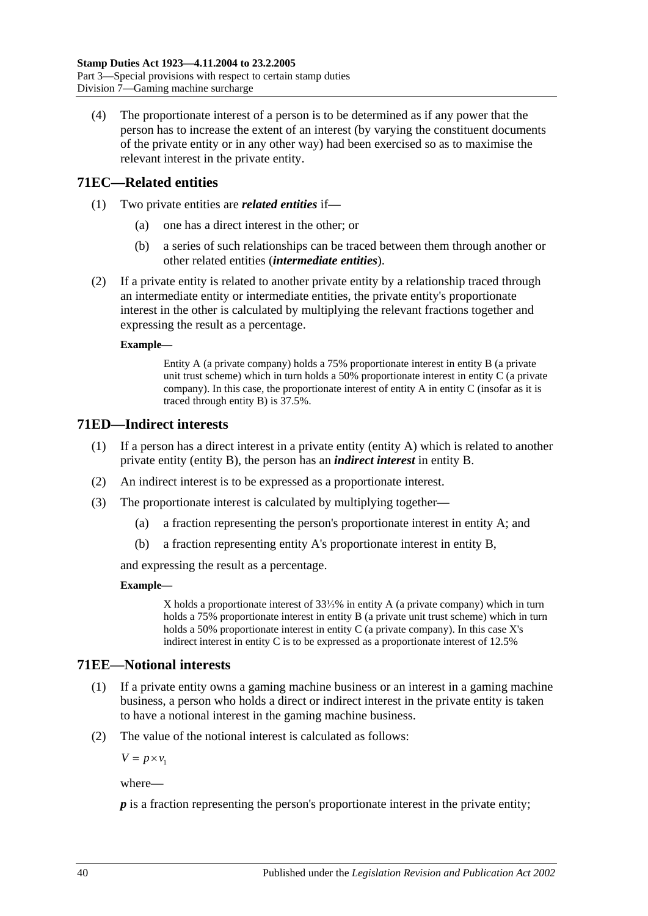(4) The proportionate interest of a person is to be determined as if any power that the person has to increase the extent of an interest (by varying the constituent documents of the private entity or in any other way) had been exercised so as to maximise the relevant interest in the private entity.

# <span id="page-57-3"></span>**71EC—Related entities**

- (1) Two private entities are *related entities* if—
	- (a) one has a direct interest in the other; or
	- (b) a series of such relationships can be traced between them through another or other related entities (*intermediate entities*).
- <span id="page-57-1"></span>(2) If a private entity is related to another private entity by a relationship traced through an intermediate entity or intermediate entities, the private entity's proportionate interest in the other is calculated by multiplying the relevant fractions together and expressing the result as a percentage.

#### **Example—**

Entity A (a private company) holds a 75% proportionate interest in entity B (a private unit trust scheme) which in turn holds a 50% proportionate interest in entity C (a private company). In this case, the proportionate interest of entity A in entity C (insofar as it is traced through entity B) is 37.5%.

# <span id="page-57-0"></span>**71ED—Indirect interests**

- (1) If a person has a direct interest in a private entity (entity A) which is related to another private entity (entity B), the person has an *indirect interest* in entity B.
- (2) An indirect interest is to be expressed as a proportionate interest.
- <span id="page-57-2"></span>(3) The proportionate interest is calculated by multiplying together—
	- (a) a fraction representing the person's proportionate interest in entity A; and
	- (b) a fraction representing entity A's proportionate interest in entity B,

and expressing the result as a percentage.

#### **Example—**

X holds a proportionate interest of 33⅓% in entity A (a private company) which in turn holds a 75% proportionate interest in entity B (a private unit trust scheme) which in turn holds a 50% proportionate interest in entity C (a private company). In this case X's indirect interest in entity C is to be expressed as a proportionate interest of 12.5%

# **71EE—Notional interests**

- (1) If a private entity owns a gaming machine business or an interest in a gaming machine business, a person who holds a direct or indirect interest in the private entity is taken to have a notional interest in the gaming machine business.
- (2) The value of the notional interest is calculated as follows:

 $V = p \times v_1$ 

where—

*p* is a fraction representing the person's proportionate interest in the private entity;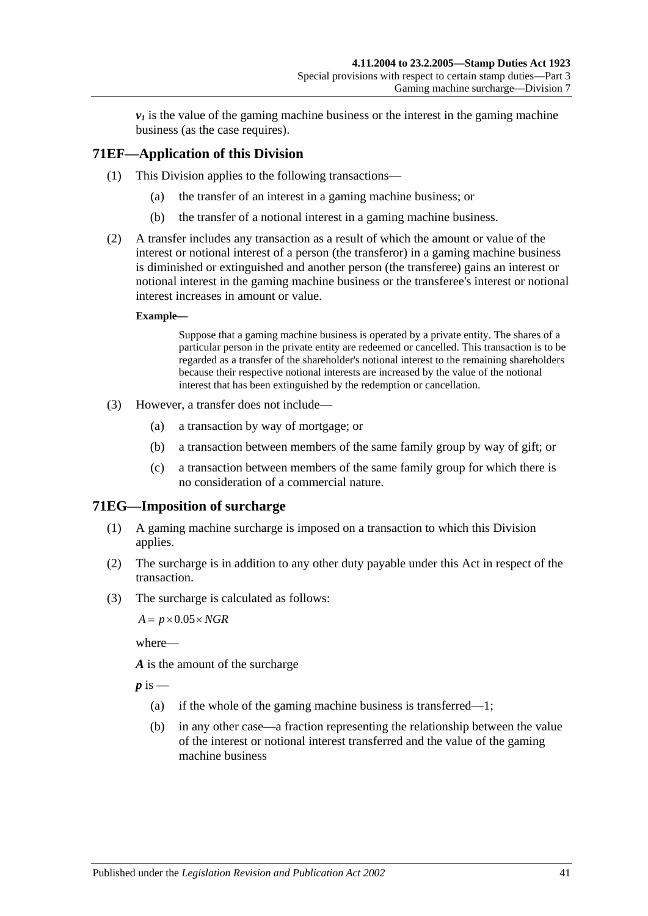$\nu_1$  is the value of the gaming machine business or the interest in the gaming machine business (as the case requires).

# **71EF—Application of this Division**

- (1) This Division applies to the following transactions—
	- (a) the transfer of an interest in a gaming machine business; or
	- (b) the transfer of a notional interest in a gaming machine business.
- (2) A transfer includes any transaction as a result of which the amount or value of the interest or notional interest of a person (the transferor) in a gaming machine business is diminished or extinguished and another person (the transferee) gains an interest or notional interest in the gaming machine business or the transferee's interest or notional interest increases in amount or value.

#### **Example—**

Suppose that a gaming machine business is operated by a private entity. The shares of a particular person in the private entity are redeemed or cancelled. This transaction is to be regarded as a transfer of the shareholder's notional interest to the remaining shareholders because their respective notional interests are increased by the value of the notional interest that has been extinguished by the redemption or cancellation.

- (3) However, a transfer does not include—
	- (a) a transaction by way of mortgage; or
	- (b) a transaction between members of the same family group by way of gift; or
	- (c) a transaction between members of the same family group for which there is no consideration of a commercial nature.

# **71EG—Imposition of surcharge**

- (1) A gaming machine surcharge is imposed on a transaction to which this Division applies.
- (2) The surcharge is in addition to any other duty payable under this Act in respect of the transaction.
- (3) The surcharge is calculated as follows:

 $A = p \times 0.05 \times NGR$ 

where—

*A* is the amount of the surcharge

 $p$  is  $-$ 

- (a) if the whole of the gaming machine business is transferred—1;
- (b) in any other case—a fraction representing the relationship between the value of the interest or notional interest transferred and the value of the gaming machine business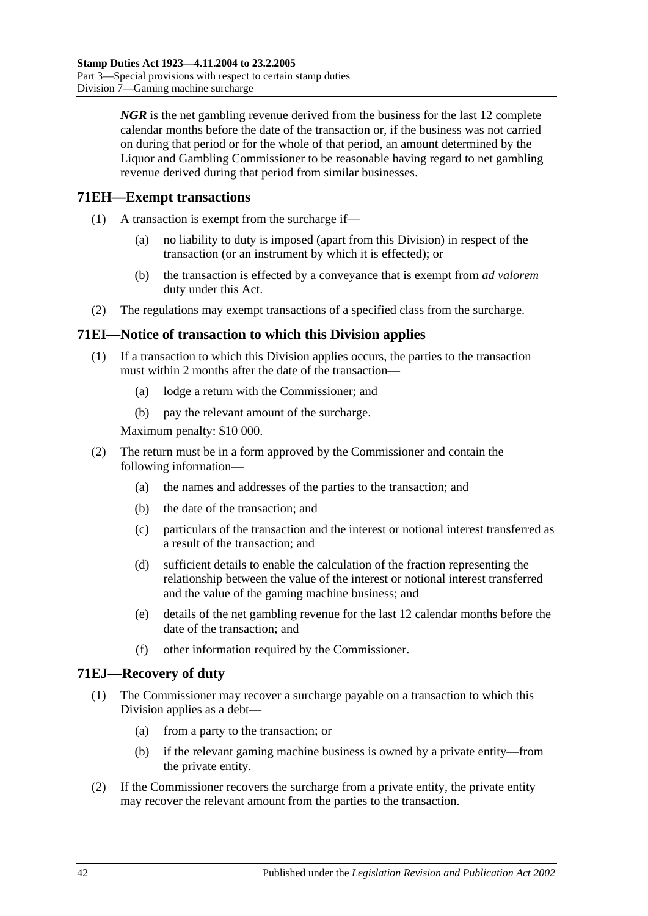*NGR* is the net gambling revenue derived from the business for the last 12 complete calendar months before the date of the transaction or, if the business was not carried on during that period or for the whole of that period, an amount determined by the Liquor and Gambling Commissioner to be reasonable having regard to net gambling revenue derived during that period from similar businesses.

# **71EH—Exempt transactions**

- (1) A transaction is exempt from the surcharge if—
	- (a) no liability to duty is imposed (apart from this Division) in respect of the transaction (or an instrument by which it is effected); or
	- (b) the transaction is effected by a conveyance that is exempt from *ad valorem* duty under this Act.
- (2) The regulations may exempt transactions of a specified class from the surcharge.

# **71EI—Notice of transaction to which this Division applies**

- (1) If a transaction to which this Division applies occurs, the parties to the transaction must within 2 months after the date of the transaction—
	- (a) lodge a return with the Commissioner; and
	- (b) pay the relevant amount of the surcharge.

Maximum penalty: \$10 000.

- (2) The return must be in a form approved by the Commissioner and contain the following information—
	- (a) the names and addresses of the parties to the transaction; and
	- (b) the date of the transaction; and
	- (c) particulars of the transaction and the interest or notional interest transferred as a result of the transaction; and
	- (d) sufficient details to enable the calculation of the fraction representing the relationship between the value of the interest or notional interest transferred and the value of the gaming machine business; and
	- (e) details of the net gambling revenue for the last 12 calendar months before the date of the transaction; and
	- (f) other information required by the Commissioner.

# **71EJ—Recovery of duty**

- (1) The Commissioner may recover a surcharge payable on a transaction to which this Division applies as a debt—
	- (a) from a party to the transaction; or
	- (b) if the relevant gaming machine business is owned by a private entity—from the private entity.
- (2) If the Commissioner recovers the surcharge from a private entity, the private entity may recover the relevant amount from the parties to the transaction.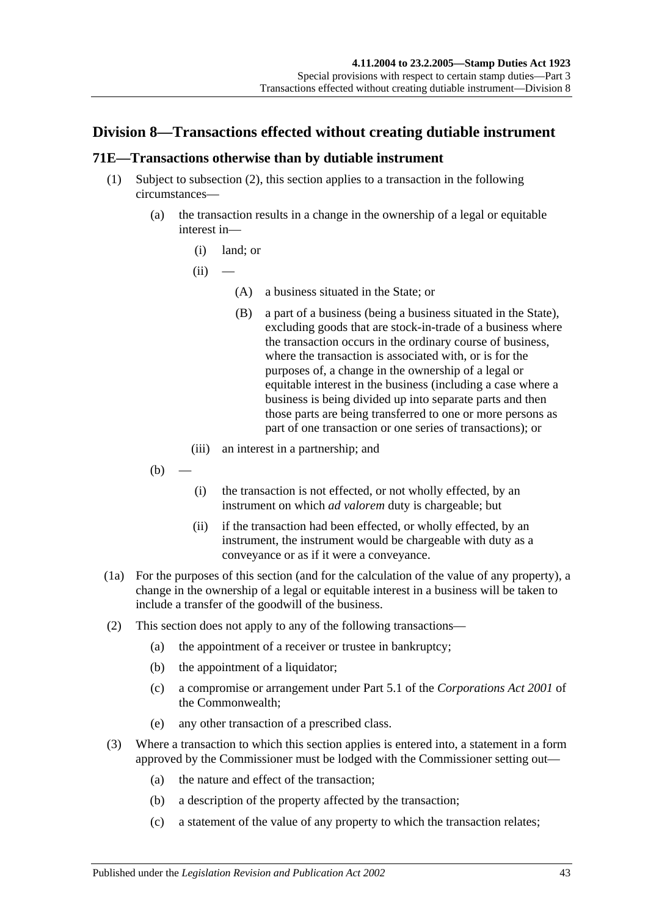# **Division 8—Transactions effected without creating dutiable instrument**

# <span id="page-60-0"></span>**71E—Transactions otherwise than by dutiable instrument**

- (1) Subject to [subsection](#page-60-1) (2), this section applies to a transaction in the following circumstances—
	- (a) the transaction results in a change in the ownership of a legal or equitable interest in—
		- (i) land; or

 $(ii)$ 

- (A) a business situated in the State; or
- (B) a part of a business (being a business situated in the State), excluding goods that are stock-in-trade of a business where the transaction occurs in the ordinary course of business, where the transaction is associated with, or is for the purposes of, a change in the ownership of a legal or equitable interest in the business (including a case where a business is being divided up into separate parts and then those parts are being transferred to one or more persons as part of one transaction or one series of transactions); or
- (iii) an interest in a partnership; and
- $(b)$
- (i) the transaction is not effected, or not wholly effected, by an instrument on which *ad valorem* duty is chargeable; but
- (ii) if the transaction had been effected, or wholly effected, by an instrument, the instrument would be chargeable with duty as a conveyance or as if it were a conveyance.
- (1a) For the purposes of this section (and for the calculation of the value of any property), a change in the ownership of a legal or equitable interest in a business will be taken to include a transfer of the goodwill of the business.
- <span id="page-60-1"></span>(2) This section does not apply to any of the following transactions—
	- (a) the appointment of a receiver or trustee in bankruptcy;
	- (b) the appointment of a liquidator;
	- (c) a compromise or arrangement under Part 5.1 of the *Corporations Act 2001* of the Commonwealth;
	- (e) any other transaction of a prescribed class.
- (3) Where a transaction to which this section applies is entered into, a statement in a form approved by the Commissioner must be lodged with the Commissioner setting out—
	- (a) the nature and effect of the transaction;
	- (b) a description of the property affected by the transaction;
	- (c) a statement of the value of any property to which the transaction relates;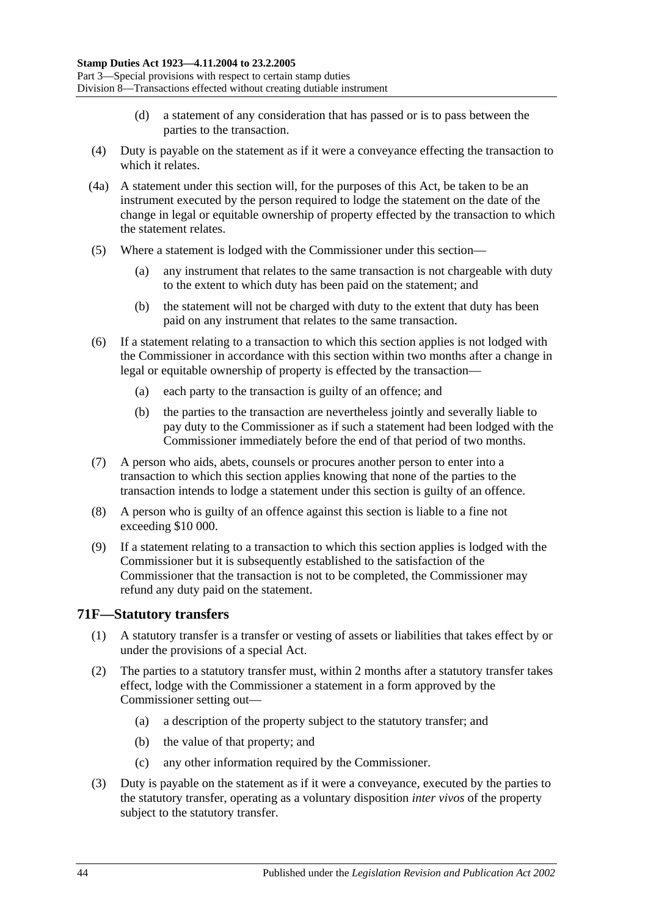- (d) a statement of any consideration that has passed or is to pass between the parties to the transaction.
- (4) Duty is payable on the statement as if it were a conveyance effecting the transaction to which it relates.
- (4a) A statement under this section will, for the purposes of this Act, be taken to be an instrument executed by the person required to lodge the statement on the date of the change in legal or equitable ownership of property effected by the transaction to which the statement relates.
- (5) Where a statement is lodged with the Commissioner under this section—
	- (a) any instrument that relates to the same transaction is not chargeable with duty to the extent to which duty has been paid on the statement; and
	- (b) the statement will not be charged with duty to the extent that duty has been paid on any instrument that relates to the same transaction.
- (6) If a statement relating to a transaction to which this section applies is not lodged with the Commissioner in accordance with this section within two months after a change in legal or equitable ownership of property is effected by the transaction—
	- (a) each party to the transaction is guilty of an offence; and
	- (b) the parties to the transaction are nevertheless jointly and severally liable to pay duty to the Commissioner as if such a statement had been lodged with the Commissioner immediately before the end of that period of two months.
- (7) A person who aids, abets, counsels or procures another person to enter into a transaction to which this section applies knowing that none of the parties to the transaction intends to lodge a statement under this section is guilty of an offence.
- (8) A person who is guilty of an offence against this section is liable to a fine not exceeding \$10 000.
- (9) If a statement relating to a transaction to which this section applies is lodged with the Commissioner but it is subsequently established to the satisfaction of the Commissioner that the transaction is not to be completed, the Commissioner may refund any duty paid on the statement.

# **71F—Statutory transfers**

- (1) A statutory transfer is a transfer or vesting of assets or liabilities that takes effect by or under the provisions of a special Act.
- (2) The parties to a statutory transfer must, within 2 months after a statutory transfer takes effect, lodge with the Commissioner a statement in a form approved by the Commissioner setting out—
	- (a) a description of the property subject to the statutory transfer; and
	- (b) the value of that property; and
	- (c) any other information required by the Commissioner.
- (3) Duty is payable on the statement as if it were a conveyance, executed by the parties to the statutory transfer, operating as a voluntary disposition *inter vivos* of the property subject to the statutory transfer.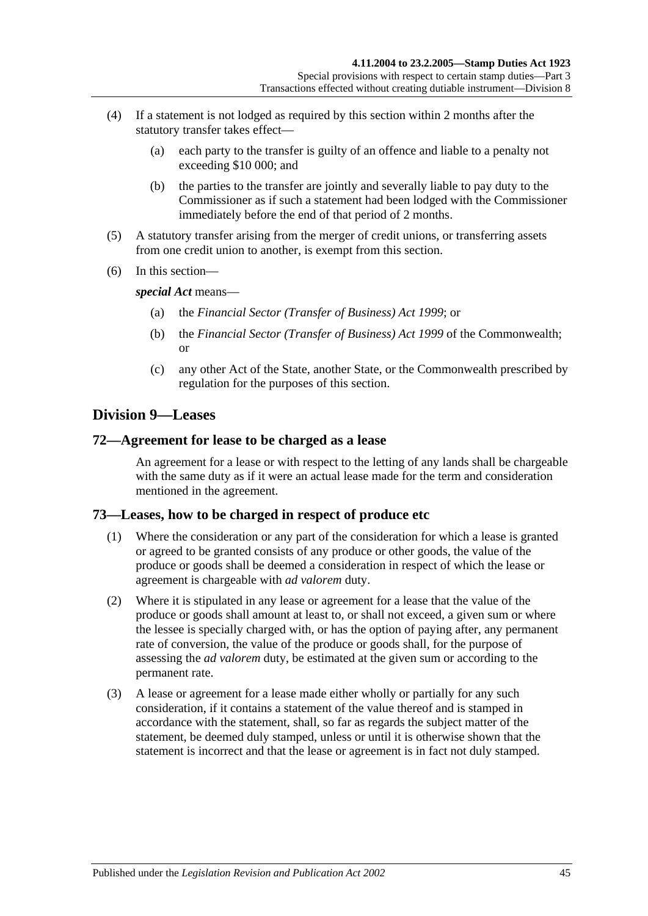- (4) If a statement is not lodged as required by this section within 2 months after the statutory transfer takes effect—
	- (a) each party to the transfer is guilty of an offence and liable to a penalty not exceeding \$10 000; and
	- (b) the parties to the transfer are jointly and severally liable to pay duty to the Commissioner as if such a statement had been lodged with the Commissioner immediately before the end of that period of 2 months.
- (5) A statutory transfer arising from the merger of credit unions, or transferring assets from one credit union to another, is exempt from this section.
- (6) In this section—

*special Act* means—

- (a) the *[Financial Sector \(Transfer of Business\) Act](http://www.legislation.sa.gov.au/index.aspx?action=legref&type=act&legtitle=Financial%20Sector%20(Transfer%20of%20Business)%20Act%201999) 1999*; or
- (b) the *Financial Sector (Transfer of Business) Act 1999* of the Commonwealth; or
- (c) any other Act of the State, another State, or the Commonwealth prescribed by regulation for the purposes of this section.

# **Division 9—Leases**

### **72—Agreement for lease to be charged as a lease**

An agreement for a lease or with respect to the letting of any lands shall be chargeable with the same duty as if it were an actual lease made for the term and consideration mentioned in the agreement.

# **73—Leases, how to be charged in respect of produce etc**

- (1) Where the consideration or any part of the consideration for which a lease is granted or agreed to be granted consists of any produce or other goods, the value of the produce or goods shall be deemed a consideration in respect of which the lease or agreement is chargeable with *ad valorem* duty.
- (2) Where it is stipulated in any lease or agreement for a lease that the value of the produce or goods shall amount at least to, or shall not exceed, a given sum or where the lessee is specially charged with, or has the option of paying after, any permanent rate of conversion, the value of the produce or goods shall, for the purpose of assessing the *ad valorem* duty, be estimated at the given sum or according to the permanent rate.
- (3) A lease or agreement for a lease made either wholly or partially for any such consideration, if it contains a statement of the value thereof and is stamped in accordance with the statement, shall, so far as regards the subject matter of the statement, be deemed duly stamped, unless or until it is otherwise shown that the statement is incorrect and that the lease or agreement is in fact not duly stamped.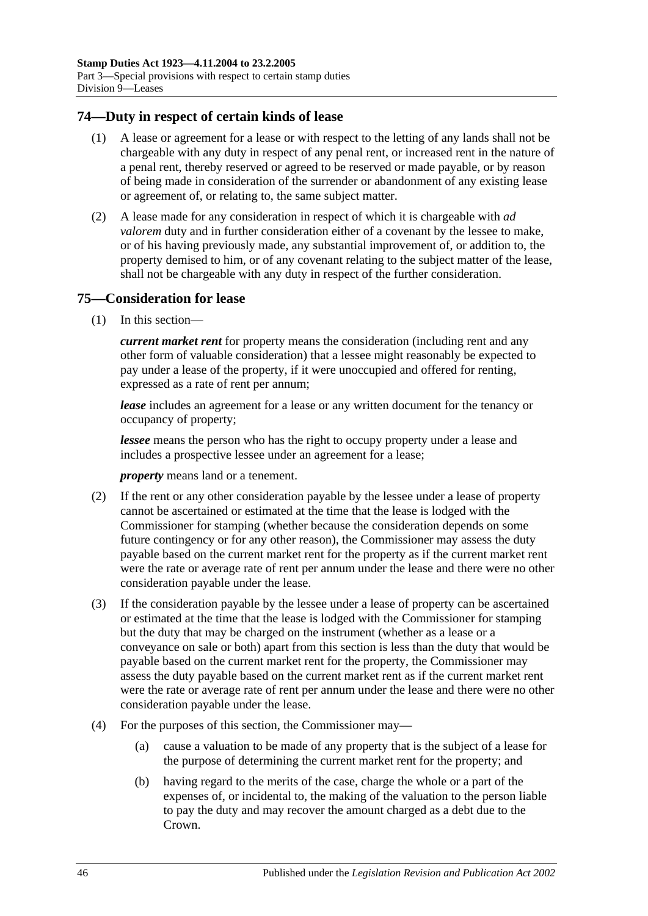## **74—Duty in respect of certain kinds of lease**

- (1) A lease or agreement for a lease or with respect to the letting of any lands shall not be chargeable with any duty in respect of any penal rent, or increased rent in the nature of a penal rent, thereby reserved or agreed to be reserved or made payable, or by reason of being made in consideration of the surrender or abandonment of any existing lease or agreement of, or relating to, the same subject matter.
- (2) A lease made for any consideration in respect of which it is chargeable with *ad valorem* duty and in further consideration either of a covenant by the lessee to make, or of his having previously made, any substantial improvement of, or addition to, the property demised to him, or of any covenant relating to the subject matter of the lease, shall not be chargeable with any duty in respect of the further consideration.

### **75—Consideration for lease**

(1) In this section—

*current market rent* for property means the consideration (including rent and any other form of valuable consideration) that a lessee might reasonably be expected to pay under a lease of the property, if it were unoccupied and offered for renting, expressed as a rate of rent per annum;

*lease* includes an agreement for a lease or any written document for the tenancy or occupancy of property;

*lessee* means the person who has the right to occupy property under a lease and includes a prospective lessee under an agreement for a lease;

*property* means land or a tenement.

- (2) If the rent or any other consideration payable by the lessee under a lease of property cannot be ascertained or estimated at the time that the lease is lodged with the Commissioner for stamping (whether because the consideration depends on some future contingency or for any other reason), the Commissioner may assess the duty payable based on the current market rent for the property as if the current market rent were the rate or average rate of rent per annum under the lease and there were no other consideration payable under the lease.
- (3) If the consideration payable by the lessee under a lease of property can be ascertained or estimated at the time that the lease is lodged with the Commissioner for stamping but the duty that may be charged on the instrument (whether as a lease or a conveyance on sale or both) apart from this section is less than the duty that would be payable based on the current market rent for the property, the Commissioner may assess the duty payable based on the current market rent as if the current market rent were the rate or average rate of rent per annum under the lease and there were no other consideration payable under the lease.
- (4) For the purposes of this section, the Commissioner may—
	- (a) cause a valuation to be made of any property that is the subject of a lease for the purpose of determining the current market rent for the property; and
	- (b) having regard to the merits of the case, charge the whole or a part of the expenses of, or incidental to, the making of the valuation to the person liable to pay the duty and may recover the amount charged as a debt due to the Crown.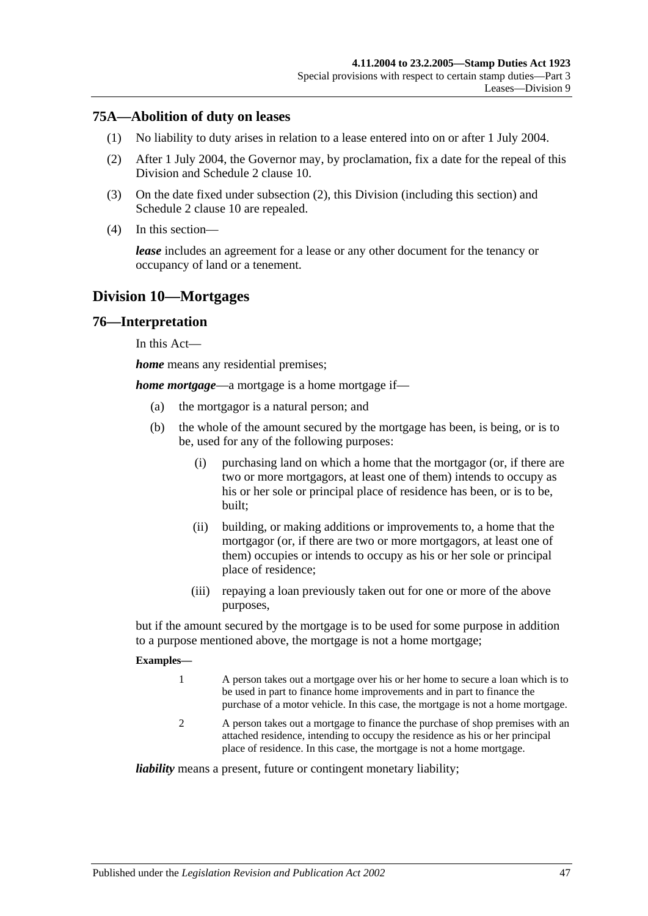# **75A—Abolition of duty on leases**

- (1) No liability to duty arises in relation to a lease entered into on or after 1 July 2004.
- <span id="page-64-0"></span>(2) After 1 July 2004, the Governor may, by proclamation, fix a date for the repeal of this Division and Schedule 2 clause 10.
- (3) On the date fixed under [subsection](#page-64-0) (2), this Division (including this section) and Schedule 2 clause 10 are repealed.
- (4) In this section—

*lease* includes an agreement for a lease or any other document for the tenancy or occupancy of land or a tenement.

# **Division 10—Mortgages**

#### **76—Interpretation**

In this Act—

*home* means any residential premises;

*home mortgage*—a mortgage is a home mortgage if—

- (a) the mortgagor is a natural person; and
- (b) the whole of the amount secured by the mortgage has been, is being, or is to be, used for any of the following purposes:
	- (i) purchasing land on which a home that the mortgagor (or, if there are two or more mortgagors, at least one of them) intends to occupy as his or her sole or principal place of residence has been, or is to be, built;
	- (ii) building, or making additions or improvements to, a home that the mortgagor (or, if there are two or more mortgagors, at least one of them) occupies or intends to occupy as his or her sole or principal place of residence;
	- (iii) repaying a loan previously taken out for one or more of the above purposes,

but if the amount secured by the mortgage is to be used for some purpose in addition to a purpose mentioned above, the mortgage is not a home mortgage;

#### **Examples—**

- 1 A person takes out a mortgage over his or her home to secure a loan which is to be used in part to finance home improvements and in part to finance the purchase of a motor vehicle. In this case, the mortgage is not a home mortgage.
- 2 A person takes out a mortgage to finance the purchase of shop premises with an attached residence, intending to occupy the residence as his or her principal place of residence. In this case, the mortgage is not a home mortgage.

*liability* means a present, future or contingent monetary liability;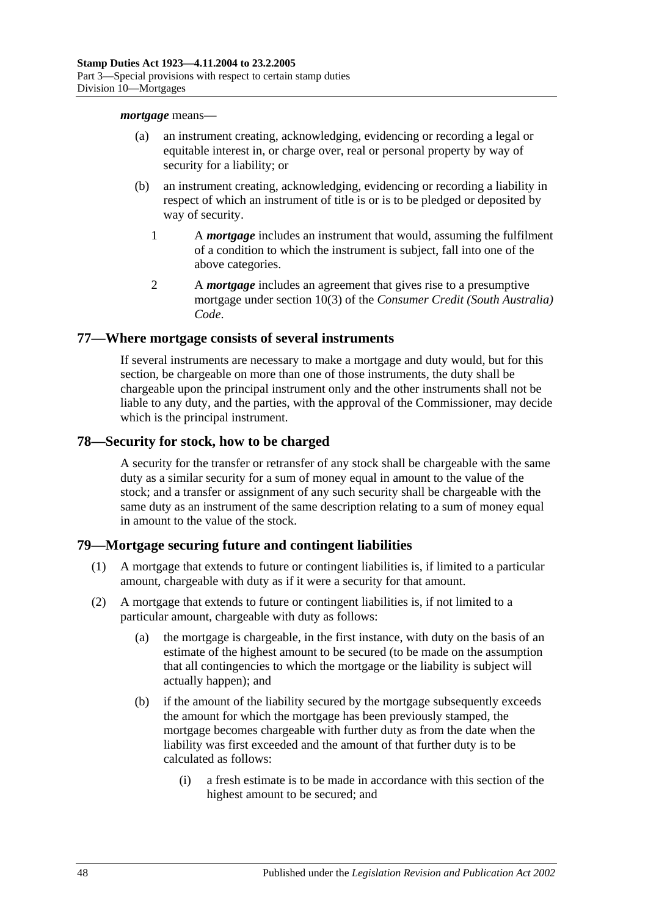#### *mortgage* means—

- (a) an instrument creating, acknowledging, evidencing or recording a legal or equitable interest in, or charge over, real or personal property by way of security for a liability; or
- (b) an instrument creating, acknowledging, evidencing or recording a liability in respect of which an instrument of title is or is to be pledged or deposited by way of security.
	- 1 A *mortgage* includes an instrument that would, assuming the fulfilment of a condition to which the instrument is subject, fall into one of the above categories.
	- 2 A *mortgage* includes an agreement that gives rise to a presumptive mortgage under section 10(3) of the *Consumer Credit (South Australia) Code*.

### **77—Where mortgage consists of several instruments**

If several instruments are necessary to make a mortgage and duty would, but for this section, be chargeable on more than one of those instruments, the duty shall be chargeable upon the principal instrument only and the other instruments shall not be liable to any duty, and the parties, with the approval of the Commissioner, may decide which is the principal instrument.

### **78—Security for stock, how to be charged**

A security for the transfer or retransfer of any stock shall be chargeable with the same duty as a similar security for a sum of money equal in amount to the value of the stock; and a transfer or assignment of any such security shall be chargeable with the same duty as an instrument of the same description relating to a sum of money equal in amount to the value of the stock.

# **79—Mortgage securing future and contingent liabilities**

- (1) A mortgage that extends to future or contingent liabilities is, if limited to a particular amount, chargeable with duty as if it were a security for that amount.
- <span id="page-65-1"></span><span id="page-65-0"></span>(2) A mortgage that extends to future or contingent liabilities is, if not limited to a particular amount, chargeable with duty as follows:
	- (a) the mortgage is chargeable, in the first instance, with duty on the basis of an estimate of the highest amount to be secured (to be made on the assumption that all contingencies to which the mortgage or the liability is subject will actually happen); and
	- (b) if the amount of the liability secured by the mortgage subsequently exceeds the amount for which the mortgage has been previously stamped, the mortgage becomes chargeable with further duty as from the date when the liability was first exceeded and the amount of that further duty is to be calculated as follows:
		- (i) a fresh estimate is to be made in accordance with this section of the highest amount to be secured; and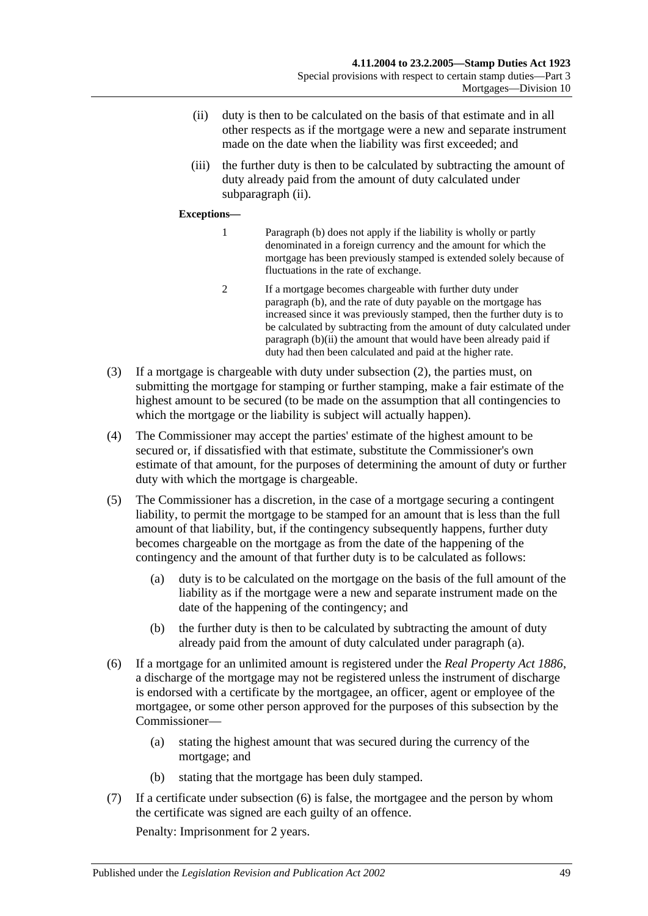- <span id="page-66-0"></span>(ii) duty is then to be calculated on the basis of that estimate and in all other respects as if the mortgage were a new and separate instrument made on the date when the liability was first exceeded; and
- (iii) the further duty is then to be calculated by subtracting the amount of duty already paid from the amount of duty calculated under [subparagraph](#page-66-0) (ii).

#### **Exceptions—**

- 1 [Paragraph](#page-65-0) (b) does not apply if the liability is wholly or partly denominated in a foreign currency and the amount for which the mortgage has been previously stamped is extended solely because of fluctuations in the rate of exchange.
- 2 If a mortgage becomes chargeable with further duty under [paragraph](#page-65-0) (b), and the rate of duty payable on the mortgage has increased since it was previously stamped, then the further duty is to be calculated by subtracting from the amount of duty calculated under [paragraph](#page-66-0) (b)(ii) the amount that would have been already paid if duty had then been calculated and paid at the higher rate.
- (3) If a mortgage is chargeable with duty under [subsection](#page-65-1) (2), the parties must, on submitting the mortgage for stamping or further stamping, make a fair estimate of the highest amount to be secured (to be made on the assumption that all contingencies to which the mortgage or the liability is subject will actually happen).
- (4) The Commissioner may accept the parties' estimate of the highest amount to be secured or, if dissatisfied with that estimate, substitute the Commissioner's own estimate of that amount, for the purposes of determining the amount of duty or further duty with which the mortgage is chargeable.
- <span id="page-66-1"></span>(5) The Commissioner has a discretion, in the case of a mortgage securing a contingent liability, to permit the mortgage to be stamped for an amount that is less than the full amount of that liability, but, if the contingency subsequently happens, further duty becomes chargeable on the mortgage as from the date of the happening of the contingency and the amount of that further duty is to be calculated as follows:
	- (a) duty is to be calculated on the mortgage on the basis of the full amount of the liability as if the mortgage were a new and separate instrument made on the date of the happening of the contingency; and
	- (b) the further duty is then to be calculated by subtracting the amount of duty already paid from the amount of duty calculated under [paragraph](#page-66-1) (a).
- <span id="page-66-2"></span>(6) If a mortgage for an unlimited amount is registered under the *[Real Property Act](http://www.legislation.sa.gov.au/index.aspx?action=legref&type=act&legtitle=Real%20Property%20Act%201886) 1886*, a discharge of the mortgage may not be registered unless the instrument of discharge is endorsed with a certificate by the mortgagee, an officer, agent or employee of the mortgagee, or some other person approved for the purposes of this subsection by the Commissioner—
	- (a) stating the highest amount that was secured during the currency of the mortgage; and
	- (b) stating that the mortgage has been duly stamped.
- (7) If a certificate under [subsection](#page-66-2) (6) is false, the mortgagee and the person by whom the certificate was signed are each guilty of an offence. Penalty: Imprisonment for 2 years.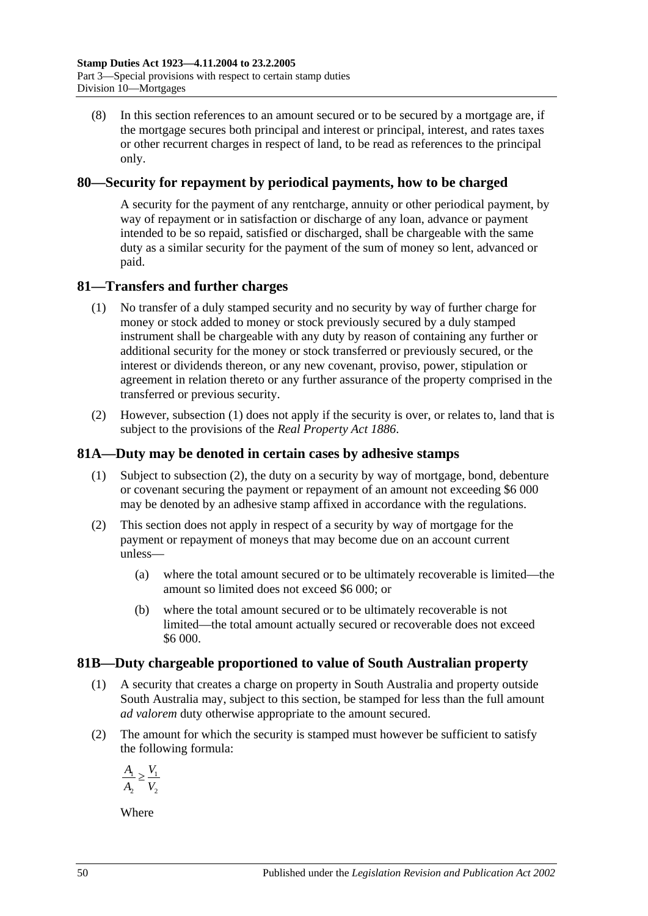(8) In this section references to an amount secured or to be secured by a mortgage are, if the mortgage secures both principal and interest or principal, interest, and rates taxes or other recurrent charges in respect of land, to be read as references to the principal only.

# **80—Security for repayment by periodical payments, how to be charged**

A security for the payment of any rentcharge, annuity or other periodical payment, by way of repayment or in satisfaction or discharge of any loan, advance or payment intended to be so repaid, satisfied or discharged, shall be chargeable with the same duty as a similar security for the payment of the sum of money so lent, advanced or paid.

# <span id="page-67-0"></span>**81—Transfers and further charges**

- (1) No transfer of a duly stamped security and no security by way of further charge for money or stock added to money or stock previously secured by a duly stamped instrument shall be chargeable with any duty by reason of containing any further or additional security for the money or stock transferred or previously secured, or the interest or dividends thereon, or any new covenant, proviso, power, stipulation or agreement in relation thereto or any further assurance of the property comprised in the transferred or previous security.
- (2) However, [subsection](#page-67-0) (1) does not apply if the security is over, or relates to, land that is subject to the provisions of the *[Real Property Act](http://www.legislation.sa.gov.au/index.aspx?action=legref&type=act&legtitle=Real%20Property%20Act%201886) 1886*.

# **81A—Duty may be denoted in certain cases by adhesive stamps**

- (1) Subject to [subsection](#page-67-1) (2), the duty on a security by way of mortgage, bond, debenture or covenant securing the payment or repayment of an amount not exceeding \$6 000 may be denoted by an adhesive stamp affixed in accordance with the regulations.
- <span id="page-67-1"></span>(2) This section does not apply in respect of a security by way of mortgage for the payment or repayment of moneys that may become due on an account current unless—
	- (a) where the total amount secured or to be ultimately recoverable is limited—the amount so limited does not exceed \$6 000; or
	- (b) where the total amount secured or to be ultimately recoverable is not limited—the total amount actually secured or recoverable does not exceed \$6 000.

# **81B—Duty chargeable proportioned to value of South Australian property**

- (1) A security that creates a charge on property in South Australia and property outside South Australia may, subject to this section, be stamped for less than the full amount *ad valorem* duty otherwise appropriate to the amount secured.
- (2) The amount for which the security is stamped must however be sufficient to satisfy the following formula:

$$
\frac{A_1}{A_2} \ge \frac{V_1}{V_2}
$$

Where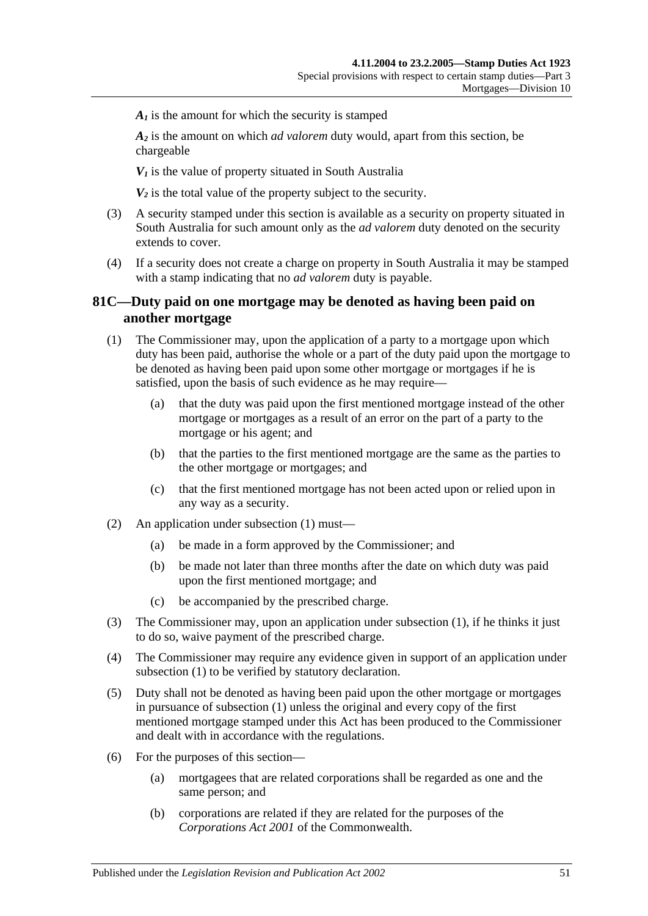$A<sub>i</sub>$  is the amount for which the security is stamped

*A2* is the amount on which *ad valorem* duty would, apart from this section, be chargeable

 $V_1$  is the value of property situated in South Australia

 $V_2$  is the total value of the property subject to the security.

- (3) A security stamped under this section is available as a security on property situated in South Australia for such amount only as the *ad valorem* duty denoted on the security extends to cover.
- (4) If a security does not create a charge on property in South Australia it may be stamped with a stamp indicating that no *ad valorem* duty is payable.

# **81C—Duty paid on one mortgage may be denoted as having been paid on another mortgage**

- <span id="page-68-0"></span>(1) The Commissioner may, upon the application of a party to a mortgage upon which duty has been paid, authorise the whole or a part of the duty paid upon the mortgage to be denoted as having been paid upon some other mortgage or mortgages if he is satisfied, upon the basis of such evidence as he may require—
	- (a) that the duty was paid upon the first mentioned mortgage instead of the other mortgage or mortgages as a result of an error on the part of a party to the mortgage or his agent; and
	- (b) that the parties to the first mentioned mortgage are the same as the parties to the other mortgage or mortgages; and
	- (c) that the first mentioned mortgage has not been acted upon or relied upon in any way as a security.
- (2) An application under [subsection](#page-68-0) (1) must—
	- (a) be made in a form approved by the Commissioner; and
	- (b) be made not later than three months after the date on which duty was paid upon the first mentioned mortgage; and
	- (c) be accompanied by the prescribed charge.
- (3) The Commissioner may, upon an application under [subsection](#page-68-0) (1), if he thinks it just to do so, waive payment of the prescribed charge.
- (4) The Commissioner may require any evidence given in support of an application under [subsection](#page-68-0) (1) to be verified by statutory declaration.
- (5) Duty shall not be denoted as having been paid upon the other mortgage or mortgages in pursuance of [subsection](#page-68-0) (1) unless the original and every copy of the first mentioned mortgage stamped under this Act has been produced to the Commissioner and dealt with in accordance with the regulations.
- (6) For the purposes of this section—
	- (a) mortgagees that are related corporations shall be regarded as one and the same person; and
	- (b) corporations are related if they are related for the purposes of the *Corporations Act 2001* of the Commonwealth.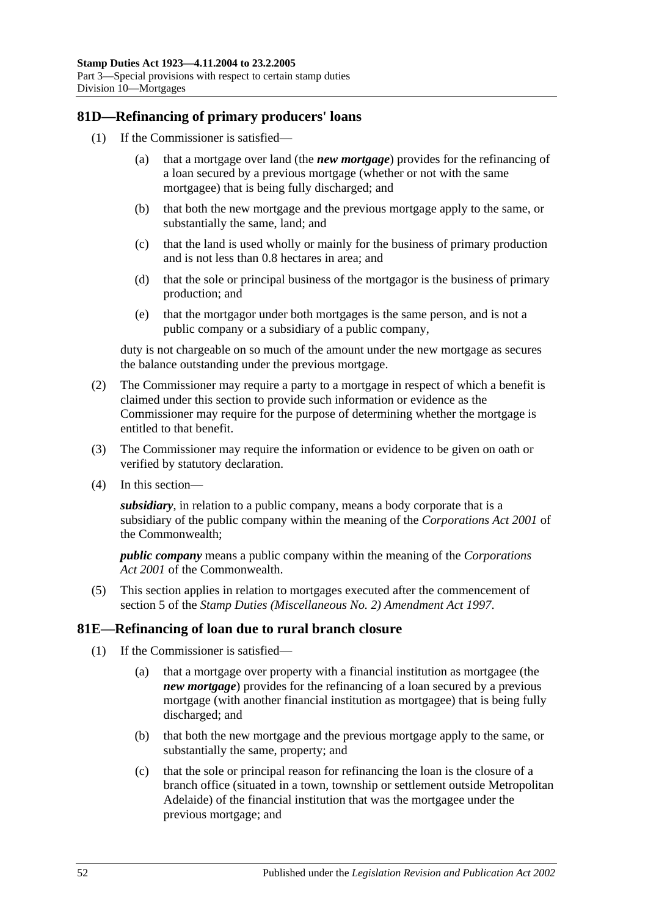# **81D—Refinancing of primary producers' loans**

- (1) If the Commissioner is satisfied—
	- (a) that a mortgage over land (the *new mortgage*) provides for the refinancing of a loan secured by a previous mortgage (whether or not with the same mortgagee) that is being fully discharged; and
	- (b) that both the new mortgage and the previous mortgage apply to the same, or substantially the same, land; and
	- (c) that the land is used wholly or mainly for the business of primary production and is not less than 0.8 hectares in area; and
	- (d) that the sole or principal business of the mortgagor is the business of primary production; and
	- (e) that the mortgagor under both mortgages is the same person, and is not a public company or a subsidiary of a public company,

duty is not chargeable on so much of the amount under the new mortgage as secures the balance outstanding under the previous mortgage.

- (2) The Commissioner may require a party to a mortgage in respect of which a benefit is claimed under this section to provide such information or evidence as the Commissioner may require for the purpose of determining whether the mortgage is entitled to that benefit.
- (3) The Commissioner may require the information or evidence to be given on oath or verified by statutory declaration.
- (4) In this section—

*subsidiary*, in relation to a public company, means a body corporate that is a subsidiary of the public company within the meaning of the *Corporations Act 2001* of the Commonwealth;

*public company* means a public company within the meaning of the *Corporations Act 2001* of the Commonwealth.

(5) This section applies in relation to mortgages executed after the commencement of section 5 of the *[Stamp Duties \(Miscellaneous No. 2\) Amendment Act](http://www.legislation.sa.gov.au/index.aspx?action=legref&type=act&legtitle=Stamp%20Duties%20(Miscellaneous%20No.%202)%20Amendment%20Act%201997) 1997*.

#### **81E—Refinancing of loan due to rural branch closure**

- (1) If the Commissioner is satisfied—
	- (a) that a mortgage over property with a financial institution as mortgagee (the *new mortgage*) provides for the refinancing of a loan secured by a previous mortgage (with another financial institution as mortgagee) that is being fully discharged; and
	- (b) that both the new mortgage and the previous mortgage apply to the same, or substantially the same, property; and
	- (c) that the sole or principal reason for refinancing the loan is the closure of a branch office (situated in a town, township or settlement outside Metropolitan Adelaide) of the financial institution that was the mortgagee under the previous mortgage; and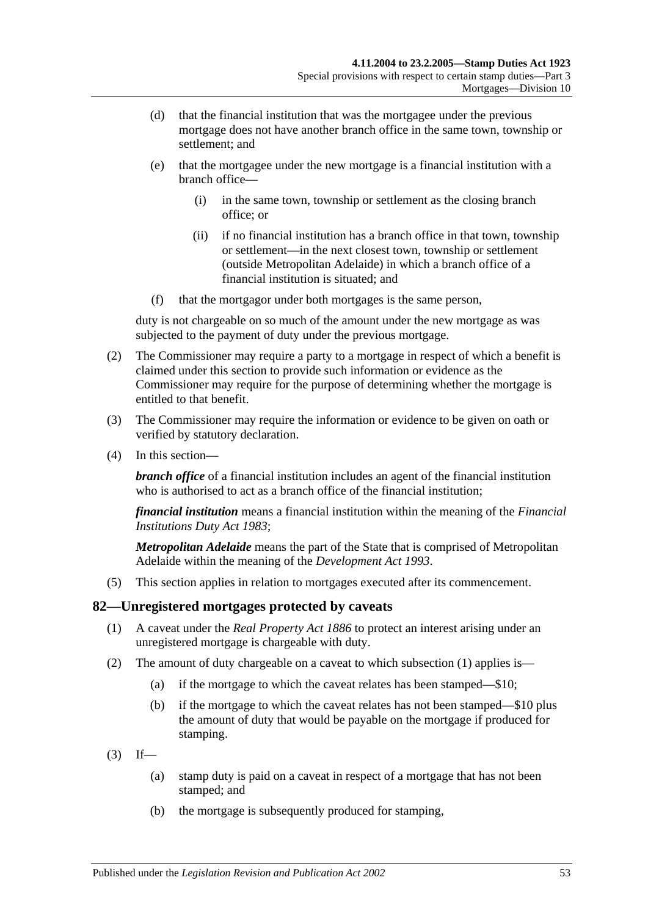- (d) that the financial institution that was the mortgagee under the previous mortgage does not have another branch office in the same town, township or settlement; and
- (e) that the mortgagee under the new mortgage is a financial institution with a branch office—
	- (i) in the same town, township or settlement as the closing branch office; or
	- (ii) if no financial institution has a branch office in that town, township or settlement—in the next closest town, township or settlement (outside Metropolitan Adelaide) in which a branch office of a financial institution is situated; and
- (f) that the mortgagor under both mortgages is the same person,

duty is not chargeable on so much of the amount under the new mortgage as was subjected to the payment of duty under the previous mortgage.

- (2) The Commissioner may require a party to a mortgage in respect of which a benefit is claimed under this section to provide such information or evidence as the Commissioner may require for the purpose of determining whether the mortgage is entitled to that benefit.
- (3) The Commissioner may require the information or evidence to be given on oath or verified by statutory declaration.
- (4) In this section—

*branch office* of a financial institution includes an agent of the financial institution who is authorised to act as a branch office of the financial institution:

*financial institution* means a financial institution within the meaning of the *[Financial](http://www.legislation.sa.gov.au/index.aspx?action=legref&type=act&legtitle=Financial%20Institutions%20Duty%20Act%201983)  [Institutions Duty Act](http://www.legislation.sa.gov.au/index.aspx?action=legref&type=act&legtitle=Financial%20Institutions%20Duty%20Act%201983) 1983*;

*Metropolitan Adelaide* means the part of the State that is comprised of Metropolitan Adelaide within the meaning of the *[Development Act](http://www.legislation.sa.gov.au/index.aspx?action=legref&type=act&legtitle=Development%20Act%201993) 1993*.

(5) This section applies in relation to mortgages executed after its commencement.

#### <span id="page-70-0"></span>**82—Unregistered mortgages protected by caveats**

- (1) A caveat under the *[Real Property Act](http://www.legislation.sa.gov.au/index.aspx?action=legref&type=act&legtitle=Real%20Property%20Act%201886) 1886* to protect an interest arising under an unregistered mortgage is chargeable with duty.
- (2) The amount of duty chargeable on a caveat to which [subsection](#page-70-0) (1) applies is—
	- (a) if the mortgage to which the caveat relates has been stamped—\$10;
	- (b) if the mortgage to which the caveat relates has not been stamped—\$10 plus the amount of duty that would be payable on the mortgage if produced for stamping.
- $(3)$  If—
	- (a) stamp duty is paid on a caveat in respect of a mortgage that has not been stamped; and
	- (b) the mortgage is subsequently produced for stamping,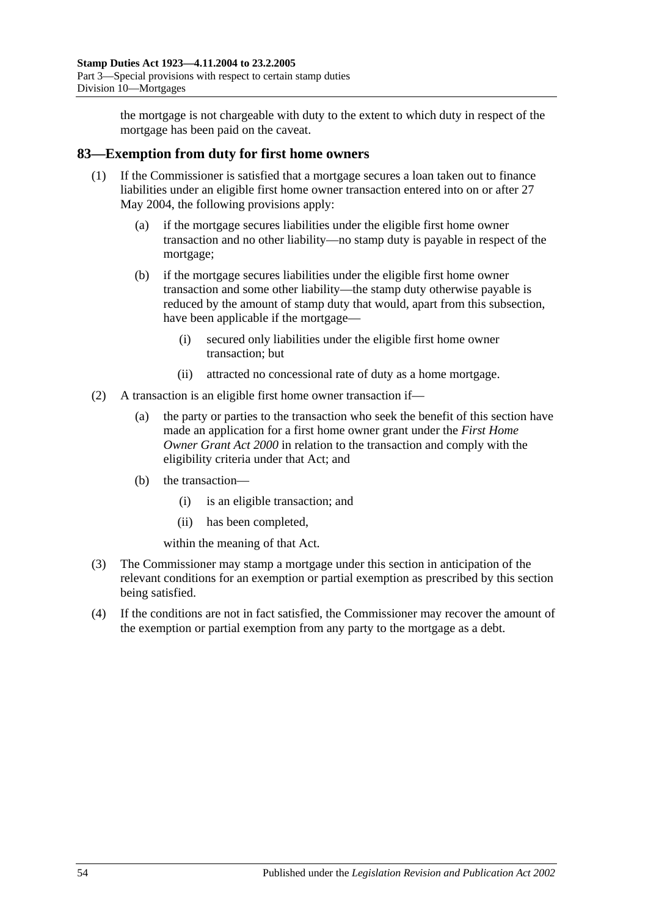the mortgage is not chargeable with duty to the extent to which duty in respect of the mortgage has been paid on the caveat.

# **83—Exemption from duty for first home owners**

- (1) If the Commissioner is satisfied that a mortgage secures a loan taken out to finance liabilities under an eligible first home owner transaction entered into on or after 27 May 2004, the following provisions apply:
	- (a) if the mortgage secures liabilities under the eligible first home owner transaction and no other liability—no stamp duty is payable in respect of the mortgage;
	- (b) if the mortgage secures liabilities under the eligible first home owner transaction and some other liability—the stamp duty otherwise payable is reduced by the amount of stamp duty that would, apart from this subsection, have been applicable if the mortgage—
		- (i) secured only liabilities under the eligible first home owner transaction; but
		- (ii) attracted no concessional rate of duty as a home mortgage.
- (2) A transaction is an eligible first home owner transaction if—
	- (a) the party or parties to the transaction who seek the benefit of this section have made an application for a first home owner grant under the *[First Home](http://www.legislation.sa.gov.au/index.aspx?action=legref&type=act&legtitle=First%20Home%20Owner%20Grant%20Act%202000)  [Owner Grant Act](http://www.legislation.sa.gov.au/index.aspx?action=legref&type=act&legtitle=First%20Home%20Owner%20Grant%20Act%202000) 2000* in relation to the transaction and comply with the eligibility criteria under that Act; and
	- (b) the transaction—
		- (i) is an eligible transaction; and
		- (ii) has been completed,

within the meaning of that Act.

- (3) The Commissioner may stamp a mortgage under this section in anticipation of the relevant conditions for an exemption or partial exemption as prescribed by this section being satisfied.
- (4) If the conditions are not in fact satisfied, the Commissioner may recover the amount of the exemption or partial exemption from any party to the mortgage as a debt.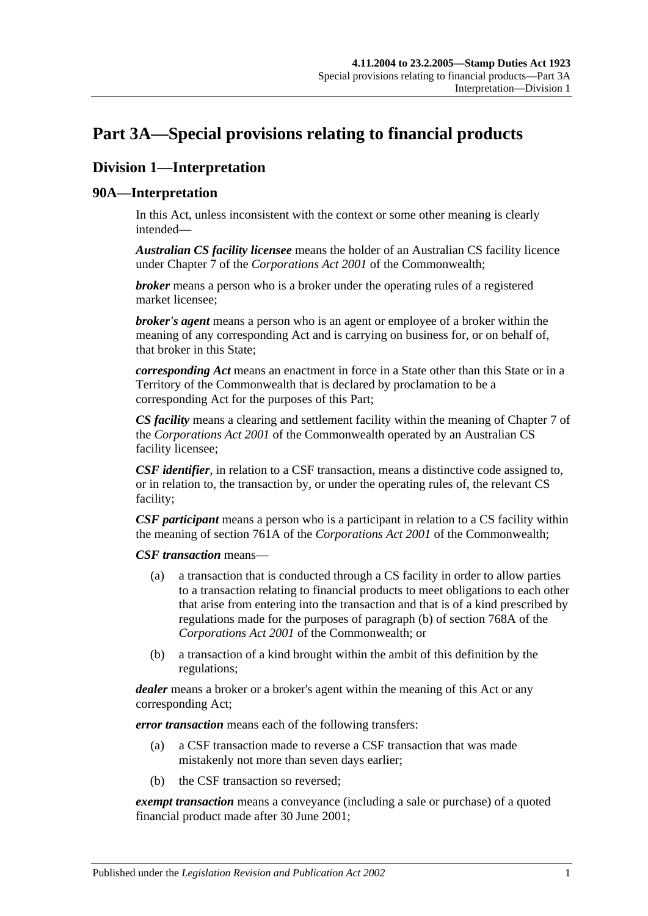# <span id="page-72-0"></span>**Part 3A—Special provisions relating to financial products**

# **Division 1—Interpretation**

## **90A—Interpretation**

In this Act, unless inconsistent with the context or some other meaning is clearly intended—

*Australian CS facility licensee* means the holder of an Australian CS facility licence under Chapter 7 of the *Corporations Act 2001* of the Commonwealth;

*broker* means a person who is a broker under the operating rules of a registered market licensee;

*broker's agent* means a person who is an agent or employee of a broker within the meaning of any corresponding Act and is carrying on business for, or on behalf of, that broker in this State;

*corresponding Act* means an enactment in force in a State other than this State or in a Territory of the Commonwealth that is declared by proclamation to be a corresponding Act for the purposes of this Part;

*CS facility* means a clearing and settlement facility within the meaning of Chapter 7 of the *Corporations Act 2001* of the Commonwealth operated by an Australian CS facility licensee;

*CSF identifier*, in relation to a CSF transaction, means a distinctive code assigned to, or in relation to, the transaction by, or under the operating rules of, the relevant CS facility;

*CSF participant* means a person who is a participant in relation to a CS facility within the meaning of section 761A of the *Corporations Act 2001* of the Commonwealth;

*CSF transaction* means—

- (a) a transaction that is conducted through a CS facility in order to allow parties to a transaction relating to financial products to meet obligations to each other that arise from entering into the transaction and that is of a kind prescribed by regulations made for the purposes of paragraph (b) of section 768A of the *Corporations Act 2001* of the Commonwealth; or
- (b) a transaction of a kind brought within the ambit of this definition by the regulations;

*dealer* means a broker or a broker's agent within the meaning of this Act or any corresponding Act;

*error transaction* means each of the following transfers:

- (a) a CSF transaction made to reverse a CSF transaction that was made mistakenly not more than seven days earlier;
- (b) the CSF transaction so reversed;

*exempt transaction* means a conveyance (including a sale or purchase) of a quoted financial product made after 30 June 2001;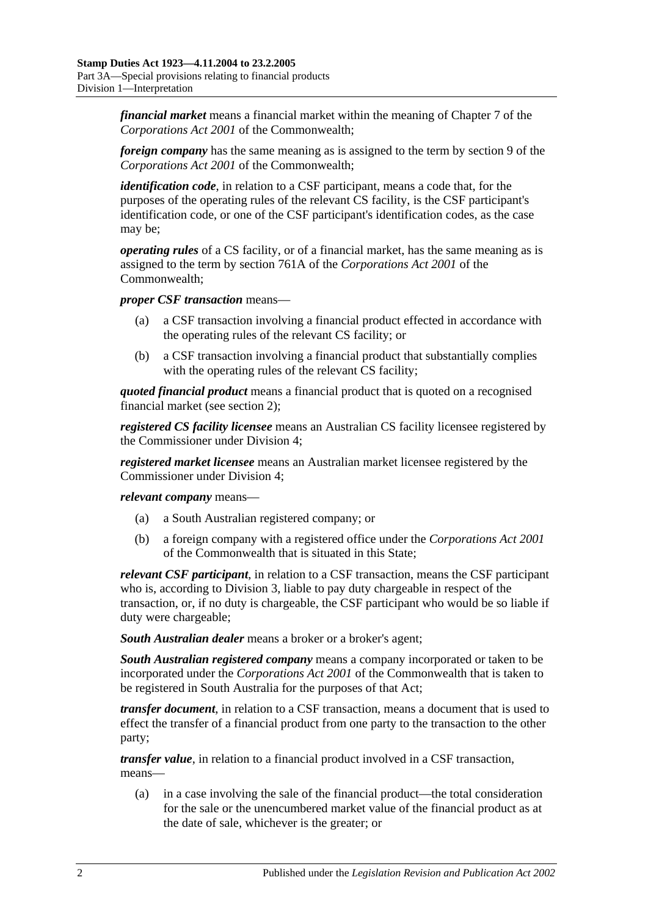*financial market* means a financial market within the meaning of Chapter 7 of the *Corporations Act 2001* of the Commonwealth;

*foreign company* has the same meaning as is assigned to the term by section 9 of the *Corporations Act 2001* of the Commonwealth;

*identification code*, in relation to a CSF participant, means a code that, for the purposes of the operating rules of the relevant CS facility, is the CSF participant's identification code, or one of the CSF participant's identification codes, as the case may be;

*operating rules* of a CS facility, or of a financial market, has the same meaning as is assigned to the term by section 761A of the *Corporations Act 2001* of the Commonwealth;

*proper CSF transaction* means—

- (a) a CSF transaction involving a financial product effected in accordance with the operating rules of the relevant CS facility; or
- (b) a CSF transaction involving a financial product that substantially complies with the operating rules of the relevant CS facility;

*quoted financial product* means a financial product that is quoted on a recognised financial market (see [section](#page-6-0) 2);

*registered CS facility licensee* means an Australian CS facility licensee registered by the Commissioner under [Division 4;](#page-82-0)

*registered market licensee* means an Australian market licensee registered by the Commissioner under [Division 4;](#page-82-0)

*relevant company* means—

- (a) a South Australian registered company; or
- (b) a foreign company with a registered office under the *Corporations Act 2001* of the Commonwealth that is situated in this State;

*relevant CSF participant*, in relation to a CSF transaction, means the CSF participant who is, according to [Division 3,](#page-79-0) liable to pay duty chargeable in respect of the transaction, or, if no duty is chargeable, the CSF participant who would be so liable if duty were chargeable;

*South Australian dealer* means a broker or a broker's agent;

*South Australian registered company* means a company incorporated or taken to be incorporated under the *Corporations Act 2001* of the Commonwealth that is taken to be registered in South Australia for the purposes of that Act;

*transfer document*, in relation to a CSF transaction, means a document that is used to effect the transfer of a financial product from one party to the transaction to the other party;

*transfer value*, in relation to a financial product involved in a CSF transaction, means—

(a) in a case involving the sale of the financial product—the total consideration for the sale or the unencumbered market value of the financial product as at the date of sale, whichever is the greater; or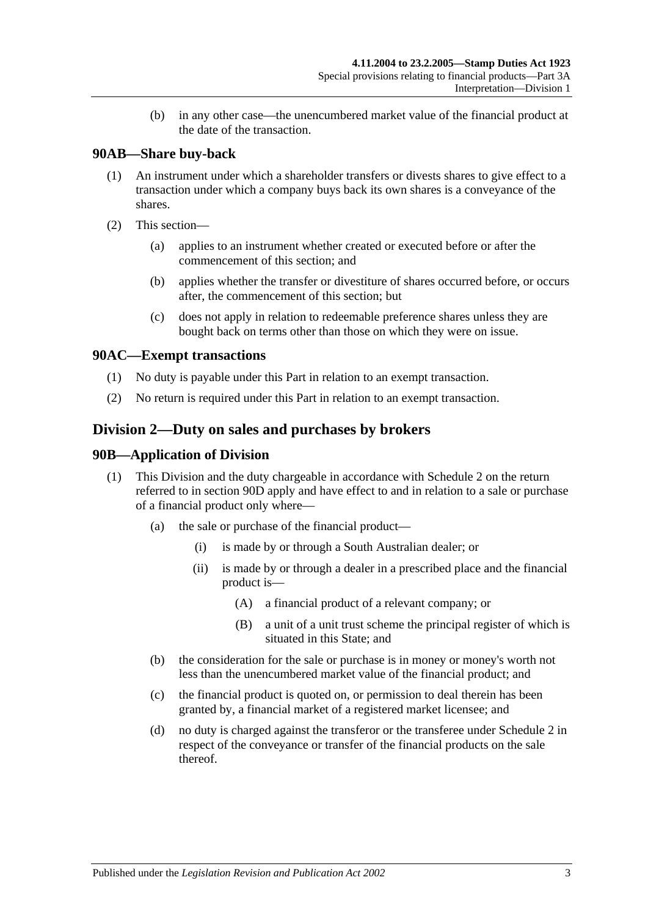(b) in any other case—the unencumbered market value of the financial product at the date of the transaction.

## **90AB—Share buy-back**

- (1) An instrument under which a shareholder transfers or divests shares to give effect to a transaction under which a company buys back its own shares is a conveyance of the shares.
- (2) This section—
	- (a) applies to an instrument whether created or executed before or after the commencement of this section; and
	- (b) applies whether the transfer or divestiture of shares occurred before, or occurs after, the commencement of this section; but
	- (c) does not apply in relation to redeemable preference shares unless they are bought back on terms other than those on which they were on issue.

## **90AC—Exempt transactions**

- (1) No duty is payable under this Part in relation to an exempt transaction.
- (2) No return is required under this Part in relation to an exempt transaction.

## <span id="page-74-0"></span>**Division 2—Duty on sales and purchases by brokers**

### **90B—Application of Division**

- (1) This Division and the duty chargeable in accordance with [Schedule 2](#page-98-0) on the return referred to in [section](#page-76-0) 90D apply and have effect to and in relation to a sale or purchase of a financial product only where—
	- (a) the sale or purchase of the financial product—
		- (i) is made by or through a South Australian dealer; or
		- (ii) is made by or through a dealer in a prescribed place and the financial product is—
			- (A) a financial product of a relevant company; or
			- (B) a unit of a unit trust scheme the principal register of which is situated in this State; and
	- (b) the consideration for the sale or purchase is in money or money's worth not less than the unencumbered market value of the financial product; and
	- (c) the financial product is quoted on, or permission to deal therein has been granted by, a financial market of a registered market licensee; and
	- (d) no duty is charged against the transferor or the transferee under [Schedule 2](#page-98-0) in respect of the conveyance or transfer of the financial products on the sale thereof.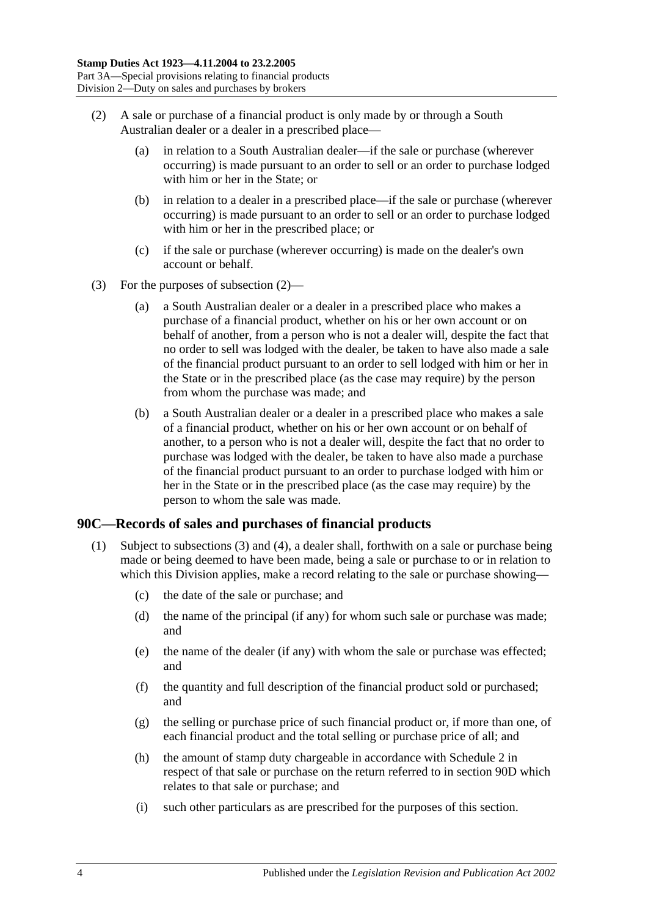- <span id="page-75-0"></span>(2) A sale or purchase of a financial product is only made by or through a South Australian dealer or a dealer in a prescribed place—
	- (a) in relation to a South Australian dealer—if the sale or purchase (wherever occurring) is made pursuant to an order to sell or an order to purchase lodged with him or her in the State; or
	- (b) in relation to a dealer in a prescribed place—if the sale or purchase (wherever occurring) is made pursuant to an order to sell or an order to purchase lodged with him or her in the prescribed place; or
	- (c) if the sale or purchase (wherever occurring) is made on the dealer's own account or behalf.
- (3) For the purposes of [subsection](#page-75-0) (2)—
	- (a) a South Australian dealer or a dealer in a prescribed place who makes a purchase of a financial product, whether on his or her own account or on behalf of another, from a person who is not a dealer will, despite the fact that no order to sell was lodged with the dealer, be taken to have also made a sale of the financial product pursuant to an order to sell lodged with him or her in the State or in the prescribed place (as the case may require) by the person from whom the purchase was made; and
	- (b) a South Australian dealer or a dealer in a prescribed place who makes a sale of a financial product, whether on his or her own account or on behalf of another, to a person who is not a dealer will, despite the fact that no order to purchase was lodged with the dealer, be taken to have also made a purchase of the financial product pursuant to an order to purchase lodged with him or her in the State or in the prescribed place (as the case may require) by the person to whom the sale was made.

## <span id="page-75-2"></span><span id="page-75-1"></span>**90C—Records of sales and purchases of financial products**

- (1) Subject to [subsections](#page-76-1) (3) and [\(4\),](#page-76-2) a dealer shall, forthwith on a sale or purchase being made or being deemed to have been made, being a sale or purchase to or in relation to which this Division applies, make a record relating to the sale or purchase showing—
	- (c) the date of the sale or purchase; and
	- (d) the name of the principal (if any) for whom such sale or purchase was made; and
	- (e) the name of the dealer (if any) with whom the sale or purchase was effected; and
	- (f) the quantity and full description of the financial product sold or purchased; and
	- (g) the selling or purchase price of such financial product or, if more than one, of each financial product and the total selling or purchase price of all; and
	- (h) the amount of stamp duty chargeable in accordance with [Schedule 2](#page-98-0) in respect of that sale or purchase on the return referred to in [section](#page-76-0) 90D which relates to that sale or purchase; and
	- (i) such other particulars as are prescribed for the purposes of this section.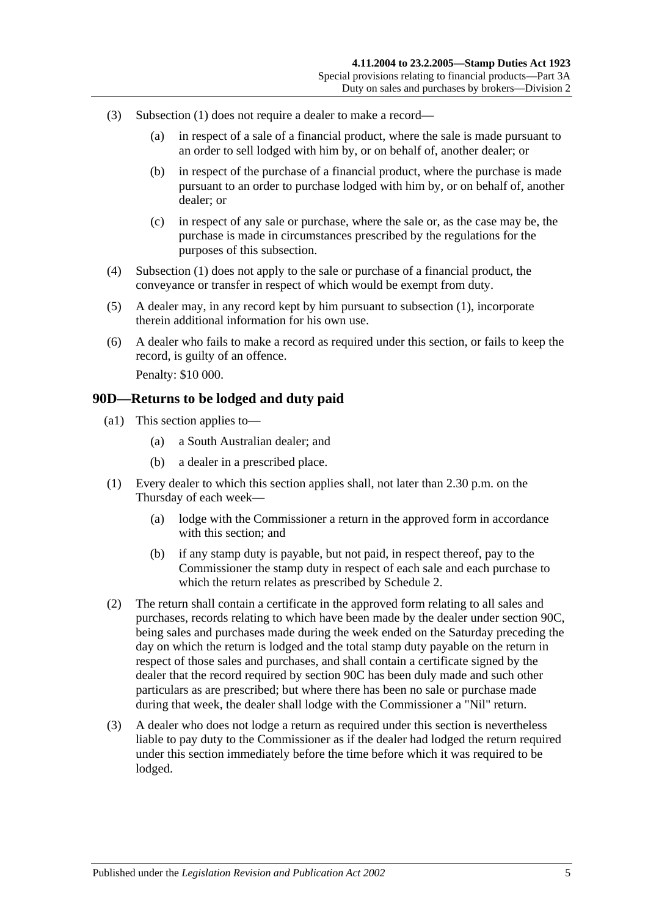- <span id="page-76-1"></span>(3) [Subsection](#page-75-1) (1) does not require a dealer to make a record—
	- (a) in respect of a sale of a financial product, where the sale is made pursuant to an order to sell lodged with him by, or on behalf of, another dealer; or
	- (b) in respect of the purchase of a financial product, where the purchase is made pursuant to an order to purchase lodged with him by, or on behalf of, another dealer; or
	- (c) in respect of any sale or purchase, where the sale or, as the case may be, the purchase is made in circumstances prescribed by the regulations for the purposes of this subsection.
- <span id="page-76-2"></span>(4) [Subsection](#page-75-1) (1) does not apply to the sale or purchase of a financial product, the conveyance or transfer in respect of which would be exempt from duty.
- (5) A dealer may, in any record kept by him pursuant to [subsection](#page-75-1) (1), incorporate therein additional information for his own use.
- (6) A dealer who fails to make a record as required under this section, or fails to keep the record, is guilty of an offence. Penalty: \$10 000.

### <span id="page-76-0"></span>**90D—Returns to be lodged and duty paid**

- (a1) This section applies to—
	- (a) a South Australian dealer; and
	- (b) a dealer in a prescribed place.
- (1) Every dealer to which this section applies shall, not later than 2.30 p.m. on the Thursday of each week—
	- (a) lodge with the Commissioner a return in the approved form in accordance with this section; and
	- (b) if any stamp duty is payable, but not paid, in respect thereof, pay to the Commissioner the stamp duty in respect of each sale and each purchase to which the return relates as prescribed by [Schedule 2.](#page-98-0)
- (2) The return shall contain a certificate in the approved form relating to all sales and purchases, records relating to which have been made by the dealer under [section](#page-75-2) 90C, being sales and purchases made during the week ended on the Saturday preceding the day on which the return is lodged and the total stamp duty payable on the return in respect of those sales and purchases, and shall contain a certificate signed by the dealer that the record required by [section](#page-75-2) 90C has been duly made and such other particulars as are prescribed; but where there has been no sale or purchase made during that week, the dealer shall lodge with the Commissioner a "Nil" return.
- (3) A dealer who does not lodge a return as required under this section is nevertheless liable to pay duty to the Commissioner as if the dealer had lodged the return required under this section immediately before the time before which it was required to be lodged.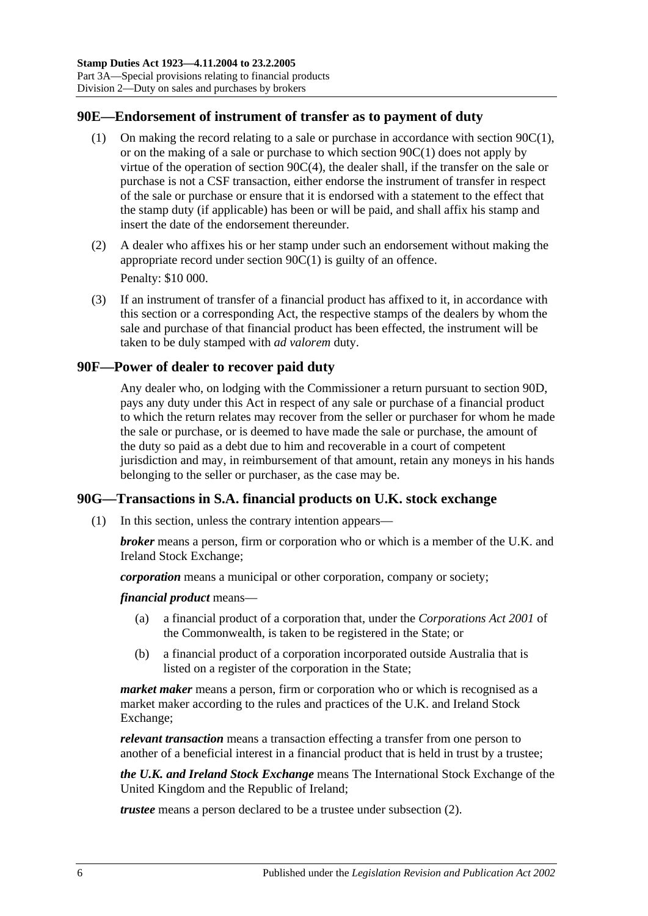## **90E—Endorsement of instrument of transfer as to payment of duty**

- (1) On making the record relating to a sale or purchase in accordance with [section](#page-75-1) 90C(1), or on the making of a sale or purchase to which [section](#page-75-1) 90C(1) does not apply by virtue of the operation of section [90C\(4\),](#page-76-2) the dealer shall, if the transfer on the sale or purchase is not a CSF transaction, either endorse the instrument of transfer in respect of the sale or purchase or ensure that it is endorsed with a statement to the effect that the stamp duty (if applicable) has been or will be paid, and shall affix his stamp and insert the date of the endorsement thereunder.
- (2) A dealer who affixes his or her stamp under such an endorsement without making the appropriate record under [section](#page-75-1) 90C(1) is guilty of an offence. Penalty: \$10 000.
- <span id="page-77-0"></span>(3) If an instrument of transfer of a financial product has affixed to it, in accordance with this section or a corresponding Act, the respective stamps of the dealers by whom the sale and purchase of that financial product has been effected, the instrument will be taken to be duly stamped with *ad valorem* duty.

## **90F—Power of dealer to recover paid duty**

Any dealer who, on lodging with the Commissioner a return pursuant to [section](#page-76-0) 90D, pays any duty under this Act in respect of any sale or purchase of a financial product to which the return relates may recover from the seller or purchaser for whom he made the sale or purchase, or is deemed to have made the sale or purchase, the amount of the duty so paid as a debt due to him and recoverable in a court of competent jurisdiction and may, in reimbursement of that amount, retain any moneys in his hands belonging to the seller or purchaser, as the case may be.

## <span id="page-77-1"></span>**90G—Transactions in S.A. financial products on U.K. stock exchange**

(1) In this section, unless the contrary intention appears—

*broker* means a person, firm or corporation who or which is a member of the U.K. and Ireland Stock Exchange;

*corporation* means a municipal or other corporation, company or society;

*financial product* means—

- (a) a financial product of a corporation that, under the *Corporations Act 2001* of the Commonwealth, is taken to be registered in the State; or
- (b) a financial product of a corporation incorporated outside Australia that is listed on a register of the corporation in the State;

*market maker* means a person, firm or corporation who or which is recognised as a market maker according to the rules and practices of the U.K. and Ireland Stock Exchange;

*relevant transaction* means a transaction effecting a transfer from one person to another of a beneficial interest in a financial product that is held in trust by a trustee;

*the U.K. and Ireland Stock Exchange* means The International Stock Exchange of the United Kingdom and the Republic of Ireland;

*trustee* means a person declared to be a trustee under [subsection](#page-78-0) (2).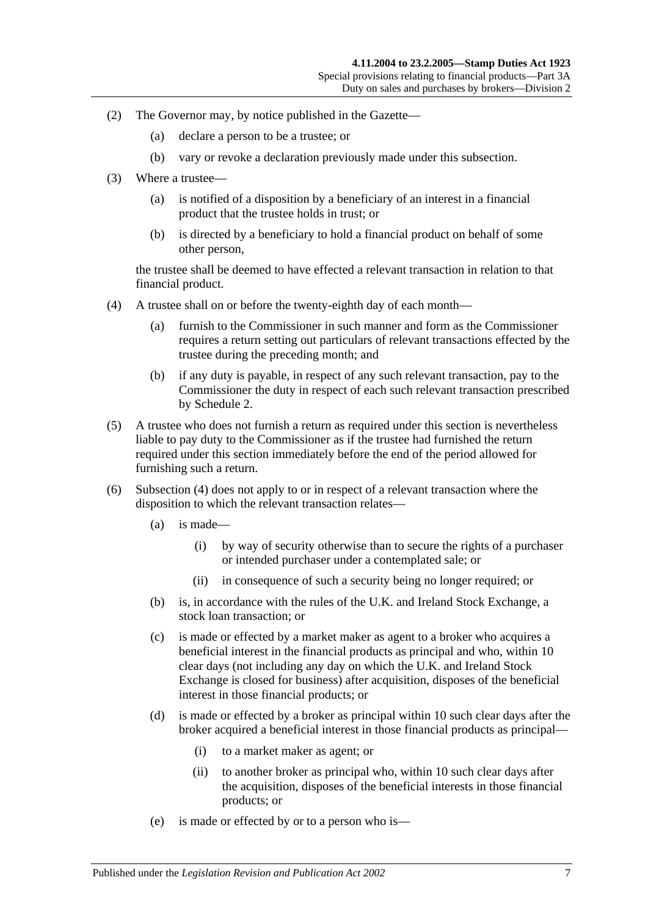- <span id="page-78-0"></span>(2) The Governor may, by notice published in the Gazette—
	- (a) declare a person to be a trustee; or
	- (b) vary or revoke a declaration previously made under this subsection.
- (3) Where a trustee—
	- (a) is notified of a disposition by a beneficiary of an interest in a financial product that the trustee holds in trust; or
	- (b) is directed by a beneficiary to hold a financial product on behalf of some other person,

the trustee shall be deemed to have effected a relevant transaction in relation to that financial product.

- <span id="page-78-1"></span>(4) A trustee shall on or before the twenty-eighth day of each month—
	- (a) furnish to the Commissioner in such manner and form as the Commissioner requires a return setting out particulars of relevant transactions effected by the trustee during the preceding month; and
	- (b) if any duty is payable, in respect of any such relevant transaction, pay to the Commissioner the duty in respect of each such relevant transaction prescribed by [Schedule 2.](#page-98-0)
- (5) A trustee who does not furnish a return as required under this section is nevertheless liable to pay duty to the Commissioner as if the trustee had furnished the return required under this section immediately before the end of the period allowed for furnishing such a return.
- (6) [Subsection](#page-78-1) (4) does not apply to or in respect of a relevant transaction where the disposition to which the relevant transaction relates—
	- (a) is made—
		- (i) by way of security otherwise than to secure the rights of a purchaser or intended purchaser under a contemplated sale; or
		- (ii) in consequence of such a security being no longer required; or
	- (b) is, in accordance with the rules of the U.K. and Ireland Stock Exchange, a stock loan transaction; or
	- (c) is made or effected by a market maker as agent to a broker who acquires a beneficial interest in the financial products as principal and who, within 10 clear days (not including any day on which the U.K. and Ireland Stock Exchange is closed for business) after acquisition, disposes of the beneficial interest in those financial products; or
	- (d) is made or effected by a broker as principal within 10 such clear days after the broker acquired a beneficial interest in those financial products as principal—
		- (i) to a market maker as agent; or
		- (ii) to another broker as principal who, within 10 such clear days after the acquisition, disposes of the beneficial interests in those financial products; or
	- (e) is made or effected by or to a person who is—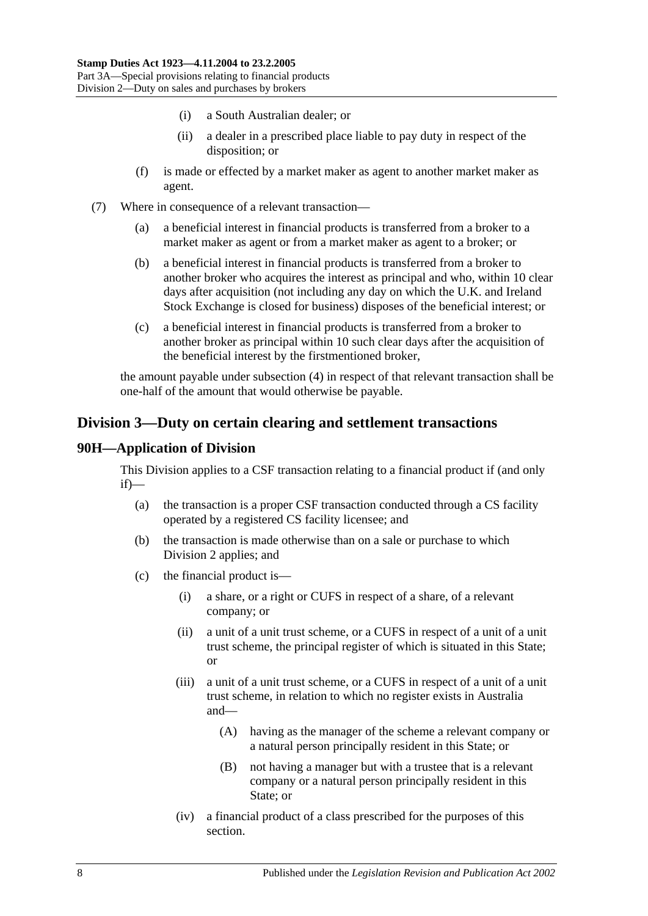- (i) a South Australian dealer; or
- (ii) a dealer in a prescribed place liable to pay duty in respect of the disposition; or
- (f) is made or effected by a market maker as agent to another market maker as agent.
- (7) Where in consequence of a relevant transaction—
	- (a) a beneficial interest in financial products is transferred from a broker to a market maker as agent or from a market maker as agent to a broker; or
	- (b) a beneficial interest in financial products is transferred from a broker to another broker who acquires the interest as principal and who, within 10 clear days after acquisition (not including any day on which the U.K. and Ireland Stock Exchange is closed for business) disposes of the beneficial interest; or
	- (c) a beneficial interest in financial products is transferred from a broker to another broker as principal within 10 such clear days after the acquisition of the beneficial interest by the firstmentioned broker,

the amount payable under [subsection](#page-78-1) (4) in respect of that relevant transaction shall be one-half of the amount that would otherwise be payable.

# <span id="page-79-0"></span>**Division 3—Duty on certain clearing and settlement transactions**

## **90H—Application of Division**

This Division applies to a CSF transaction relating to a financial product if (and only if)—

- (a) the transaction is a proper CSF transaction conducted through a CS facility operated by a registered CS facility licensee; and
- (b) the transaction is made otherwise than on a sale or purchase to which [Division 2](#page-74-0) applies; and
- (c) the financial product is—
	- (i) a share, or a right or CUFS in respect of a share, of a relevant company; or
	- (ii) a unit of a unit trust scheme, or a CUFS in respect of a unit of a unit trust scheme, the principal register of which is situated in this State; or
	- (iii) a unit of a unit trust scheme, or a CUFS in respect of a unit of a unit trust scheme, in relation to which no register exists in Australia and—
		- (A) having as the manager of the scheme a relevant company or a natural person principally resident in this State; or
		- (B) not having a manager but with a trustee that is a relevant company or a natural person principally resident in this State; or
	- (iv) a financial product of a class prescribed for the purposes of this section.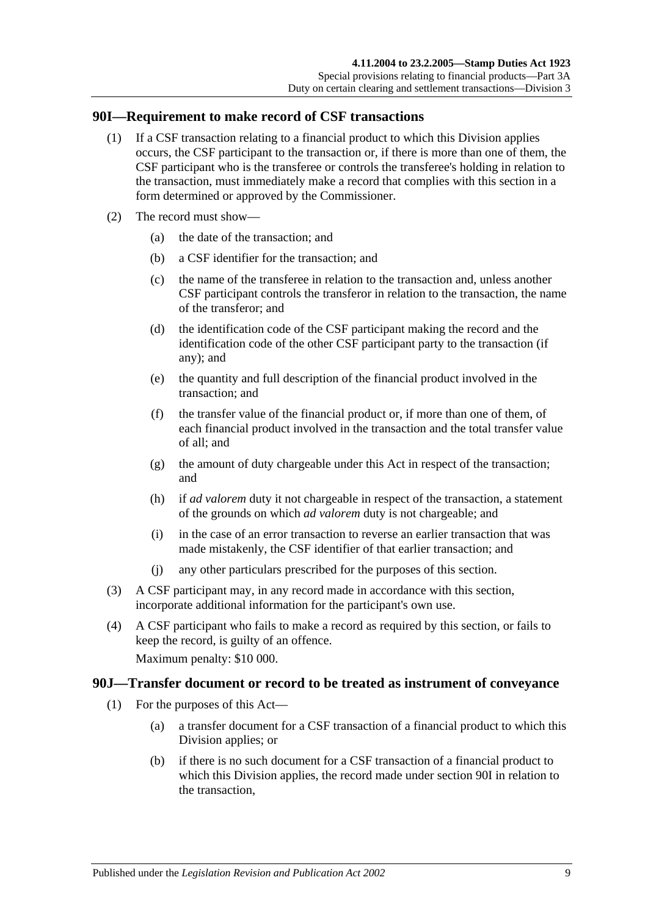## <span id="page-80-0"></span>**90I—Requirement to make record of CSF transactions**

- (1) If a CSF transaction relating to a financial product to which this Division applies occurs, the CSF participant to the transaction or, if there is more than one of them, the CSF participant who is the transferee or controls the transferee's holding in relation to the transaction, must immediately make a record that complies with this section in a form determined or approved by the Commissioner.
- (2) The record must show—
	- (a) the date of the transaction; and
	- (b) a CSF identifier for the transaction; and
	- (c) the name of the transferee in relation to the transaction and, unless another CSF participant controls the transferor in relation to the transaction, the name of the transferor; and
	- (d) the identification code of the CSF participant making the record and the identification code of the other CSF participant party to the transaction (if any); and
	- (e) the quantity and full description of the financial product involved in the transaction; and
	- (f) the transfer value of the financial product or, if more than one of them, of each financial product involved in the transaction and the total transfer value of all; and
	- (g) the amount of duty chargeable under this Act in respect of the transaction; and
	- (h) if *ad valorem* duty it not chargeable in respect of the transaction, a statement of the grounds on which *ad valorem* duty is not chargeable; and
	- (i) in the case of an error transaction to reverse an earlier transaction that was made mistakenly, the CSF identifier of that earlier transaction; and
	- (j) any other particulars prescribed for the purposes of this section.
- (3) A CSF participant may, in any record made in accordance with this section, incorporate additional information for the participant's own use.
- (4) A CSF participant who fails to make a record as required by this section, or fails to keep the record, is guilty of an offence.

Maximum penalty: \$10 000.

#### <span id="page-80-1"></span>**90J—Transfer document or record to be treated as instrument of conveyance**

- (1) For the purposes of this Act—
	- (a) a transfer document for a CSF transaction of a financial product to which this Division applies; or
	- (b) if there is no such document for a CSF transaction of a financial product to which this Division applies, the record made under [section](#page-80-0) 90I in relation to the transaction,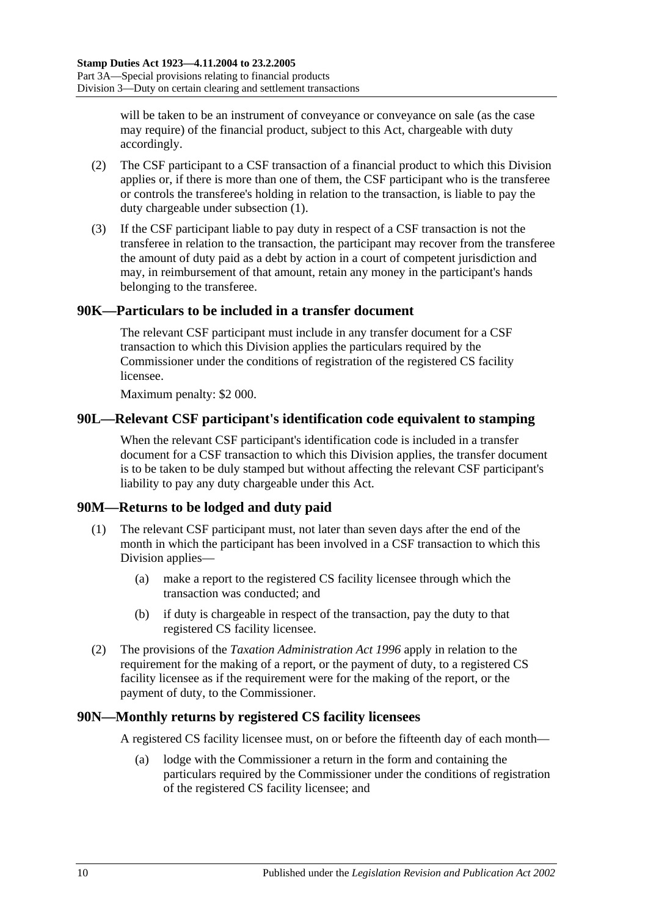will be taken to be an instrument of conveyance or conveyance on sale (as the case may require) of the financial product, subject to this Act, chargeable with duty accordingly.

- (2) The CSF participant to a CSF transaction of a financial product to which this Division applies or, if there is more than one of them, the CSF participant who is the transferee or controls the transferee's holding in relation to the transaction, is liable to pay the duty chargeable under [subsection](#page-80-1) (1).
- (3) If the CSF participant liable to pay duty in respect of a CSF transaction is not the transferee in relation to the transaction, the participant may recover from the transferee the amount of duty paid as a debt by action in a court of competent jurisdiction and may, in reimbursement of that amount, retain any money in the participant's hands belonging to the transferee.

## **90K—Particulars to be included in a transfer document**

The relevant CSF participant must include in any transfer document for a CSF transaction to which this Division applies the particulars required by the Commissioner under the conditions of registration of the registered CS facility licensee.

Maximum penalty: \$2 000.

## **90L—Relevant CSF participant's identification code equivalent to stamping**

When the relevant CSF participant's identification code is included in a transfer document for a CSF transaction to which this Division applies, the transfer document is to be taken to be duly stamped but without affecting the relevant CSF participant's liability to pay any duty chargeable under this Act.

## **90M—Returns to be lodged and duty paid**

- (1) The relevant CSF participant must, not later than seven days after the end of the month in which the participant has been involved in a CSF transaction to which this Division applies—
	- (a) make a report to the registered CS facility licensee through which the transaction was conducted; and
	- (b) if duty is chargeable in respect of the transaction, pay the duty to that registered CS facility licensee.
- (2) The provisions of the *[Taxation Administration Act](http://www.legislation.sa.gov.au/index.aspx?action=legref&type=act&legtitle=Taxation%20Administration%20Act%201996) 1996* apply in relation to the requirement for the making of a report, or the payment of duty, to a registered CS facility licensee as if the requirement were for the making of the report, or the payment of duty, to the Commissioner.

#### **90N—Monthly returns by registered CS facility licensees**

A registered CS facility licensee must, on or before the fifteenth day of each month—

(a) lodge with the Commissioner a return in the form and containing the particulars required by the Commissioner under the conditions of registration of the registered CS facility licensee; and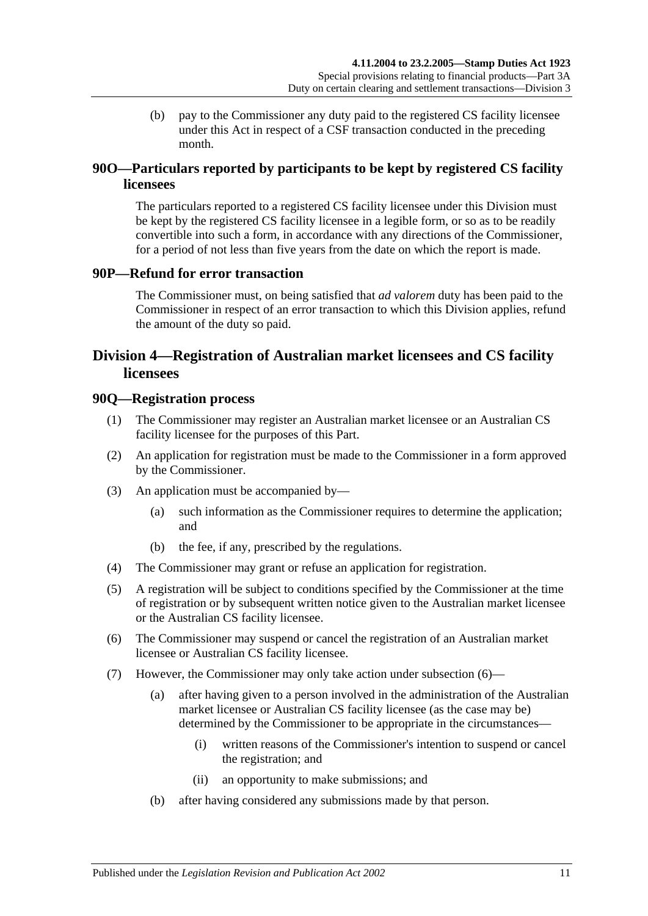(b) pay to the Commissioner any duty paid to the registered CS facility licensee under this Act in respect of a CSF transaction conducted in the preceding month.

## **90O—Particulars reported by participants to be kept by registered CS facility licensees**

The particulars reported to a registered CS facility licensee under this Division must be kept by the registered CS facility licensee in a legible form, or so as to be readily convertible into such a form, in accordance with any directions of the Commissioner, for a period of not less than five years from the date on which the report is made.

## **90P—Refund for error transaction**

The Commissioner must, on being satisfied that *ad valorem* duty has been paid to the Commissioner in respect of an error transaction to which this Division applies, refund the amount of the duty so paid.

# <span id="page-82-0"></span>**Division 4—Registration of Australian market licensees and CS facility licensees**

### **90Q—Registration process**

- (1) The Commissioner may register an Australian market licensee or an Australian CS facility licensee for the purposes of this Part.
- (2) An application for registration must be made to the Commissioner in a form approved by the Commissioner.
- (3) An application must be accompanied by—
	- (a) such information as the Commissioner requires to determine the application; and
	- (b) the fee, if any, prescribed by the regulations.
- (4) The Commissioner may grant or refuse an application for registration.
- (5) A registration will be subject to conditions specified by the Commissioner at the time of registration or by subsequent written notice given to the Australian market licensee or the Australian CS facility licensee.
- <span id="page-82-1"></span>(6) The Commissioner may suspend or cancel the registration of an Australian market licensee or Australian CS facility licensee.
- <span id="page-82-2"></span>(7) However, the Commissioner may only take action under [subsection](#page-82-1) (6)—
	- (a) after having given to a person involved in the administration of the Australian market licensee or Australian CS facility licensee (as the case may be) determined by the Commissioner to be appropriate in the circumstances—
		- (i) written reasons of the Commissioner's intention to suspend or cancel the registration; and
		- (ii) an opportunity to make submissions; and
	- (b) after having considered any submissions made by that person.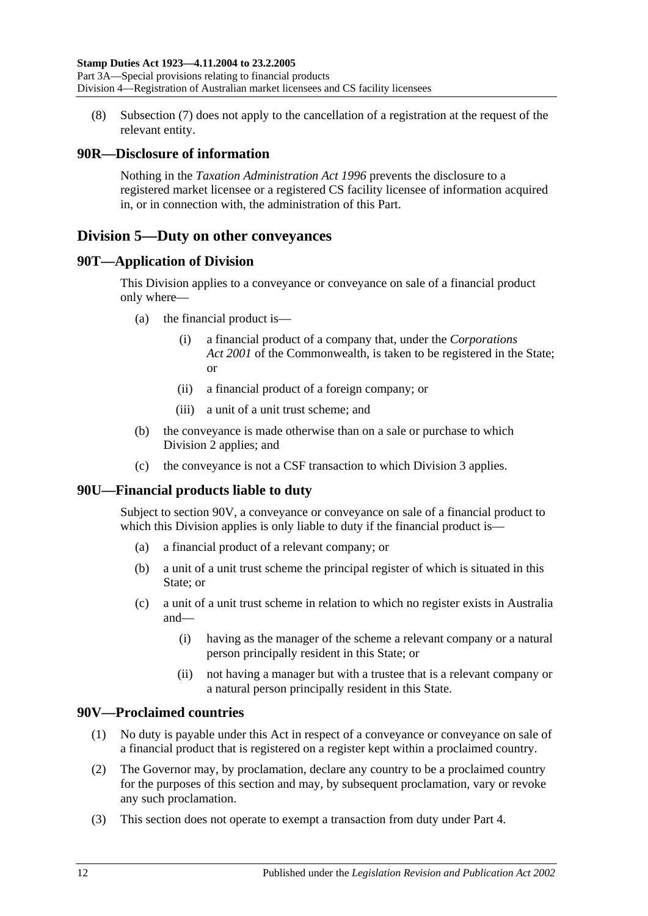(8) [Subsection](#page-82-2) (7) does not apply to the cancellation of a registration at the request of the relevant entity.

## **90R—Disclosure of information**

Nothing in the *[Taxation Administration Act](http://www.legislation.sa.gov.au/index.aspx?action=legref&type=act&legtitle=Taxation%20Administration%20Act%201996) 1996* prevents the disclosure to a registered market licensee or a registered CS facility licensee of information acquired in, or in connection with, the administration of this Part.

# <span id="page-83-1"></span>**Division 5—Duty on other conveyances**

## **90T—Application of Division**

This Division applies to a conveyance or conveyance on sale of a financial product only where—

- (a) the financial product is—
	- (i) a financial product of a company that, under the *Corporations Act 2001* of the Commonwealth, is taken to be registered in the State; or
	- (ii) a financial product of a foreign company; or
	- (iii) a unit of a unit trust scheme; and
- (b) the conveyance is made otherwise than on a sale or purchase to which [Division 2](#page-74-0) applies; and
- (c) the conveyance is not a CSF transaction to which [Division 3](#page-79-0) applies.

## **90U—Financial products liable to duty**

Subject to [section](#page-83-0) 90V, a conveyance or conveyance on sale of a financial product to which this Division applies is only liable to duty if the financial product is—

- (a) a financial product of a relevant company; or
- (b) a unit of a unit trust scheme the principal register of which is situated in this State; or
- (c) a unit of a unit trust scheme in relation to which no register exists in Australia and—
	- (i) having as the manager of the scheme a relevant company or a natural person principally resident in this State; or
	- (ii) not having a manager but with a trustee that is a relevant company or a natural person principally resident in this State.

## <span id="page-83-0"></span>**90V—Proclaimed countries**

- (1) No duty is payable under this Act in respect of a conveyance or conveyance on sale of a financial product that is registered on a register kept within a proclaimed country.
- (2) The Governor may, by proclamation, declare any country to be a proclaimed country for the purposes of this section and may, by subsequent proclamation, vary or revoke any such proclamation.
- (3) This section does not operate to exempt a transaction from duty under [Part 4.](#page-84-0)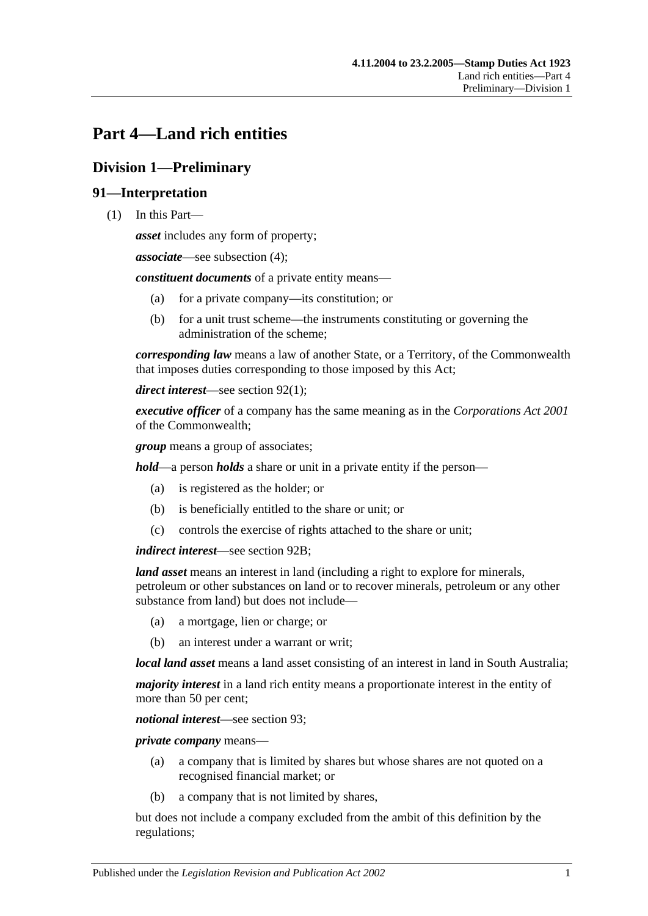# <span id="page-84-0"></span>**Part 4—Land rich entities**

# **Division 1—Preliminary**

## **91—Interpretation**

(1) In this Part—

*asset* includes any form of property;

*associate*—see [subsection](#page-86-0) (4);

*constituent documents* of a private entity means—

- (a) for a private company—its constitution; or
- (b) for a unit trust scheme—the instruments constituting or governing the administration of the scheme;

*corresponding law* means a law of another State, or a Territory, of the Commonwealth that imposes duties corresponding to those imposed by this Act;

*direct interest*—see [section](#page-86-1) 92(1);

*executive officer* of a company has the same meaning as in the *Corporations Act 2001* of the Commonwealth;

*group* means a group of associates;

*hold*—a person *holds* a share or unit in a private entity if the person—

- (a) is registered as the holder; or
- (b) is beneficially entitled to the share or unit; or
- (c) controls the exercise of rights attached to the share or unit;

*indirect interest*—see [section](#page-87-0) 92B;

*land asset* means an interest in land (including a right to explore for minerals, petroleum or other substances on land or to recover minerals, petroleum or any other substance from land) but does not include—

- (a) a mortgage, lien or charge; or
- (b) an interest under a warrant or writ;

*local land asset* means a land asset consisting of an interest in land in South Australia;

*majority interest* in a land rich entity means a proportionate interest in the entity of more than 50 per cent;

*notional interest*—see [section](#page-87-1) 93;

*private company* means—

- (a) a company that is limited by shares but whose shares are not quoted on a recognised financial market; or
- (b) a company that is not limited by shares,

but does not include a company excluded from the ambit of this definition by the regulations;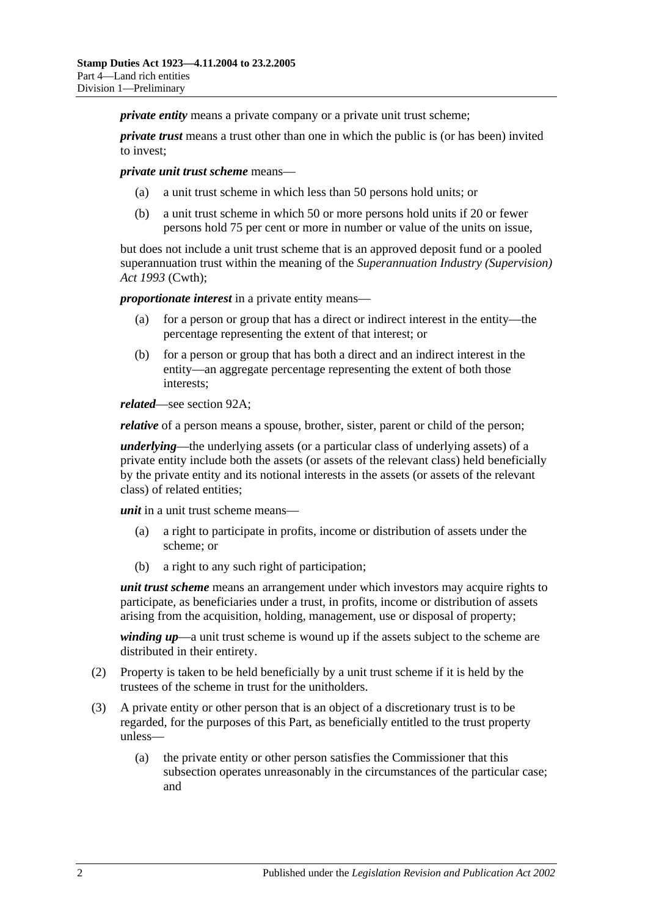*private entity* means a private company or a private unit trust scheme:

*private trust* means a trust other than one in which the public is (or has been) invited to invest;

*private unit trust scheme* means—

- (a) a unit trust scheme in which less than 50 persons hold units; or
- (b) a unit trust scheme in which 50 or more persons hold units if 20 or fewer persons hold 75 per cent or more in number or value of the units on issue,

but does not include a unit trust scheme that is an approved deposit fund or a pooled superannuation trust within the meaning of the *Superannuation Industry (Supervision) Act 1993* (Cwth);

*proportionate interest* in a private entity means—

- (a) for a person or group that has a direct or indirect interest in the entity—the percentage representing the extent of that interest; or
- (b) for a person or group that has both a direct and an indirect interest in the entity—an aggregate percentage representing the extent of both those interests;

*related*—see [section](#page-87-2) 92A;

*relative* of a person means a spouse, brother, sister, parent or child of the person;

*underlying*—the underlying assets (or a particular class of underlying assets) of a private entity include both the assets (or assets of the relevant class) held beneficially by the private entity and its notional interests in the assets (or assets of the relevant class) of related entities;

*unit* in a unit trust scheme means—

- (a) a right to participate in profits, income or distribution of assets under the scheme; or
- (b) a right to any such right of participation;

*unit trust scheme* means an arrangement under which investors may acquire rights to participate, as beneficiaries under a trust, in profits, income or distribution of assets arising from the acquisition, holding, management, use or disposal of property;

*winding up*—a unit trust scheme is wound up if the assets subject to the scheme are distributed in their entirety.

- (2) Property is taken to be held beneficially by a unit trust scheme if it is held by the trustees of the scheme in trust for the unitholders.
- (3) A private entity or other person that is an object of a discretionary trust is to be regarded, for the purposes of this Part, as beneficially entitled to the trust property unless—
	- (a) the private entity or other person satisfies the Commissioner that this subsection operates unreasonably in the circumstances of the particular case; and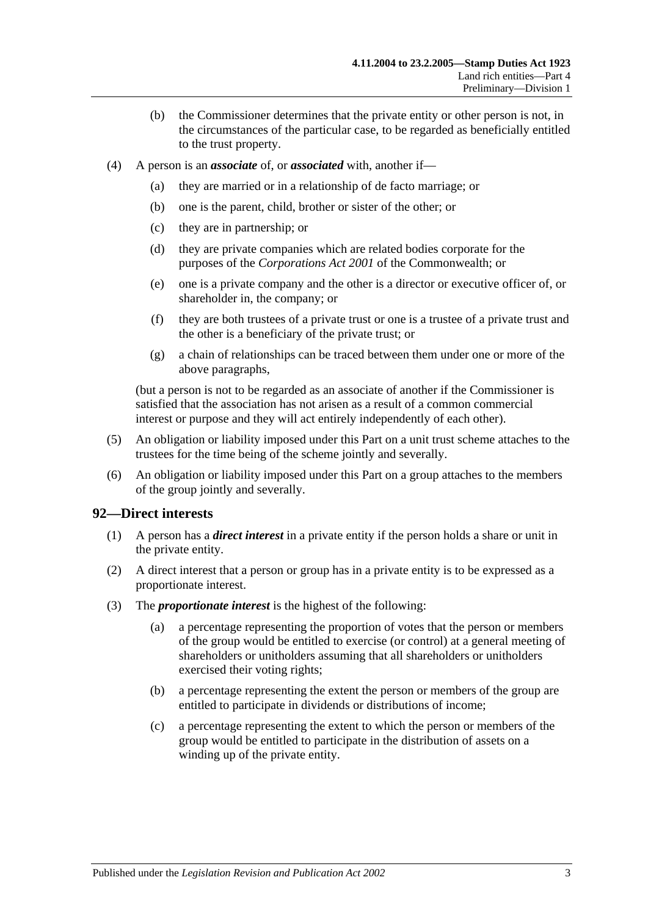- (b) the Commissioner determines that the private entity or other person is not, in the circumstances of the particular case, to be regarded as beneficially entitled to the trust property.
- <span id="page-86-0"></span>(4) A person is an *associate* of, or *associated* with, another if—
	- (a) they are married or in a relationship of de facto marriage; or
	- (b) one is the parent, child, brother or sister of the other; or
	- (c) they are in partnership; or
	- (d) they are private companies which are related bodies corporate for the purposes of the *Corporations Act 2001* of the Commonwealth; or
	- (e) one is a private company and the other is a director or executive officer of, or shareholder in, the company; or
	- (f) they are both trustees of a private trust or one is a trustee of a private trust and the other is a beneficiary of the private trust; or
	- (g) a chain of relationships can be traced between them under one or more of the above paragraphs,

(but a person is not to be regarded as an associate of another if the Commissioner is satisfied that the association has not arisen as a result of a common commercial interest or purpose and they will act entirely independently of each other).

- (5) An obligation or liability imposed under this Part on a unit trust scheme attaches to the trustees for the time being of the scheme jointly and severally.
- (6) An obligation or liability imposed under this Part on a group attaches to the members of the group jointly and severally.

#### <span id="page-86-1"></span>**92—Direct interests**

- (1) A person has a *direct interest* in a private entity if the person holds a share or unit in the private entity.
- (2) A direct interest that a person or group has in a private entity is to be expressed as a proportionate interest.
- (3) The *proportionate interest* is the highest of the following:
	- (a) a percentage representing the proportion of votes that the person or members of the group would be entitled to exercise (or control) at a general meeting of shareholders or unitholders assuming that all shareholders or unitholders exercised their voting rights;
	- (b) a percentage representing the extent the person or members of the group are entitled to participate in dividends or distributions of income;
	- (c) a percentage representing the extent to which the person or members of the group would be entitled to participate in the distribution of assets on a winding up of the private entity.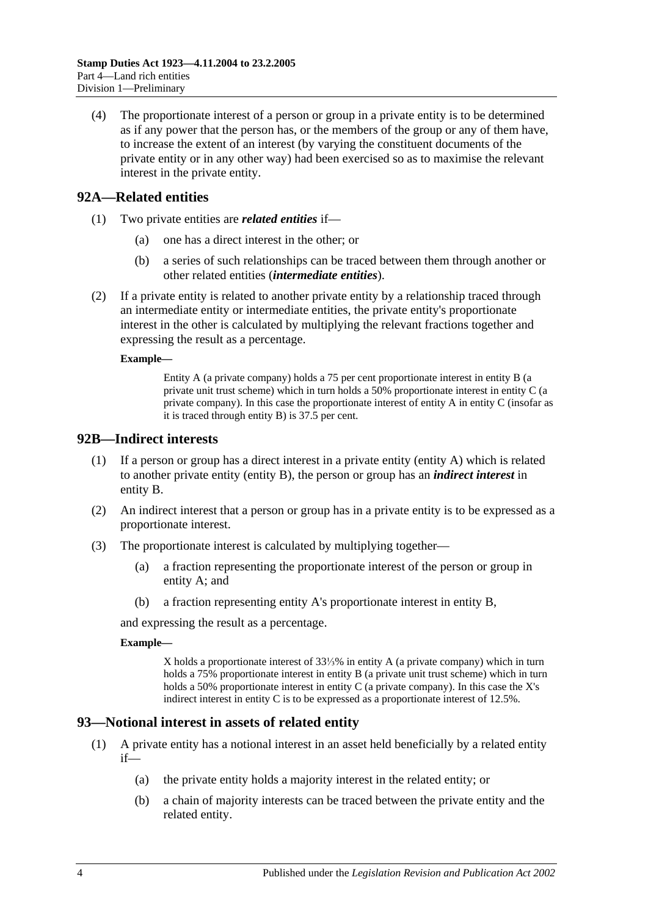(4) The proportionate interest of a person or group in a private entity is to be determined as if any power that the person has, or the members of the group or any of them have, to increase the extent of an interest (by varying the constituent documents of the private entity or in any other way) had been exercised so as to maximise the relevant interest in the private entity.

## <span id="page-87-2"></span>**92A—Related entities**

- (1) Two private entities are *related entities* if—
	- (a) one has a direct interest in the other; or
	- (b) a series of such relationships can be traced between them through another or other related entities (*intermediate entities*).
- (2) If a private entity is related to another private entity by a relationship traced through an intermediate entity or intermediate entities, the private entity's proportionate interest in the other is calculated by multiplying the relevant fractions together and expressing the result as a percentage.

#### **Example—**

Entity A (a private company) holds a 75 per cent proportionate interest in entity B (a private unit trust scheme) which in turn holds a 50% proportionate interest in entity C (a private company). In this case the proportionate interest of entity A in entity C (insofar as it is traced through entity B) is 37.5 per cent.

### <span id="page-87-0"></span>**92B—Indirect interests**

- (1) If a person or group has a direct interest in a private entity (entity A) which is related to another private entity (entity B), the person or group has an *indirect interest* in entity B.
- (2) An indirect interest that a person or group has in a private entity is to be expressed as a proportionate interest.
- (3) The proportionate interest is calculated by multiplying together—
	- (a) a fraction representing the proportionate interest of the person or group in entity A; and
	- (b) a fraction representing entity A's proportionate interest in entity B,

and expressing the result as a percentage.

#### **Example—**

X holds a proportionate interest of 33⅓% in entity A (a private company) which in turn holds a 75% proportionate interest in entity B (a private unit trust scheme) which in turn holds a 50% proportionate interest in entity C (a private company). In this case the X's indirect interest in entity C is to be expressed as a proportionate interest of 12.5%.

## <span id="page-87-1"></span>**93—Notional interest in assets of related entity**

- (1) A private entity has a notional interest in an asset held beneficially by a related entity  $if$ —
	- (a) the private entity holds a majority interest in the related entity; or
	- (b) a chain of majority interests can be traced between the private entity and the related entity.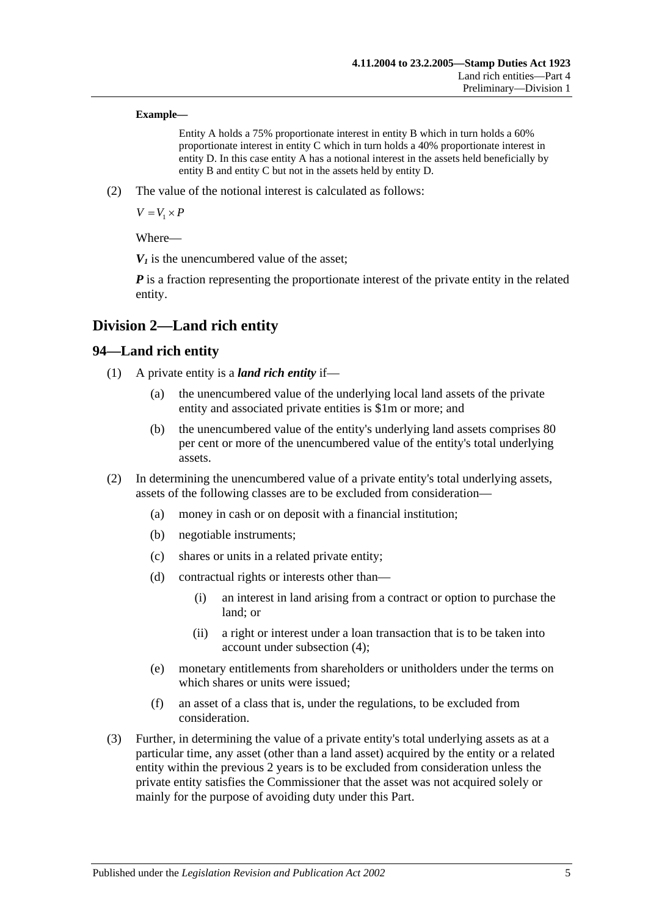#### **Example—**

Entity A holds a 75% proportionate interest in entity B which in turn holds a 60% proportionate interest in entity C which in turn holds a 40% proportionate interest in entity D. In this case entity A has a notional interest in the assets held beneficially by entity B and entity C but not in the assets held by entity D.

(2) The value of the notional interest is calculated as follows:

 $V = V_1 \times P$ 

Where—

 $V_1$  is the unencumbered value of the asset:

*P* is a fraction representing the proportionate interest of the private entity in the related entity.

## **Division 2—Land rich entity**

## **94—Land rich entity**

- (1) A private entity is a *land rich entity* if—
	- (a) the unencumbered value of the underlying local land assets of the private entity and associated private entities is \$1m or more; and
	- (b) the unencumbered value of the entity's underlying land assets comprises 80 per cent or more of the unencumbered value of the entity's total underlying assets.
- (2) In determining the unencumbered value of a private entity's total underlying assets, assets of the following classes are to be excluded from consideration—
	- (a) money in cash or on deposit with a financial institution;
	- (b) negotiable instruments;
	- (c) shares or units in a related private entity;
	- (d) contractual rights or interests other than—
		- (i) an interest in land arising from a contract or option to purchase the land; or
		- (ii) a right or interest under a loan transaction that is to be taken into account under [subsection](#page-89-0) (4);
	- (e) monetary entitlements from shareholders or unitholders under the terms on which shares or units were issued;
	- (f) an asset of a class that is, under the regulations, to be excluded from consideration.
- <span id="page-88-0"></span>(3) Further, in determining the value of a private entity's total underlying assets as at a particular time, any asset (other than a land asset) acquired by the entity or a related entity within the previous 2 years is to be excluded from consideration unless the private entity satisfies the Commissioner that the asset was not acquired solely or mainly for the purpose of avoiding duty under this Part.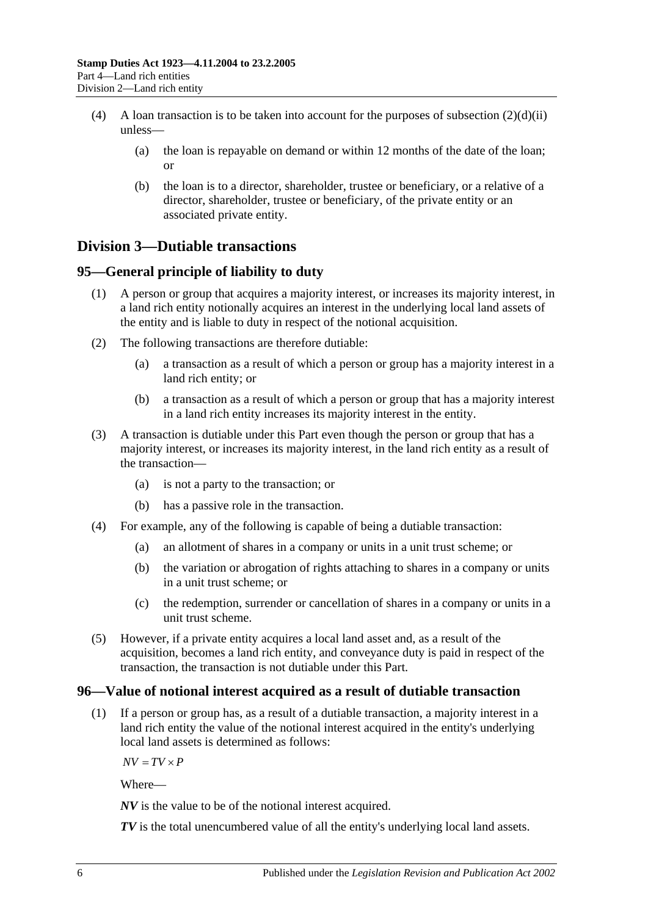- <span id="page-89-0"></span>(4) A loan transaction is to be taken into account for the purposes of [subsection](#page-88-0)  $(2)(d)(ii)$ unless—
	- (a) the loan is repayable on demand or within 12 months of the date of the loan; or
	- (b) the loan is to a director, shareholder, trustee or beneficiary, or a relative of a director, shareholder, trustee or beneficiary, of the private entity or an associated private entity.

# **Division 3—Dutiable transactions**

## **95—General principle of liability to duty**

- (1) A person or group that acquires a majority interest, or increases its majority interest, in a land rich entity notionally acquires an interest in the underlying local land assets of the entity and is liable to duty in respect of the notional acquisition.
- (2) The following transactions are therefore dutiable:
	- (a) a transaction as a result of which a person or group has a majority interest in a land rich entity; or
	- (b) a transaction as a result of which a person or group that has a majority interest in a land rich entity increases its majority interest in the entity.
- (3) A transaction is dutiable under this Part even though the person or group that has a majority interest, or increases its majority interest, in the land rich entity as a result of the transaction—
	- (a) is not a party to the transaction; or
	- (b) has a passive role in the transaction.
- (4) For example, any of the following is capable of being a dutiable transaction:
	- (a) an allotment of shares in a company or units in a unit trust scheme; or
	- (b) the variation or abrogation of rights attaching to shares in a company or units in a unit trust scheme; or
	- (c) the redemption, surrender or cancellation of shares in a company or units in a unit trust scheme.
- (5) However, if a private entity acquires a local land asset and, as a result of the acquisition, becomes a land rich entity, and conveyance duty is paid in respect of the transaction, the transaction is not dutiable under this Part.

## **96—Value of notional interest acquired as a result of dutiable transaction**

(1) If a person or group has, as a result of a dutiable transaction, a majority interest in a land rich entity the value of the notional interest acquired in the entity's underlying local land assets is determined as follows:

 $\overline{AV} = \overline{TV} \times \overline{P}$ 

Where—

*NV* is the value to be of the notional interest acquired.

*TV* is the total unencumbered value of all the entity's underlying local land assets.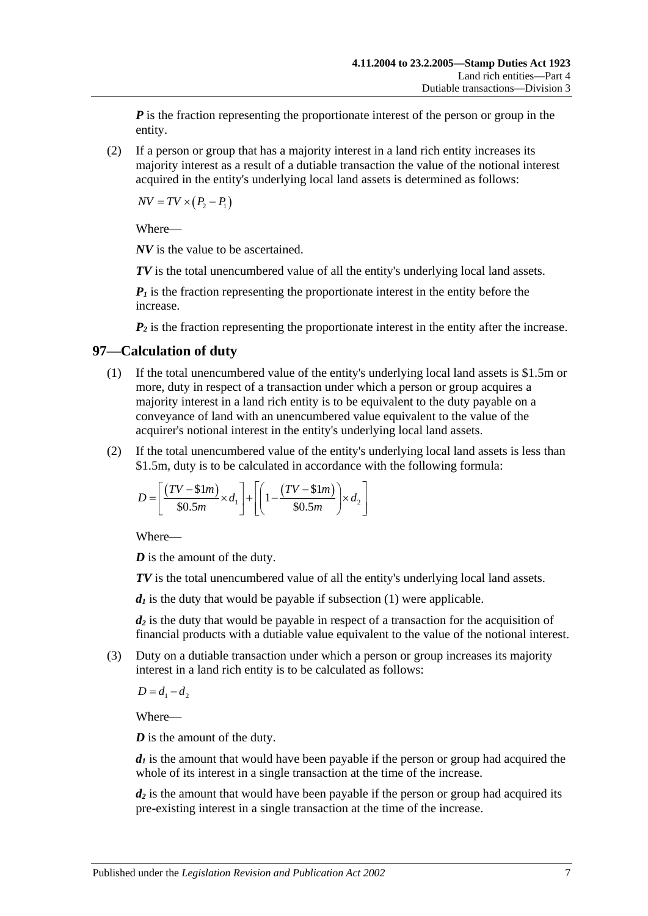*P* is the fraction representing the proportionate interest of the person or group in the entity.

(2) If a person or group that has a majority interest in a land rich entity increases its majority interest as a result of a dutiable transaction the value of the notional interest acquired in the entity's underlying local land assets is determined as follows:

 $\overline{NV} = \overline{TV} \times (P_2 - P_1)$ 

Where—

*NV* is the value to be ascertained.

*TV* is the total unencumbered value of all the entity's underlying local land assets.

 $P_1$  is the fraction representing the proportionate interest in the entity before the increase.

 $P_2$  is the fraction representing the proportionate interest in the entity after the increase.

## <span id="page-90-0"></span>**97—Calculation of duty**

- (1) If the total unencumbered value of the entity's underlying local land assets is \$1.5m or more, duty in respect of a transaction under which a person or group acquires a majority interest in a land rich entity is to be equivalent to the duty payable on a conveyance of land with an unencumbered value equivalent to the value of the acquirer's notional interest in the entity's underlying local land assets.
- (2) If the total unencumbered value of the entity's underlying local land assets is less than \$1.5m, duty is to be calculated in accordance with the following formula:

$$
D = \left[ \frac{(TV - \text{$\$}1m)}{\text{$\$}0.5m} \times d_1 \right] + \left[ \left( 1 - \frac{(TV - \text{$\$}1m)}{\text{$\$}0.5m} \right) \times d_2 \right]
$$

Where—

*D* is the amount of the duty.

*TV* is the total unencumbered value of all the entity's underlying local land assets.

 $d_1$  is the duty that would be payable if [subsection](#page-90-0)  $(1)$  were applicable.

*d2* is the duty that would be payable in respect of a transaction for the acquisition of financial products with a dutiable value equivalent to the value of the notional interest.

(3) Duty on a dutiable transaction under which a person or group increases its majority interest in a land rich entity is to be calculated as follows:

 $D = d_1 - d_2$ 

Where—

*D* is the amount of the duty.

 $d_1$  is the amount that would have been payable if the person or group had acquired the whole of its interest in a single transaction at the time of the increase.

*d<sub>2</sub>* is the amount that would have been payable if the person or group had acquired its pre-existing interest in a single transaction at the time of the increase.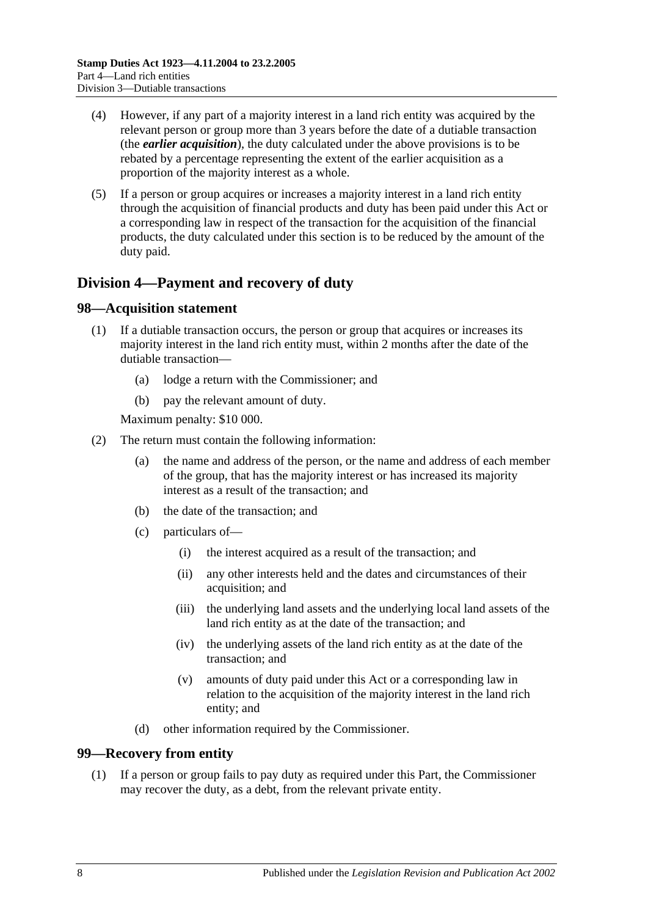- (4) However, if any part of a majority interest in a land rich entity was acquired by the relevant person or group more than 3 years before the date of a dutiable transaction (the *earlier acquisition*), the duty calculated under the above provisions is to be rebated by a percentage representing the extent of the earlier acquisition as a proportion of the majority interest as a whole.
- (5) If a person or group acquires or increases a majority interest in a land rich entity through the acquisition of financial products and duty has been paid under this Act or a corresponding law in respect of the transaction for the acquisition of the financial products, the duty calculated under this section is to be reduced by the amount of the duty paid.

# **Division 4—Payment and recovery of duty**

### **98—Acquisition statement**

- (1) If a dutiable transaction occurs, the person or group that acquires or increases its majority interest in the land rich entity must, within 2 months after the date of the dutiable transaction—
	- (a) lodge a return with the Commissioner; and
	- (b) pay the relevant amount of duty.

Maximum penalty: \$10 000.

- (2) The return must contain the following information:
	- (a) the name and address of the person, or the name and address of each member of the group, that has the majority interest or has increased its majority interest as a result of the transaction; and
	- (b) the date of the transaction; and
	- (c) particulars of—
		- (i) the interest acquired as a result of the transaction; and
		- (ii) any other interests held and the dates and circumstances of their acquisition; and
		- (iii) the underlying land assets and the underlying local land assets of the land rich entity as at the date of the transaction; and
		- (iv) the underlying assets of the land rich entity as at the date of the transaction; and
		- (v) amounts of duty paid under this Act or a corresponding law in relation to the acquisition of the majority interest in the land rich entity; and
	- (d) other information required by the Commissioner.

#### **99—Recovery from entity**

(1) If a person or group fails to pay duty as required under this Part, the Commissioner may recover the duty, as a debt, from the relevant private entity.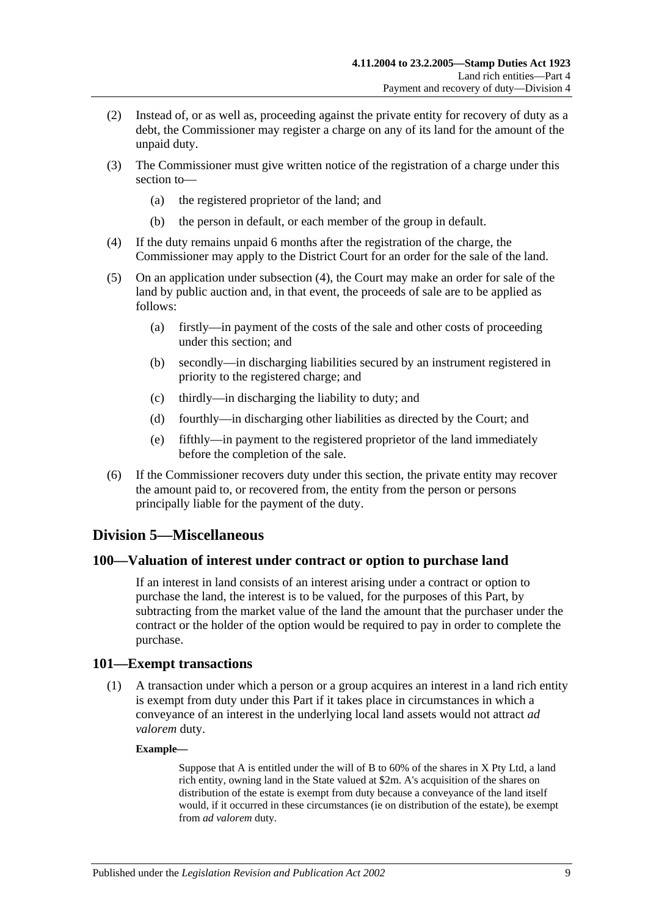- (2) Instead of, or as well as, proceeding against the private entity for recovery of duty as a debt, the Commissioner may register a charge on any of its land for the amount of the unpaid duty.
- (3) The Commissioner must give written notice of the registration of a charge under this section to—
	- (a) the registered proprietor of the land; and
	- (b) the person in default, or each member of the group in default.
- <span id="page-92-0"></span>(4) If the duty remains unpaid 6 months after the registration of the charge, the Commissioner may apply to the District Court for an order for the sale of the land.
- (5) On an application under [subsection](#page-92-0) (4), the Court may make an order for sale of the land by public auction and, in that event, the proceeds of sale are to be applied as follows:
	- (a) firstly—in payment of the costs of the sale and other costs of proceeding under this section; and
	- (b) secondly—in discharging liabilities secured by an instrument registered in priority to the registered charge; and
	- (c) thirdly—in discharging the liability to duty; and
	- (d) fourthly—in discharging other liabilities as directed by the Court; and
	- (e) fifthly—in payment to the registered proprietor of the land immediately before the completion of the sale.
- (6) If the Commissioner recovers duty under this section, the private entity may recover the amount paid to, or recovered from, the entity from the person or persons principally liable for the payment of the duty.

## **Division 5—Miscellaneous**

#### **100—Valuation of interest under contract or option to purchase land**

If an interest in land consists of an interest arising under a contract or option to purchase the land, the interest is to be valued, for the purposes of this Part, by subtracting from the market value of the land the amount that the purchaser under the contract or the holder of the option would be required to pay in order to complete the purchase.

#### **101—Exempt transactions**

(1) A transaction under which a person or a group acquires an interest in a land rich entity is exempt from duty under this Part if it takes place in circumstances in which a conveyance of an interest in the underlying local land assets would not attract *ad valorem* duty.

#### **Example—**

Suppose that A is entitled under the will of B to 60% of the shares in X Pty Ltd, a land rich entity, owning land in the State valued at \$2m. A's acquisition of the shares on distribution of the estate is exempt from duty because a conveyance of the land itself would, if it occurred in these circumstances (ie on distribution of the estate), be exempt from *ad valorem* duty.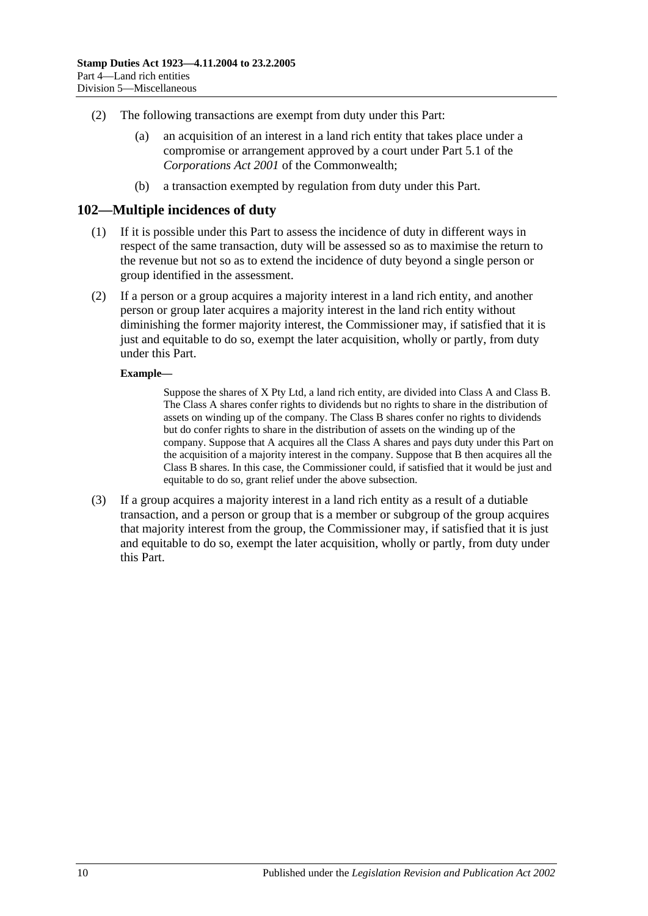- (2) The following transactions are exempt from duty under this Part:
	- (a) an acquisition of an interest in a land rich entity that takes place under a compromise or arrangement approved by a court under Part 5.1 of the *Corporations Act 2001* of the Commonwealth;
	- (b) a transaction exempted by regulation from duty under this Part.

#### **102—Multiple incidences of duty**

- (1) If it is possible under this Part to assess the incidence of duty in different ways in respect of the same transaction, duty will be assessed so as to maximise the return to the revenue but not so as to extend the incidence of duty beyond a single person or group identified in the assessment.
- (2) If a person or a group acquires a majority interest in a land rich entity, and another person or group later acquires a majority interest in the land rich entity without diminishing the former majority interest, the Commissioner may, if satisfied that it is just and equitable to do so, exempt the later acquisition, wholly or partly, from duty under this Part.

#### **Example—**

Suppose the shares of X Pty Ltd, a land rich entity, are divided into Class A and Class B. The Class A shares confer rights to dividends but no rights to share in the distribution of assets on winding up of the company. The Class B shares confer no rights to dividends but do confer rights to share in the distribution of assets on the winding up of the company. Suppose that A acquires all the Class A shares and pays duty under this Part on the acquisition of a majority interest in the company. Suppose that B then acquires all the Class B shares. In this case, the Commissioner could, if satisfied that it would be just and equitable to do so, grant relief under the above subsection.

(3) If a group acquires a majority interest in a land rich entity as a result of a dutiable transaction, and a person or group that is a member or subgroup of the group acquires that majority interest from the group, the Commissioner may, if satisfied that it is just and equitable to do so, exempt the later acquisition, wholly or partly, from duty under this Part.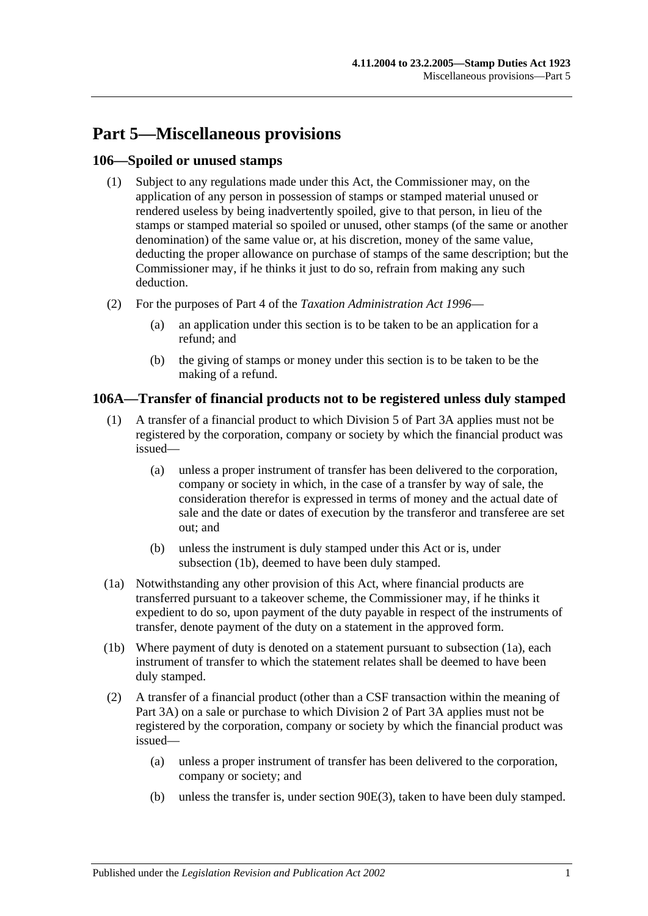# **Part 5—Miscellaneous provisions**

## **106—Spoiled or unused stamps**

- (1) Subject to any regulations made under this Act, the Commissioner may, on the application of any person in possession of stamps or stamped material unused or rendered useless by being inadvertently spoiled, give to that person, in lieu of the stamps or stamped material so spoiled or unused, other stamps (of the same or another denomination) of the same value or, at his discretion, money of the same value, deducting the proper allowance on purchase of stamps of the same description; but the Commissioner may, if he thinks it just to do so, refrain from making any such deduction.
- (2) For the purposes of Part 4 of the *[Taxation Administration Act](http://www.legislation.sa.gov.au/index.aspx?action=legref&type=act&legtitle=Taxation%20Administration%20Act%201996) 1996*
	- (a) an application under this section is to be taken to be an application for a refund; and
	- (b) the giving of stamps or money under this section is to be taken to be the making of a refund.

## **106A—Transfer of financial products not to be registered unless duly stamped**

- (1) A transfer of a financial product to which [Division 5](#page-83-1) of [Part 3A](#page-72-0) applies must not be registered by the corporation, company or society by which the financial product was issued—
	- (a) unless a proper instrument of transfer has been delivered to the corporation, company or society in which, in the case of a transfer by way of sale, the consideration therefor is expressed in terms of money and the actual date of sale and the date or dates of execution by the transferor and transferee are set out; and
	- (b) unless the instrument is duly stamped under this Act or is, under [subsection](#page-94-0) (1b), deemed to have been duly stamped.
- <span id="page-94-1"></span>(1a) Notwithstanding any other provision of this Act, where financial products are transferred pursuant to a takeover scheme, the Commissioner may, if he thinks it expedient to do so, upon payment of the duty payable in respect of the instruments of transfer, denote payment of the duty on a statement in the approved form.
- <span id="page-94-0"></span>(1b) Where payment of duty is denoted on a statement pursuant to [subsection](#page-94-1) (1a), each instrument of transfer to which the statement relates shall be deemed to have been duly stamped.
- (2) A transfer of a financial product (other than a CSF transaction within the meaning of [Part 3A\)](#page-72-0) on a sale or purchase to which [Division 2](#page-74-0) of [Part 3A](#page-72-0) applies must not be registered by the corporation, company or society by which the financial product was issued—
	- (a) unless a proper instrument of transfer has been delivered to the corporation, company or society; and
	- (b) unless the transfer is, under [section](#page-77-0) 90E(3), taken to have been duly stamped.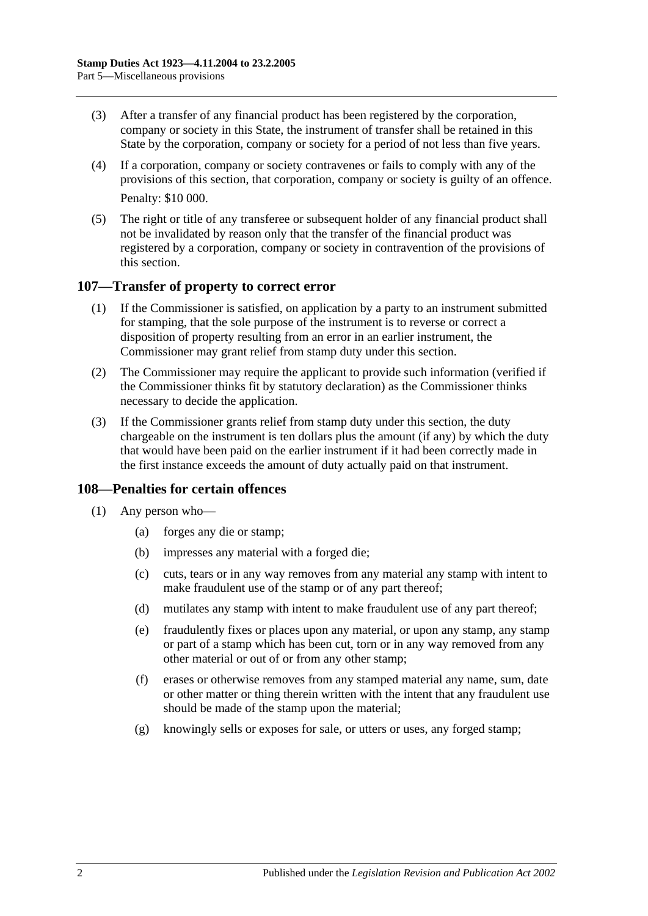- (3) After a transfer of any financial product has been registered by the corporation, company or society in this State, the instrument of transfer shall be retained in this State by the corporation, company or society for a period of not less than five years.
- (4) If a corporation, company or society contravenes or fails to comply with any of the provisions of this section, that corporation, company or society is guilty of an offence. Penalty: \$10 000.
- (5) The right or title of any transferee or subsequent holder of any financial product shall not be invalidated by reason only that the transfer of the financial product was registered by a corporation, company or society in contravention of the provisions of this section.

### **107—Transfer of property to correct error**

- (1) If the Commissioner is satisfied, on application by a party to an instrument submitted for stamping, that the sole purpose of the instrument is to reverse or correct a disposition of property resulting from an error in an earlier instrument, the Commissioner may grant relief from stamp duty under this section.
- (2) The Commissioner may require the applicant to provide such information (verified if the Commissioner thinks fit by statutory declaration) as the Commissioner thinks necessary to decide the application.
- (3) If the Commissioner grants relief from stamp duty under this section, the duty chargeable on the instrument is ten dollars plus the amount (if any) by which the duty that would have been paid on the earlier instrument if it had been correctly made in the first instance exceeds the amount of duty actually paid on that instrument.

## **108—Penalties for certain offences**

- <span id="page-95-0"></span>(1) Any person who—
	- (a) forges any die or stamp;
	- (b) impresses any material with a forged die;
	- (c) cuts, tears or in any way removes from any material any stamp with intent to make fraudulent use of the stamp or of any part thereof;
	- (d) mutilates any stamp with intent to make fraudulent use of any part thereof;
	- (e) fraudulently fixes or places upon any material, or upon any stamp, any stamp or part of a stamp which has been cut, torn or in any way removed from any other material or out of or from any other stamp;
	- (f) erases or otherwise removes from any stamped material any name, sum, date or other matter or thing therein written with the intent that any fraudulent use should be made of the stamp upon the material;
	- (g) knowingly sells or exposes for sale, or utters or uses, any forged stamp;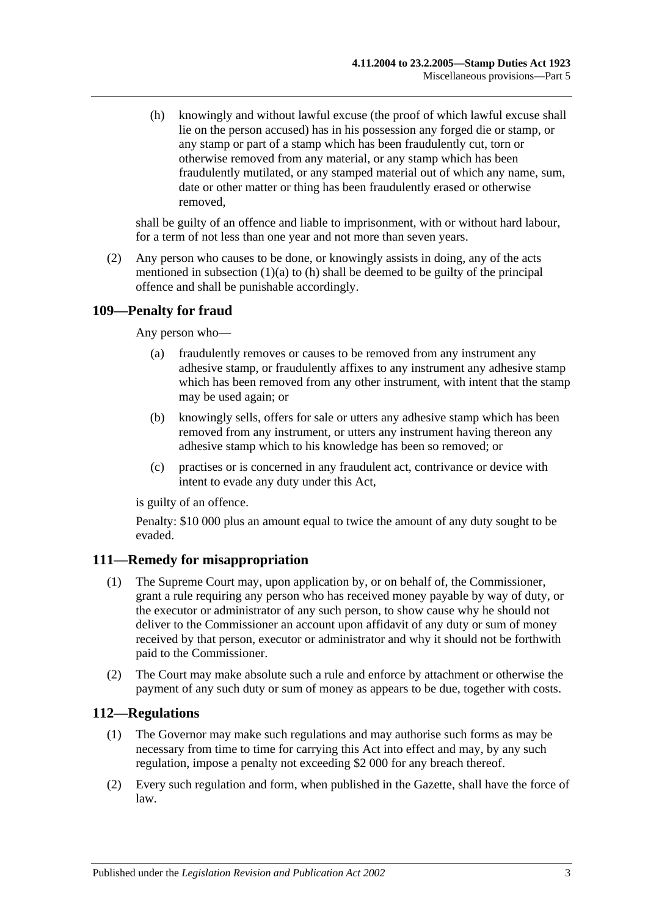<span id="page-96-0"></span>(h) knowingly and without lawful excuse (the proof of which lawful excuse shall lie on the person accused) has in his possession any forged die or stamp, or any stamp or part of a stamp which has been fraudulently cut, torn or otherwise removed from any material, or any stamp which has been fraudulently mutilated, or any stamped material out of which any name, sum, date or other matter or thing has been fraudulently erased or otherwise removed,

shall be guilty of an offence and liable to imprisonment, with or without hard labour, for a term of not less than one year and not more than seven years.

(2) Any person who causes to be done, or knowingly assists in doing, any of the acts mentioned in [subsection](#page-95-0)  $(1)(a)$  to  $(h)$  shall be deemed to be guilty of the principal offence and shall be punishable accordingly.

## **109—Penalty for fraud**

Any person who—

- (a) fraudulently removes or causes to be removed from any instrument any adhesive stamp, or fraudulently affixes to any instrument any adhesive stamp which has been removed from any other instrument, with intent that the stamp may be used again; or
- (b) knowingly sells, offers for sale or utters any adhesive stamp which has been removed from any instrument, or utters any instrument having thereon any adhesive stamp which to his knowledge has been so removed; or
- (c) practises or is concerned in any fraudulent act, contrivance or device with intent to evade any duty under this Act,

is guilty of an offence.

Penalty: \$10 000 plus an amount equal to twice the amount of any duty sought to be evaded.

## **111—Remedy for misappropriation**

- (1) The Supreme Court may, upon application by, or on behalf of, the Commissioner, grant a rule requiring any person who has received money payable by way of duty, or the executor or administrator of any such person, to show cause why he should not deliver to the Commissioner an account upon affidavit of any duty or sum of money received by that person, executor or administrator and why it should not be forthwith paid to the Commissioner.
- (2) The Court may make absolute such a rule and enforce by attachment or otherwise the payment of any such duty or sum of money as appears to be due, together with costs.

## **112—Regulations**

- (1) The Governor may make such regulations and may authorise such forms as may be necessary from time to time for carrying this Act into effect and may, by any such regulation, impose a penalty not exceeding \$2 000 for any breach thereof.
- (2) Every such regulation and form, when published in the Gazette, shall have the force of law.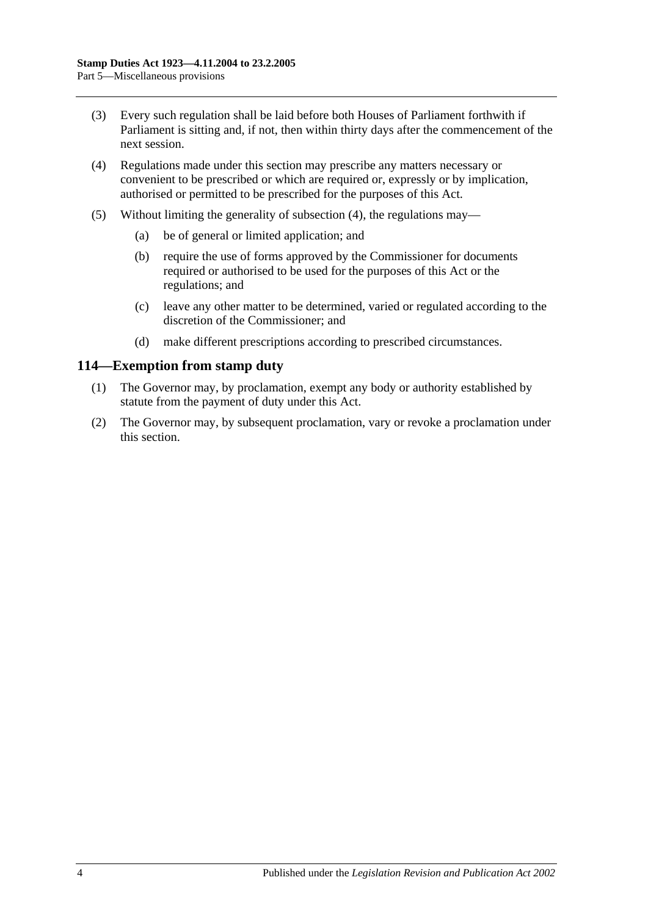- (3) Every such regulation shall be laid before both Houses of Parliament forthwith if Parliament is sitting and, if not, then within thirty days after the commencement of the next session.
- <span id="page-97-0"></span>(4) Regulations made under this section may prescribe any matters necessary or convenient to be prescribed or which are required or, expressly or by implication, authorised or permitted to be prescribed for the purposes of this Act.
- (5) Without limiting the generality of [subsection](#page-97-0) (4), the regulations may—
	- (a) be of general or limited application; and
	- (b) require the use of forms approved by the Commissioner for documents required or authorised to be used for the purposes of this Act or the regulations; and
	- (c) leave any other matter to be determined, varied or regulated according to the discretion of the Commissioner; and
	- (d) make different prescriptions according to prescribed circumstances.

### **114—Exemption from stamp duty**

- (1) The Governor may, by proclamation, exempt any body or authority established by statute from the payment of duty under this Act.
- (2) The Governor may, by subsequent proclamation, vary or revoke a proclamation under this section.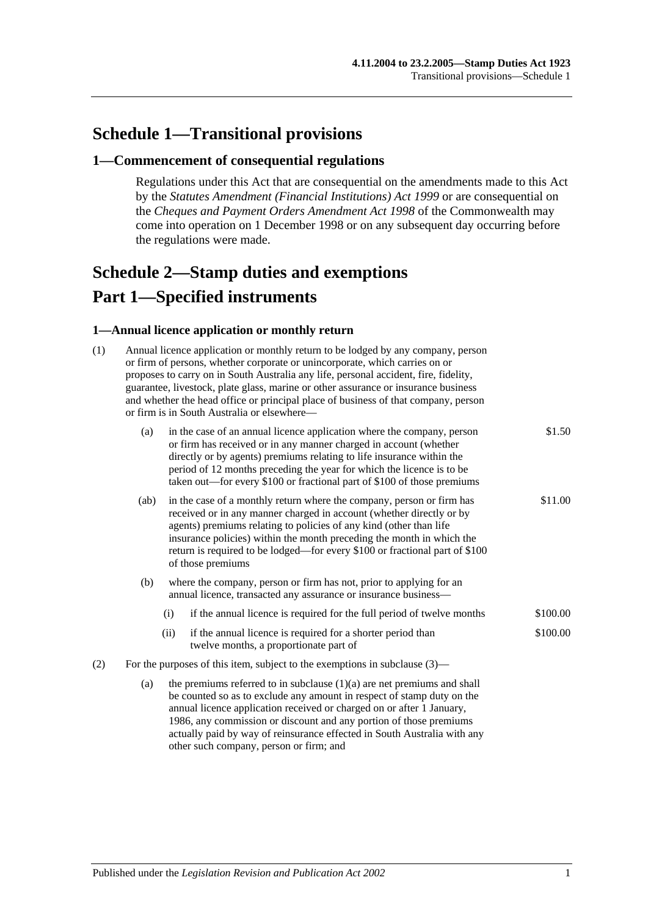# **Schedule 1—Transitional provisions**

#### **1—Commencement of consequential regulations**

Regulations under this Act that are consequential on the amendments made to this Act by the *[Statutes Amendment \(Financial Institutions\) Act](http://www.legislation.sa.gov.au/index.aspx?action=legref&type=act&legtitle=Statutes%20Amendment%20(Financial%20Institutions)%20Act%201999) 1999* or are consequential on the *Cheques and Payment Orders Amendment Act 1998* of the Commonwealth may come into operation on 1 December 1998 or on any subsequent day occurring before the regulations were made.

# <span id="page-98-0"></span>**Schedule 2—Stamp duties and exemptions Part 1—Specified instruments**

#### **1—Annual licence application or monthly return**

| (1) | Annual licence application or monthly return to be lodged by any company, person<br>or firm of persons, whether corporate or unincorporate, which carries on or<br>proposes to carry on in South Australia any life, personal accident, fire, fidelity,<br>guarantee, livestock, plate glass, marine or other assurance or insurance business<br>and whether the head office or principal place of business of that company, person<br>or firm is in South Australia or elsewhere- |                                                                                                                                                                                                                                                                                                                                                                                                  |                                                                                                                                        |          |  |  |
|-----|------------------------------------------------------------------------------------------------------------------------------------------------------------------------------------------------------------------------------------------------------------------------------------------------------------------------------------------------------------------------------------------------------------------------------------------------------------------------------------|--------------------------------------------------------------------------------------------------------------------------------------------------------------------------------------------------------------------------------------------------------------------------------------------------------------------------------------------------------------------------------------------------|----------------------------------------------------------------------------------------------------------------------------------------|----------|--|--|
|     | (a)                                                                                                                                                                                                                                                                                                                                                                                                                                                                                | in the case of an annual licence application where the company, person<br>or firm has received or in any manner charged in account (whether<br>directly or by agents) premiums relating to life insurance within the<br>period of 12 months preceding the year for which the licence is to be<br>taken out—for every \$100 or fractional part of \$100 of those premiums                         |                                                                                                                                        |          |  |  |
|     | (ab)                                                                                                                                                                                                                                                                                                                                                                                                                                                                               | in the case of a monthly return where the company, person or firm has<br>received or in any manner charged in account (whether directly or by<br>agents) premiums relating to policies of any kind (other than life<br>insurance policies) within the month preceding the month in which the<br>return is required to be lodged—for every \$100 or fractional part of \$100<br>of those premiums |                                                                                                                                        |          |  |  |
|     | (b)                                                                                                                                                                                                                                                                                                                                                                                                                                                                                |                                                                                                                                                                                                                                                                                                                                                                                                  | where the company, person or firm has not, prior to applying for an<br>annual licence, transacted any assurance or insurance business- |          |  |  |
|     |                                                                                                                                                                                                                                                                                                                                                                                                                                                                                    | (i)                                                                                                                                                                                                                                                                                                                                                                                              | if the annual licence is required for the full period of twelve months                                                                 | \$100.00 |  |  |
|     |                                                                                                                                                                                                                                                                                                                                                                                                                                                                                    | (ii)                                                                                                                                                                                                                                                                                                                                                                                             | if the annual licence is required for a shorter period than<br>twelve months, a proportionate part of                                  | \$100.00 |  |  |
| (2) | For the purposes of this item, subject to the exemptions in subclause $(3)$ —                                                                                                                                                                                                                                                                                                                                                                                                      |                                                                                                                                                                                                                                                                                                                                                                                                  |                                                                                                                                        |          |  |  |
|     | (a)                                                                                                                                                                                                                                                                                                                                                                                                                                                                                | the premiums referred to in subclause $(1)(a)$ are net premiums and shall<br>be counted so as to exclude any amount in respect of stamp duty on the<br>annual licence application received or charged on or after 1 January,<br>1986, any commission or discount and any portion of those premiums<br>actually paid by way of reinsurance effected in South Australia with any                   |                                                                                                                                        |          |  |  |

other such company, person or firm; and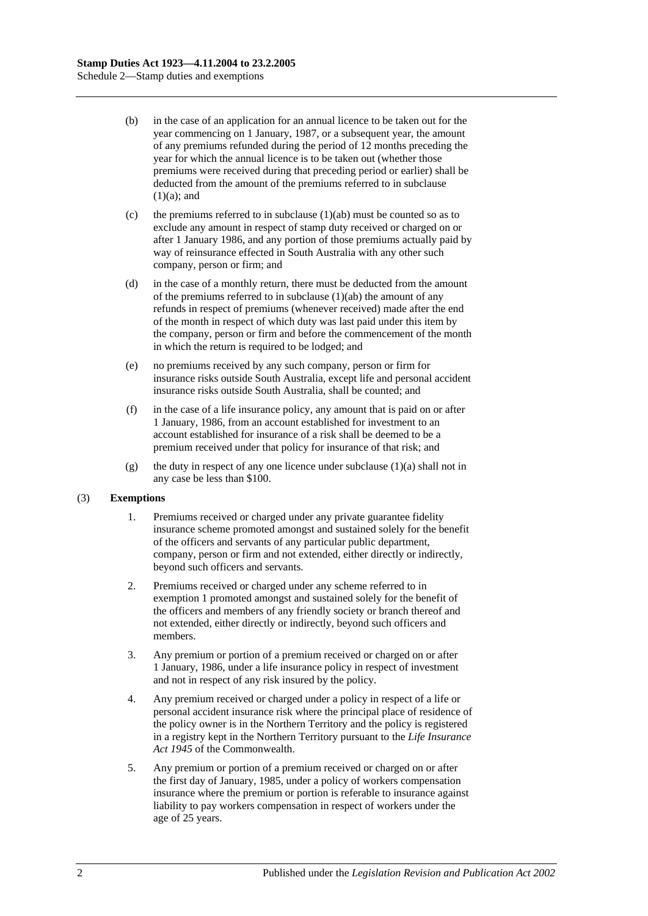- (b) in the case of an application for an annual licence to be taken out for the year commencing on 1 January, 1987, or a subsequent year, the amount of any premiums refunded during the period of 12 months preceding the year for which the annual licence is to be taken out (whether those premiums were received during that preceding period or earlier) shall be deducted from the amount of the premiums referred to in subclause  $(1)(a)$ ; and
- (c) the premiums referred to in subclause  $(1)(ab)$  must be counted so as to exclude any amount in respect of stamp duty received or charged on or after 1 January 1986, and any portion of those premiums actually paid by way of reinsurance effected in South Australia with any other such company, person or firm; and
- (d) in the case of a monthly return, there must be deducted from the amount of the premiums referred to in subclause  $(1)(ab)$  the amount of any refunds in respect of premiums (whenever received) made after the end of the month in respect of which duty was last paid under this item by the company, person or firm and before the commencement of the month in which the return is required to be lodged; and
- (e) no premiums received by any such company, person or firm for insurance risks outside South Australia, except life and personal accident insurance risks outside South Australia, shall be counted; and
- (f) in the case of a life insurance policy, any amount that is paid on or after 1 January, 1986, from an account established for investment to an account established for insurance of a risk shall be deemed to be a premium received under that policy for insurance of that risk; and
- (g) the duty in respect of any one licence under subclause  $(1)(a)$  shall not in any case be less than \$100.

#### (3) **Exemptions**

- 1. Premiums received or charged under any private guarantee fidelity insurance scheme promoted amongst and sustained solely for the benefit of the officers and servants of any particular public department, company, person or firm and not extended, either directly or indirectly, beyond such officers and servants.
- 2. Premiums received or charged under any scheme referred to in exemption 1 promoted amongst and sustained solely for the benefit of the officers and members of any friendly society or branch thereof and not extended, either directly or indirectly, beyond such officers and members.
- 3. Any premium or portion of a premium received or charged on or after 1 January, 1986, under a life insurance policy in respect of investment and not in respect of any risk insured by the policy.
- 4. Any premium received or charged under a policy in respect of a life or personal accident insurance risk where the principal place of residence of the policy owner is in the Northern Territory and the policy is registered in a registry kept in the Northern Territory pursuant to the *Life Insurance Act 1945* of the Commonwealth.
- 5. Any premium or portion of a premium received or charged on or after the first day of January, 1985, under a policy of workers compensation insurance where the premium or portion is referable to insurance against liability to pay workers compensation in respect of workers under the age of 25 years.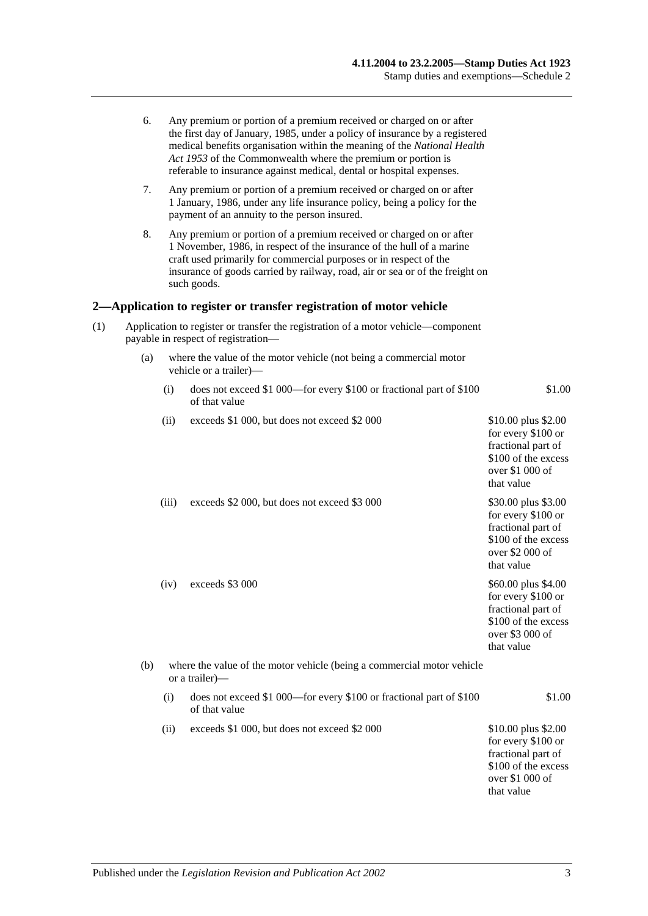|     | 6.                                                                                                                       |                                                                                          | Any premium or portion of a premium received or charged on or after<br>the first day of January, 1985, under a policy of insurance by a registered<br>medical benefits organisation within the meaning of the National Health<br>Act 1953 of the Commonwealth where the premium or portion is<br>referable to insurance against medical, dental or hospital expenses. |                                                                                                                         |  |  |  |
|-----|--------------------------------------------------------------------------------------------------------------------------|------------------------------------------------------------------------------------------|-----------------------------------------------------------------------------------------------------------------------------------------------------------------------------------------------------------------------------------------------------------------------------------------------------------------------------------------------------------------------|-------------------------------------------------------------------------------------------------------------------------|--|--|--|
|     | 7.                                                                                                                       |                                                                                          | Any premium or portion of a premium received or charged on or after<br>1 January, 1986, under any life insurance policy, being a policy for the<br>payment of an annuity to the person insured.                                                                                                                                                                       |                                                                                                                         |  |  |  |
|     | 8.                                                                                                                       |                                                                                          | Any premium or portion of a premium received or charged on or after<br>1 November, 1986, in respect of the insurance of the hull of a marine<br>craft used primarily for commercial purposes or in respect of the<br>insurance of goods carried by railway, road, air or sea or of the freight on<br>such goods.                                                      |                                                                                                                         |  |  |  |
|     |                                                                                                                          |                                                                                          | 2—Application to register or transfer registration of motor vehicle                                                                                                                                                                                                                                                                                                   |                                                                                                                         |  |  |  |
| (1) | Application to register or transfer the registration of a motor vehicle—component<br>payable in respect of registration— |                                                                                          |                                                                                                                                                                                                                                                                                                                                                                       |                                                                                                                         |  |  |  |
|     | (a)                                                                                                                      |                                                                                          | where the value of the motor vehicle (not being a commercial motor<br>vehicle or a trailer)-                                                                                                                                                                                                                                                                          |                                                                                                                         |  |  |  |
|     |                                                                                                                          | (i)                                                                                      | does not exceed \$1 000—for every \$100 or fractional part of \$100<br>of that value                                                                                                                                                                                                                                                                                  | \$1.00                                                                                                                  |  |  |  |
|     |                                                                                                                          | (ii)                                                                                     | exceeds \$1 000, but does not exceed \$2 000                                                                                                                                                                                                                                                                                                                          | \$10.00 plus \$2.00<br>for every \$100 or<br>fractional part of<br>\$100 of the excess<br>over \$1 000 of<br>that value |  |  |  |
|     |                                                                                                                          | (iii)                                                                                    | exceeds \$2 000, but does not exceed \$3 000                                                                                                                                                                                                                                                                                                                          | \$30.00 plus \$3.00<br>for every \$100 or<br>fractional part of<br>\$100 of the excess<br>over \$2 000 of<br>that value |  |  |  |
|     |                                                                                                                          | (iv)                                                                                     | exceeds \$3 000                                                                                                                                                                                                                                                                                                                                                       | \$60.00 plus \$4.00<br>for every \$100 or<br>fractional part of<br>\$100 of the excess<br>over \$3 000 of<br>that value |  |  |  |
|     | (b)                                                                                                                      | where the value of the motor vehicle (being a commercial motor vehicle<br>or a trailer)— |                                                                                                                                                                                                                                                                                                                                                                       |                                                                                                                         |  |  |  |
|     |                                                                                                                          | (i)                                                                                      | does not exceed \$1 000—for every \$100 or fractional part of \$100<br>of that value                                                                                                                                                                                                                                                                                  | \$1.00                                                                                                                  |  |  |  |
|     |                                                                                                                          | (ii)                                                                                     | exceeds \$1 000, but does not exceed \$2 000                                                                                                                                                                                                                                                                                                                          | \$10.00 plus \$2.00<br>for every \$100 or<br>fractional part of<br>\$100 of the excess<br>over \$1 000 of<br>that value |  |  |  |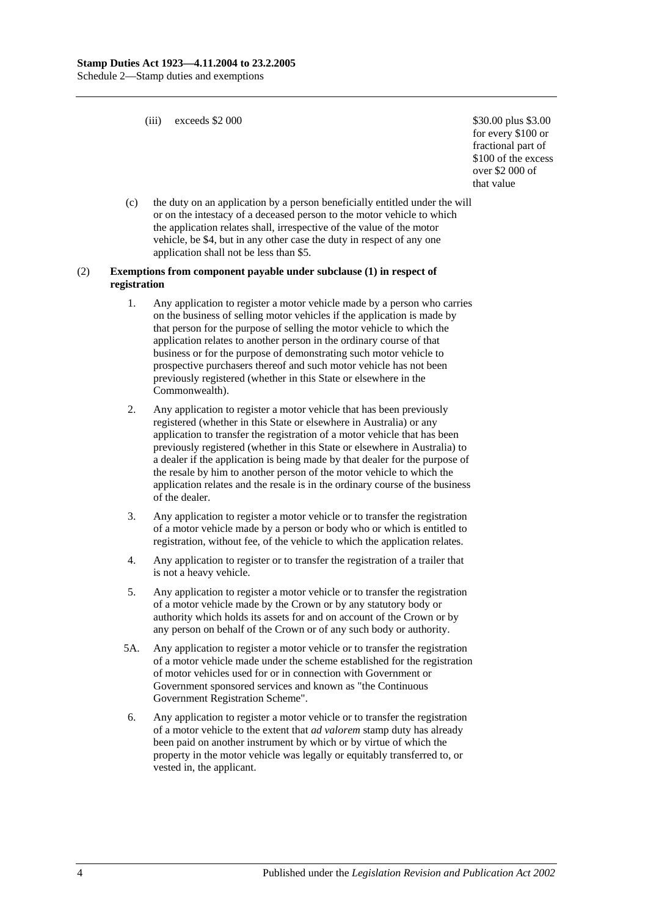(iii) exceeds  $$2\,000$   $$30.00 \text{ plus } $3.00$ 

for every \$100 or fractional part of \$100 of the excess over \$2 000 of that value

(c) the duty on an application by a person beneficially entitled under the will or on the intestacy of a deceased person to the motor vehicle to which the application relates shall, irrespective of the value of the motor vehicle, be \$4, but in any other case the duty in respect of any one application shall not be less than \$5.

#### (2) **Exemptions from component payable under subclause (1) in respect of registration**

- 1. Any application to register a motor vehicle made by a person who carries on the business of selling motor vehicles if the application is made by that person for the purpose of selling the motor vehicle to which the application relates to another person in the ordinary course of that business or for the purpose of demonstrating such motor vehicle to prospective purchasers thereof and such motor vehicle has not been previously registered (whether in this State or elsewhere in the Commonwealth).
- 2. Any application to register a motor vehicle that has been previously registered (whether in this State or elsewhere in Australia) or any application to transfer the registration of a motor vehicle that has been previously registered (whether in this State or elsewhere in Australia) to a dealer if the application is being made by that dealer for the purpose of the resale by him to another person of the motor vehicle to which the application relates and the resale is in the ordinary course of the business of the dealer.
- 3. Any application to register a motor vehicle or to transfer the registration of a motor vehicle made by a person or body who or which is entitled to registration, without fee, of the vehicle to which the application relates.
- 4. Any application to register or to transfer the registration of a trailer that is not a heavy vehicle.
- 5. Any application to register a motor vehicle or to transfer the registration of a motor vehicle made by the Crown or by any statutory body or authority which holds its assets for and on account of the Crown or by any person on behalf of the Crown or of any such body or authority.
- 5A. Any application to register a motor vehicle or to transfer the registration of a motor vehicle made under the scheme established for the registration of motor vehicles used for or in connection with Government or Government sponsored services and known as "the Continuous Government Registration Scheme".
- 6. Any application to register a motor vehicle or to transfer the registration of a motor vehicle to the extent that *ad valorem* stamp duty has already been paid on another instrument by which or by virtue of which the property in the motor vehicle was legally or equitably transferred to, or vested in, the applicant.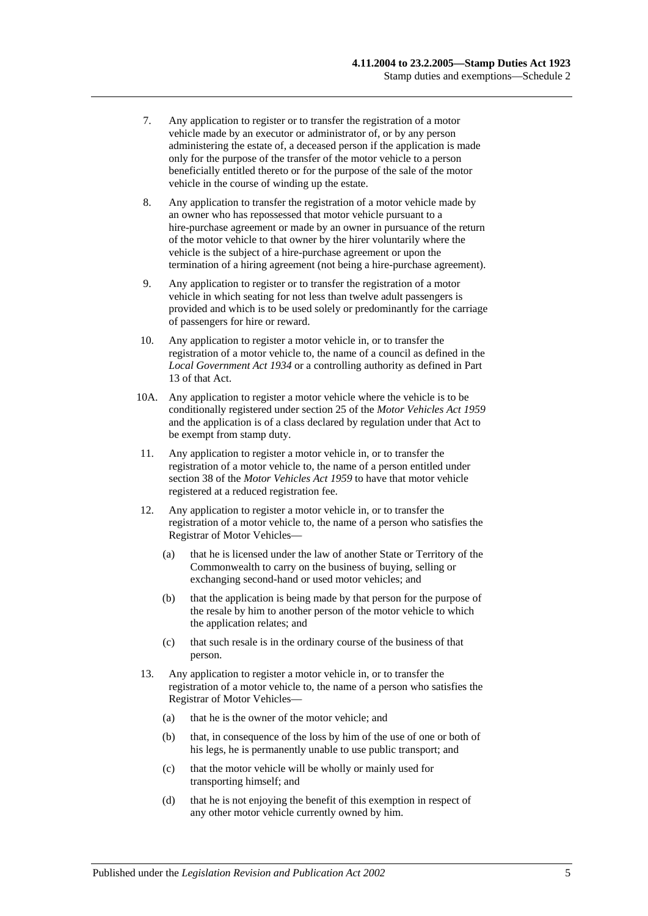- 7. Any application to register or to transfer the registration of a motor vehicle made by an executor or administrator of, or by any person administering the estate of, a deceased person if the application is made only for the purpose of the transfer of the motor vehicle to a person beneficially entitled thereto or for the purpose of the sale of the motor vehicle in the course of winding up the estate.
- 8. Any application to transfer the registration of a motor vehicle made by an owner who has repossessed that motor vehicle pursuant to a hire-purchase agreement or made by an owner in pursuance of the return of the motor vehicle to that owner by the hirer voluntarily where the vehicle is the subject of a hire-purchase agreement or upon the termination of a hiring agreement (not being a hire-purchase agreement).
- 9. Any application to register or to transfer the registration of a motor vehicle in which seating for not less than twelve adult passengers is provided and which is to be used solely or predominantly for the carriage of passengers for hire or reward.
- 10. Any application to register a motor vehicle in, or to transfer the registration of a motor vehicle to, the name of a council as defined in the *[Local Government Act](http://www.legislation.sa.gov.au/index.aspx?action=legref&type=act&legtitle=Local%20Government%20Act%201934) 1934* or a controlling authority as defined in Part 13 of that Act.
- 10A. Any application to register a motor vehicle where the vehicle is to be conditionally registered under section 25 of the *[Motor Vehicles Act](http://www.legislation.sa.gov.au/index.aspx?action=legref&type=act&legtitle=Motor%20Vehicles%20Act%201959) 1959* and the application is of a class declared by regulation under that Act to be exempt from stamp duty.
- 11. Any application to register a motor vehicle in, or to transfer the registration of a motor vehicle to, the name of a person entitled under section 38 of the *[Motor Vehicles Act](http://www.legislation.sa.gov.au/index.aspx?action=legref&type=act&legtitle=Motor%20Vehicles%20Act%201959) 1959* to have that motor vehicle registered at a reduced registration fee.
- 12. Any application to register a motor vehicle in, or to transfer the registration of a motor vehicle to, the name of a person who satisfies the Registrar of Motor Vehicles—
	- (a) that he is licensed under the law of another State or Territory of the Commonwealth to carry on the business of buying, selling or exchanging second-hand or used motor vehicles; and
	- (b) that the application is being made by that person for the purpose of the resale by him to another person of the motor vehicle to which the application relates; and
	- (c) that such resale is in the ordinary course of the business of that person.
- 13. Any application to register a motor vehicle in, or to transfer the registration of a motor vehicle to, the name of a person who satisfies the Registrar of Motor Vehicles—
	- (a) that he is the owner of the motor vehicle; and
	- (b) that, in consequence of the loss by him of the use of one or both of his legs, he is permanently unable to use public transport; and
	- (c) that the motor vehicle will be wholly or mainly used for transporting himself; and
	- (d) that he is not enjoying the benefit of this exemption in respect of any other motor vehicle currently owned by him.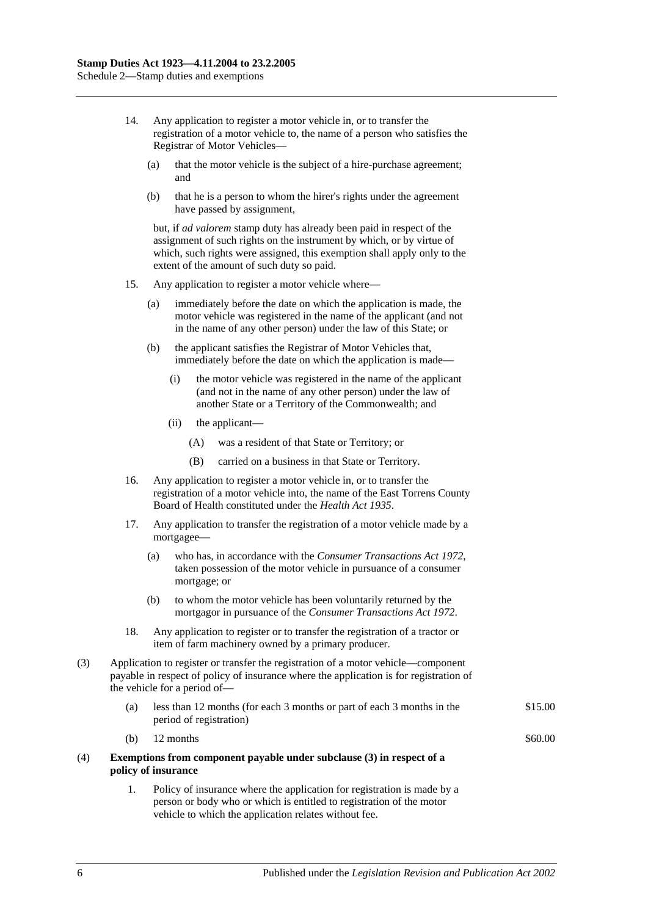- 14. Any application to register a motor vehicle in, or to transfer the registration of a motor vehicle to, the name of a person who satisfies the Registrar of Motor Vehicles—
	- (a) that the motor vehicle is the subject of a hire-purchase agreement; and
	- (b) that he is a person to whom the hirer's rights under the agreement have passed by assignment,

but, if *ad valorem* stamp duty has already been paid in respect of the assignment of such rights on the instrument by which, or by virtue of which, such rights were assigned, this exemption shall apply only to the extent of the amount of such duty so paid.

- 15. Any application to register a motor vehicle where—
	- (a) immediately before the date on which the application is made, the motor vehicle was registered in the name of the applicant (and not in the name of any other person) under the law of this State; or
	- (b) the applicant satisfies the Registrar of Motor Vehicles that, immediately before the date on which the application is made—
		- (i) the motor vehicle was registered in the name of the applicant (and not in the name of any other person) under the law of another State or a Territory of the Commonwealth; and
		- (ii) the applicant—
			- (A) was a resident of that State or Territory; or
			- (B) carried on a business in that State or Territory.
- 16. Any application to register a motor vehicle in, or to transfer the registration of a motor vehicle into, the name of the East Torrens County Board of Health constituted under the *[Health Act](http://www.legislation.sa.gov.au/index.aspx?action=legref&type=act&legtitle=Health%20Act%201935) 1935*.
- 17. Any application to transfer the registration of a motor vehicle made by a mortgagee—
	- (a) who has, in accordance with the *[Consumer Transactions Act](http://www.legislation.sa.gov.au/index.aspx?action=legref&type=act&legtitle=Consumer%20Transactions%20Act%201972) 1972*, taken possession of the motor vehicle in pursuance of a consumer mortgage; or
	- (b) to whom the motor vehicle has been voluntarily returned by the mortgagor in pursuance of the *[Consumer Transactions Act](http://www.legislation.sa.gov.au/index.aspx?action=legref&type=act&legtitle=Consumer%20Transactions%20Act%201972) 1972*.
- 18. Any application to register or to transfer the registration of a tractor or item of farm machinery owned by a primary producer.
- (3) Application to register or transfer the registration of a motor vehicle—component payable in respect of policy of insurance where the application is for registration of the vehicle for a period of—
	- (a) less than 12 months (for each 3 months or part of each 3 months in the period of registration) \$15.00
	- (b)  $12$  months  $\$60.00$

#### (4) **Exemptions from component payable under subclause (3) in respect of a policy of insurance**

1. Policy of insurance where the application for registration is made by a person or body who or which is entitled to registration of the motor vehicle to which the application relates without fee.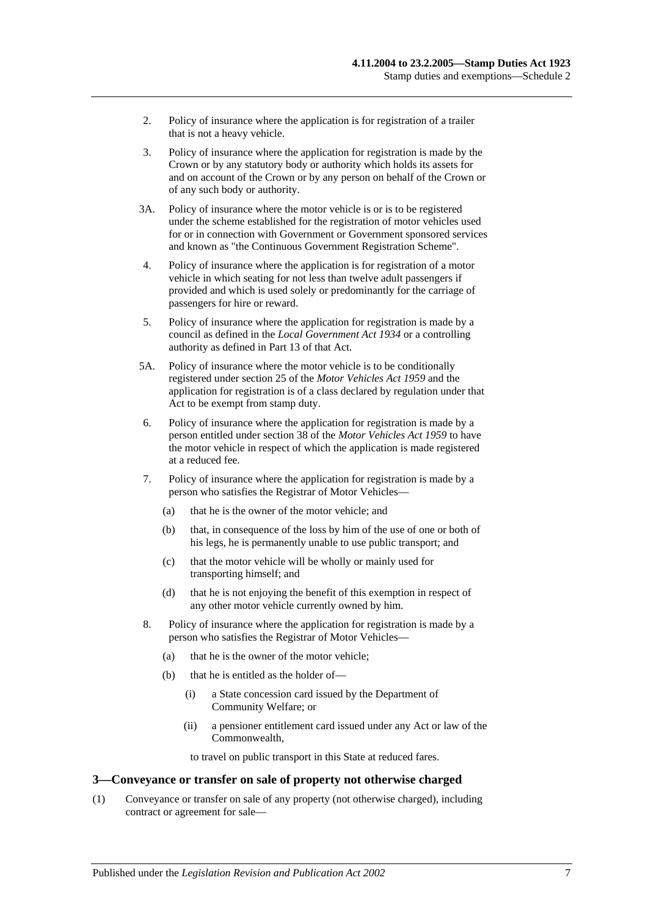- 2. Policy of insurance where the application is for registration of a trailer that is not a heavy vehicle.
- 3. Policy of insurance where the application for registration is made by the Crown or by any statutory body or authority which holds its assets for and on account of the Crown or by any person on behalf of the Crown or of any such body or authority.
- 3A. Policy of insurance where the motor vehicle is or is to be registered under the scheme established for the registration of motor vehicles used for or in connection with Government or Government sponsored services and known as "the Continuous Government Registration Scheme".
- 4. Policy of insurance where the application is for registration of a motor vehicle in which seating for not less than twelve adult passengers if provided and which is used solely or predominantly for the carriage of passengers for hire or reward.
- 5. Policy of insurance where the application for registration is made by a council as defined in the *[Local Government Act](http://www.legislation.sa.gov.au/index.aspx?action=legref&type=act&legtitle=Local%20Government%20Act%201934) 1934* or a controlling authority as defined in Part 13 of that Act.
- 5A. Policy of insurance where the motor vehicle is to be conditionally registered under section 25 of the *[Motor Vehicles Act](http://www.legislation.sa.gov.au/index.aspx?action=legref&type=act&legtitle=Motor%20Vehicles%20Act%201959) 1959* and the application for registration is of a class declared by regulation under that Act to be exempt from stamp duty.
- 6. Policy of insurance where the application for registration is made by a person entitled under section 38 of the *[Motor Vehicles Act](http://www.legislation.sa.gov.au/index.aspx?action=legref&type=act&legtitle=Motor%20Vehicles%20Act%201959) 1959* to have the motor vehicle in respect of which the application is made registered at a reduced fee.
- 7. Policy of insurance where the application for registration is made by a person who satisfies the Registrar of Motor Vehicles—
	- (a) that he is the owner of the motor vehicle; and
	- (b) that, in consequence of the loss by him of the use of one or both of his legs, he is permanently unable to use public transport; and
	- (c) that the motor vehicle will be wholly or mainly used for transporting himself; and
	- (d) that he is not enjoying the benefit of this exemption in respect of any other motor vehicle currently owned by him.
- 8. Policy of insurance where the application for registration is made by a person who satisfies the Registrar of Motor Vehicles—
	- (a) that he is the owner of the motor vehicle;
	- (b) that he is entitled as the holder of—
		- (i) a State concession card issued by the Department of Community Welfare; or
		- (ii) a pensioner entitlement card issued under any Act or law of the Commonwealth,

to travel on public transport in this State at reduced fares.

#### **3—Conveyance or transfer on sale of property not otherwise charged**

(1) Conveyance or transfer on sale of any property (not otherwise charged), including contract or agreement for sale—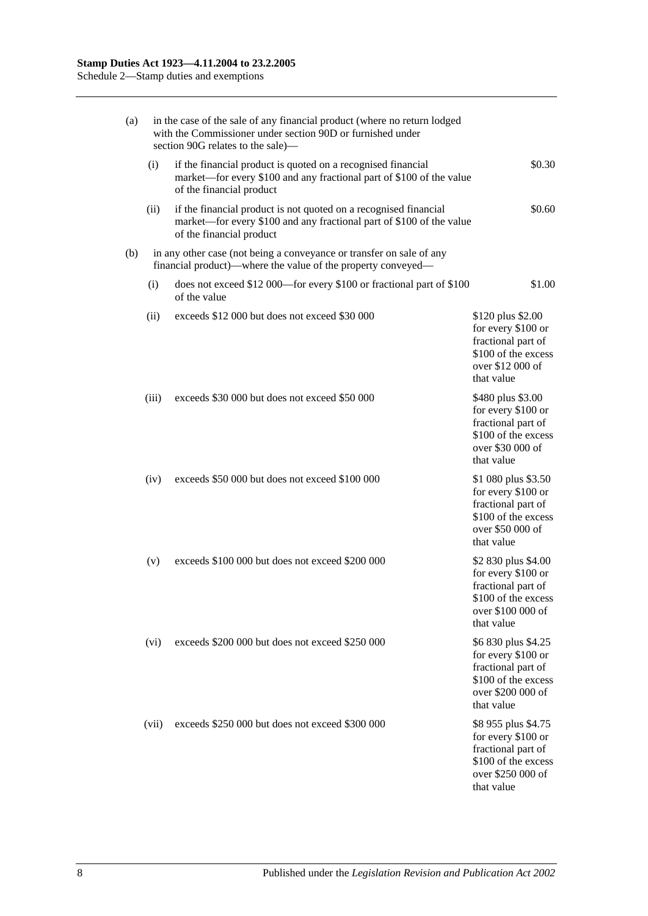| (a) | in the case of the sale of any financial product (where no return lodged<br>with the Commissioner under section 90D or furnished under<br>section 90G relates to the sale)- |                                                                                                                                                                      |                                                                                                                           |  |  |  |
|-----|-----------------------------------------------------------------------------------------------------------------------------------------------------------------------------|----------------------------------------------------------------------------------------------------------------------------------------------------------------------|---------------------------------------------------------------------------------------------------------------------------|--|--|--|
|     | (i)                                                                                                                                                                         | if the financial product is quoted on a recognised financial<br>market—for every \$100 and any fractional part of \$100 of the value<br>of the financial product     | \$0.30                                                                                                                    |  |  |  |
|     | (ii)                                                                                                                                                                        | if the financial product is not quoted on a recognised financial<br>market—for every \$100 and any fractional part of \$100 of the value<br>of the financial product | \$0.60                                                                                                                    |  |  |  |
| (b) |                                                                                                                                                                             | in any other case (not being a conveyance or transfer on sale of any<br>financial product)—where the value of the property conveyed—                                 |                                                                                                                           |  |  |  |
|     | (i)                                                                                                                                                                         | does not exceed \$12 000—for every \$100 or fractional part of \$100<br>of the value                                                                                 | \$1.00                                                                                                                    |  |  |  |
|     | (ii)                                                                                                                                                                        | exceeds \$12 000 but does not exceed \$30 000                                                                                                                        | \$120 plus \$2.00<br>for every \$100 or<br>fractional part of<br>\$100 of the excess<br>over \$12 000 of<br>that value    |  |  |  |
|     | (iii)                                                                                                                                                                       | exceeds \$30 000 but does not exceed \$50 000                                                                                                                        | \$480 plus \$3.00<br>for every \$100 or<br>fractional part of<br>\$100 of the excess<br>over \$30 000 of<br>that value    |  |  |  |
|     | (iv)                                                                                                                                                                        | exceeds \$50 000 but does not exceed \$100 000                                                                                                                       | \$1 080 plus \$3.50<br>for every \$100 or<br>fractional part of<br>\$100 of the excess<br>over \$50 000 of<br>that value  |  |  |  |
|     | (v)                                                                                                                                                                         | exceeds \$100 000 but does not exceed \$200 000                                                                                                                      | \$2 830 plus \$4.00<br>for every \$100 or<br>fractional part of<br>\$100 of the excess<br>over \$100 000 of<br>that value |  |  |  |
|     | (vi)                                                                                                                                                                        | exceeds \$200 000 but does not exceed \$250 000                                                                                                                      | \$6 830 plus \$4.25<br>for every \$100 or<br>fractional part of<br>\$100 of the excess<br>over \$200 000 of<br>that value |  |  |  |
|     | (vii)                                                                                                                                                                       | exceeds \$250 000 but does not exceed \$300 000                                                                                                                      | \$8 955 plus \$4.75<br>for every \$100 or<br>fractional part of<br>\$100 of the excess<br>over \$250 000 of<br>that value |  |  |  |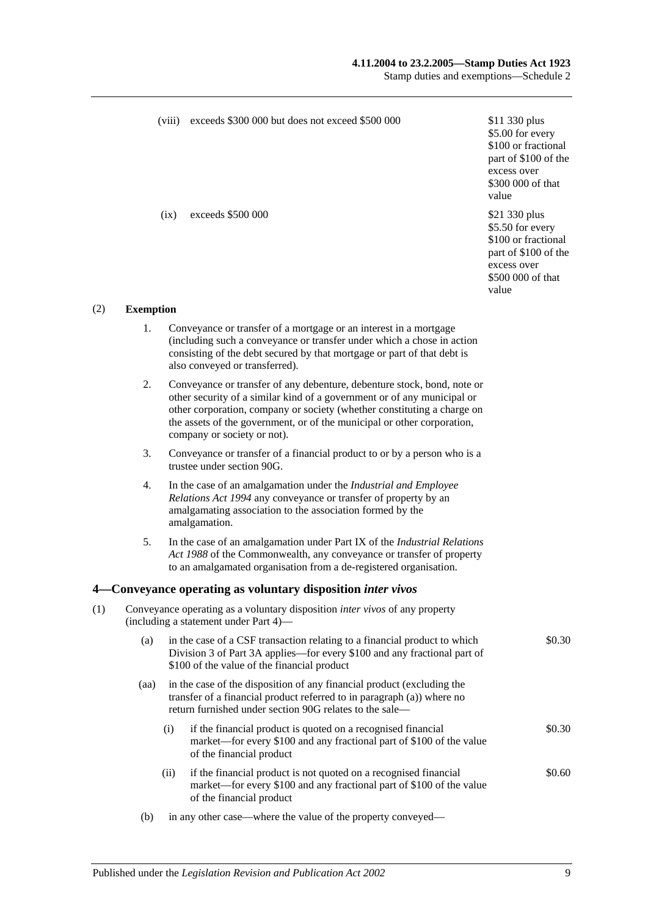#### **4.11.2004 to 23.2.2005—Stamp Duties Act 1923**

Stamp duties and exemptions—Schedule 2

|     |                  |                                                                                                                             | (viii) exceeds \$300 000 but does not exceed \$500 000                                                                                                                                                                                                                                                                                  | \$11 330 plus<br>\$5.00 for every<br>\$100 or fractional<br>part of \$100 of the<br>excess over<br>\$300 000 of that<br>value |
|-----|------------------|-----------------------------------------------------------------------------------------------------------------------------|-----------------------------------------------------------------------------------------------------------------------------------------------------------------------------------------------------------------------------------------------------------------------------------------------------------------------------------------|-------------------------------------------------------------------------------------------------------------------------------|
|     |                  | (ix)                                                                                                                        | exceeds \$500 000                                                                                                                                                                                                                                                                                                                       | \$21 330 plus<br>\$5.50 for every<br>\$100 or fractional<br>part of \$100 of the<br>excess over<br>\$500 000 of that<br>value |
| (2) | <b>Exemption</b> |                                                                                                                             |                                                                                                                                                                                                                                                                                                                                         |                                                                                                                               |
|     | 1.               |                                                                                                                             | Conveyance or transfer of a mortgage or an interest in a mortgage<br>(including such a conveyance or transfer under which a chose in action<br>consisting of the debt secured by that mortgage or part of that debt is<br>also conveyed or transferred).                                                                                |                                                                                                                               |
|     | 2.               |                                                                                                                             | Conveyance or transfer of any debenture, debenture stock, bond, note or<br>other security of a similar kind of a government or of any municipal or<br>other corporation, company or society (whether constituting a charge on<br>the assets of the government, or of the municipal or other corporation,<br>company or society or not). |                                                                                                                               |
|     | 3.               |                                                                                                                             | Conveyance or transfer of a financial product to or by a person who is a<br>trustee under section 90G.                                                                                                                                                                                                                                  |                                                                                                                               |
|     | 4.               |                                                                                                                             | In the case of an amalgamation under the Industrial and Employee<br>Relations Act 1994 any conveyance or transfer of property by an<br>amalgamating association to the association formed by the<br>amalgamation.                                                                                                                       |                                                                                                                               |
|     | 5.               |                                                                                                                             | In the case of an amalgamation under Part IX of the Industrial Relations<br>Act 1988 of the Commonwealth, any conveyance or transfer of property<br>to an amalgamated organisation from a de-registered organisation.                                                                                                                   |                                                                                                                               |
|     |                  |                                                                                                                             | 4 Conveyance operating as voluntary disposition inter vivos                                                                                                                                                                                                                                                                             |                                                                                                                               |
| (1) |                  | Conveyance operating as a voluntary disposition <i>inter vivos</i> of any property<br>(including a statement under Part 4)— |                                                                                                                                                                                                                                                                                                                                         |                                                                                                                               |
|     | (a)              |                                                                                                                             | in the case of a CSF transaction relating to a financial product to which<br>Division 3 of Part 3A applies—for every \$100 and any fractional part of<br>\$100 of the value of the financial product                                                                                                                                    | \$0.30                                                                                                                        |
|     | (aa)             |                                                                                                                             | in the case of the disposition of any financial product (excluding the<br>transfer of a financial product referred to in paragraph (a)) where no<br>return furnished under section 90G relates to the sale-                                                                                                                             |                                                                                                                               |
|     |                  | (i)                                                                                                                         | if the financial product is quoted on a recognised financial<br>market—for every \$100 and any fractional part of \$100 of the value<br>of the financial product                                                                                                                                                                        | \$0.30                                                                                                                        |
|     |                  | (ii)                                                                                                                        | if the financial product is not quoted on a recognised financial<br>market—for every \$100 and any fractional part of \$100 of the value<br>of the financial product                                                                                                                                                                    | \$0.60                                                                                                                        |
|     | (b)              |                                                                                                                             | in any other case—where the value of the property conveyed—                                                                                                                                                                                                                                                                             |                                                                                                                               |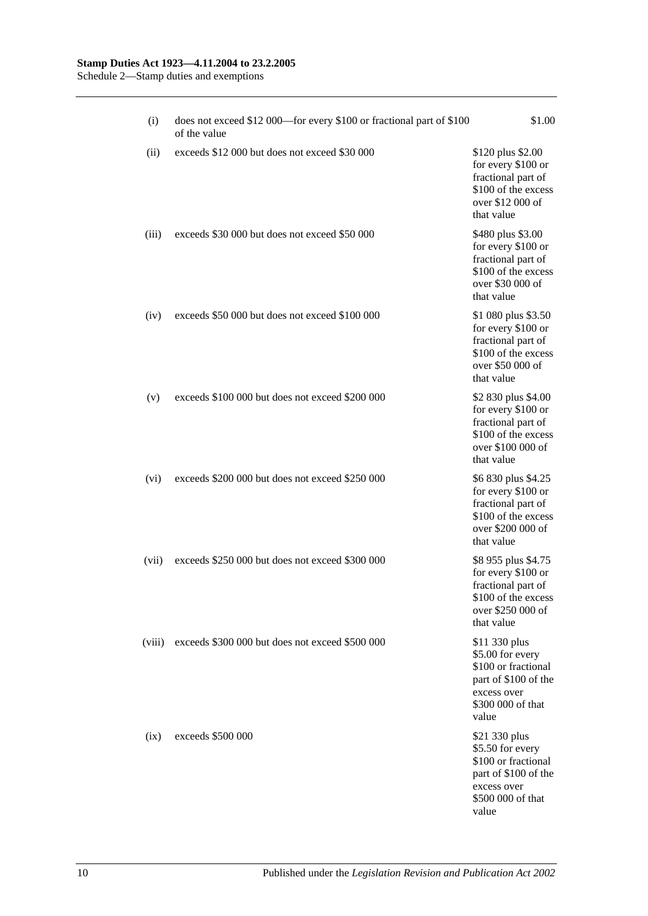(i) does not exceed \$12 000—for every \$100 or fractional part of \$100 of the value \$1.00 (ii) exceeds  $$12,000$  but does not exceed  $$30,000$  \$120 plus \$2.00 for every \$100 or fractional part of \$100 of the excess over \$12 000 of that value (iii) exceeds \$30 000 but does not exceed \$50 000 \$480 plus \$3.00 for every \$100 or fractional part of \$100 of the excess over \$30 000 of that value (iv) exceeds \$50 000 but does not exceed \$100 000 \$1 080 plus \$3.50 for every \$100 or fractional part of \$100 of the excess over \$50 000 of that value (v) exceeds \$100 000 but does not exceed \$200 000 \$2 830 plus \$4.00 for every \$100 or fractional part of \$100 of the excess over \$100 000 of that value (vi) exceeds \$200 000 but does not exceed \$250 000 \$6 830 plus \$4.25 for every \$100 or fractional part of \$100 of the excess over \$200 000 of that value (vii) exceeds \$250 000 but does not exceed \$300 000 \$8 955 plus \$4.75 for every \$100 or fractional part of \$100 of the excess over \$250 000 of that value (viii) exceeds \$300 000 but does not exceed \$500 000 \$11 330 plus \$5.00 for every \$100 or fractional part of \$100 of the excess over \$300 000 of that value (ix) exceeds  $$500,000$   $$21,330 \text{ plus}$ \$5.50 for every \$100 or fractional part of \$100 of the excess over \$500 000 of that value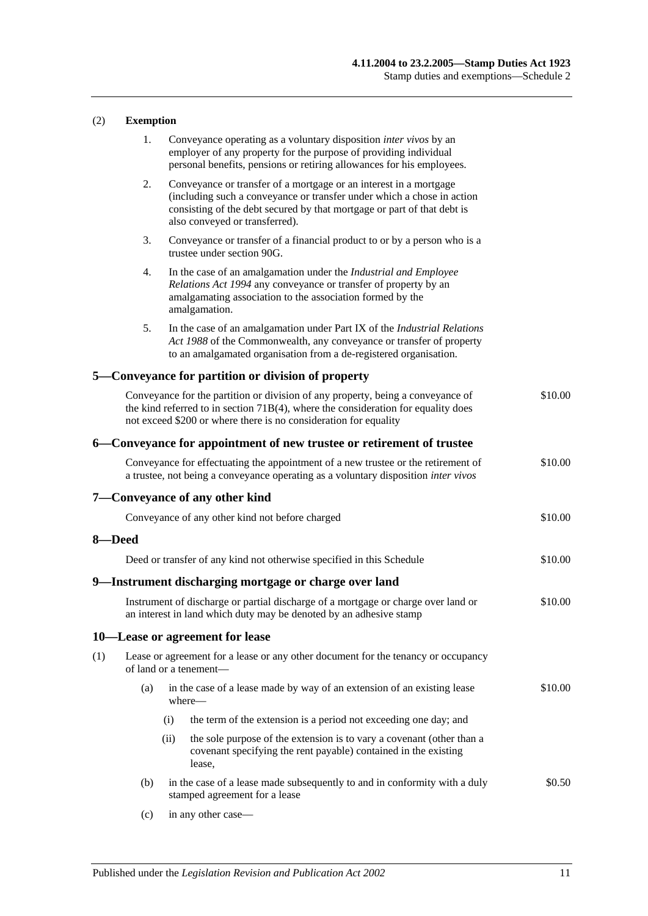### (2) **Exemption**

|        | 1.  |      | Conveyance operating as a voluntary disposition <i>inter vivos</i> by an<br>employer of any property for the purpose of providing individual<br>personal benefits, pensions or retiring allowances for his employees.                                    |         |
|--------|-----|------|----------------------------------------------------------------------------------------------------------------------------------------------------------------------------------------------------------------------------------------------------------|---------|
|        | 2.  |      | Conveyance or transfer of a mortgage or an interest in a mortgage<br>(including such a conveyance or transfer under which a chose in action<br>consisting of the debt secured by that mortgage or part of that debt is<br>also conveyed or transferred). |         |
|        | 3.  |      | Conveyance or transfer of a financial product to or by a person who is a<br>trustee under section 90G.                                                                                                                                                   |         |
|        | 4.  |      | In the case of an amalgamation under the Industrial and Employee<br>Relations Act 1994 any conveyance or transfer of property by an<br>amalgamating association to the association formed by the<br>amalgamation.                                        |         |
|        | 5.  |      | In the case of an amalgamation under Part IX of the <i>Industrial Relations</i><br>Act 1988 of the Commonwealth, any conveyance or transfer of property<br>to an amalgamated organisation from a de-registered organisation.                             |         |
|        |     |      | 5—Conveyance for partition or division of property                                                                                                                                                                                                       |         |
|        |     |      | Conveyance for the partition or division of any property, being a conveyance of<br>the kind referred to in section $71B(4)$ , where the consideration for equality does<br>not exceed \$200 or where there is no consideration for equality              | \$10.00 |
|        |     |      | 6—Conveyance for appointment of new trustee or retirement of trustee                                                                                                                                                                                     |         |
|        |     |      | Conveyance for effectuating the appointment of a new trustee or the retirement of<br>a trustee, not being a conveyance operating as a voluntary disposition inter vivos                                                                                  | \$10.00 |
|        |     |      | 7—Conveyance of any other kind                                                                                                                                                                                                                           |         |
|        |     |      | Conveyance of any other kind not before charged                                                                                                                                                                                                          | \$10.00 |
| 8-Deed |     |      |                                                                                                                                                                                                                                                          |         |
|        |     |      | Deed or transfer of any kind not otherwise specified in this Schedule                                                                                                                                                                                    | \$10.00 |
|        |     |      | 9—Instrument discharging mortgage or charge over land                                                                                                                                                                                                    |         |
|        |     |      | Instrument of discharge or partial discharge of a mortgage or charge over land or<br>an interest in land which duty may be denoted by an adhesive stamp                                                                                                  | \$10.00 |
|        |     |      | 10-Lease or agreement for lease                                                                                                                                                                                                                          |         |
| (1)    |     |      | Lease or agreement for a lease or any other document for the tenancy or occupancy<br>of land or a tenement-                                                                                                                                              |         |
|        | (a) |      | in the case of a lease made by way of an extension of an existing lease<br>where—                                                                                                                                                                        | \$10.00 |
|        |     | (i)  | the term of the extension is a period not exceeding one day; and                                                                                                                                                                                         |         |
|        |     | (ii) | the sole purpose of the extension is to vary a covenant (other than a<br>covenant specifying the rent payable) contained in the existing<br>lease,                                                                                                       |         |
|        | (b) |      | in the case of a lease made subsequently to and in conformity with a duly<br>stamped agreement for a lease                                                                                                                                               | \$0.50  |

(c) in any other case—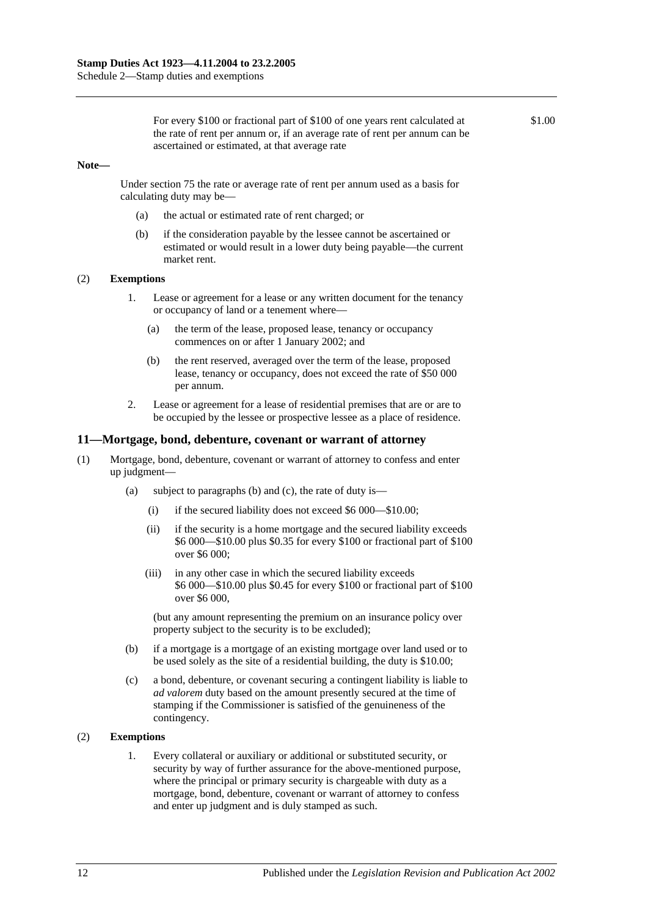For every \$100 or fractional part of \$100 of one years rent calculated at the rate of rent per annum or, if an average rate of rent per annum can be ascertained or estimated, at that average rate

\$1.00

#### **Note—**

Under [section](#page-63-0) 75 the rate or average rate of rent per annum used as a basis for calculating duty may be—

- (a) the actual or estimated rate of rent charged; or
- (b) if the consideration payable by the lessee cannot be ascertained or estimated or would result in a lower duty being payable—the current market rent.

### (2) **Exemptions**

- 1. Lease or agreement for a lease or any written document for the tenancy or occupancy of land or a tenement where—
	- (a) the term of the lease, proposed lease, tenancy or occupancy commences on or after 1 January 2002; and
	- (b) the rent reserved, averaged over the term of the lease, proposed lease, tenancy or occupancy, does not exceed the rate of \$50 000 per annum.
- 2. Lease or agreement for a lease of residential premises that are or are to be occupied by the lessee or prospective lessee as a place of residence.

### **11—Mortgage, bond, debenture, covenant or warrant of attorney**

- (1) Mortgage, bond, debenture, covenant or warrant of attorney to confess and enter up judgment—
	- (a) subject to paragraphs (b) and (c), the rate of duty is—
		- (i) if the secured liability does not exceed \$6 000—\$10.00;
		- (ii) if the security is a home mortgage and the secured liability exceeds \$6 000—\$10.00 plus \$0.35 for every \$100 or fractional part of \$100 over \$6 000;
		- (iii) in any other case in which the secured liability exceeds \$6 000—\$10.00 plus \$0.45 for every \$100 or fractional part of \$100 over \$6 000,

(but any amount representing the premium on an insurance policy over property subject to the security is to be excluded);

- (b) if a mortgage is a mortgage of an existing mortgage over land used or to be used solely as the site of a residential building, the duty is \$10.00;
- (c) a bond, debenture, or covenant securing a contingent liability is liable to *ad valorem* duty based on the amount presently secured at the time of stamping if the Commissioner is satisfied of the genuineness of the contingency.

### (2) **Exemptions**

1. Every collateral or auxiliary or additional or substituted security, or security by way of further assurance for the above-mentioned purpose, where the principal or primary security is chargeable with duty as a mortgage, bond, debenture, covenant or warrant of attorney to confess and enter up judgment and is duly stamped as such.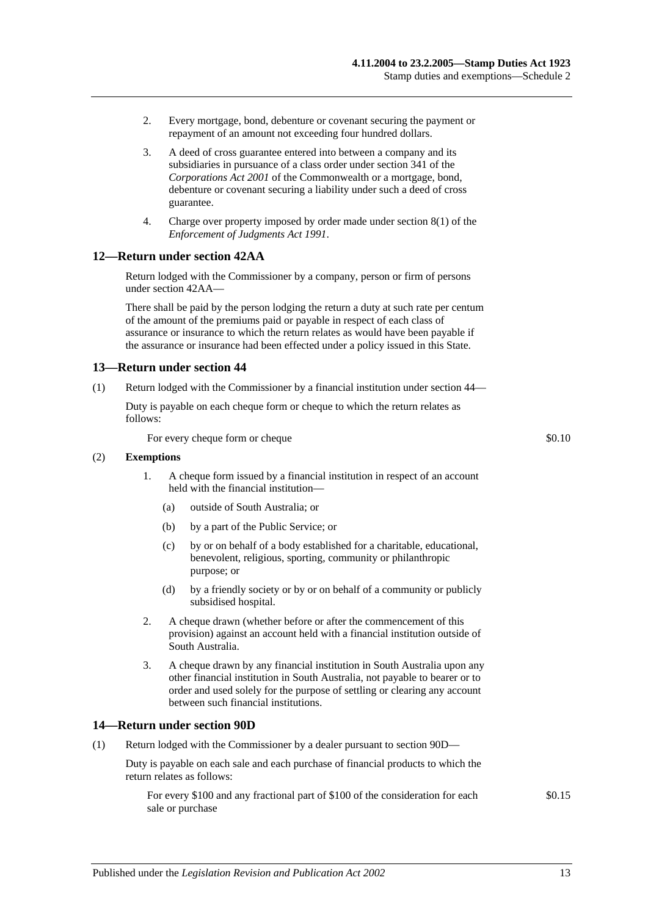- 2. Every mortgage, bond, debenture or covenant securing the payment or repayment of an amount not exceeding four hundred dollars.
- 3. A deed of cross guarantee entered into between a company and its subsidiaries in pursuance of a class order under section 341 of the *Corporations Act 2001* of the Commonwealth or a mortgage, bond, debenture or covenant securing a liability under such a deed of cross guarantee.
- 4. Charge over property imposed by order made under section 8(1) of the *[Enforcement of Judgments Act](http://www.legislation.sa.gov.au/index.aspx?action=legref&type=act&legtitle=Enforcement%20of%20Judgments%20Act%201991) 1991*.

### **12—Return under section 42AA**

Return lodged with the Commissioner by a company, person or firm of persons unde[r section](#page-28-0) 42AA—

There shall be paid by the person lodging the return a duty at such rate per centum of the amount of the premiums paid or payable in respect of each class of assurance or insurance to which the return relates as would have been payable if the assurance or insurance had been effected under a policy issued in this State.

### **13—Return under section 44**

(1) Return lodged with the Commissioner by a financial institution under [section](#page-33-0) 44—

Duty is payable on each cheque form or cheque to which the return relates as follows:

For every cheque form or cheque  $\text{\$0.10}$ 

### (2) **Exemptions**

- 1. A cheque form issued by a financial institution in respect of an account held with the financial institution—
	- (a) outside of South Australia; or
	- (b) by a part of the Public Service; or
	- (c) by or on behalf of a body established for a charitable, educational, benevolent, religious, sporting, community or philanthropic purpose; or
	- (d) by a friendly society or by or on behalf of a community or publicly subsidised hospital.
- 2. A cheque drawn (whether before or after the commencement of this provision) against an account held with a financial institution outside of South Australia.
- 3. A cheque drawn by any financial institution in South Australia upon any other financial institution in South Australia, not payable to bearer or to order and used solely for the purpose of settling or clearing any account between such financial institutions.

### **14—Return under section 90D**

(1) Return lodged with the Commissioner by a dealer pursuant to [section](#page-76-0) 90D—

Duty is payable on each sale and each purchase of financial products to which the return relates as follows:

For every \$100 and any fractional part of \$100 of the consideration for each sale or purchase

\$0.15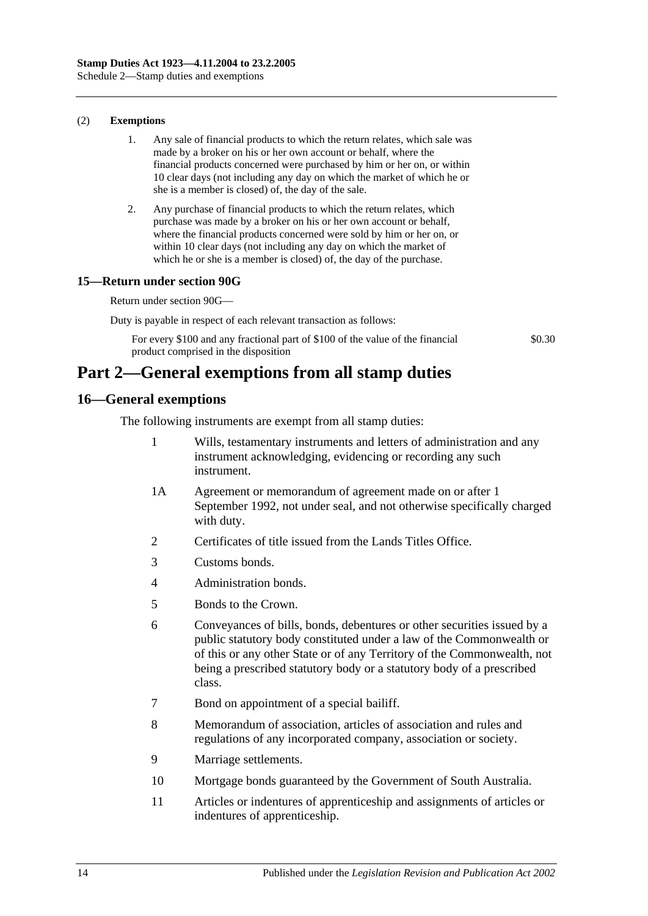### (2) **Exemptions**

- 1. Any sale of financial products to which the return relates, which sale was made by a broker on his or her own account or behalf, where the financial products concerned were purchased by him or her on, or within 10 clear days (not including any day on which the market of which he or she is a member is closed) of, the day of the sale.
- 2. Any purchase of financial products to which the return relates, which purchase was made by a broker on his or her own account or behalf, where the financial products concerned were sold by him or her on, or within 10 clear days (not including any day on which the market of which he or she is a member is closed) of, the day of the purchase.

### **15—Return under section 90G**

Return under [section](#page-77-0) 90G—

Duty is payable in respect of each relevant transaction as follows:

For every \$100 and any fractional part of \$100 of the value of the financial product comprised in the disposition

\$0.30

# **Part 2—General exemptions from all stamp duties**

### **16—General exemptions**

The following instruments are exempt from all stamp duties:

- 1 Wills, testamentary instruments and letters of administration and any instrument acknowledging, evidencing or recording any such instrument.
- 1A Agreement or memorandum of agreement made on or after 1 September 1992, not under seal, and not otherwise specifically charged with duty.
- 2 Certificates of title issued from the Lands Titles Office.
- 3 Customs bonds.
- 4 Administration bonds.
- 5 Bonds to the Crown.
- 6 Conveyances of bills, bonds, debentures or other securities issued by a public statutory body constituted under a law of the Commonwealth or of this or any other State or of any Territory of the Commonwealth, not being a prescribed statutory body or a statutory body of a prescribed class.
- 7 Bond on appointment of a special bailiff.
- 8 Memorandum of association, articles of association and rules and regulations of any incorporated company, association or society.
- 9 Marriage settlements.
- 10 Mortgage bonds guaranteed by the Government of South Australia.
- 11 Articles or indentures of apprenticeship and assignments of articles or indentures of apprenticeship.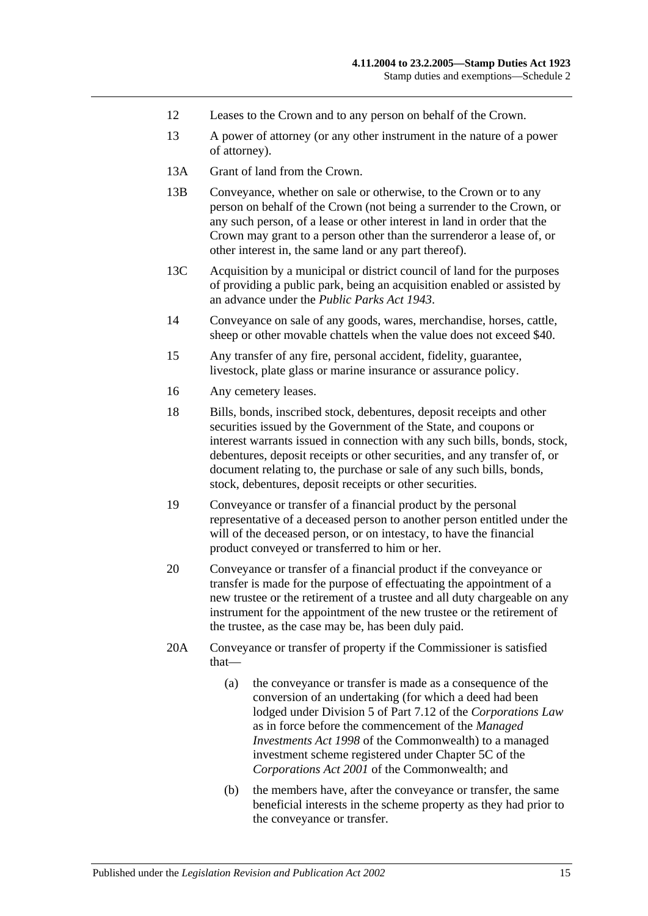- 12 Leases to the Crown and to any person on behalf of the Crown.
- 13 A power of attorney (or any other instrument in the nature of a power of attorney).
- 13A Grant of land from the Crown.
- 13B Conveyance, whether on sale or otherwise, to the Crown or to any person on behalf of the Crown (not being a surrender to the Crown, or any such person, of a lease or other interest in land in order that the Crown may grant to a person other than the surrenderor a lease of, or other interest in, the same land or any part thereof).
- 13C Acquisition by a municipal or district council of land for the purposes of providing a public park, being an acquisition enabled or assisted by an advance under the *[Public Parks Act](http://www.legislation.sa.gov.au/index.aspx?action=legref&type=act&legtitle=Public%20Parks%20Act%201943) 1943*.
- 14 Conveyance on sale of any goods, wares, merchandise, horses, cattle, sheep or other movable chattels when the value does not exceed \$40.
- 15 Any transfer of any fire, personal accident, fidelity, guarantee, livestock, plate glass or marine insurance or assurance policy.
- 16 Any cemetery leases.
- 18 Bills, bonds, inscribed stock, debentures, deposit receipts and other securities issued by the Government of the State, and coupons or interest warrants issued in connection with any such bills, bonds, stock, debentures, deposit receipts or other securities, and any transfer of, or document relating to, the purchase or sale of any such bills, bonds, stock, debentures, deposit receipts or other securities.
- 19 Conveyance or transfer of a financial product by the personal representative of a deceased person to another person entitled under the will of the deceased person, or on intestacy, to have the financial product conveyed or transferred to him or her.
- 20 Conveyance or transfer of a financial product if the conveyance or transfer is made for the purpose of effectuating the appointment of a new trustee or the retirement of a trustee and all duty chargeable on any instrument for the appointment of the new trustee or the retirement of the trustee, as the case may be, has been duly paid.
- 20A Conveyance or transfer of property if the Commissioner is satisfied that—
	- (a) the conveyance or transfer is made as a consequence of the conversion of an undertaking (for which a deed had been lodged under Division 5 of Part 7.12 of the *Corporations Law* as in force before the commencement of the *Managed Investments Act 1998* of the Commonwealth) to a managed investment scheme registered under Chapter 5C of the *Corporations Act 2001* of the Commonwealth; and
	- (b) the members have, after the conveyance or transfer, the same beneficial interests in the scheme property as they had prior to the conveyance or transfer.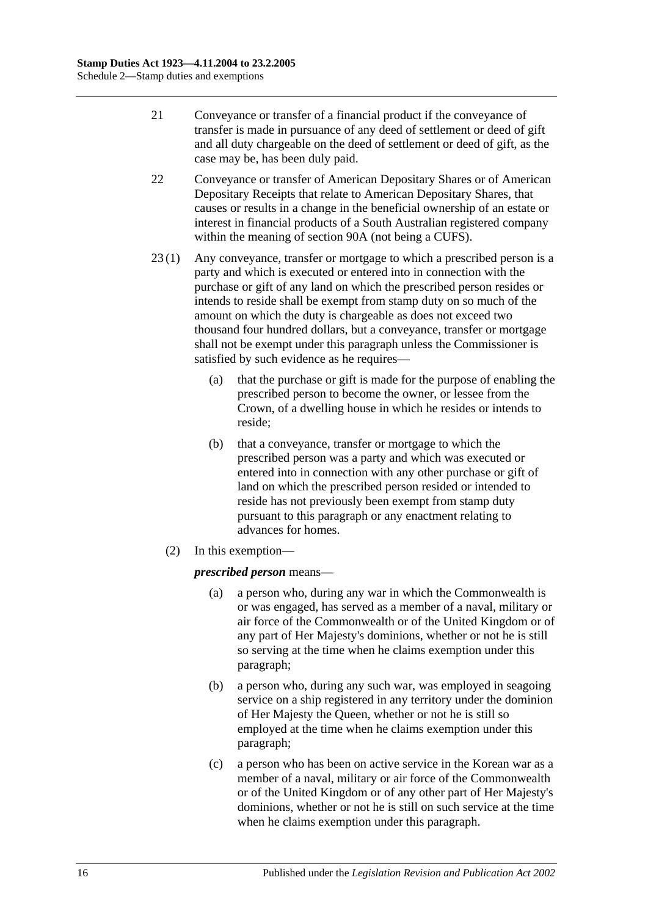- 21 Conveyance or transfer of a financial product if the conveyance of transfer is made in pursuance of any deed of settlement or deed of gift and all duty chargeable on the deed of settlement or deed of gift, as the case may be, has been duly paid.
- 22 Conveyance or transfer of American Depositary Shares or of American Depositary Receipts that relate to American Depositary Shares, that causes or results in a change in the beneficial ownership of an estate or interest in financial products of a South Australian registered company within the meaning of [section](#page-72-0) 90A (not being a CUFS).
- 23 (1) Any conveyance, transfer or mortgage to which a prescribed person is a party and which is executed or entered into in connection with the purchase or gift of any land on which the prescribed person resides or intends to reside shall be exempt from stamp duty on so much of the amount on which the duty is chargeable as does not exceed two thousand four hundred dollars, but a conveyance, transfer or mortgage shall not be exempt under this paragraph unless the Commissioner is satisfied by such evidence as he requires—
	- (a) that the purchase or gift is made for the purpose of enabling the prescribed person to become the owner, or lessee from the Crown, of a dwelling house in which he resides or intends to reside;
	- (b) that a conveyance, transfer or mortgage to which the prescribed person was a party and which was executed or entered into in connection with any other purchase or gift of land on which the prescribed person resided or intended to reside has not previously been exempt from stamp duty pursuant to this paragraph or any enactment relating to advances for homes.
	- (2) In this exemption—

### <span id="page-113-0"></span>*prescribed person* means—

- (a) a person who, during any war in which the Commonwealth is or was engaged, has served as a member of a naval, military or air force of the Commonwealth or of the United Kingdom or of any part of Her Majesty's dominions, whether or not he is still so serving at the time when he claims exemption under this paragraph;
- <span id="page-113-1"></span>(b) a person who, during any such war, was employed in seagoing service on a ship registered in any territory under the dominion of Her Majesty the Queen, whether or not he is still so employed at the time when he claims exemption under this paragraph;
- <span id="page-113-2"></span>(c) a person who has been on active service in the Korean war as a member of a naval, military or air force of the Commonwealth or of the United Kingdom or of any other part of Her Majesty's dominions, whether or not he is still on such service at the time when he claims exemption under this paragraph.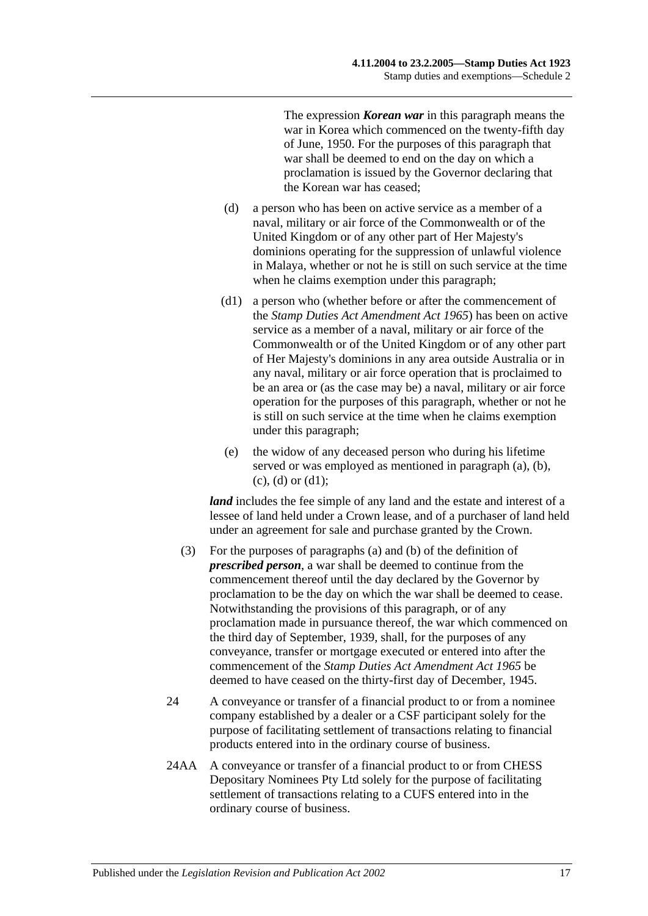The expression *Korean war* in this paragraph means the war in Korea which commenced on the twenty-fifth day of June, 1950. For the purposes of this paragraph that war shall be deemed to end on the day on which a proclamation is issued by the Governor declaring that the Korean war has ceased;

- <span id="page-114-0"></span>(d) a person who has been on active service as a member of a naval, military or air force of the Commonwealth or of the United Kingdom or of any other part of Her Majesty's dominions operating for the suppression of unlawful violence in Malaya, whether or not he is still on such service at the time when he claims exemption under this paragraph;
- <span id="page-114-1"></span>(d1) a person who (whether before or after the commencement of the *[Stamp Duties Act Amendment Act](http://www.legislation.sa.gov.au/index.aspx?action=legref&type=act&legtitle=Stamp%20Duties%20Act%20Amendment%20Act%201965) 1965*) has been on active service as a member of a naval, military or air force of the Commonwealth or of the United Kingdom or of any other part of Her Majesty's dominions in any area outside Australia or in any naval, military or air force operation that is proclaimed to be an area or (as the case may be) a naval, military or air force operation for the purposes of this paragraph, whether or not he is still on such service at the time when he claims exemption under this paragraph;
- (e) the widow of any deceased person who during his lifetime served or was employed as mentioned in [paragraph](#page-113-0) (a), [\(b\),](#page-113-1)  $(c)$ ,  $(d)$  or  $(d1)$ ;

*land* includes the fee simple of any land and the estate and interest of a lessee of land held under a Crown lease, and of a purchaser of land held under an agreement for sale and purchase granted by the Crown.

- (3) For the purposes of [paragraphs](#page-113-0) (a) and [\(b\)](#page-113-1) of the definition of *prescribed person*, a war shall be deemed to continue from the commencement thereof until the day declared by the Governor by proclamation to be the day on which the war shall be deemed to cease. Notwithstanding the provisions of this paragraph, or of any proclamation made in pursuance thereof, the war which commenced on the third day of September, 1939, shall, for the purposes of any conveyance, transfer or mortgage executed or entered into after the commencement of the *[Stamp Duties Act Amendment Act](http://www.legislation.sa.gov.au/index.aspx?action=legref&type=act&legtitle=Stamp%20Duties%20Act%20Amendment%20Act%201965) 1965* be deemed to have ceased on the thirty-first day of December, 1945.
- 24 A conveyance or transfer of a financial product to or from a nominee company established by a dealer or a CSF participant solely for the purpose of facilitating settlement of transactions relating to financial products entered into in the ordinary course of business.
- 24AA A conveyance or transfer of a financial product to or from CHESS Depositary Nominees Pty Ltd solely for the purpose of facilitating settlement of transactions relating to a CUFS entered into in the ordinary course of business.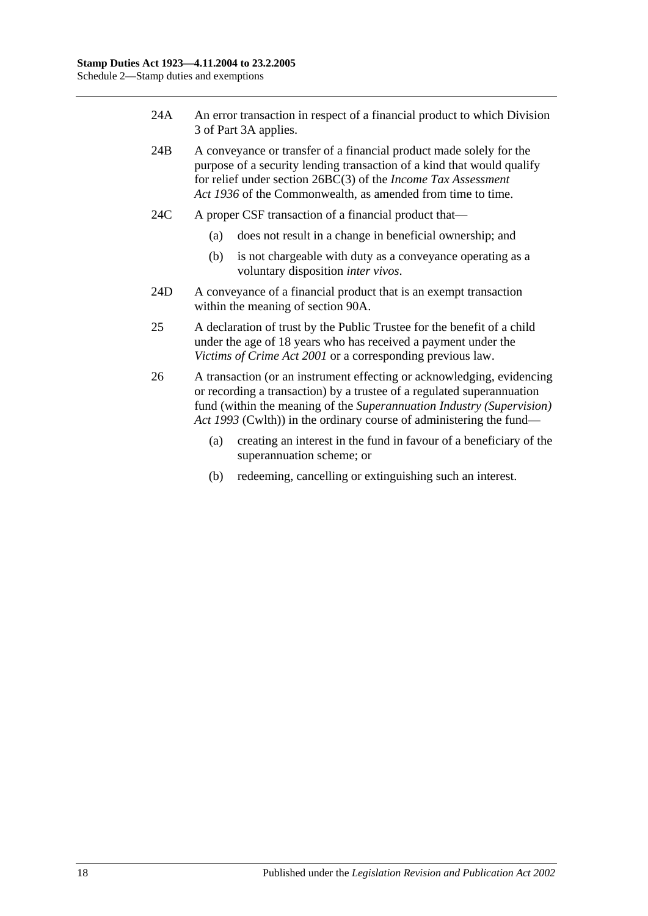- 24A An error transaction in respect of a financial product to which [Division](#page-79-0)  [3](#page-79-0) of [Part 3A](#page-72-1) applies.
- 24B A conveyance or transfer of a financial product made solely for the purpose of a security lending transaction of a kind that would qualify for relief under section 26BC(3) of the *Income Tax Assessment Act 1936* of the Commonwealth, as amended from time to time.
- 24C A proper CSF transaction of a financial product that—
	- (a) does not result in a change in beneficial ownership; and
	- (b) is not chargeable with duty as a conveyance operating as a voluntary disposition *inter vivos*.
- 24D A conveyance of a financial product that is an exempt transaction within the meaning of [section](#page-72-0) 90A.
- 25 A declaration of trust by the Public Trustee for the benefit of a child under the age of 18 years who has received a payment under the *[Victims of Crime Act](http://www.legislation.sa.gov.au/index.aspx?action=legref&type=act&legtitle=Victims%20of%20Crime%20Act%202001) 2001* or a corresponding previous law.
- 26 A transaction (or an instrument effecting or acknowledging, evidencing or recording a transaction) by a trustee of a regulated superannuation fund (within the meaning of the *Superannuation Industry (Supervision) Act 1993* (Cwlth)) in the ordinary course of administering the fund—
	- (a) creating an interest in the fund in favour of a beneficiary of the superannuation scheme; or
	- (b) redeeming, cancelling or extinguishing such an interest.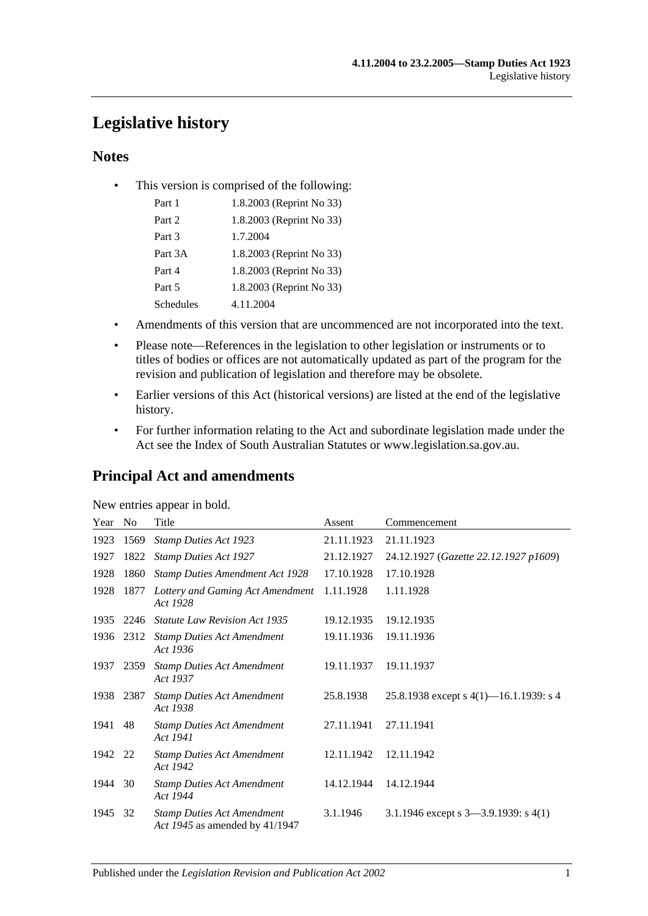# **Legislative history**

### **Notes**

• This version is comprised of the following:

| Part 1    | 1.8.2003 (Reprint No 33) |
|-----------|--------------------------|
| Part 2    | 1.8.2003 (Reprint No 33) |
| Part 3    | 1.7.2004                 |
| Part 3A   | 1.8.2003 (Reprint No 33) |
| Part 4    | 1.8.2003 (Reprint No 33) |
| Part 5    | 1.8.2003 (Reprint No 33) |
| Schedules | 4.11.2004                |

- Amendments of this version that are uncommenced are not incorporated into the text.
- Please note—References in the legislation to other legislation or instruments or to titles of bodies or offices are not automatically updated as part of the program for the revision and publication of legislation and therefore may be obsolete.
- Earlier versions of this Act (historical versions) are listed at the end of the legislative history.
- For further information relating to the Act and subordinate legislation made under the Act see the Index of South Australian Statutes or www.legislation.sa.gov.au.

# **Principal Act and amendments**

| New entries appear in bold. |
|-----------------------------|
|-----------------------------|

| Year | N <sub>o</sub> | Title                                                               | Assent     | Commencement                              |
|------|----------------|---------------------------------------------------------------------|------------|-------------------------------------------|
| 1923 | 1569           | <b>Stamp Duties Act 1923</b>                                        | 21.11.1923 | 21.11.1923                                |
| 1927 | 1822           | <b>Stamp Duties Act 1927</b>                                        | 21.12.1927 | 24.12.1927 (Gazette 22.12.1927 p1609)     |
| 1928 | 1860           | <b>Stamp Duties Amendment Act 1928</b>                              | 17.10.1928 | 17.10.1928                                |
| 1928 | 1877           | Lottery and Gaming Act Amendment<br>Act 1928                        | 1.11.1928  | 1.11.1928                                 |
| 1935 | 2246           | <b>Statute Law Revision Act 1935</b>                                | 19.12.1935 | 19.12.1935                                |
|      | 1936 2312      | <b>Stamp Duties Act Amendment</b><br>Act 1936                       | 19.11.1936 | 19.11.1936                                |
| 1937 | 2359           | <b>Stamp Duties Act Amendment</b><br>Act 1937                       | 19.11.1937 | 19.11.1937                                |
| 1938 | 2387           | <b>Stamp Duties Act Amendment</b><br>Act 1938                       | 25.8.1938  | 25.8.1938 except s $4(1)$ —16.1.1939: s 4 |
| 1941 | 48             | <b>Stamp Duties Act Amendment</b><br>Act 1941                       | 27.11.1941 | 27.11.1941                                |
| 1942 | 22             | <b>Stamp Duties Act Amendment</b><br>Act 1942                       | 12.11.1942 | 12.11.1942                                |
| 1944 | 30             | <b>Stamp Duties Act Amendment</b><br>Act 1944                       | 14.12.1944 | 14.12.1944                                |
| 1945 | 32             | <b>Stamp Duties Act Amendment</b><br>Act 1945 as amended by 41/1947 | 3.1.1946   | 3.1.1946 except s 3-3.9.1939: s 4(1)      |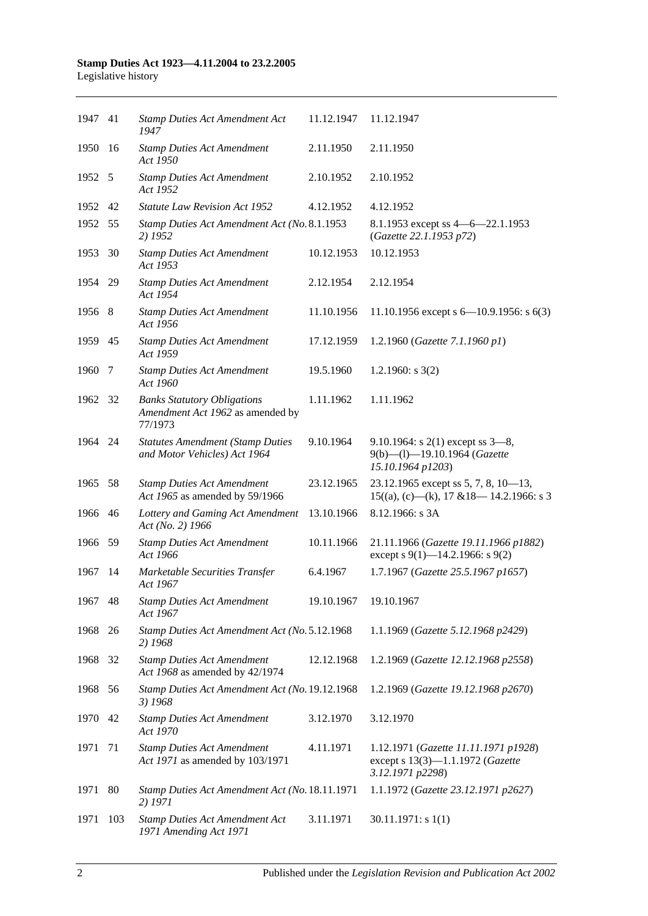| 1947 41 |      | <b>Stamp Duties Act Amendment Act</b><br>1947                                     | 11.12.1947 | 11.12.1947                                                                                   |
|---------|------|-----------------------------------------------------------------------------------|------------|----------------------------------------------------------------------------------------------|
| 1950    | -16  | <b>Stamp Duties Act Amendment</b><br>Act 1950                                     | 2.11.1950  | 2.11.1950                                                                                    |
| 1952 5  |      | <b>Stamp Duties Act Amendment</b><br>Act 1952                                     | 2.10.1952  | 2.10.1952                                                                                    |
| 1952 42 |      | <b>Statute Law Revision Act 1952</b>                                              | 4.12.1952  | 4.12.1952                                                                                    |
| 1952    | - 55 | Stamp Duties Act Amendment Act (No. 8.1.1953<br>2) 1952                           |            | 8.1.1953 except ss 4 - 6 - 22.1.1953<br>(Gazette 22.1.1953 p72)                              |
| 1953    | 30   | <b>Stamp Duties Act Amendment</b><br>Act 1953                                     | 10.12.1953 | 10.12.1953                                                                                   |
| 1954 29 |      | <b>Stamp Duties Act Amendment</b><br>Act 1954                                     | 2.12.1954  | 2.12.1954                                                                                    |
| 1956 8  |      | <b>Stamp Duties Act Amendment</b><br>Act 1956                                     | 11.10.1956 | 11.10.1956 except s $6-10.9.1956$ : s $6(3)$                                                 |
| 1959 45 |      | <b>Stamp Duties Act Amendment</b><br>Act 1959                                     | 17.12.1959 | 1.2.1960 (Gazette 7.1.1960 p1)                                                               |
| 1960    | 7    | <b>Stamp Duties Act Amendment</b><br>Act 1960                                     | 19.5.1960  | 1.2.1960: $s$ 3(2)                                                                           |
| 1962 32 |      | <b>Banks Statutory Obligations</b><br>Amendment Act 1962 as amended by<br>77/1973 | 1.11.1962  | 1.11.1962                                                                                    |
| 1964 24 |      | <b>Statutes Amendment (Stamp Duties</b><br>and Motor Vehicles) Act 1964           | 9.10.1964  | 9.10.1964: s $2(1)$ except ss $3-8$ ,<br>9(b)-(l)-19.10.1964 (Gazette<br>15.10.1964 p1203)   |
| 1965    | -58  | <b>Stamp Duties Act Amendment</b><br>Act 1965 as amended by 59/1966               | 23.12.1965 | 23.12.1965 except ss 5, 7, 8, 10-13,<br>$15((a), (c)$ —(k), 17 & 18—14.2.1966: s 3           |
| 1966 46 |      | Lottery and Gaming Act Amendment<br>Act (No. 2) 1966                              | 13.10.1966 | 8.12.1966: s 3A                                                                              |
| 1966    | - 59 | <b>Stamp Duties Act Amendment</b><br>Act 1966                                     | 10.11.1966 | 21.11.1966 (Gazette 19.11.1966 p1882)<br>except s 9(1)–14.2.1966: s 9(2)                     |
| 1967    | -14  | Marketable Securities Transfer<br>Act 1967                                        | 6.4.1967   | 1.7.1967 (Gazette 25.5.1967 p1657)                                                           |
| 1967    | 48   | <b>Stamp Duties Act Amendment</b><br>Act 1967                                     | 19.10.1967 | 19.10.1967                                                                                   |
| 1968    | 26   | Stamp Duties Act Amendment Act (No. 5.12.1968<br>2) 1968                          |            | 1.1.1969 (Gazette 5.12.1968 p2429)                                                           |
| 1968    | 32   | <b>Stamp Duties Act Amendment</b><br>Act 1968 as amended by 42/1974               | 12.12.1968 | 1.2.1969 (Gazette 12.12.1968 p2558)                                                          |
| 1968    | 56   | Stamp Duties Act Amendment Act (No. 19.12.1968<br>3) 1968                         |            | 1.2.1969 (Gazette 19.12.1968 p2670)                                                          |
| 1970    | 42   | <b>Stamp Duties Act Amendment</b><br>Act 1970                                     | 3.12.1970  | 3.12.1970                                                                                    |
| 1971    | 71   | <b>Stamp Duties Act Amendment</b><br>Act 1971 as amended by 103/1971              | 4.11.1971  | 1.12.1971 (Gazette 11.11.1971 p1928)<br>except s 13(3)-1.1.1972 (Gazette<br>3.12.1971 p2298) |
| 1971    | 80   | Stamp Duties Act Amendment Act (No. 18.11.1971<br>2) 1971                         |            | 1.1.1972 (Gazette 23.12.1971 p2627)                                                          |
| 1971    | 103  | <b>Stamp Duties Act Amendment Act</b><br>1971 Amending Act 1971                   | 3.11.1971  | 30.11.1971: s1(1)                                                                            |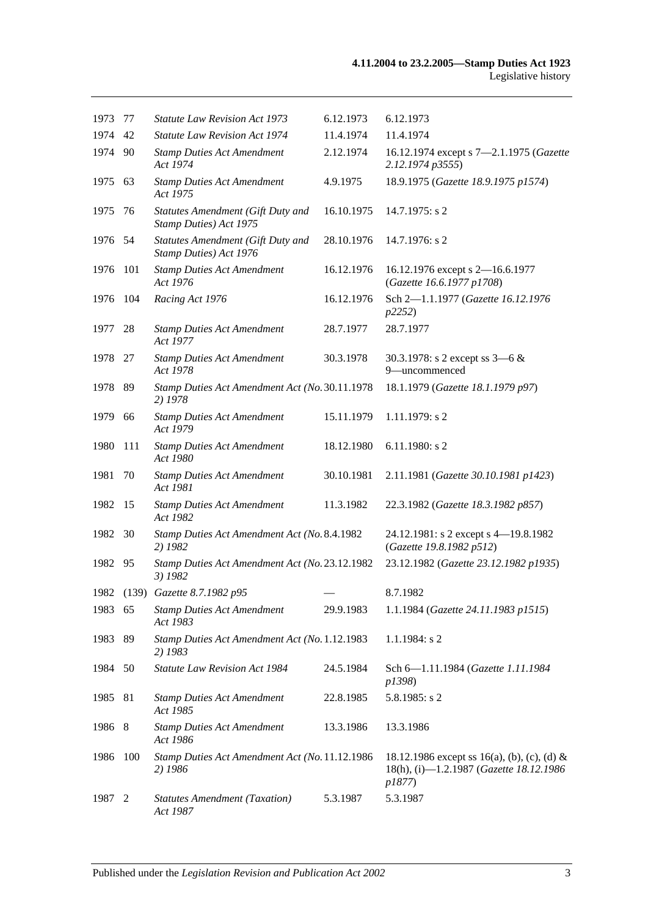| 1973    | 77  | <b>Statute Law Revision Act 1973</b>                        | 6.12.1973  | 6.12.1973                                                                                        |
|---------|-----|-------------------------------------------------------------|------------|--------------------------------------------------------------------------------------------------|
| 1974    | 42  | <b>Statute Law Revision Act 1974</b>                        | 11.4.1974  | 11.4.1974                                                                                        |
| 1974 90 |     | <b>Stamp Duties Act Amendment</b><br>Act 1974               | 2.12.1974  | 16.12.1974 except s 7-2.1.1975 (Gazette<br>2.12.1974 p3555)                                      |
| 1975 63 |     | <b>Stamp Duties Act Amendment</b><br>Act 1975               | 4.9.1975   | 18.9.1975 (Gazette 18.9.1975 p1574)                                                              |
| 1975    | 76  | Statutes Amendment (Gift Duty and<br>Stamp Duties) Act 1975 | 16.10.1975 | $14.7.1975$ : s 2                                                                                |
| 1976 54 |     | Statutes Amendment (Gift Duty and<br>Stamp Duties) Act 1976 | 28.10.1976 | 14.7.1976: s 2                                                                                   |
| 1976    | 101 | <b>Stamp Duties Act Amendment</b><br>Act 1976               | 16.12.1976 | 16.12.1976 except s 2-16.6.1977<br>(Gazette 16.6.1977 p1708)                                     |
| 1976    | 104 | Racing Act 1976                                             | 16.12.1976 | Sch 2-1.1.1977 (Gazette 16.12.1976<br>p2252)                                                     |
| 1977    | 28  | <b>Stamp Duties Act Amendment</b><br>Act 1977               | 28.7.1977  | 28.7.1977                                                                                        |
| 1978 27 |     | <b>Stamp Duties Act Amendment</b><br>Act 1978               | 30.3.1978  | 30.3.1978: s 2 except ss $3-6 &$<br>9-uncommenced                                                |
| 1978 89 |     | Stamp Duties Act Amendment Act (No. 30.11.1978)<br>2) 1978  |            | 18.1.1979 (Gazette 18.1.1979 p97)                                                                |
| 1979    | 66  | <b>Stamp Duties Act Amendment</b><br>Act 1979               | 15.11.1979 | 1.11.1979: s 2                                                                                   |
| 1980    | 111 | <b>Stamp Duties Act Amendment</b><br>Act 1980               | 18.12.1980 | $6.11.1980$ : s 2                                                                                |
| 1981    | 70  | <b>Stamp Duties Act Amendment</b><br>Act 1981               | 30.10.1981 | 2.11.1981 (Gazette 30.10.1981 p1423)                                                             |
| 1982    | -15 | <b>Stamp Duties Act Amendment</b><br>Act 1982               | 11.3.1982  | 22.3.1982 (Gazette 18.3.1982 p857)                                                               |
| 1982    | 30  | Stamp Duties Act Amendment Act (No. 8.4.1982<br>2) 1982     |            | 24.12.1981: s 2 except s 4-19.8.1982<br>(Gazette 19.8.1982 p512)                                 |
| 1982    | 95  | Stamp Duties Act Amendment Act (No. 23.12.1982<br>3) 1982   |            | 23.12.1982 (Gazette 23.12.1982 p1935)                                                            |
|         |     | 1982 (139) Gazette 8.7.1982 p95                             |            | 8.7.1982                                                                                         |
| 1983 65 |     | <b>Stamp Duties Act Amendment</b><br>Act 1983               | 29.9.1983  | 1.1.1984 (Gazette 24.11.1983 p1515)                                                              |
| 1983    | 89  | Stamp Duties Act Amendment Act (No. 1.12.1983<br>2) 1983    |            | 1.1.1984: s 2                                                                                    |
| 1984    | 50  | Statute Law Revision Act 1984                               | 24.5.1984  | Sch 6-1.11.1984 (Gazette 1.11.1984<br>p1398)                                                     |
| 1985    | 81  | <b>Stamp Duties Act Amendment</b><br>Act 1985               | 22.8.1985  | $5.8.1985$ : s 2                                                                                 |
| 1986    | 8   | <b>Stamp Duties Act Amendment</b><br>Act 1986               | 13.3.1986  | 13.3.1986                                                                                        |
| 1986    | 100 | Stamp Duties Act Amendment Act (No. 11.12.1986<br>2) 1986   |            | 18.12.1986 except ss 16(a), (b), (c), (d) &<br>18(h), (i)-1.2.1987 (Gazette 18.12.1986<br>p1877) |
| 1987    | 2   | <b>Statutes Amendment (Taxation)</b><br>Act 1987            | 5.3.1987   | 5.3.1987                                                                                         |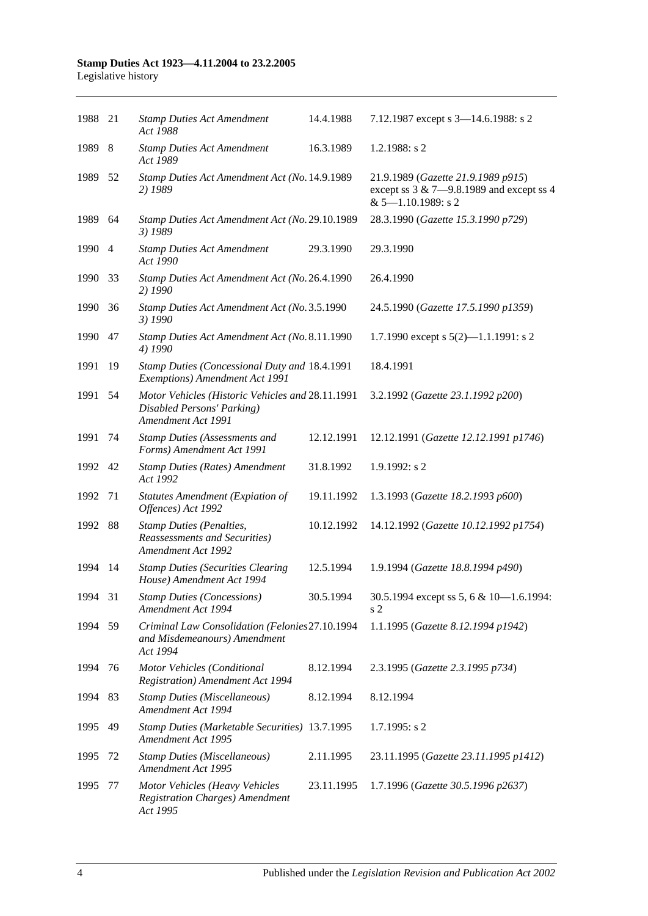| 1988 21 |     | <b>Stamp Duties Act Amendment</b><br>Act 1988                                                        | 14.4.1988  | 7.12.1987 except s 3-14.6.1988: s 2                                                                           |
|---------|-----|------------------------------------------------------------------------------------------------------|------------|---------------------------------------------------------------------------------------------------------------|
| 1989 8  |     | <b>Stamp Duties Act Amendment</b><br>Act 1989                                                        | 16.3.1989  | $1.2.1988$ : s 2                                                                                              |
| 1989 52 |     | Stamp Duties Act Amendment Act (No. 14.9.1989<br>2) 1989                                             |            | 21.9.1989 (Gazette 21.9.1989 p915)<br>except ss $3 & 7 - 9.8.1989$ and except ss 4<br>$& 5 - 1.10.1989$ : s 2 |
| 1989    | 64  | Stamp Duties Act Amendment Act (No. 29.10.1989<br>3) 1989                                            |            | 28.3.1990 (Gazette 15.3.1990 p729)                                                                            |
| 1990 4  |     | <b>Stamp Duties Act Amendment</b><br>Act 1990                                                        | 29.3.1990  | 29.3.1990                                                                                                     |
| 1990    | 33  | Stamp Duties Act Amendment Act (No. 26.4.1990<br>2) 1990                                             |            | 26.4.1990                                                                                                     |
| 1990    | 36  | Stamp Duties Act Amendment Act (No. 3.5.1990<br>3) 1990                                              |            | 24.5.1990 (Gazette 17.5.1990 p1359)                                                                           |
| 1990    | 47  | Stamp Duties Act Amendment Act (No. 8.11.1990<br>4) 1990                                             |            | 1.7.1990 except s $5(2)$ —1.1.1991: s 2                                                                       |
| 1991    | 19  | Stamp Duties (Concessional Duty and 18.4.1991<br>Exemptions) Amendment Act 1991                      |            | 18.4.1991                                                                                                     |
| 1991    | 54  | Motor Vehicles (Historic Vehicles and 28.11.1991<br>Disabled Persons' Parking)<br>Amendment Act 1991 |            | 3.2.1992 (Gazette 23.1.1992 p200)                                                                             |
| 1991    | 74  | <b>Stamp Duties (Assessments and</b><br>Forms) Amendment Act 1991                                    | 12.12.1991 | 12.12.1991 (Gazette 12.12.1991 p1746)                                                                         |
| 1992 42 |     | <b>Stamp Duties (Rates) Amendment</b><br>Act 1992                                                    | 31.8.1992  | $1.9.1992$ : s 2                                                                                              |
| 1992    | 71  | <b>Statutes Amendment (Expiation of</b><br>Offences) Act 1992                                        | 19.11.1992 | 1.3.1993 (Gazette 18.2.1993 p600)                                                                             |
| 1992    | 88  | <b>Stamp Duties (Penalties,</b><br><b>Reassessments and Securities</b> )<br>Amendment Act 1992       | 10.12.1992 | 14.12.1992 (Gazette 10.12.1992 p1754)                                                                         |
| 1994    | 14  | <b>Stamp Duties (Securities Clearing</b><br>House) Amendment Act 1994                                | 12.5.1994  | 1.9.1994 (Gazette 18.8.1994 p490)                                                                             |
| 1994 31 |     | <b>Stamp Duties (Concessions)</b><br>Amendment Act 1994                                              | 30.5.1994  | 30.5.1994 except ss 5, 6 & 10-1.6.1994:<br>s 2                                                                |
| 1994 59 |     | Criminal Law Consolidation (Felonies27.10.1994<br>and Misdemeanours) Amendment<br>Act 1994           |            | 1.1.1995 (Gazette 8.12.1994 p1942)                                                                            |
| 1994    | 76  | Motor Vehicles (Conditional<br><b>Registration</b> ) Amendment Act 1994                              | 8.12.1994  | 2.3.1995 (Gazette 2.3.1995 p734)                                                                              |
| 1994    | -83 | <b>Stamp Duties (Miscellaneous)</b><br>Amendment Act 1994                                            | 8.12.1994  | 8.12.1994                                                                                                     |
| 1995    | 49  | Stamp Duties (Marketable Securities) 13.7.1995<br>Amendment Act 1995                                 |            | $1.7.1995$ : s 2                                                                                              |
| 1995    | 72  | <b>Stamp Duties (Miscellaneous)</b><br>Amendment Act 1995                                            | 2.11.1995  | 23.11.1995 (Gazette 23.11.1995 p1412)                                                                         |
| 1995    | 77  | Motor Vehicles (Heavy Vehicles<br><b>Registration Charges)</b> Amendment<br>Act 1995                 | 23.11.1995 | 1.7.1996 (Gazette 30.5.1996 p2637)                                                                            |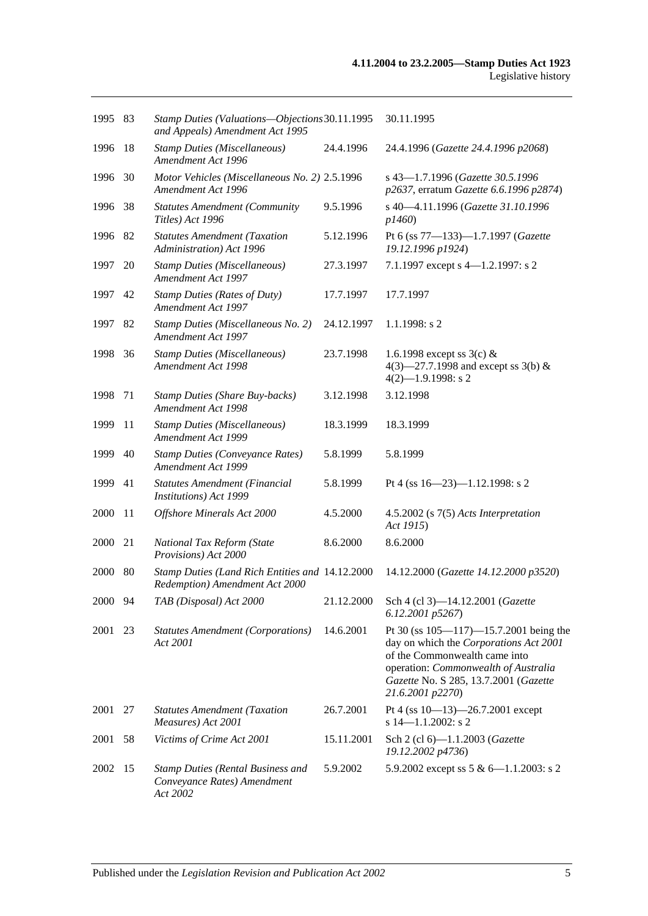| 1995 83 |     | Stamp Duties (Valuations-Objections 30.11.1995<br>and Appeals) Amendment Act 1995   |            | 30.11.1995                                                                                                                                                                                                                   |
|---------|-----|-------------------------------------------------------------------------------------|------------|------------------------------------------------------------------------------------------------------------------------------------------------------------------------------------------------------------------------------|
| 1996    | 18  | <b>Stamp Duties (Miscellaneous)</b><br>Amendment Act 1996                           | 24.4.1996  | 24.4.1996 (Gazette 24.4.1996 p2068)                                                                                                                                                                                          |
| 1996    | 30  | Motor Vehicles (Miscellaneous No. 2) 2.5.1996<br>Amendment Act 1996                 |            | s 43-1.7.1996 (Gazette 30.5.1996<br>p2637, erratum Gazette 6.6.1996 p2874)                                                                                                                                                   |
| 1996    | 38  | <b>Statutes Amendment (Community</b><br>Titles) Act 1996                            | 9.5.1996   | s 40-4.11.1996 (Gazette 31.10.1996<br>p1460                                                                                                                                                                                  |
| 1996 82 |     | <b>Statutes Amendment (Taxation</b><br>Administration) Act 1996                     | 5.12.1996  | Pt 6 (ss 77-133)-1.7.1997 (Gazette<br>19.12.1996 p1924)                                                                                                                                                                      |
| 1997    | 20  | <b>Stamp Duties (Miscellaneous)</b><br>Amendment Act 1997                           | 27.3.1997  | 7.1.1997 except s 4-1.2.1997: s 2                                                                                                                                                                                            |
| 1997    | 42  | <b>Stamp Duties (Rates of Duty)</b><br>Amendment Act 1997                           | 17.7.1997  | 17.7.1997                                                                                                                                                                                                                    |
| 1997    | 82  | Stamp Duties (Miscellaneous No. 2)<br>Amendment Act 1997                            | 24.12.1997 | $1.1.1998$ : s 2                                                                                                                                                                                                             |
| 1998    | 36  | <b>Stamp Duties (Miscellaneous)</b><br>Amendment Act 1998                           | 23.7.1998  | 1.6.1998 except ss $3(c)$ &<br>4(3)–27.7.1998 and except ss 3(b) &<br>$4(2)$ -1.9.1998: s 2                                                                                                                                  |
| 1998    | 71  | <b>Stamp Duties (Share Buy-backs)</b><br>Amendment Act 1998                         | 3.12.1998  | 3.12.1998                                                                                                                                                                                                                    |
| 1999    | 11  | <b>Stamp Duties (Miscellaneous)</b><br>Amendment Act 1999                           | 18.3.1999  | 18.3.1999                                                                                                                                                                                                                    |
| 1999    | 40  | <b>Stamp Duties (Conveyance Rates)</b><br>Amendment Act 1999                        | 5.8.1999   | 5.8.1999                                                                                                                                                                                                                     |
| 1999    | 41  | Statutes Amendment (Financial<br>Institutions) Act 1999                             | 5.8.1999   | Pt 4 (ss $16 - 23$ )-1.12.1998: s 2                                                                                                                                                                                          |
| 2000    | -11 | Offshore Minerals Act 2000                                                          | 4.5.2000   | $4.5.2002$ (s $7(5)$ Acts Interpretation<br>Act 1915)                                                                                                                                                                        |
| 2000    | 21  | National Tax Reform (State<br>Provisions) Act 2000                                  | 8.6.2000   | 8.6.2000                                                                                                                                                                                                                     |
| 2000    | -80 | Stamp Duties (Land Rich Entities and 14.12.2000)<br>Redemption) Amendment Act 2000  |            | 14.12.2000 (Gazette 14.12.2000 p3520)                                                                                                                                                                                        |
| 2000 94 |     | TAB (Disposal) Act 2000                                                             | 21.12.2000 | Sch 4 (cl 3)-14.12.2001 (Gazette<br>6.12.2001 p5267)                                                                                                                                                                         |
| 2001    | 23  | <b>Statutes Amendment (Corporations)</b><br>Act 2001                                | 14.6.2001  | Pt 30 (ss $105 - 117$ ) -15.7.2001 being the<br>day on which the Corporations Act 2001<br>of the Commonwealth came into<br>operation: Commonwealth of Australia<br>Gazette No. S 285, 13.7.2001 (Gazette<br>21.6.2001 p2270) |
| 2001    | 27  | <b>Statutes Amendment (Taxation</b><br>Measures) Act 2001                           | 26.7.2001  | Pt 4 (ss 10-13)-26.7.2001 except<br>$s$ 14-1.1.2002: s 2                                                                                                                                                                     |
| 2001    | 58  | Victims of Crime Act 2001                                                           | 15.11.2001 | Sch 2 (cl 6)-1.1.2003 (Gazette<br>19.12.2002 p4736)                                                                                                                                                                          |
| 2002    | 15  | <b>Stamp Duties (Rental Business and</b><br>Conveyance Rates) Amendment<br>Act 2002 | 5.9.2002   | 5.9.2002 except ss 5 & 6-1.1.2003: s 2                                                                                                                                                                                       |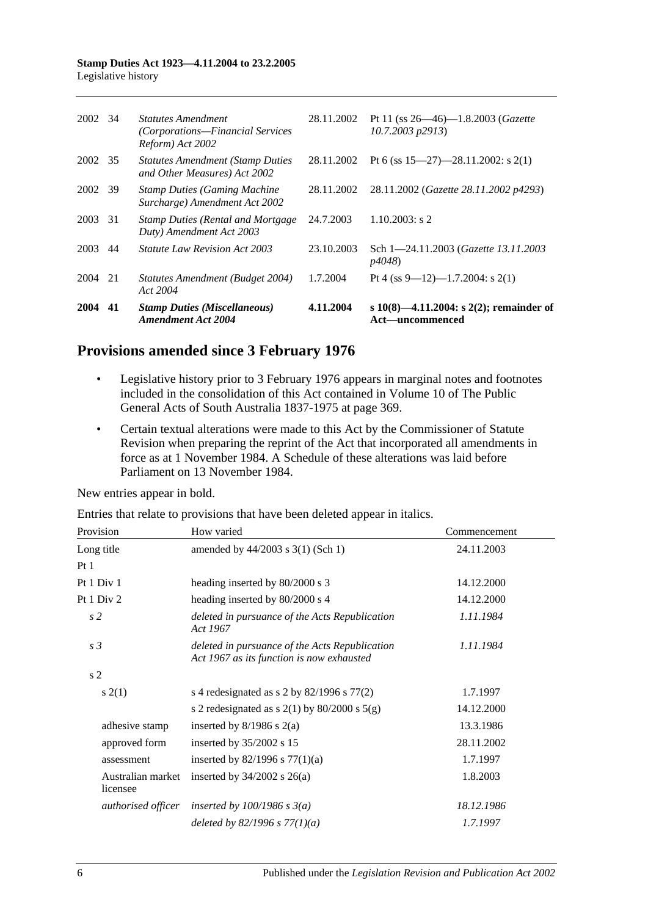| 2004    | 41  | <b>Stamp Duties (Miscellaneous)</b><br>Amendment Act 2004                         | 4.11.2004  | s 10(8)—4.11.2004: s 2(2); remainder of<br>Act—uncommenced          |
|---------|-----|-----------------------------------------------------------------------------------|------------|---------------------------------------------------------------------|
| 2004 21 |     | Statutes Amendment (Budget 2004)<br>Act 2004                                      | 1.7.2004   | Pt 4 (ss 9—12)—1.7.2004: s 2(1)                                     |
| 2003    | 44  | <i>Statute Law Revision Act 2003</i>                                              | 23.10.2003 | Sch 1-24.11.2003 (Gazette 13.11.2003)<br><i>p4048</i> )             |
| 2003    | -31 | <b>Stamp Duties (Rental and Mortgage)</b><br>Duty) Amendment Act 2003             | 24.7.2003  | $1.10.2003$ : s 2                                                   |
| 2002 39 |     | <b>Stamp Duties (Gaming Machine)</b><br>Surcharge) Amendment Act 2002             | 28.11.2002 | 28.11.2002 (Gazette 28.11.2002 p4293)                               |
| 2002 35 |     | <b>Statutes Amendment (Stamp Duties)</b><br>and Other Measures) Act 2002          | 28.11.2002 | Pt 6 (ss $15-27$ )-28.11.2002: s 2(1)                               |
| 2002 34 |     | <i>Statutes Amendment</i><br>(Corporations—Financial Services<br>Reform) Act 2002 | 28.11.2002 | Pt 11 (ss $26 - 46$ )-1.8.2003 ( <i>Gazette</i><br>10.7.2003 p2913) |
|         |     |                                                                                   |            |                                                                     |

## **Provisions amended since 3 February 1976**

- Legislative history prior to 3 February 1976 appears in marginal notes and footnotes included in the consolidation of this Act contained in Volume 10 of The Public General Acts of South Australia 1837-1975 at page 369.
- Certain textual alterations were made to this Act by the Commissioner of Statute Revision when preparing the reprint of the Act that incorporated all amendments in force as at 1 November 1984. A Schedule of these alterations was laid before Parliament on 13 November 1984.

New entries appear in bold.

Entries that relate to provisions that have been deleted appear in italics.

| Provision                     | How varied                                                                                  | Commencement |
|-------------------------------|---------------------------------------------------------------------------------------------|--------------|
| Long title                    | amended by 44/2003 s 3(1) (Sch 1)                                                           | 24.11.2003   |
| Pt1                           |                                                                                             |              |
| Pt 1 Div 1                    | heading inserted by 80/2000 s 3                                                             | 14.12.2000   |
| Pt 1 Div 2                    | heading inserted by 80/2000 s 4                                                             | 14.12.2000   |
| s <sub>2</sub>                | deleted in pursuance of the Acts Republication<br>Act 1967                                  | 1.11.1984    |
| s <sub>3</sub>                | deleted in pursuance of the Acts Republication<br>Act 1967 as its function is now exhausted | 1.11.1984    |
| s <sub>2</sub>                |                                                                                             |              |
| s(2(1))                       | s 4 redesignated as s 2 by $82/1996$ s $77(2)$                                              | 1.7.1997     |
|                               | s 2 redesignated as s $2(1)$ by $80/2000$ s $5(g)$                                          | 14.12.2000   |
| adhesive stamp                | inserted by $8/1986$ s $2(a)$                                                               | 13.3.1986    |
| approved form                 | inserted by 35/2002 s 15                                                                    | 28.11.2002   |
| assessment                    | inserted by $82/1996$ s $77(1)(a)$                                                          | 1.7.1997     |
| Australian market<br>licensee | inserted by $34/2002$ s $26(a)$                                                             | 1.8.2003     |
| authorised officer            | inserted by $100/1986$ s $3(a)$                                                             | 18.12.1986   |
|                               | deleted by 82/1996 s $77(1)(a)$                                                             | 1.7.1997     |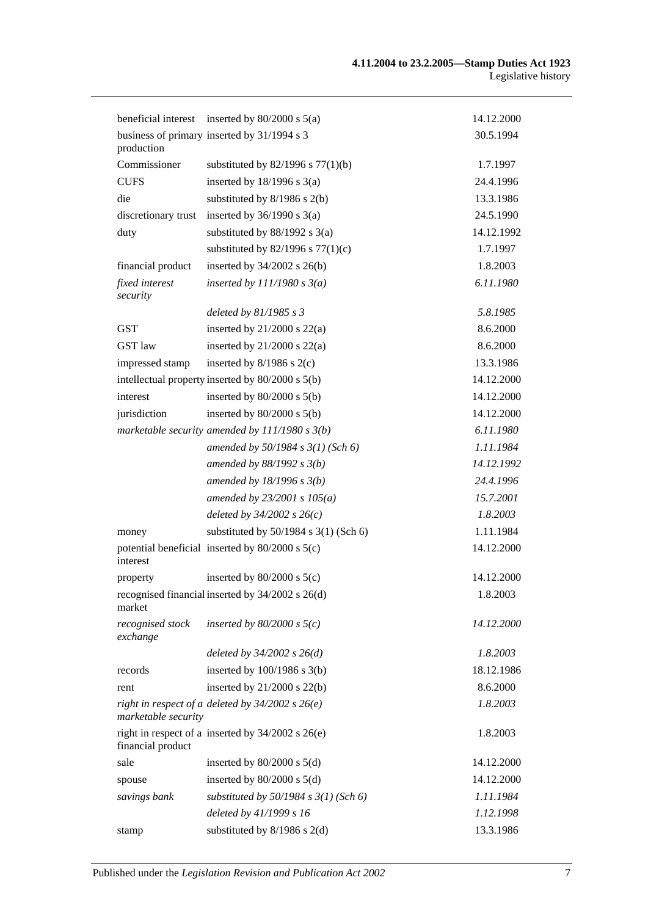|                              | beneficial interest inserted by $80/2000$ s $5(a)$    | 14.12.2000 |
|------------------------------|-------------------------------------------------------|------------|
| production                   | business of primary inserted by 31/1994 s 3           | 30.5.1994  |
| Commissioner                 | substituted by $82/1996$ s $77(1)(b)$                 | 1.7.1997   |
| <b>CUFS</b>                  | inserted by $18/1996$ s $3(a)$                        | 24.4.1996  |
| die                          | substituted by $8/1986$ s $2(b)$                      | 13.3.1986  |
| discretionary trust          | inserted by $36/1990$ s $3(a)$                        | 24.5.1990  |
| duty                         | substituted by $88/1992$ s $3(a)$                     | 14.12.1992 |
|                              | substituted by $82/1996$ s $77(1)(c)$                 | 1.7.1997   |
| financial product            | inserted by $34/2002$ s $26(b)$                       | 1.8.2003   |
| fixed interest<br>security   | inserted by $111/1980 s 3(a)$                         | 6.11.1980  |
|                              | deleted by $81/1985 s 3$                              | 5.8.1985   |
| <b>GST</b>                   | inserted by $21/2000$ s $22(a)$                       | 8.6.2000   |
| <b>GST</b> law               | inserted by $21/2000$ s $22(a)$                       | 8.6.2000   |
| impressed stamp              | inserted by $8/1986$ s $2(c)$                         | 13.3.1986  |
|                              | intellectual property inserted by 80/2000 s 5(b)      | 14.12.2000 |
| interest                     | inserted by $80/2000$ s $5(b)$                        | 14.12.2000 |
| jurisdiction                 | inserted by $80/2000$ s $5(b)$                        | 14.12.2000 |
|                              | marketable security amended by $111/1980 s 3(b)$      | 6.11.1980  |
|                              | amended by $50/1984 s 3(1)$ (Sch 6)                   | 1.11.1984  |
|                              | amended by $88/1992$ s $3(b)$                         | 14.12.1992 |
|                              | amended by $18/1996$ s $3(b)$                         | 24.4.1996  |
|                              | amended by $23/2001 s 105(a)$                         | 15.7.2001  |
|                              | deleted by $34/2002$ s $26(c)$                        | 1.8.2003   |
| money                        | substituted by 50/1984 s 3(1) (Sch 6)                 | 1.11.1984  |
| interest                     | potential beneficial inserted by $80/2000$ s $5(c)$   | 14.12.2000 |
| property                     | inserted by $80/2000$ s $5(c)$                        | 14.12.2000 |
| market                       | recognised financial inserted by 34/2002 s 26(d)      | 1.8.2003   |
| recognised stock<br>exchange | inserted by $80/2000$ s $5(c)$                        | 14.12.2000 |
|                              | deleted by $34/2002$ s $26(d)$                        | 1.8.2003   |
| records                      | inserted by $100/1986$ s $3(b)$                       | 18.12.1986 |
| rent                         | inserted by $21/2000$ s $22(b)$                       | 8.6.2000   |
| marketable security          | right in respect of a deleted by $34/2002$ s $26(e)$  | 1.8.2003   |
| financial product            | right in respect of a inserted by $34/2002$ s $26(e)$ | 1.8.2003   |
| sale                         | inserted by $80/2000$ s $5(d)$                        | 14.12.2000 |
| spouse                       | inserted by $80/2000$ s $5(d)$                        | 14.12.2000 |
| savings bank                 | substituted by $50/1984$ s $3(1)$ (Sch 6)             | 1.11.1984  |
|                              | deleted by 41/1999 s 16                               | 1.12.1998  |
| stamp                        | substituted by $8/1986$ s $2(d)$                      | 13.3.1986  |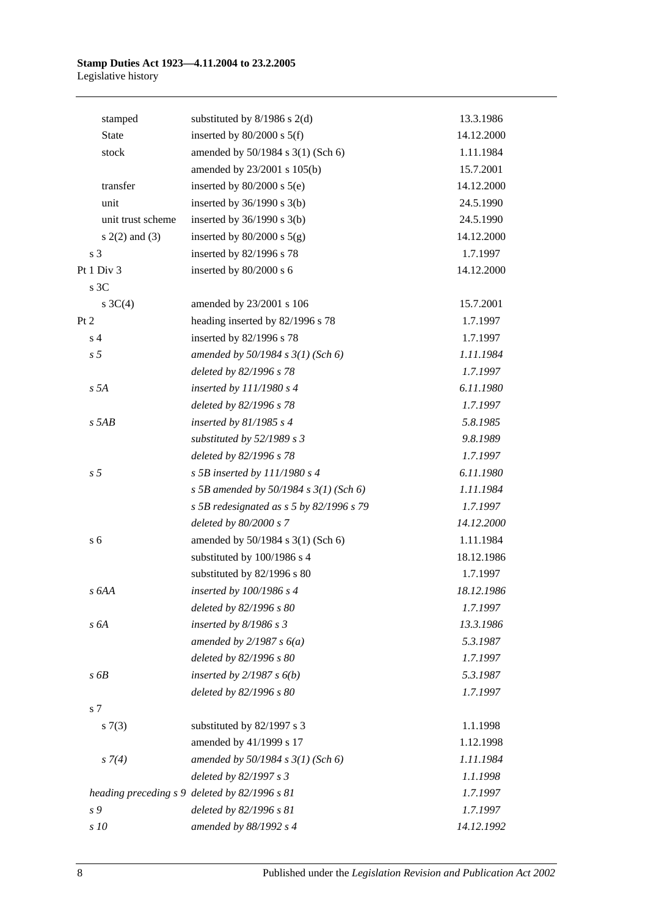| stamped            | substituted by $8/1986$ s $2(d)$              | 13.3.1986  |
|--------------------|-----------------------------------------------|------------|
| <b>State</b>       | inserted by $80/2000$ s $5(f)$                | 14.12.2000 |
| stock              | amended by 50/1984 s 3(1) (Sch 6)             | 1.11.1984  |
|                    | amended by 23/2001 s 105(b)                   | 15.7.2001  |
| transfer           | inserted by $80/2000$ s $5(e)$                | 14.12.2000 |
| unit               | inserted by $36/1990$ s $3(b)$                | 24.5.1990  |
| unit trust scheme  | inserted by $36/1990$ s $3(b)$                | 24.5.1990  |
| $s(2(2)$ and $(3)$ | inserted by $80/2000$ s $5(g)$                | 14.12.2000 |
| s 3                | inserted by 82/1996 s 78                      | 1.7.1997   |
| Pt 1 Div 3         | inserted by 80/2000 s 6                       | 14.12.2000 |
| s 3C               |                                               |            |
| s $3C(4)$          | amended by 23/2001 s 106                      | 15.7.2001  |
| Pt 2               | heading inserted by 82/1996 s 78              | 1.7.1997   |
| s <sub>4</sub>     | inserted by 82/1996 s 78                      | 1.7.1997   |
| s <sub>5</sub>     | amended by $50/1984$ s $3(1)$ (Sch 6)         | 1.11.1984  |
|                    | deleted by 82/1996 s 78                       | 1.7.1997   |
| s 5A               | inserted by 111/1980 s 4                      | 6.11.1980  |
|                    | deleted by 82/1996 s 78                       | 1.7.1997   |
| $s$ 5AB            | inserted by $81/1985 s 4$                     | 5.8.1985   |
|                    | substituted by 52/1989 s 3                    | 9.8.1989   |
|                    | deleted by 82/1996 s 78                       | 1.7.1997   |
| s <sub>5</sub>     | s 5B inserted by $111/1980$ s 4               | 6.11.1980  |
|                    | s 5B amended by 50/1984 s $3(1)$ (Sch 6)      | 1.11.1984  |
|                    | s 5B redesignated as s 5 by 82/1996 s 79      | 1.7.1997   |
|                    | deleted by 80/2000 s 7                        | 14.12.2000 |
| s <sub>6</sub>     | amended by 50/1984 s 3(1) (Sch 6)             | 1.11.1984  |
|                    | substituted by 100/1986 s 4                   | 18.12.1986 |
|                    | substituted by 82/1996 s 80                   | 1.7.1997   |
| s 6AA              | inserted by 100/1986 s 4                      | 18.12.1986 |
|                    | deleted by 82/1996 s 80                       | 1.7.1997   |
| s 6A               | inserted by $8/1986 s 3$                      | 13.3.1986  |
|                    | amended by $2/1987 s 6(a)$                    | 5.3.1987   |
|                    | deleted by 82/1996 s 80                       | 1.7.1997   |
| s6B                | inserted by $2/1987 s 6(b)$                   | 5.3.1987   |
|                    | deleted by 82/1996 s 80                       | 1.7.1997   |
| s 7                |                                               |            |
| s(7(3))            | substituted by 82/1997 s 3                    | 1.1.1998   |
|                    | amended by 41/1999 s 17                       | 1.12.1998  |
| $s \, 7(4)$        | amended by $50/1984$ s $3(1)$ (Sch 6)         | 1.11.1984  |
|                    | deleted by 82/1997 s 3                        | 1.1.1998   |
|                    | heading preceding s 9 deleted by 82/1996 s 81 | 1.7.1997   |
| s 9                | deleted by 82/1996 s 81                       | 1.7.1997   |
| s 10               | amended by 88/1992 s 4                        | 14.12.1992 |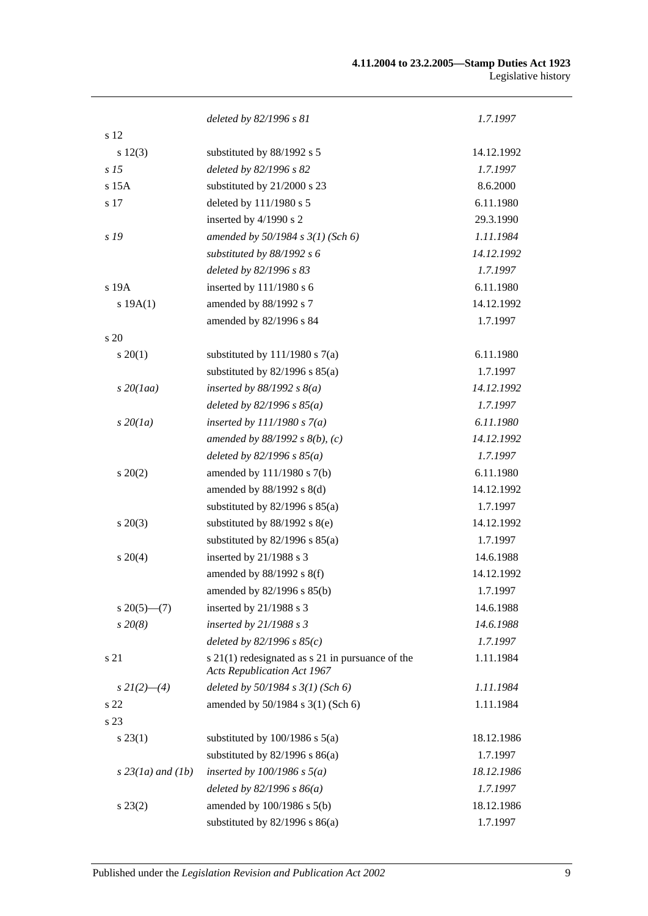|                     | deleted by 82/1996 s 81                                                                    | 1.7.1997   |
|---------------------|--------------------------------------------------------------------------------------------|------------|
| s 12                |                                                                                            |            |
| s 12(3)             | substituted by 88/1992 s 5                                                                 | 14.12.1992 |
| s <sub>15</sub>     | deleted by 82/1996 s 82                                                                    | 1.7.1997   |
| $s$ 15 $A$          | substituted by 21/2000 s 23                                                                | 8.6.2000   |
| s 17                | deleted by 111/1980 s 5                                                                    | 6.11.1980  |
|                     | inserted by 4/1990 s 2                                                                     | 29.3.1990  |
| s 19                | amended by $50/1984$ s $3(1)$ (Sch 6)                                                      | 1.11.1984  |
|                     | substituted by 88/1992 s 6                                                                 | 14.12.1992 |
|                     | deleted by 82/1996 s 83                                                                    | 1.7.1997   |
| s 19A               | inserted by 111/1980 s 6                                                                   | 6.11.1980  |
| s 19A(1)            | amended by 88/1992 s 7                                                                     | 14.12.1992 |
|                     | amended by 82/1996 s 84                                                                    | 1.7.1997   |
| s 20                |                                                                                            |            |
| $s \, 20(1)$        | substituted by $111/1980$ s $7(a)$                                                         | 6.11.1980  |
|                     | substituted by $82/1996$ s $85(a)$                                                         | 1.7.1997   |
| $s$ 20(1aa)         | inserted by $88/1992$ s $8(a)$                                                             | 14.12.1992 |
|                     | deleted by $82/1996 s 85(a)$                                                               | 1.7.1997   |
| $s\,20(1a)$         | inserted by $111/1980 s 7(a)$                                                              | 6.11.1980  |
|                     | amended by $88/1992 s 8(b)$ , (c)                                                          | 14.12.1992 |
|                     | deleted by $82/1996 s 85(a)$                                                               | 1.7.1997   |
| $s\ 20(2)$          | amended by 111/1980 s 7(b)                                                                 | 6.11.1980  |
|                     | amended by $88/1992$ s $8(d)$                                                              | 14.12.1992 |
|                     | substituted by $82/1996$ s $85(a)$                                                         | 1.7.1997   |
| $s \ 20(3)$         | substituted by $88/1992$ s $8(e)$                                                          | 14.12.1992 |
|                     | substituted by $82/1996$ s $85(a)$                                                         | 1.7.1997   |
| $s \ 20(4)$         | inserted by 21/1988 s 3                                                                    | 14.6.1988  |
|                     | amended by 88/1992 s 8(f)                                                                  | 14.12.1992 |
|                     | amended by 82/1996 s 85(b)                                                                 | 1.7.1997   |
| $s \, 20(5)$ —(7)   | inserted by $21/1988$ s 3                                                                  | 14.6.1988  |
| $s\,20(8)$          | inserted by 21/1988 s 3                                                                    | 14.6.1988  |
|                     | deleted by $82/1996 s 85(c)$                                                               | 1.7.1997   |
| s 21                | $s$ 21(1) redesignated as $s$ 21 in pursuance of the<br><b>Acts Republication Act 1967</b> | 1.11.1984  |
| $s\,2I(2)$ - (4)    | deleted by $50/1984$ s $3(1)$ (Sch 6)                                                      | 1.11.1984  |
| s 22                | amended by 50/1984 s 3(1) (Sch 6)                                                          | 1.11.1984  |
| s 23                |                                                                                            |            |
| $s\,23(1)$          | substituted by $100/1986$ s $5(a)$                                                         | 18.12.1986 |
|                     | substituted by $82/1996$ s $86(a)$                                                         | 1.7.1997   |
| $s$ 23(1a) and (1b) | inserted by $100/1986$ s $5(a)$                                                            | 18.12.1986 |
|                     | deleted by $82/1996 s 86(a)$                                                               | 1.7.1997   |
| $s\,23(2)$          | amended by 100/1986 s 5(b)                                                                 | 18.12.1986 |
|                     | substituted by $82/1996$ s $86(a)$                                                         | 1.7.1997   |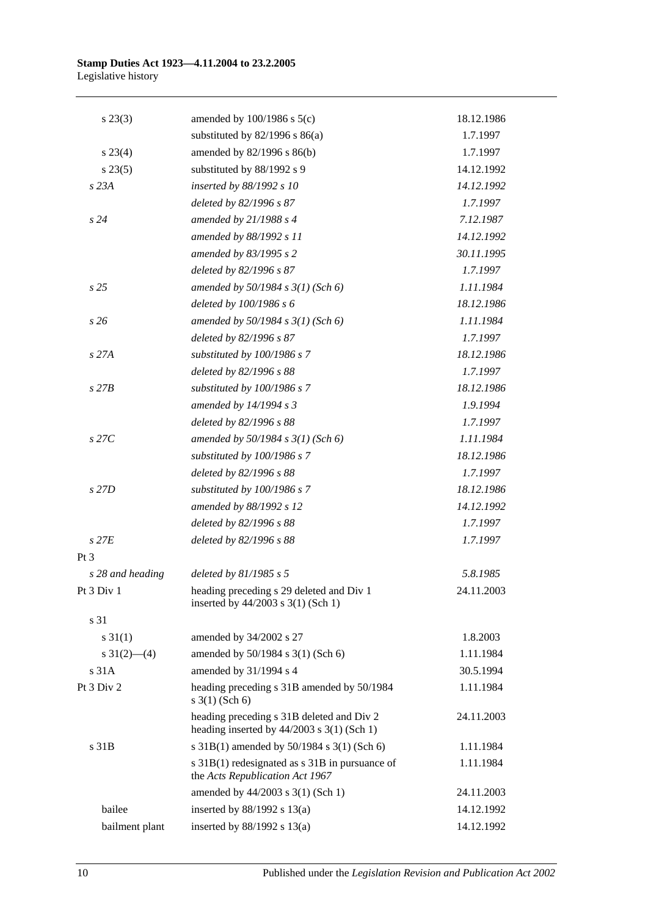| $s\,23(3)$       | amended by $100/1986$ s $5(c)$                                                            | 18.12.1986 |
|------------------|-------------------------------------------------------------------------------------------|------------|
|                  | substituted by $82/1996$ s $86(a)$                                                        | 1.7.1997   |
| $s\,23(4)$       | amended by 82/1996 s 86(b)                                                                | 1.7.1997   |
| s 23(5)          | substituted by 88/1992 s 9                                                                | 14.12.1992 |
| s 23A            | inserted by 88/1992 s 10                                                                  | 14.12.1992 |
|                  | deleted by 82/1996 s 87                                                                   | 1.7.1997   |
| s24              | amended by $21/1988 s 4$                                                                  | 7.12.1987  |
|                  | amended by 88/1992 s 11                                                                   | 14.12.1992 |
|                  | amended by 83/1995 s 2                                                                    | 30.11.1995 |
|                  | deleted by 82/1996 s 87                                                                   | 1.7.1997   |
| s <sub>25</sub>  | amended by $50/1984$ s $3(1)$ (Sch 6)                                                     | 1.11.1984  |
|                  | deleted by 100/1986 s 6                                                                   | 18.12.1986 |
| s26              | amended by $50/1984 s 3(1)$ (Sch 6)                                                       | 1.11.1984  |
|                  | deleted by 82/1996 s 87                                                                   | 1.7.1997   |
| s 27A            | substituted by 100/1986 s 7                                                               | 18.12.1986 |
|                  | deleted by 82/1996 s 88                                                                   | 1.7.1997   |
| $s$ 27 $B$       | substituted by 100/1986 s 7                                                               | 18.12.1986 |
|                  | amended by $14/1994 s3$                                                                   | 1.9.1994   |
|                  | deleted by 82/1996 s 88                                                                   | 1.7.1997   |
| $s$ 27 $C$       | amended by $50/1984$ s $3(1)$ (Sch 6)                                                     | 1.11.1984  |
|                  | substituted by 100/1986 s 7                                                               | 18.12.1986 |
|                  | deleted by 82/1996 s 88                                                                   | 1.7.1997   |
| s 27D            | substituted by 100/1986 s 7                                                               | 18.12.1986 |
|                  | amended by 88/1992 s 12                                                                   | 14.12.1992 |
|                  | deleted by 82/1996 s 88                                                                   | 1.7.1997   |
| $s$ 27 $E$       | deleted by 82/1996 s 88                                                                   | 1.7.1997   |
| $Pt\,3$          |                                                                                           |            |
| s 28 and heading | deleted by $81/1985 s 5$                                                                  | 5.8.1985   |
| Pt 3 Div 1       | heading preceding s 29 deleted and Div 1<br>inserted by $44/2003$ s $3(1)$ (Sch 1)        | 24.11.2003 |
| s 31             |                                                                                           |            |
| $s \ 31(1)$      | amended by 34/2002 s 27                                                                   | 1.8.2003   |
| s $31(2)$ (4)    | amended by 50/1984 s 3(1) (Sch 6)                                                         | 1.11.1984  |
| s 31A            | amended by 31/1994 s 4                                                                    | 30.5.1994  |
| Pt 3 Div 2       | heading preceding s 31B amended by 50/1984<br>$s \; 3(1)$ (Sch 6)                         | 1.11.1984  |
|                  | heading preceding s 31B deleted and Div 2<br>heading inserted by $44/2003$ s 3(1) (Sch 1) | 24.11.2003 |
| s 31B            | s 31B(1) amended by 50/1984 s 3(1) (Sch 6)                                                | 1.11.1984  |
|                  | s 31B(1) redesignated as s 31B in pursuance of<br>the Acts Republication Act 1967         | 1.11.1984  |
|                  | amended by 44/2003 s 3(1) (Sch 1)                                                         | 24.11.2003 |
| bailee           | inserted by $88/1992$ s $13(a)$                                                           | 14.12.1992 |
| bailment plant   | inserted by $88/1992$ s $13(a)$                                                           | 14.12.1992 |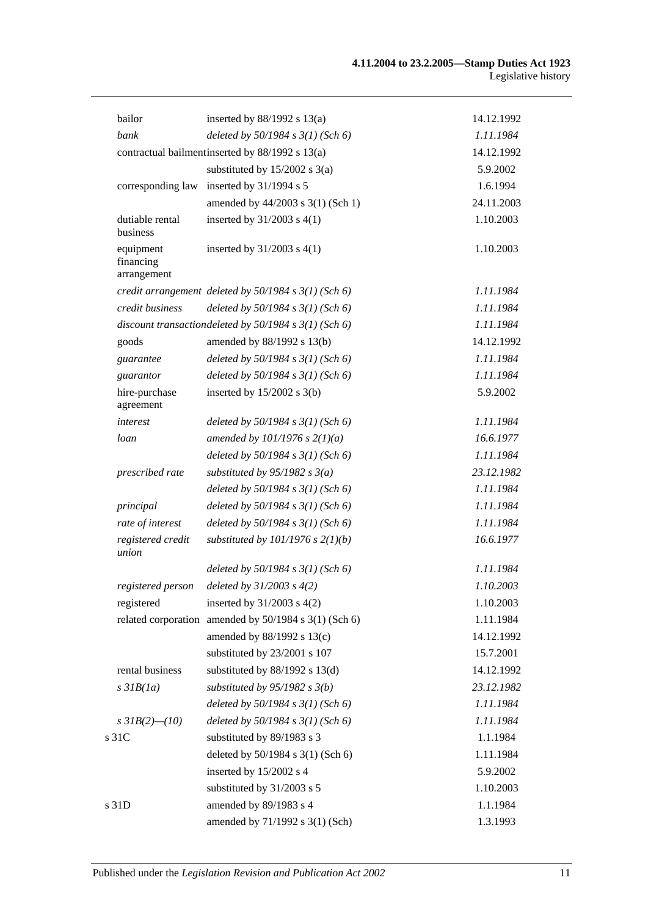| bailor                                | inserted by $88/1992$ s $13(a)$                            | 14.12.1992 |
|---------------------------------------|------------------------------------------------------------|------------|
| bank                                  | deleted by $50/1984$ s $3(1)$ (Sch 6)                      | 1.11.1984  |
|                                       | contractual bailment inserted by 88/1992 s 13(a)           | 14.12.1992 |
|                                       | substituted by $15/2002$ s 3(a)                            | 5.9.2002   |
| corresponding law                     | inserted by 31/1994 s 5                                    | 1.6.1994   |
|                                       | amended by 44/2003 s 3(1) (Sch 1)                          | 24.11.2003 |
| dutiable rental<br>business           | inserted by $31/2003$ s $4(1)$                             | 1.10.2003  |
| equipment<br>financing<br>arrangement | inserted by $31/2003$ s $4(1)$                             | 1.10.2003  |
|                                       | credit arrangement deleted by $50/1984$ s $3(1)$ (Sch 6)   | 1.11.1984  |
| credit business                       | deleted by $50/1984$ s $3(1)$ (Sch 6)                      | 1.11.1984  |
|                                       | discount transaction deleted by $50/1984$ s $3(1)$ (Sch 6) | 1.11.1984  |
| goods                                 | amended by 88/1992 s 13(b)                                 | 14.12.1992 |
| guarantee                             | deleted by $50/1984$ s $3(1)$ (Sch 6)                      | 1.11.1984  |
| guarantor                             | deleted by $50/1984$ s $3(1)$ (Sch 6)                      | 1.11.1984  |
| hire-purchase<br>agreement            | inserted by $15/2002$ s 3(b)                               | 5.9.2002   |
| interest                              | deleted by $50/1984$ s $3(1)$ (Sch 6)                      | 1.11.1984  |
| loan                                  | amended by $101/1976$ s $2(1)(a)$                          | 16.6.1977  |
|                                       | deleted by $50/1984$ s $3(1)$ (Sch 6)                      | 1.11.1984  |
| prescribed rate                       | substituted by $95/1982$ s $3(a)$                          | 23.12.1982 |
|                                       | deleted by $50/1984$ s $3(1)$ (Sch 6)                      | 1.11.1984  |
| principal                             | deleted by $50/1984$ s $3(1)$ (Sch 6)                      | 1.11.1984  |
| rate of interest                      | deleted by $50/1984$ s $3(1)$ (Sch 6)                      | 1.11.1984  |
| registered credit<br>union            | substituted by $101/1976$ s $2(1)(b)$                      | 16.6.1977  |
|                                       | deleted by $50/1984$ s $3(1)$ (Sch 6)                      | 1.11.1984  |
| registered person                     | deleted by $31/2003$ s $4(2)$                              | 1.10.2003  |
| registered                            | inserted by $31/2003$ s $4(2)$                             | 1.10.2003  |
|                                       | related corporation amended by 50/1984 s 3(1) (Sch 6)      | 1.11.1984  |
|                                       | amended by 88/1992 s 13(c)                                 | 14.12.1992 |
|                                       | substituted by 23/2001 s 107                               | 15.7.2001  |
| rental business                       | substituted by $88/1992$ s $13(d)$                         | 14.12.1992 |
| $s$ 31 $B(1a)$                        | substituted by $95/1982$ s $3(b)$                          | 23.12.1982 |
|                                       | deleted by $50/1984$ s $3(1)$ (Sch 6)                      | 1.11.1984  |
| s $3IB(2)$ - (10)                     | deleted by $50/1984$ s $3(1)$ (Sch 6)                      | 1.11.1984  |
| s 31C                                 | substituted by 89/1983 s 3                                 | 1.1.1984   |
|                                       | deleted by 50/1984 s 3(1) (Sch 6)                          | 1.11.1984  |
|                                       | inserted by 15/2002 s 4                                    | 5.9.2002   |
|                                       | substituted by 31/2003 s 5                                 | 1.10.2003  |
| s 31D                                 | amended by 89/1983 s 4                                     | 1.1.1984   |
|                                       | amended by 71/1992 s 3(1) (Sch)                            | 1.3.1993   |
|                                       |                                                            |            |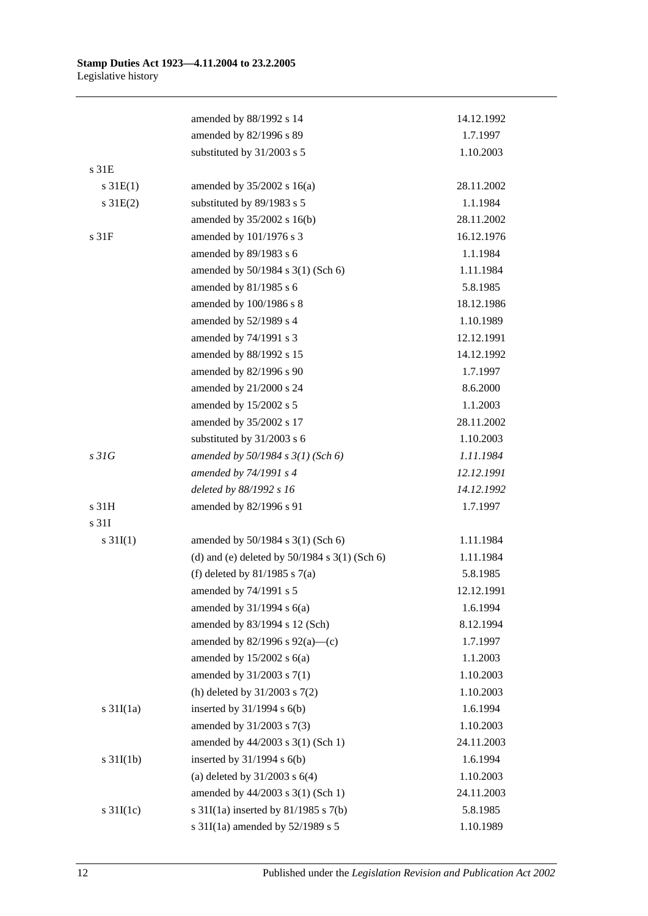|                       | amended by 88/1992 s 14                           | 14.12.1992 |
|-----------------------|---------------------------------------------------|------------|
|                       | amended by 82/1996 s 89                           | 1.7.1997   |
|                       | substituted by 31/2003 s 5                        | 1.10.2003  |
| s 31E                 |                                                   |            |
| $s \, 31E(1)$         | amended by $35/2002$ s 16(a)                      | 28.11.2002 |
| $s \, 31E(2)$         | substituted by 89/1983 s 5                        | 1.1.1984   |
|                       | amended by 35/2002 s 16(b)                        | 28.11.2002 |
| s 31F                 | amended by 101/1976 s 3                           | 16.12.1976 |
|                       | amended by 89/1983 s 6                            | 1.1.1984   |
|                       | amended by 50/1984 s 3(1) (Sch 6)                 | 1.11.1984  |
|                       | amended by 81/1985 s 6                            | 5.8.1985   |
|                       | amended by 100/1986 s 8                           | 18.12.1986 |
|                       | amended by 52/1989 s 4                            | 1.10.1989  |
|                       | amended by 74/1991 s 3                            | 12.12.1991 |
|                       | amended by 88/1992 s 15                           | 14.12.1992 |
|                       | amended by 82/1996 s 90                           | 1.7.1997   |
|                       | amended by 21/2000 s 24                           | 8.6.2000   |
|                       | amended by 15/2002 s 5                            | 1.1.2003   |
|                       | amended by 35/2002 s 17                           | 28.11.2002 |
|                       | substituted by 31/2003 s 6                        | 1.10.2003  |
| s31G                  | amended by 50/1984 s 3(1) (Sch 6)                 | 1.11.1984  |
|                       | amended by 74/1991 s 4                            | 12.12.1991 |
|                       | deleted by 88/1992 s 16                           | 14.12.1992 |
| s 31H                 | amended by 82/1996 s 91                           | 1.7.1997   |
| s 31I                 |                                                   |            |
| s $31I(1)$            | amended by 50/1984 s 3(1) (Sch 6)                 | 1.11.1984  |
|                       | (d) and (e) deleted by $50/1984$ s $3(1)$ (Sch 6) | 1.11.1984  |
|                       | (f) deleted by $81/1985$ s $7(a)$                 | 5.8.1985   |
|                       | amended by 74/1991 s 5                            | 12.12.1991 |
|                       | amended by $31/1994$ s $6(a)$                     | 1.6.1994   |
|                       | amended by 83/1994 s 12 (Sch)                     | 8.12.1994  |
|                       | amended by $82/1996$ s $92(a)$ —(c)               | 1.7.1997   |
|                       | amended by $15/2002$ s $6(a)$                     | 1.1.2003   |
|                       | amended by 31/2003 s 7(1)                         | 1.10.2003  |
|                       | (h) deleted by $31/2003$ s $7(2)$                 | 1.10.2003  |
| $s \frac{31I(1a)}{2}$ | inserted by $31/1994$ s $6(b)$                    | 1.6.1994   |
|                       | amended by 31/2003 s 7(3)                         | 1.10.2003  |
|                       | amended by 44/2003 s 3(1) (Sch 1)                 | 24.11.2003 |
| $s \frac{31I(1b)}{2}$ | inserted by $31/1994$ s $6(b)$                    | 1.6.1994   |
|                       | (a) deleted by $31/2003$ s $6(4)$                 | 1.10.2003  |
|                       | amended by 44/2003 s 3(1) (Sch 1)                 | 24.11.2003 |
| s $31I(1c)$           | s $31I(1a)$ inserted by $81/1985$ s $7(b)$        | 5.8.1985   |
|                       | s 31I(1a) amended by 52/1989 s 5                  | 1.10.1989  |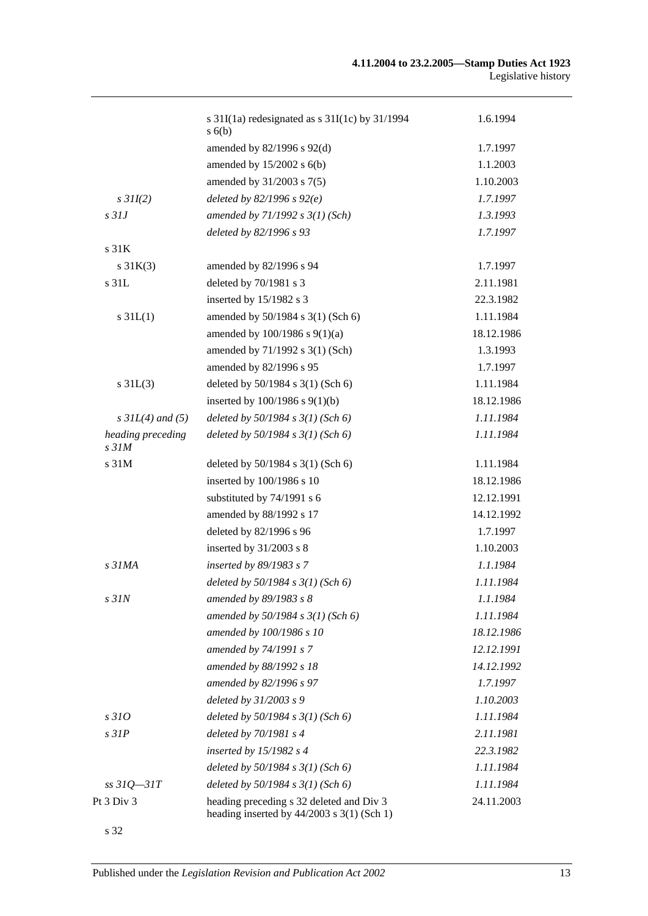|                                       | s $31I(1a)$ redesignated as s $31I(1c)$ by $31/1994$<br>s(6)                               | 1.6.1994   |
|---------------------------------------|--------------------------------------------------------------------------------------------|------------|
|                                       | amended by 82/1996 s 92(d)                                                                 | 1.7.1997   |
|                                       | amended by $15/2002$ s $6(b)$                                                              | 1.1.2003   |
|                                       | amended by 31/2003 s 7(5)                                                                  | 1.10.2003  |
| $s$ 31I(2)                            | deleted by $82/1996 s 92(e)$                                                               | 1.7.1997   |
| $s$ 31J                               | amended by $71/1992$ s $3(1)$ (Sch)                                                        | 1.3.1993   |
|                                       | deleted by 82/1996 s 93                                                                    | 1.7.1997   |
| s <sub>31K</sub>                      |                                                                                            |            |
| $s \, 31K(3)$                         | amended by 82/1996 s 94                                                                    | 1.7.1997   |
| s 31L                                 | deleted by 70/1981 s 3                                                                     | 2.11.1981  |
|                                       | inserted by 15/1982 s 3                                                                    | 22.3.1982  |
| $s \, 31L(1)$                         | amended by 50/1984 s 3(1) (Sch 6)                                                          | 1.11.1984  |
|                                       | amended by 100/1986 s 9(1)(a)                                                              | 18.12.1986 |
|                                       | amended by 71/1992 s 3(1) (Sch)                                                            | 1.3.1993   |
|                                       | amended by 82/1996 s 95                                                                    | 1.7.1997   |
| $s \, 31L(3)$                         | deleted by 50/1984 s 3(1) (Sch 6)                                                          | 1.11.1984  |
|                                       | inserted by $100/1986$ s $9(1)(b)$                                                         | 18.12.1986 |
| $s$ 31L(4) and (5)                    | deleted by $50/1984$ s $3(1)$ (Sch 6)                                                      | 1.11.1984  |
| heading preceding<br>s <sub>31M</sub> | deleted by $50/1984$ s $3(1)$ (Sch 6)                                                      | 1.11.1984  |
| s 31M                                 | deleted by 50/1984 s 3(1) (Sch 6)                                                          | 1.11.1984  |
|                                       | inserted by 100/1986 s 10                                                                  | 18.12.1986 |
|                                       | substituted by 74/1991 s 6                                                                 | 12.12.1991 |
|                                       | amended by 88/1992 s 17                                                                    | 14.12.1992 |
|                                       | deleted by 82/1996 s 96                                                                    | 1.7.1997   |
|                                       | inserted by 31/2003 s 8                                                                    | 1.10.2003  |
| s <sub>31MA</sub>                     | inserted by 89/1983 s 7                                                                    | 1.1.1984   |
|                                       | deleted by $50/1984$ s $3(1)$ (Sch 6)                                                      | 1.11.1984  |
| $s$ $31N$                             | amended by 89/1983 s 8                                                                     | 1.1.1984   |
|                                       | amended by $50/1984$ s $3(1)$ (Sch 6)                                                      | 1.11.1984  |
|                                       | amended by 100/1986 s 10                                                                   | 18.12.1986 |
|                                       | amended by 74/1991 s 7                                                                     | 12.12.1991 |
|                                       | amended by 88/1992 s 18                                                                    | 14.12.1992 |
|                                       | amended by 82/1996 s 97                                                                    | 1.7.1997   |
|                                       | deleted by 31/2003 s 9                                                                     | 1.10.2003  |
| s310                                  | deleted by $50/1984$ s $3(1)$ (Sch 6)                                                      | 1.11.1984  |
| $s$ 31 $P$                            | deleted by $70/1981$ s 4                                                                   | 2.11.1981  |
|                                       | inserted by $15/1982$ s 4                                                                  | 22.3.1982  |
|                                       | deleted by $50/1984$ s $3(1)$ (Sch 6)                                                      | 1.11.1984  |
| $ss31Q - 31T$                         | deleted by $50/1984$ s $3(1)$ (Sch 6)                                                      | 1.11.1984  |
| Pt 3 Div 3                            | heading preceding s 32 deleted and Div 3<br>heading inserted by $44/2003$ s $3(1)$ (Sch 1) | 24.11.2003 |

s 32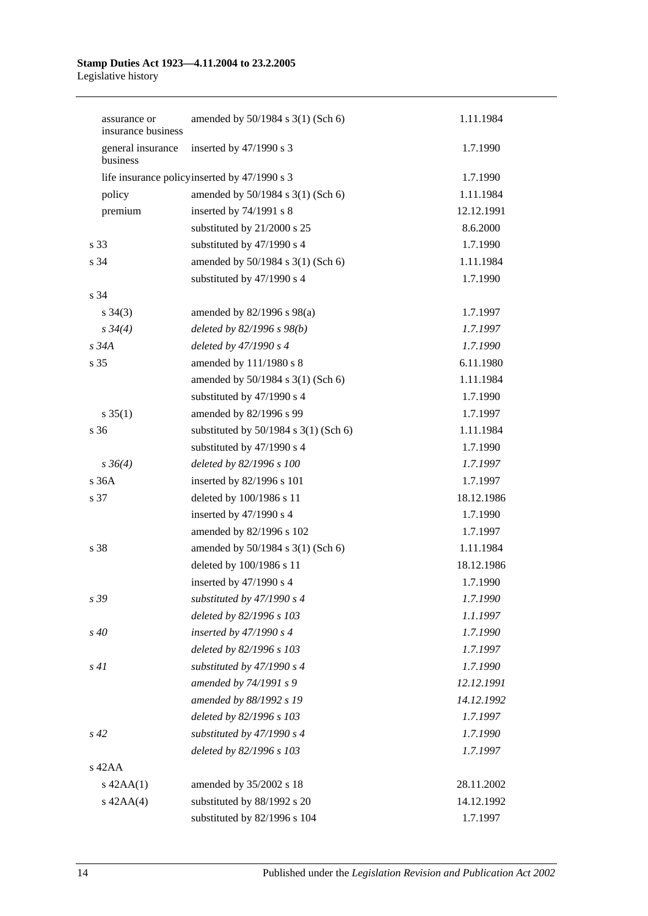| assurance or<br>insurance business | amended by 50/1984 s 3(1) (Sch 6)            | 1.11.1984  |
|------------------------------------|----------------------------------------------|------------|
| general insurance<br>business      | inserted by 47/1990 s 3                      | 1.7.1990   |
|                                    | life insurance policyinserted by 47/1990 s 3 | 1.7.1990   |
| policy                             | amended by 50/1984 s 3(1) (Sch 6)            | 1.11.1984  |
| premium                            | inserted by 74/1991 s 8                      | 12.12.1991 |
|                                    | substituted by 21/2000 s 25                  | 8.6.2000   |
| s 33                               | substituted by 47/1990 s 4                   | 1.7.1990   |
| s 34                               | amended by 50/1984 s 3(1) (Sch 6)            | 1.11.1984  |
|                                    | substituted by 47/1990 s 4                   | 1.7.1990   |
| s 34                               |                                              |            |
| $s \; 34(3)$                       | amended by $82/1996$ s $98(a)$               | 1.7.1997   |
| $s \frac{34}{4}$                   | deleted by $82/1996 s 98(b)$                 | 1.7.1997   |
| s 34A                              | deleted by 47/1990 s 4                       | 1.7.1990   |
| s 35                               | amended by 111/1980 s 8                      | 6.11.1980  |
|                                    | amended by 50/1984 s 3(1) (Sch 6)            | 1.11.1984  |
|                                    | substituted by 47/1990 s 4                   | 1.7.1990   |
| $s \; 35(1)$                       | amended by 82/1996 s 99                      | 1.7.1997   |
| s 36                               | substituted by $50/1984$ s $3(1)$ (Sch 6)    | 1.11.1984  |
|                                    | substituted by 47/1990 s 4                   | 1.7.1990   |
| $s \, 36(4)$                       | deleted by 82/1996 s 100                     | 1.7.1997   |
| s 36A                              | inserted by 82/1996 s 101                    | 1.7.1997   |
| s 37                               | deleted by 100/1986 s 11                     | 18.12.1986 |
|                                    | inserted by 47/1990 s 4                      | 1.7.1990   |
|                                    | amended by 82/1996 s 102                     | 1.7.1997   |
| s 38                               | amended by 50/1984 s 3(1) (Sch 6)            | 1.11.1984  |
|                                    | deleted by 100/1986 s 11                     | 18.12.1986 |
|                                    | inserted by 47/1990 s 4                      | 1.7.1990   |
| s 39                               | substituted by $47/1990 s 4$                 | 1.7.1990   |
|                                    | deleted by 82/1996 s 103                     | 1.1.1997   |
| $s\,40$                            | inserted by $47/1990 s 4$                    | 1.7.1990   |
|                                    | deleted by 82/1996 s 103                     | 1.7.1997   |
| s41                                | substituted by $47/1990 s 4$                 | 1.7.1990   |
|                                    | amended by 74/1991 s 9                       | 12.12.1991 |
|                                    | amended by 88/1992 s 19                      | 14.12.1992 |
|                                    | deleted by 82/1996 s 103                     | 1.7.1997   |
| $s\,42$                            | substituted by $47/1990 s 4$                 | 1.7.1990   |
|                                    | deleted by 82/1996 s 103                     | 1.7.1997   |
| $s$ 42AA                           |                                              |            |
| $s$ 42AA $(1)$                     | amended by 35/2002 s 18                      | 28.11.2002 |
| $s$ 42AA(4)                        | substituted by 88/1992 s 20                  | 14.12.1992 |
|                                    | substituted by 82/1996 s 104                 | 1.7.1997   |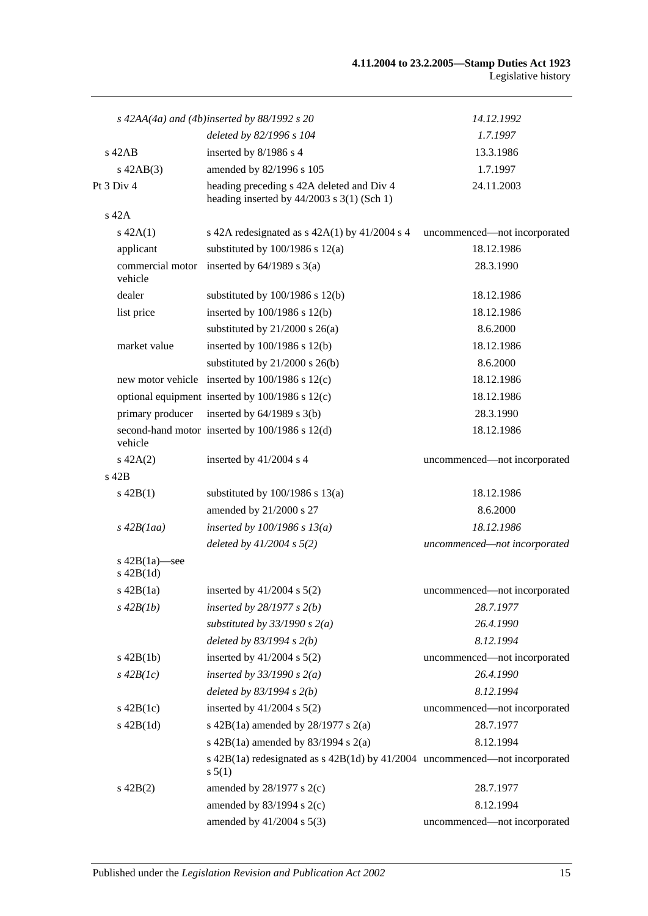|                                    | s $42AA(4a)$ and $(4b)$ inserted by $88/1992$ s $20$                                      | 14.12.1992                   |
|------------------------------------|-------------------------------------------------------------------------------------------|------------------------------|
|                                    | deleted by 82/1996 s 104                                                                  | 1.7.1997                     |
| $s$ 42AB                           | inserted by 8/1986 s 4                                                                    | 13.3.1986                    |
| $s$ 42AB $(3)$                     | amended by 82/1996 s 105                                                                  | 1.7.1997                     |
| Pt 3 Div 4                         | heading preceding s 42A deleted and Div 4<br>heading inserted by $44/2003$ s 3(1) (Sch 1) | 24.11.2003                   |
| s 42A                              |                                                                                           |                              |
| $s\ 42A(1)$                        | s 42A redesignated as $s$ 42A(1) by 41/2004 s 4                                           | uncommenced-not incorporated |
| applicant                          | substituted by $100/1986$ s $12(a)$                                                       | 18.12.1986                   |
| vehicle                            | commercial motor inserted by $64/1989$ s $3(a)$                                           | 28.3.1990                    |
| dealer                             | substituted by $100/1986$ s $12(b)$                                                       | 18.12.1986                   |
| list price                         | inserted by $100/1986$ s $12(b)$                                                          | 18.12.1986                   |
|                                    | substituted by $21/2000$ s $26(a)$                                                        | 8.6.2000                     |
| market value                       | inserted by 100/1986 s 12(b)                                                              | 18.12.1986                   |
|                                    | substituted by $21/2000$ s $26(b)$                                                        | 8.6.2000                     |
|                                    | new motor vehicle inserted by $100/1986$ s $12(c)$                                        | 18.12.1986                   |
|                                    | optional equipment inserted by 100/1986 s 12(c)                                           | 18.12.1986                   |
| primary producer                   | inserted by $64/1989$ s $3(b)$                                                            | 28.3.1990                    |
| vehicle                            | second-hand motor inserted by 100/1986 s 12(d)                                            | 18.12.1986                   |
| $s\ 42A(2)$                        | inserted by 41/2004 s 4                                                                   | uncommenced-not incorporated |
| s 42B                              |                                                                                           |                              |
| $s\ 42B(1)$                        | substituted by $100/1986$ s $13(a)$                                                       | 18.12.1986                   |
|                                    | amended by 21/2000 s 27                                                                   | 8.6.2000                     |
| $s\,42B(1aa)$                      | inserted by $100/1986$ s $13(a)$                                                          | 18.12.1986                   |
|                                    | deleted by $41/2004 s 5(2)$                                                               | uncommenced-not incorporated |
| s $42B(1a)$ —see<br>$s$ 42B $(1d)$ |                                                                                           |                              |
| $s\ 42B(1a)$                       | inserted by $41/2004$ s $5(2)$                                                            | uncommenced—not incorporated |
| $s\,42B(1b)$                       | inserted by $28/1977 s 2(b)$                                                              | 28.7.1977                    |
|                                    | substituted by $33/1990 s 2(a)$                                                           | 26.4.1990                    |
|                                    | deleted by $83/1994 s 2(b)$                                                               | 8.12.1994                    |
| $s\ 42B(1b)$                       | inserted by $41/2004$ s $5(2)$                                                            | uncommenced-not incorporated |
| $s\,42B(lc)$                       | inserted by $33/1990 s 2(a)$                                                              | 26.4.1990                    |
|                                    | deleted by $83/1994 s 2(b)$                                                               | 8.12.1994                    |
| $s\ 42B(1c)$                       | inserted by $41/2004$ s $5(2)$                                                            | uncommenced-not incorporated |
| $s\ 42B(1d)$                       | s 42B(1a) amended by $28/1977$ s $2(a)$                                                   | 28.7.1977                    |
|                                    | s $42B(1a)$ amended by $83/1994$ s $2(a)$                                                 | 8.12.1994                    |
|                                    | s 42B(1a) redesignated as s 42B(1d) by 41/2004 uncommenced—not incorporated<br>s 5(1)     |                              |
| $s\ 42B(2)$                        | amended by $28/1977$ s $2(c)$                                                             | 28.7.1977                    |
|                                    | amended by $83/1994$ s $2(c)$                                                             | 8.12.1994                    |
|                                    | amended by $41/2004$ s $5(3)$                                                             | uncommenced-not incorporated |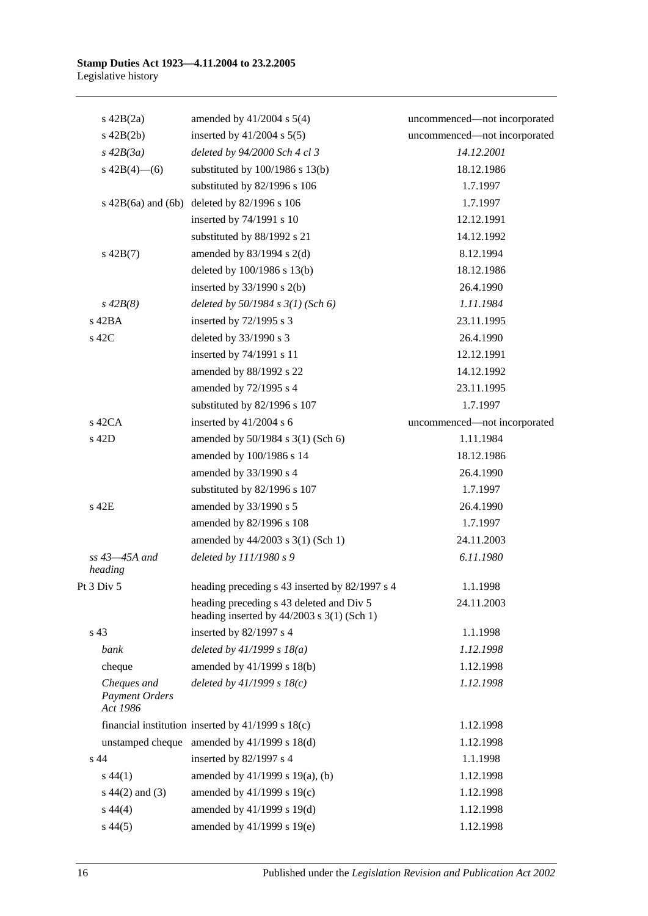| $s\ 42B(2a)$                                     | amended by $41/2004$ s $5(4)$                                                            | uncommenced-not incorporated |
|--------------------------------------------------|------------------------------------------------------------------------------------------|------------------------------|
| $s\ 42B(2b)$                                     | inserted by $41/2004$ s $5(5)$                                                           | uncommenced-not incorporated |
| $s\,42B(3a)$                                     | deleted by 94/2000 Sch 4 cl 3                                                            | 14.12.2001                   |
| s $42B(4)$ - (6)                                 | substituted by $100/1986$ s $13(b)$                                                      | 18.12.1986                   |
|                                                  | substituted by 82/1996 s 106                                                             | 1.7.1997                     |
| $s\ 42B(6a)$ and $(6b)$                          | deleted by 82/1996 s 106                                                                 | 1.7.1997                     |
|                                                  | inserted by 74/1991 s 10                                                                 | 12.12.1991                   |
|                                                  | substituted by 88/1992 s 21                                                              | 14.12.1992                   |
| $s\ 42B(7)$                                      | amended by 83/1994 s 2(d)                                                                | 8.12.1994                    |
|                                                  | deleted by 100/1986 s 13(b)                                                              | 18.12.1986                   |
|                                                  | inserted by $33/1990$ s 2(b)                                                             | 26.4.1990                    |
| $s\,42B(8)$                                      | deleted by $50/1984$ s $3(1)$ (Sch 6)                                                    | 1.11.1984                    |
| s 42BA                                           | inserted by 72/1995 s 3                                                                  | 23.11.1995                   |
| s 42C                                            | deleted by 33/1990 s 3                                                                   | 26.4.1990                    |
|                                                  | inserted by 74/1991 s 11                                                                 | 12.12.1991                   |
|                                                  | amended by 88/1992 s 22                                                                  | 14.12.1992                   |
|                                                  | amended by 72/1995 s 4                                                                   | 23.11.1995                   |
|                                                  | substituted by 82/1996 s 107                                                             | 1.7.1997                     |
| $s$ 42CA                                         | inserted by 41/2004 s 6                                                                  | uncommenced-not incorporated |
| s 42D                                            | amended by 50/1984 s 3(1) (Sch 6)                                                        | 1.11.1984                    |
|                                                  | amended by 100/1986 s 14                                                                 | 18.12.1986                   |
|                                                  | amended by 33/1990 s 4                                                                   | 26.4.1990                    |
|                                                  | substituted by 82/1996 s 107                                                             | 1.7.1997                     |
| s 42E                                            | amended by 33/1990 s 5                                                                   | 26.4.1990                    |
|                                                  | amended by 82/1996 s 108                                                                 | 1.7.1997                     |
|                                                  | amended by 44/2003 s 3(1) (Sch 1)                                                        | 24.11.2003                   |
| $ss$ 43–45A and<br>heading                       | deleted by 111/1980 s 9                                                                  | 6.11.1980                    |
| Pt 3 Div 5                                       | heading preceding s 43 inserted by 82/1997 s 4                                           | 1.1.1998                     |
|                                                  | heading preceding s 43 deleted and Div 5<br>heading inserted by $44/2003$ s 3(1) (Sch 1) | 24.11.2003                   |
| s 43                                             | inserted by 82/1997 s 4                                                                  | 1.1.1998                     |
| bank                                             | deleted by $41/1999 s 18(a)$                                                             | 1.12.1998                    |
| cheque                                           | amended by 41/1999 s 18(b)                                                               | 1.12.1998                    |
| Cheques and<br><b>Payment Orders</b><br>Act 1986 | deleted by $41/1999 s 18(c)$                                                             | 1.12.1998                    |
|                                                  | financial institution inserted by $41/1999$ s $18(c)$                                    | 1.12.1998                    |
|                                                  | unstamped cheque amended by 41/1999 s 18(d)                                              | 1.12.1998                    |
| s 44                                             | inserted by 82/1997 s 4                                                                  | 1.1.1998                     |
| $s\,44(1)$                                       | amended by 41/1999 s 19(a), (b)                                                          | 1.12.1998                    |
| $s\ 44(2)$ and (3)                               | amended by 41/1999 s 19(c)                                                               | 1.12.1998                    |
| $s\,44(4)$                                       | amended by 41/1999 s 19(d)                                                               | 1.12.1998                    |
| $s\,44(5)$                                       | amended by 41/1999 s 19(e)                                                               | 1.12.1998                    |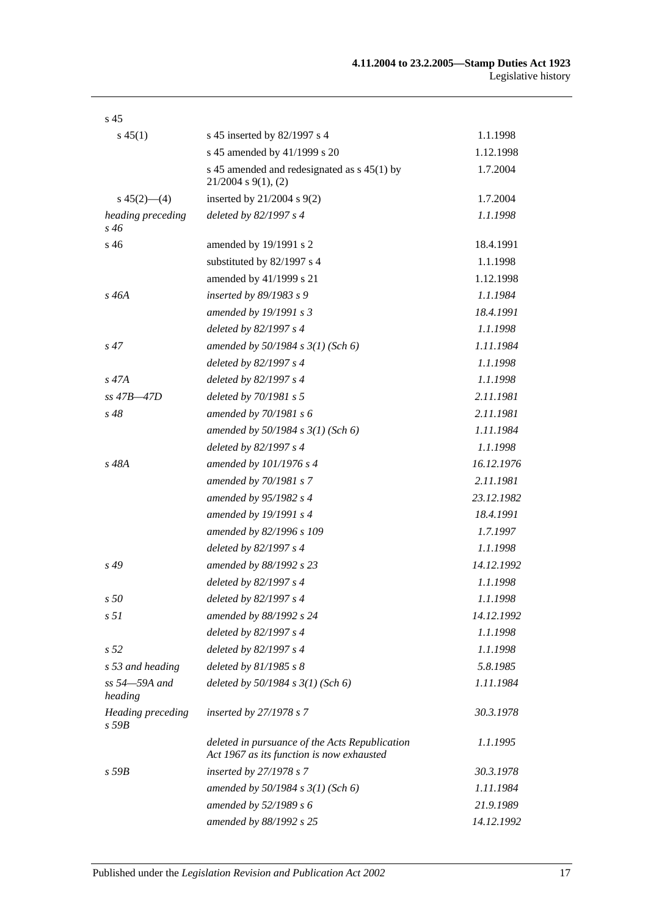| s <sub>45</sub>            |                                                                                             |            |
|----------------------------|---------------------------------------------------------------------------------------------|------------|
| $s\,45(1)$                 | s 45 inserted by 82/1997 s 4                                                                | 1.1.1998   |
|                            | s 45 amended by 41/1999 s 20                                                                | 1.12.1998  |
|                            | s 45 amended and redesignated as s 45(1) by<br>$21/2004$ s $9(1)$ , (2)                     | 1.7.2004   |
| $s\ 45(2)$ - (4)           | inserted by $21/2004$ s $9(2)$                                                              | 1.7.2004   |
| heading preceding<br>s 46  | deleted by 82/1997 s 4                                                                      | 1.1.1998   |
| s 46                       | amended by 19/1991 s 2                                                                      | 18.4.1991  |
|                            | substituted by 82/1997 s 4                                                                  | 1.1.1998   |
|                            | amended by 41/1999 s 21                                                                     | 1.12.1998  |
| $s\,46A$                   | inserted by 89/1983 s 9                                                                     | 1.1.1984   |
|                            | amended by 19/1991 s 3                                                                      | 18.4.1991  |
|                            | deleted by 82/1997 s 4                                                                      | 1.1.1998   |
| $s\,47$                    | amended by $50/1984 s 3(1)$ (Sch 6)                                                         | 1.11.1984  |
|                            | deleted by 82/1997 s 4                                                                      | 1.1.1998   |
| $s\,47A$                   | deleted by 82/1997 s 4                                                                      | 1.1.1998   |
| ss 47B-47D                 | deleted by 70/1981 s 5                                                                      | 2.11.1981  |
| $s\,48$                    | amended by 70/1981 s 6                                                                      | 2.11.1981  |
|                            | amended by $50/1984$ s $3(1)$ (Sch 6)                                                       | 1.11.1984  |
|                            | deleted by 82/1997 s 4                                                                      | 1.1.1998   |
| s 48A                      | amended by 101/1976 s 4                                                                     | 16.12.1976 |
|                            | amended by 70/1981 s 7                                                                      | 2.11.1981  |
|                            | amended by 95/1982 s 4                                                                      | 23.12.1982 |
|                            | amended by 19/1991 s 4                                                                      | 18.4.1991  |
|                            | amended by 82/1996 s 109                                                                    | 1.7.1997   |
|                            | deleted by 82/1997 s 4                                                                      | 1.1.1998   |
| $s\,49$                    | amended by 88/1992 s 23                                                                     | 14.12.1992 |
|                            | deleted by 82/1997 s 4                                                                      | 1.1.1998   |
| s 50                       | deleted by 82/1997 s 4                                                                      | 1.1.1998   |
| s <sub>51</sub>            | amended by 88/1992 s 24                                                                     | 14.12.1992 |
|                            | deleted by 82/1997 s 4                                                                      | 1.1.1998   |
| s <sub>52</sub>            | deleted by 82/1997 s 4                                                                      | 1.1.1998   |
| s 53 and heading           | deleted by $81/1985 s 8$                                                                    | 5.8.1985   |
| ss 54–59A and<br>heading   | deleted by $50/1984$ s $3(1)$ (Sch 6)                                                       | 1.11.1984  |
| Heading preceding<br>s 59B | inserted by 27/1978 s 7                                                                     | 30.3.1978  |
|                            | deleted in pursuance of the Acts Republication<br>Act 1967 as its function is now exhausted | 1.1.1995   |
| $s$ 59 $B$                 | inserted by 27/1978 s 7                                                                     | 30.3.1978  |
|                            | amended by $50/1984$ s $3(1)$ (Sch 6)                                                       | 1.11.1984  |
|                            | amended by 52/1989 s 6                                                                      | 21.9.1989  |
|                            | amended by 88/1992 s 25                                                                     | 14.12.1992 |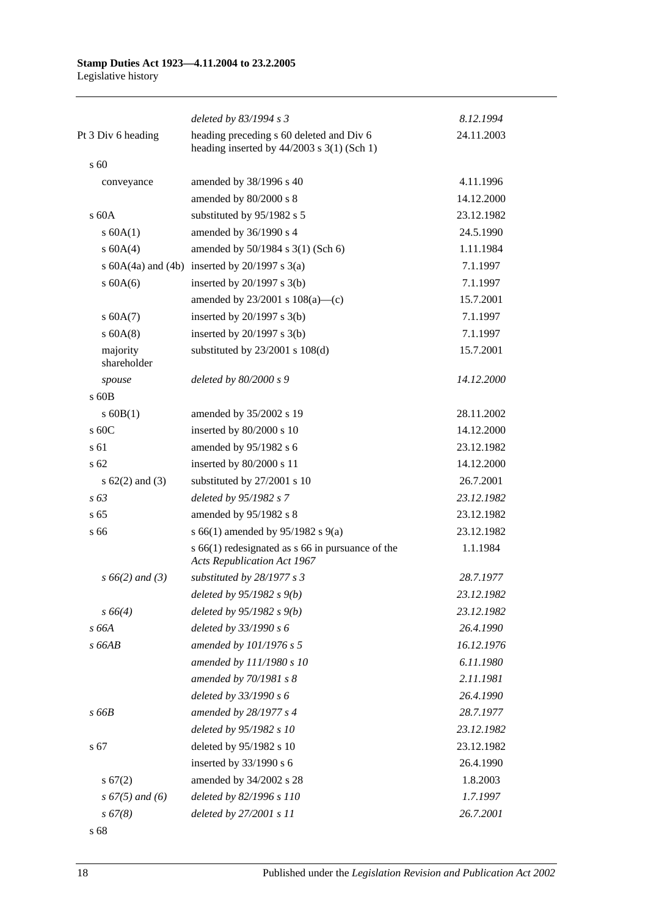|                         | deleted by 83/1994 s 3                                                                   | 8.12.1994  |
|-------------------------|------------------------------------------------------------------------------------------|------------|
| Pt 3 Div 6 heading      | heading preceding s 60 deleted and Div 6<br>heading inserted by $44/2003$ s 3(1) (Sch 1) | 24.11.2003 |
| $\mathrm{s}$ 60         |                                                                                          |            |
| conveyance              | amended by 38/1996 s 40                                                                  | 4.11.1996  |
|                         | amended by 80/2000 s 8                                                                   | 14.12.2000 |
| $\rm s$ 60A             | substituted by 95/1982 s 5                                                               | 23.12.1982 |
| s 60A(1)                | amended by 36/1990 s 4                                                                   | 24.5.1990  |
| s 60A(4)                | amended by 50/1984 s 3(1) (Sch 6)                                                        | 1.11.1984  |
|                         | s $60A(4a)$ and $(4b)$ inserted by $20/1997$ s $3(a)$                                    | 7.1.1997   |
| $s$ 60A(6)              | inserted by $20/1997$ s $3(b)$                                                           | 7.1.1997   |
|                         | amended by $23/2001$ s $108(a)$ —(c)                                                     | 15.7.2001  |
| s 60A(7)                | inserted by $20/1997$ s $3(b)$                                                           | 7.1.1997   |
| $s$ 60A(8)              | inserted by $20/1997$ s $3(b)$                                                           | 7.1.1997   |
| majority<br>shareholder | substituted by $23/2001$ s $108(d)$                                                      | 15.7.2001  |
| spouse                  | deleted by 80/2000 s 9                                                                   | 14.12.2000 |
| s 60B                   |                                                                                          |            |
| $s$ 60B(1)              | amended by 35/2002 s 19                                                                  | 28.11.2002 |
| s 60C                   | inserted by 80/2000 s 10                                                                 | 14.12.2000 |
| s 61                    | amended by 95/1982 s 6                                                                   | 23.12.1982 |
| s <sub>62</sub>         | inserted by 80/2000 s 11                                                                 | 14.12.2000 |
| s $62(2)$ and $(3)$     | substituted by 27/2001 s 10                                                              | 26.7.2001  |
| $s\,63$                 | deleted by 95/1982 s 7                                                                   | 23.12.1982 |
| s <sub>65</sub>         | amended by 95/1982 s 8                                                                   | 23.12.1982 |
| s 66                    | s 66(1) amended by 95/1982 s 9(a)                                                        | 23.12.1982 |
|                         | s $66(1)$ redesignated as s 66 in pursuance of the<br><b>Acts Republication Act 1967</b> | 1.1.1984   |
| $s\,66(2)$ and (3)      | substituted by 28/1977 s 3                                                               | 28.7.1977  |
|                         | deleted by $95/1982 s 9(b)$                                                              | 23.12.1982 |
| $s\,66(4)$              | deleted by $95/1982 s 9(b)$                                                              | 23.12.1982 |
| s 66A                   | deleted by 33/1990 s 6                                                                   | 26.4.1990  |
| $s$ 66AB                | amended by 101/1976 s 5                                                                  | 16.12.1976 |
|                         | amended by 111/1980 s 10                                                                 | 6.11.1980  |
|                         | amended by 70/1981 s 8                                                                   | 2.11.1981  |
|                         | deleted by 33/1990 s 6                                                                   | 26.4.1990  |
| s 66B                   | amended by 28/1977 s 4                                                                   | 28.7.1977  |
|                         | deleted by 95/1982 s 10                                                                  | 23.12.1982 |
| s 67                    | deleted by 95/1982 s 10                                                                  | 23.12.1982 |
|                         | inserted by 33/1990 s 6                                                                  | 26.4.1990  |
| s 67(2)                 | amended by 34/2002 s 28                                                                  | 1.8.2003   |
| $s\,67(5)$ and (6)      | deleted by 82/1996 s 110                                                                 | 1.7.1997   |
| s 67(8)                 | deleted by 27/2001 s 11                                                                  | 26.7.2001  |
|                         |                                                                                          |            |

s 68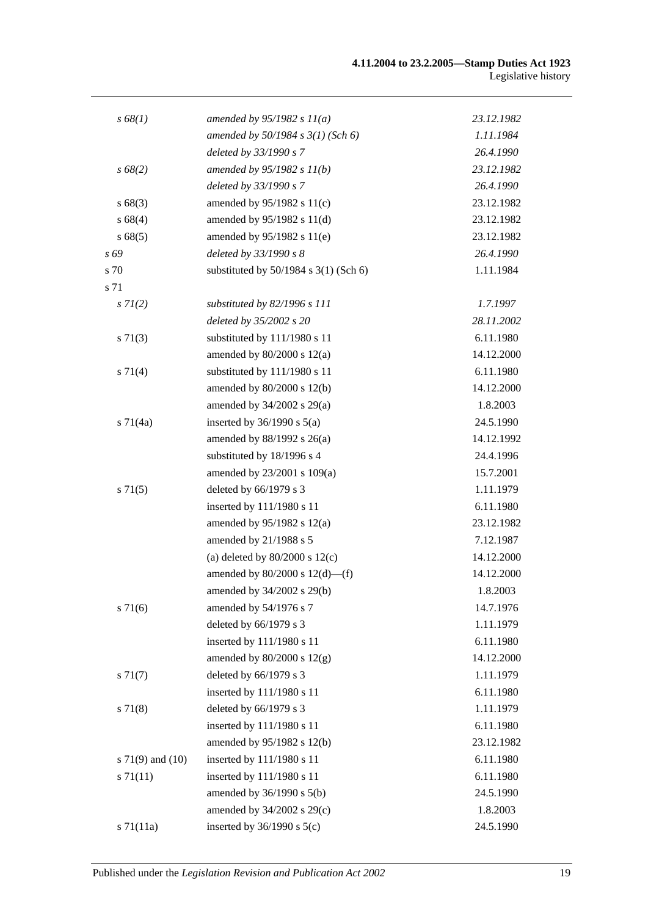| s 68(1)              | amended by $95/1982 s 11(a)$              | 23.12.1982 |
|----------------------|-------------------------------------------|------------|
|                      | amended by $50/1984$ s $3(1)$ (Sch 6)     | 1.11.1984  |
|                      | deleted by 33/1990 s 7                    | 26.4.1990  |
| $s\,68(2)$           | amended by $95/1982 s 11(b)$              | 23.12.1982 |
|                      | deleted by 33/1990 s 7                    | 26.4.1990  |
| s 68(3)              | amended by $95/1982$ s $11(c)$            | 23.12.1982 |
| s 68(4)              | amended by 95/1982 s 11(d)                | 23.12.1982 |
| s 68(5)              | amended by 95/1982 s 11(e)                | 23.12.1982 |
| s 69                 | deleted by 33/1990 s 8                    | 26.4.1990  |
| s 70                 | substituted by $50/1984$ s $3(1)$ (Sch 6) | 1.11.1984  |
| s 71                 |                                           |            |
| $s \, 7I(2)$         | substituted by 82/1996 s 111              | 1.7.1997   |
|                      | deleted by 35/2002 s 20                   | 28.11.2002 |
| $s \, 71(3)$         | substituted by 111/1980 s 11              | 6.11.1980  |
|                      | amended by $80/2000$ s $12(a)$            | 14.12.2000 |
| $s \, 71(4)$         | substituted by 111/1980 s 11              | 6.11.1980  |
|                      | amended by 80/2000 s 12(b)                | 14.12.2000 |
|                      | amended by $34/2002$ s $29(a)$            | 1.8.2003   |
| $s \, 71(4a)$        | inserted by $36/1990$ s $5(a)$            | 24.5.1990  |
|                      | amended by 88/1992 s 26(a)                | 14.12.1992 |
|                      | substituted by 18/1996 s 4                | 24.4.1996  |
|                      | amended by 23/2001 s 109(a)               | 15.7.2001  |
| $s \, 71(5)$         | deleted by 66/1979 s 3                    | 1.11.1979  |
|                      | inserted by 111/1980 s 11                 | 6.11.1980  |
|                      | amended by $95/1982$ s $12(a)$            | 23.12.1982 |
|                      | amended by 21/1988 s 5                    | 7.12.1987  |
|                      | (a) deleted by $80/2000$ s $12(c)$        | 14.12.2000 |
|                      | amended by $80/2000$ s $12(d)$ —(f)       | 14.12.2000 |
|                      | amended by 34/2002 s 29(b)                | 1.8.2003   |
| $s \, 71(6)$         | amended by 54/1976 s 7                    | 14.7.1976  |
|                      | deleted by 66/1979 s 3                    | 1.11.1979  |
|                      | inserted by 111/1980 s 11                 | 6.11.1980  |
|                      | amended by $80/2000$ s $12(g)$            | 14.12.2000 |
| $s \, 71(7)$         | deleted by 66/1979 s 3                    | 1.11.1979  |
|                      | inserted by 111/1980 s 11                 | 6.11.1980  |
| $s \, 71(8)$         | deleted by 66/1979 s 3                    | 1.11.1979  |
|                      | inserted by 111/1980 s 11                 | 6.11.1980  |
|                      | amended by 95/1982 s 12(b)                | 23.12.1982 |
| s $71(9)$ and $(10)$ | inserted by 111/1980 s 11                 | 6.11.1980  |
| $s \, 71(11)$        | inserted by 111/1980 s 11                 | 6.11.1980  |
|                      | amended by 36/1990 s 5(b)                 | 24.5.1990  |
|                      | amended by 34/2002 s 29(c)                | 1.8.2003   |
| $s \, 71(11a)$       | inserted by $36/1990$ s $5(c)$            | 24.5.1990  |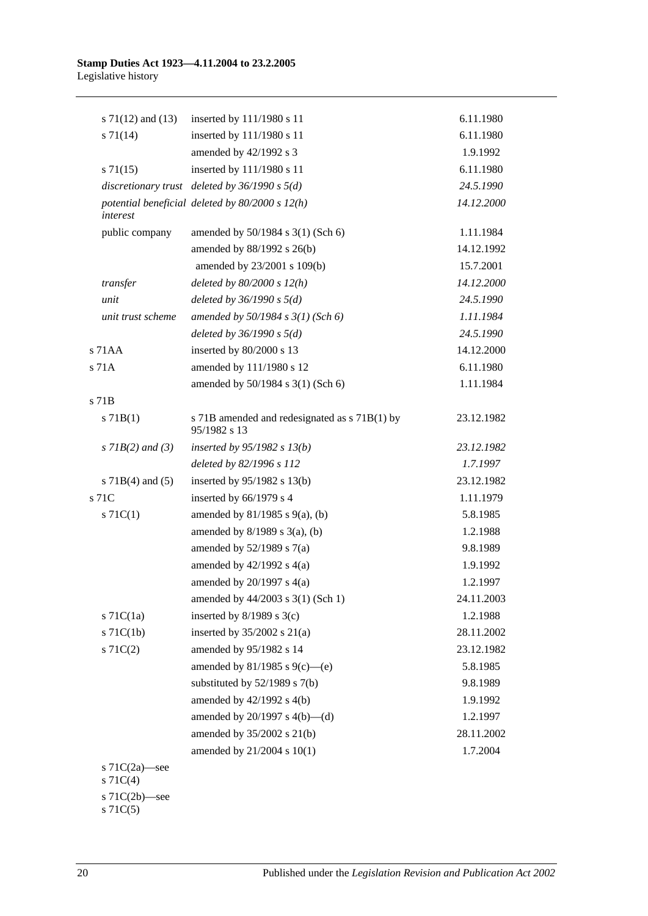|       | s $71(12)$ and $(13)$             | inserted by 111/1980 s 11                                     | 6.11.1980  |
|-------|-----------------------------------|---------------------------------------------------------------|------------|
|       | $s \, 71(14)$                     | inserted by 111/1980 s 11                                     | 6.11.1980  |
|       |                                   | amended by 42/1992 s 3                                        | 1.9.1992   |
|       | $s \, 71(15)$                     | inserted by 111/1980 s 11                                     | 6.11.1980  |
|       |                                   | discretionary trust deleted by $36/1990 s 5(d)$               | 24.5.1990  |
|       | interest                          | potential beneficial deleted by $80/2000 s 12(h)$             | 14.12.2000 |
|       | public company                    | amended by 50/1984 s 3(1) (Sch 6)                             | 1.11.1984  |
|       |                                   | amended by 88/1992 s 26(b)                                    | 14.12.1992 |
|       |                                   | amended by 23/2001 s 109(b)                                   | 15.7.2001  |
|       | transfer                          | deleted by $80/2000 s 12(h)$                                  | 14.12.2000 |
|       | unit                              | deleted by $36/1990 s 5(d)$                                   | 24.5.1990  |
|       | unit trust scheme                 | amended by $50/1984 s 3(1)$ (Sch 6)                           | 1.11.1984  |
|       |                                   | deleted by $36/1990 s 5(d)$                                   | 24.5.1990  |
|       | $s$ 71 $AA$                       | inserted by 80/2000 s 13                                      | 14.12.2000 |
|       | s 71A                             | amended by 111/1980 s 12                                      | 6.11.1980  |
|       |                                   | amended by 50/1984 s 3(1) (Sch 6)                             | 1.11.1984  |
| s 71B |                                   |                                                               |            |
|       | $s$ 71B(1)                        | s 71B amended and redesignated as s 71B(1) by<br>95/1982 s 13 | 23.12.1982 |
|       | $s$ 71B(2) and (3)                | inserted by $95/1982$ s $13(b)$                               | 23.12.1982 |
|       |                                   | deleted by 82/1996 s 112                                      | 1.7.1997   |
|       | s $71B(4)$ and $(5)$              | inserted by $95/1982$ s 13(b)                                 | 23.12.1982 |
| s 71C |                                   | inserted by 66/1979 s 4                                       | 1.11.1979  |
|       | $s \, 71C(1)$                     | amended by $81/1985$ s $9(a)$ , (b)                           | 5.8.1985   |
|       |                                   | amended by $8/1989$ s $3(a)$ , (b)                            | 1.2.1988   |
|       |                                   | amended by $52/1989$ s $7(a)$                                 | 9.8.1989   |
|       |                                   | amended by $42/1992$ s $4(a)$                                 | 1.9.1992   |
|       |                                   | amended by $20/1997$ s $4(a)$                                 | 1.2.1997   |
|       |                                   | amended by 44/2003 s 3(1) (Sch 1)                             | 24.11.2003 |
|       | $s$ 71 $C(1a)$                    | inserted by $8/1989$ s $3(c)$                                 | 1.2.1988   |
|       | $s$ 71 $C(1b)$                    | inserted by $35/2002$ s $21(a)$                               | 28.11.2002 |
|       | $s \, 71C(2)$                     | amended by 95/1982 s 14                                       | 23.12.1982 |
|       |                                   | amended by 81/1985 s 9(c)—(e)                                 | 5.8.1985   |
|       |                                   | substituted by $52/1989$ s $7(b)$                             | 9.8.1989   |
|       |                                   | amended by $42/1992$ s $4(b)$                                 | 1.9.1992   |
|       |                                   | amended by $20/1997$ s $4(b)$ —(d)                            | 1.2.1997   |
|       |                                   | amended by 35/2002 s 21(b)                                    | 28.11.2002 |
|       |                                   | amended by 21/2004 s 10(1)                                    | 1.7.2004   |
|       | s $71C(2a)$ —see<br>$s \, 71C(4)$ |                                                               |            |
|       | s $71C(2b)$ —see                  |                                                               |            |

s 71C(5)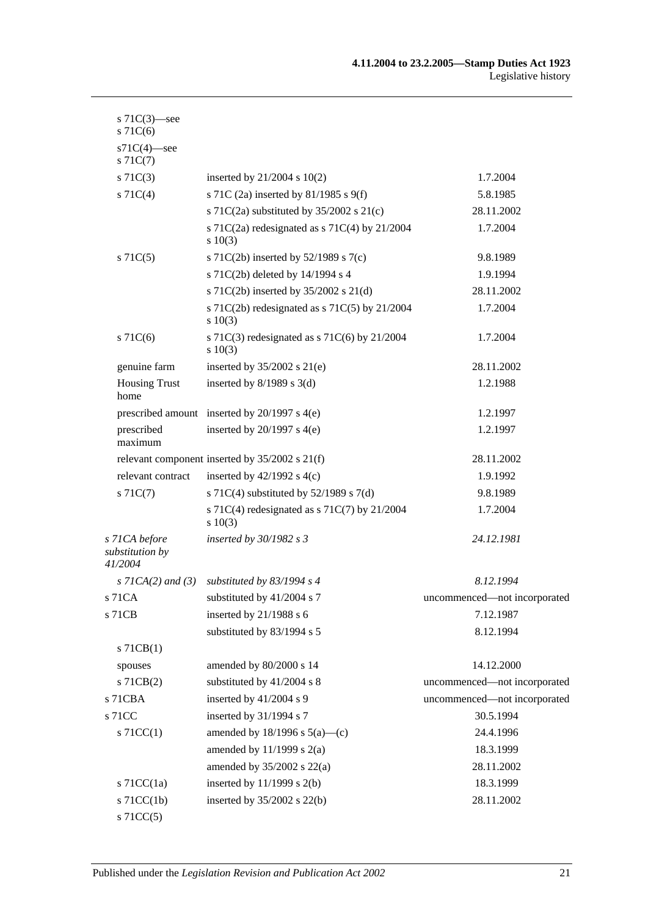| s $71C(3)$ —see<br>$s$ 71 $C(6)$            |                                                               |                              |
|---------------------------------------------|---------------------------------------------------------------|------------------------------|
| $s71C(4)$ -see<br>$s \, 71C(7)$             |                                                               |                              |
| $s \, 71C(3)$                               | inserted by $21/2004$ s $10(2)$                               | 1.7.2004                     |
| $s \, 71C(4)$                               | s 71C (2a) inserted by 81/1985 s 9(f)                         | 5.8.1985                     |
|                                             | s 71C(2a) substituted by $35/2002$ s 21(c)                    | 28.11.2002                   |
|                                             | s 71C(2a) redesignated as s 71C(4) by $21/2004$<br>$s\ 10(3)$ | 1.7.2004                     |
| $s \, 71C(5)$                               | s 71C(2b) inserted by $52/1989$ s 7(c)                        | 9.8.1989                     |
|                                             | s 71C(2b) deleted by 14/1994 s 4                              | 1.9.1994                     |
|                                             | s 71C(2b) inserted by 35/2002 s 21(d)                         | 28.11.2002                   |
|                                             | s 71C(2b) redesignated as s 71C(5) by $21/2004$<br>$s\ 10(3)$ | 1.7.2004                     |
| $s \, 71C(6)$                               | s 71C(3) redesignated as s 71C(6) by $21/2004$<br>$s \ 10(3)$ | 1.7.2004                     |
| genuine farm                                | inserted by $35/2002$ s $21(e)$                               | 28.11.2002                   |
| <b>Housing Trust</b><br>home                | inserted by $8/1989$ s 3(d)                                   | 1.2.1988                     |
|                                             | prescribed amount inserted by 20/1997 s 4(e)                  | 1.2.1997                     |
| prescribed<br>maximum                       | inserted by $20/1997$ s $4(e)$                                | 1.2.1997                     |
|                                             | relevant component inserted by 35/2002 s 21(f)                | 28.11.2002                   |
| relevant contract                           | inserted by $42/1992$ s $4(c)$                                | 1.9.1992                     |
| $s \, 71C(7)$                               | s 71C(4) substituted by $52/1989$ s 7(d)                      | 9.8.1989                     |
|                                             | s 71C(4) redesignated as s 71C(7) by $21/2004$<br>s 10(3)     | 1.7.2004                     |
| s 71CA before<br>substitution by<br>41/2004 | inserted by $30/1982$ s 3                                     | 24.12.1981                   |
| s $7ICA(2)$ and $(3)$                       | substituted by $83/1994$ s 4                                  | 8.12.1994                    |
| s 71CA                                      | substituted by 41/2004 s 7                                    | uncommenced-not incorporated |
| s 71CB                                      | inserted by 21/1988 s 6                                       | 7.12.1987                    |
|                                             | substituted by 83/1994 s 5                                    | 8.12.1994                    |
| $s$ 71CB(1)                                 |                                                               |                              |
| spouses                                     | amended by 80/2000 s 14                                       | 14.12.2000                   |
| $s$ 71CB $(2)$                              | substituted by 41/2004 s 8                                    | uncommenced-not incorporated |
| s 71CBA                                     | inserted by 41/2004 s 9                                       | uncommenced-not incorporated |
| s 71CC                                      | inserted by 31/1994 s 7                                       | 30.5.1994                    |
| $s$ 71CC(1)                                 | amended by $18/1996$ s $5(a)$ —(c)                            | 24.4.1996                    |
|                                             | amended by $11/1999$ s $2(a)$                                 | 18.3.1999                    |
|                                             | amended by $35/2002$ s $22(a)$                                | 28.11.2002                   |
| s $71CC(1a)$                                | inserted by $11/1999$ s $2(b)$                                | 18.3.1999                    |
| $s$ 71CC(1b)                                | inserted by $35/2002$ s $22(b)$                               | 28.11.2002                   |
| $s$ 71CC(5)                                 |                                                               |                              |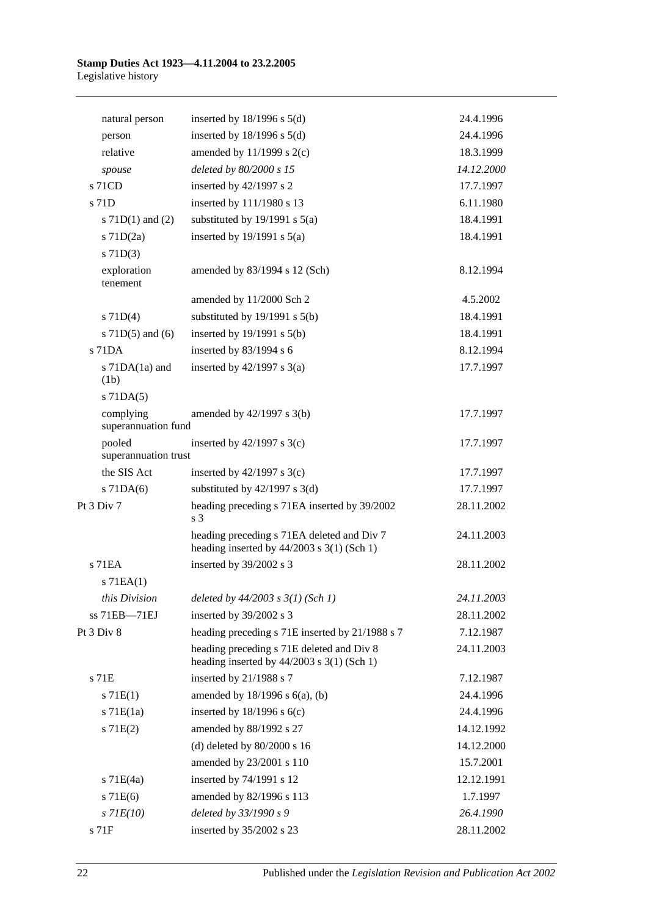| natural person                   | inserted by $18/1996$ s $5(d)$                                                              | 24.4.1996  |
|----------------------------------|---------------------------------------------------------------------------------------------|------------|
| person                           | inserted by $18/1996$ s $5(d)$                                                              | 24.4.1996  |
| relative                         | amended by $11/1999$ s $2(c)$                                                               | 18.3.1999  |
| spouse                           | deleted by 80/2000 s 15                                                                     | 14.12.2000 |
| s 71CD                           | inserted by 42/1997 s 2                                                                     | 17.7.1997  |
| s 71D                            | inserted by 111/1980 s 13                                                                   | 6.11.1980  |
| s $71D(1)$ and $(2)$             | substituted by $19/1991$ s $5(a)$                                                           | 18.4.1991  |
| $s$ 71D $(2a)$                   | inserted by $19/1991$ s $5(a)$                                                              | 18.4.1991  |
| $s$ 71D(3)                       |                                                                                             |            |
| exploration<br>tenement          | amended by 83/1994 s 12 (Sch)                                                               | 8.12.1994  |
|                                  | amended by 11/2000 Sch 2                                                                    | 4.5.2002   |
| $s$ 71D(4)                       | substituted by $19/1991$ s $5(b)$                                                           | 18.4.1991  |
| s $71D(5)$ and $(6)$             | inserted by $19/1991$ s $5(b)$                                                              | 18.4.1991  |
| s 71DA                           | inserted by 83/1994 s 6                                                                     | 8.12.1994  |
| s 71DA(1a) and                   | inserted by $42/1997$ s $3(a)$                                                              | 17.7.1997  |
| (1b)                             |                                                                                             |            |
| $s$ 71DA $(5)$                   |                                                                                             |            |
| complying<br>superannuation fund | amended by 42/1997 s 3(b)                                                                   | 17.7.1997  |
| pooled<br>superannuation trust   | inserted by $42/1997$ s 3(c)                                                                | 17.7.1997  |
| the SIS Act                      | inserted by $42/1997$ s 3(c)                                                                | 17.7.1997  |
| $s$ 71DA(6)                      | substituted by $42/1997$ s 3(d)                                                             | 17.7.1997  |
| Pt 3 Div 7                       | heading preceding s 71EA inserted by 39/2002<br>s <sub>3</sub>                              | 28.11.2002 |
|                                  | heading preceding s 71EA deleted and Div 7<br>heading inserted by $44/2003$ s 3(1) (Sch 1)  | 24.11.2003 |
| s 71EA                           | inserted by 39/2002 s 3                                                                     | 28.11.2002 |
| $s$ 71EA $(1)$                   |                                                                                             |            |
| this Division                    | deleted by 44/2003 s 3(1) (Sch 1)                                                           | 24.11.2003 |
| ss 71EB-71EJ                     | inserted by 39/2002 s 3                                                                     | 28.11.2002 |
| Pt 3 Div 8                       | heading preceding s 71E inserted by 21/1988 s 7                                             | 7.12.1987  |
|                                  | heading preceding s 71E deleted and Div 8<br>heading inserted by $44/2003$ s $3(1)$ (Sch 1) | 24.11.2003 |
| s 71E                            | inserted by 21/1988 s 7                                                                     | 7.12.1987  |
| s 71E(1)                         | amended by $18/1996$ s $6(a)$ , (b)                                                         | 24.4.1996  |
| $s$ 71 $E(1a)$                   | inserted by $18/1996$ s $6(c)$                                                              | 24.4.1996  |
| s 71E(2)                         | amended by 88/1992 s 27                                                                     | 14.12.1992 |
|                                  | (d) deleted by $80/2000$ s 16                                                               | 14.12.2000 |
|                                  | amended by 23/2001 s 110                                                                    | 15.7.2001  |
| $s$ 71E(4a)                      | inserted by 74/1991 s 12                                                                    | 12.12.1991 |
| $s$ 71 $E(6)$                    | amended by 82/1996 s 113                                                                    | 1.7.1997   |
| $s$ 71 $E(10)$                   | deleted by 33/1990 s 9                                                                      | 26.4.1990  |
| s 71F                            | inserted by 35/2002 s 23                                                                    | 28.11.2002 |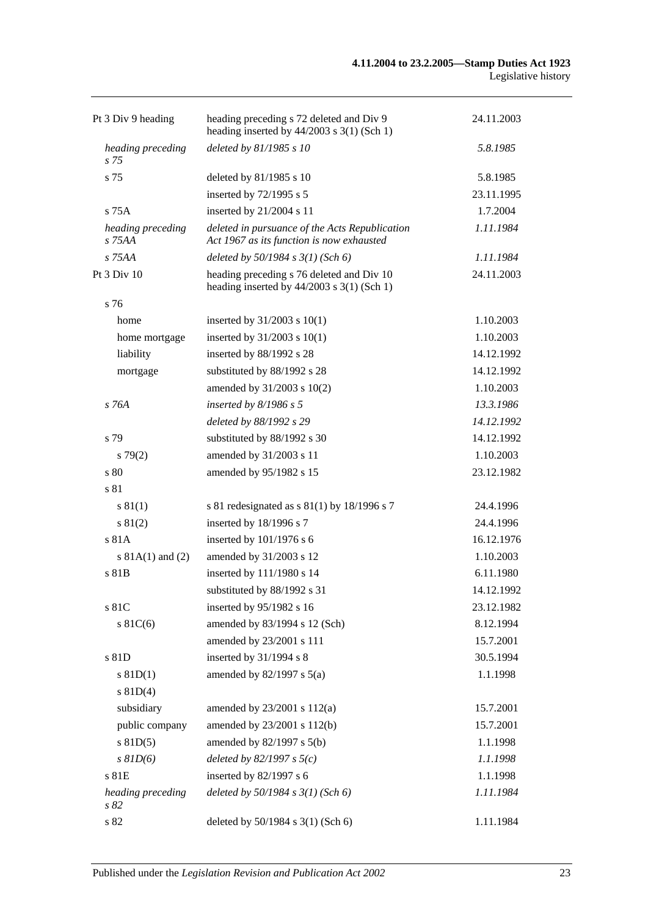| Pt 3 Div 9 heading          | heading preceding s 72 deleted and Div 9<br>heading inserted by $44/2003$ s 3(1) (Sch 1)    | 24.11.2003 |
|-----------------------------|---------------------------------------------------------------------------------------------|------------|
| heading preceding<br>s 75   | deleted by 81/1985 s 10                                                                     | 5.8.1985   |
| s 75                        | deleted by 81/1985 s 10                                                                     | 5.8.1985   |
|                             | inserted by $72/1995$ s 5                                                                   | 23.11.1995 |
| $s$ 75 $A$                  | inserted by 21/2004 s 11                                                                    | 1.7.2004   |
| heading preceding<br>s 75AA | deleted in pursuance of the Acts Republication<br>Act 1967 as its function is now exhausted | 1.11.1984  |
| s 75AA                      | deleted by $50/1984$ s $3(1)$ (Sch 6)                                                       | 1.11.1984  |
| Pt 3 Div 10                 | heading preceding s 76 deleted and Div 10<br>heading inserted by $44/2003$ s 3(1) (Sch 1)   | 24.11.2003 |
| s 76                        |                                                                                             |            |
| home                        | inserted by $31/2003$ s $10(1)$                                                             | 1.10.2003  |
| home mortgage               | inserted by $31/2003$ s $10(1)$                                                             | 1.10.2003  |
| liability                   | inserted by 88/1992 s 28                                                                    | 14.12.1992 |
| mortgage                    | substituted by 88/1992 s 28                                                                 | 14.12.1992 |
|                             | amended by 31/2003 s 10(2)                                                                  | 1.10.2003  |
| s 76A                       | inserted by $8/1986$ s 5                                                                    | 13.3.1986  |
|                             | deleted by 88/1992 s 29                                                                     | 14.12.1992 |
| s 79                        | substituted by 88/1992 s 30                                                                 | 14.12.1992 |
| s79(2)                      | amended by 31/2003 s 11                                                                     | 1.10.2003  |
| s 80                        | amended by 95/1982 s 15                                                                     | 23.12.1982 |
| s 81                        |                                                                                             |            |
| s 81(1)                     | s 81 redesignated as $s$ 81(1) by 18/1996 s 7                                               | 24.4.1996  |
| s 81(2)                     | inserted by 18/1996 s 7                                                                     | 24.4.1996  |
| s 81A                       | inserted by 101/1976 s 6                                                                    | 16.12.1976 |
| s $81A(1)$ and $(2)$        | amended by 31/2003 s 12                                                                     | 1.10.2003  |
| s 81B                       | inserted by 111/1980 s 14                                                                   | 6.11.1980  |
|                             | substituted by 88/1992 s 31                                                                 | 14.12.1992 |
| s 81C                       | inserted by 95/1982 s 16                                                                    | 23.12.1982 |
| $s$ 81C(6)                  | amended by 83/1994 s 12 (Sch)                                                               | 8.12.1994  |
|                             | amended by 23/2001 s 111                                                                    | 15.7.2001  |
| s 81D                       | inserted by 31/1994 s 8                                                                     | 30.5.1994  |
| $s$ 81D(1)<br>$s$ 81D(4)    | amended by $82/1997$ s $5(a)$                                                               | 1.1.1998   |
| subsidiary                  | amended by 23/2001 s 112(a)                                                                 | 15.7.2001  |
| public company              | amended by 23/2001 s 112(b)                                                                 | 15.7.2001  |
| $s$ 81D(5)                  | amended by $82/1997$ s $5(b)$                                                               | 1.1.1998   |
| $s$ $81D(6)$                | deleted by $82/1997 s 5(c)$                                                                 | 1.1.1998   |
| s 81E                       | inserted by 82/1997 s 6                                                                     | 1.1.1998   |
| heading preceding<br>s 82   | deleted by $50/1984$ s $3(1)$ (Sch 6)                                                       | 1.11.1984  |
| s 82                        | deleted by 50/1984 s 3(1) (Sch 6)                                                           | 1.11.1984  |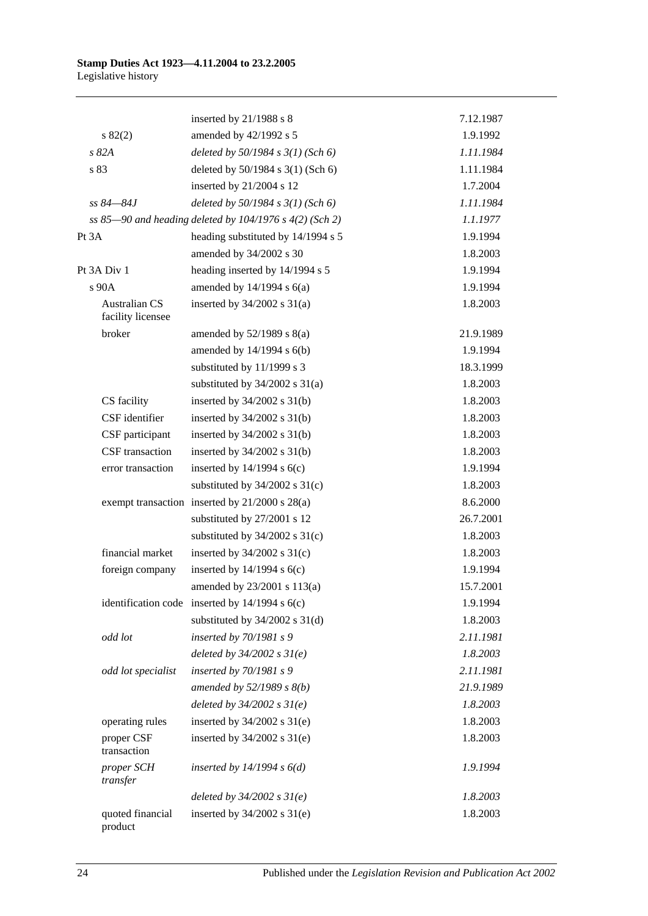|                                           | inserted by $21/1988$ s 8                               | 7.12.1987 |
|-------------------------------------------|---------------------------------------------------------|-----------|
| s 82(2)                                   | amended by 42/1992 s 5                                  | 1.9.1992  |
| s82A                                      | deleted by $50/1984$ s $3(1)$ (Sch 6)                   | 1.11.1984 |
| s 83                                      | deleted by 50/1984 s 3(1) (Sch 6)                       | 1.11.1984 |
|                                           | inserted by 21/2004 s 12                                | 1.7.2004  |
| ss 84—84.I                                | deleted by $50/1984$ s $3(1)$ (Sch 6)                   | 1.11.1984 |
|                                           | ss 85-90 and heading deleted by 104/1976 s 4(2) (Sch 2) | 1.1.1977  |
| Pt 3A                                     | heading substituted by 14/1994 s 5                      | 1.9.1994  |
|                                           | amended by 34/2002 s 30                                 | 1.8.2003  |
| Pt 3A Div 1                               | heading inserted by 14/1994 s 5                         | 1.9.1994  |
| s 90A                                     | amended by $14/1994$ s $6(a)$                           | 1.9.1994  |
| <b>Australian CS</b><br>facility licensee | inserted by $34/2002$ s $31(a)$                         | 1.8.2003  |
| broker                                    | amended by $52/1989$ s $8(a)$                           | 21.9.1989 |
|                                           | amended by 14/1994 s 6(b)                               | 1.9.1994  |
|                                           | substituted by 11/1999 s 3                              | 18.3.1999 |
|                                           | substituted by $34/2002$ s $31(a)$                      | 1.8.2003  |
| CS facility                               | inserted by $34/2002$ s $31(b)$                         | 1.8.2003  |
| CSF identifier                            | inserted by $34/2002$ s $31(b)$                         | 1.8.2003  |
| CSF participant                           | inserted by $34/2002$ s $31(b)$                         | 1.8.2003  |
| CSF transaction                           | inserted by $34/2002$ s $31(b)$                         | 1.8.2003  |
| error transaction                         | inserted by $14/1994$ s $6(c)$                          | 1.9.1994  |
|                                           | substituted by $34/2002$ s $31(c)$                      | 1.8.2003  |
|                                           | exempt transaction inserted by 21/2000 s 28(a)          | 8.6.2000  |
|                                           | substituted by 27/2001 s 12                             | 26.7.2001 |
|                                           | substituted by $34/2002$ s $31(c)$                      | 1.8.2003  |
| financial market                          | inserted by $34/2002$ s $31(c)$                         | 1.8.2003  |
| foreign company                           | inserted by $14/1994$ s $6(c)$                          | 1.9.1994  |
|                                           | amended by 23/2001 s 113(a)                             | 15.7.2001 |
|                                           | identification code inserted by $14/1994$ s $6(c)$      | 1.9.1994  |
|                                           | substituted by $34/2002$ s $31(d)$                      | 1.8.2003  |
| odd lot                                   | inserted by $70/1981 s$ 9                               | 2.11.1981 |
|                                           | deleted by $34/2002 s 31(e)$                            | 1.8.2003  |
| odd lot specialist                        | inserted by $70/1981 s$ 9                               | 2.11.1981 |
|                                           | amended by 52/1989 s 8(b)                               | 21.9.1989 |
|                                           | deleted by $34/2002 s 31(e)$                            | 1.8.2003  |
| operating rules                           | inserted by $34/2002$ s $31(e)$                         | 1.8.2003  |
| proper CSF<br>transaction                 | inserted by $34/2002$ s $31(e)$                         | 1.8.2003  |
| proper SCH<br>transfer                    | inserted by $14/1994 s 6(d)$                            | 1.9.1994  |
|                                           | deleted by $34/2002 s 31(e)$                            | 1.8.2003  |
| quoted financial<br>product               | inserted by $34/2002$ s $31(e)$                         | 1.8.2003  |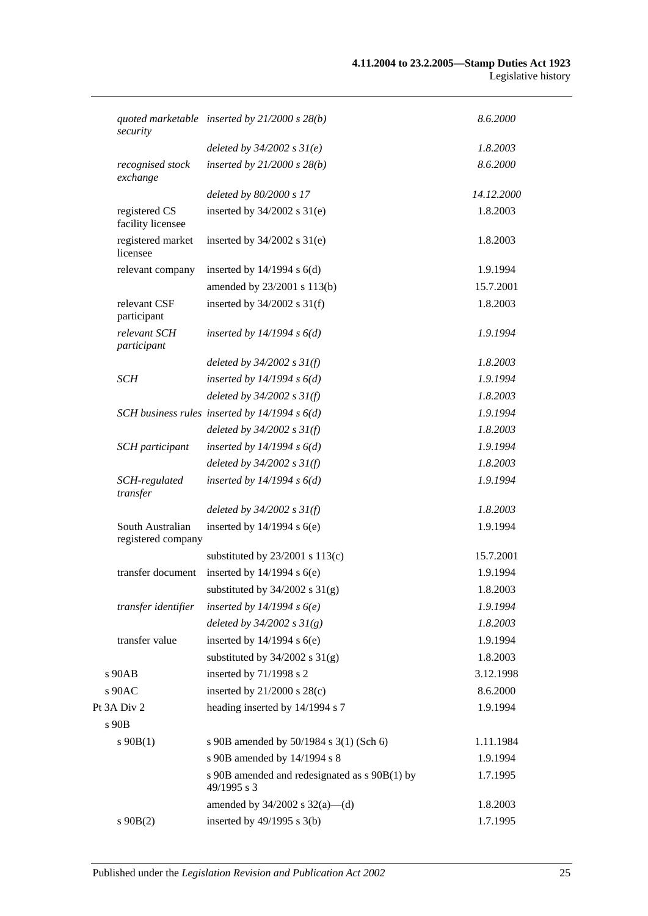| security                               | quoted marketable inserted by $21/2000 s 28(b)$              | 8.6.2000   |
|----------------------------------------|--------------------------------------------------------------|------------|
|                                        | deleted by $34/2002 s 31(e)$                                 | 1.8.2003   |
| recognised stock<br>exchange           | inserted by $21/2000 s 28(b)$                                | 8.6.2000   |
|                                        | deleted by 80/2000 s 17                                      | 14.12.2000 |
| registered CS<br>facility licensee     | inserted by $34/2002$ s $31(e)$                              | 1.8.2003   |
| registered market<br>licensee          | inserted by $34/2002$ s $31(e)$                              | 1.8.2003   |
| relevant company                       | inserted by $14/1994$ s $6(d)$                               | 1.9.1994   |
|                                        | amended by 23/2001 s 113(b)                                  | 15.7.2001  |
| relevant CSF<br>participant            | inserted by $34/2002$ s $31(f)$                              | 1.8.2003   |
| relevant SCH<br>participant            | inserted by $14/1994 s 6(d)$                                 | 1.9.1994   |
|                                        | deleted by $34/2002$ s $31(f)$                               | 1.8.2003   |
| SCH                                    | inserted by $14/1994 s 6(d)$                                 | 1.9.1994   |
|                                        | deleted by $34/2002$ s $31(f)$                               | 1.8.2003   |
|                                        | SCH business rules inserted by $14/1994 s 6(d)$              | 1.9.1994   |
|                                        | deleted by $34/2002$ s $31(f)$                               | 1.8.2003   |
| SCH participant                        | inserted by $14/1994 s 6(d)$                                 | 1.9.1994   |
|                                        | deleted by $34/2002$ s $31(f)$                               | 1.8.2003   |
| SCH-regulated<br>transfer              | inserted by $14/1994 s 6(d)$                                 | 1.9.1994   |
|                                        | deleted by $34/2002$ s $31(f)$                               | 1.8.2003   |
| South Australian<br>registered company | inserted by $14/1994$ s $6(e)$                               | 1.9.1994   |
|                                        | substituted by $23/2001$ s $113(c)$                          | 15.7.2001  |
| transfer document                      | inserted by $14/1994$ s $6(e)$                               | 1.9.1994   |
|                                        | substituted by $34/2002$ s $31(g)$                           | 1.8.2003   |
| transfer identifier                    | inserted by $14/1994 s6(e)$                                  | 1.9.1994   |
|                                        | deleted by $34/2002 s 31(g)$                                 | 1.8.2003   |
| transfer value                         | inserted by $14/1994$ s $6(e)$                               | 1.9.1994   |
|                                        | substituted by $34/2002$ s $31(g)$                           | 1.8.2003   |
| s 90AB                                 | inserted by 71/1998 s 2                                      | 3.12.1998  |
| s 90AC                                 | inserted by $21/2000$ s $28(c)$                              | 8.6.2000   |
| Pt 3A Div 2                            | heading inserted by 14/1994 s 7                              | 1.9.1994   |
| s 90B                                  |                                                              |            |
| $s\,90B(1)$                            | s 90B amended by 50/1984 s 3(1) (Sch 6)                      | 1.11.1984  |
|                                        | s 90B amended by 14/1994 s 8                                 | 1.9.1994   |
|                                        | s 90B amended and redesignated as s 90B(1) by<br>49/1995 s 3 | 1.7.1995   |
|                                        | amended by $34/2002$ s $32(a)$ —(d)                          | 1.8.2003   |
| $s\ 90B(2)$                            | inserted by 49/1995 s 3(b)                                   | 1.7.1995   |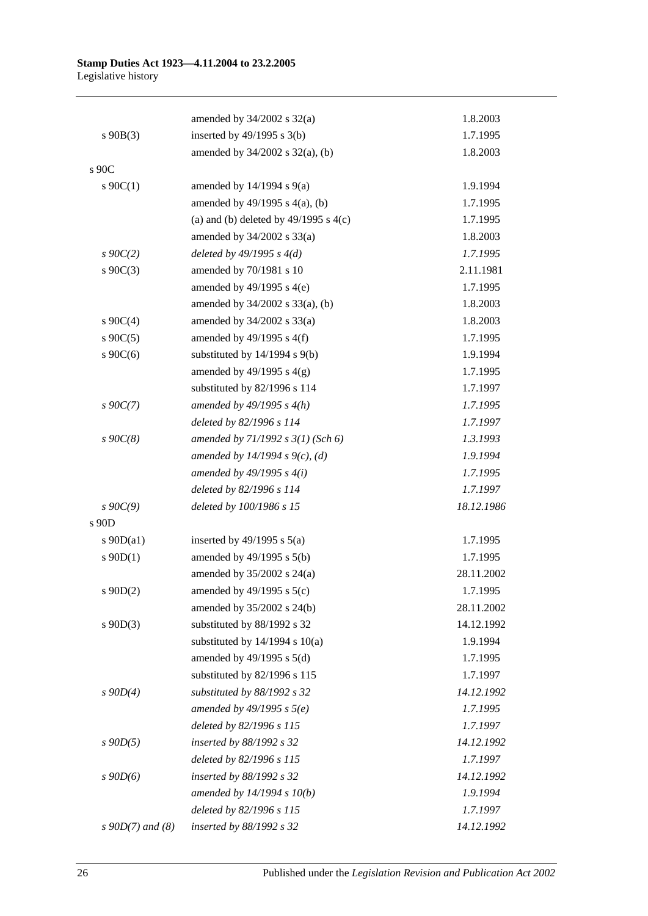|                       | amended by $34/2002$ s $32(a)$            | 1.8.2003   |
|-----------------------|-------------------------------------------|------------|
| $s\ 90B(3)$           | inserted by $49/1995$ s $3(b)$            | 1.7.1995   |
|                       | amended by 34/2002 s 32(a), (b)           | 1.8.2003   |
| s 90C                 |                                           |            |
| $s \ 90C(1)$          | amended by $14/1994$ s $9(a)$             | 1.9.1994   |
|                       | amended by 49/1995 s 4(a), (b)            | 1.7.1995   |
|                       | (a) and (b) deleted by $49/1995$ s $4(c)$ | 1.7.1995   |
|                       | amended by 34/2002 s 33(a)                | 1.8.2003   |
| $s$ 90 $C(2)$         | deleted by $49/1995 s 4(d)$               | 1.7.1995   |
| $s \ 90C(3)$          | amended by 70/1981 s 10                   | 2.11.1981  |
|                       | amended by $49/1995$ s $4(e)$             | 1.7.1995   |
|                       | amended by 34/2002 s 33(a), (b)           | 1.8.2003   |
| $s \ 90C(4)$          | amended by 34/2002 s 33(a)                | 1.8.2003   |
| $s \ 90C(5)$          | amended by $49/1995$ s $4(f)$             | 1.7.1995   |
| s $90C(6)$            | substituted by $14/1994$ s $9(b)$         | 1.9.1994   |
|                       | amended by $49/1995$ s $4(g)$             | 1.7.1995   |
|                       | substituted by 82/1996 s 114              | 1.7.1997   |
| $s \, 90C(7)$         | amended by $49/1995 s 4(h)$               | 1.7.1995   |
|                       | deleted by 82/1996 s 114                  | 1.7.1997   |
| $s\,90C(8)$           | amended by $71/1992$ s $3(1)$ (Sch 6)     | 1.3.1993   |
|                       | amended by 14/1994 s $9(c)$ , (d)         | 1.9.1994   |
|                       | amended by $49/1995 s 4(i)$               | 1.7.1995   |
|                       | deleted by 82/1996 s 114                  | 1.7.1997   |
| $s \, 90C(9)$         | deleted by 100/1986 s 15                  | 18.12.1986 |
| s 90D                 |                                           |            |
| s $90D(a1)$           | inserted by $49/1995$ s $5(a)$            | 1.7.1995   |
| $s \ 90D(1)$          | amended by $49/1995$ s $5(b)$             | 1.7.1995   |
|                       | amended by $35/2002$ s $24(a)$            | 28.11.2002 |
| $s \ 90D(2)$          | amended by 49/1995 s 5(c)                 | 1.7.1995   |
|                       | amended by 35/2002 s 24(b)                | 28.11.2002 |
| $s$ 90D(3)            | substituted by 88/1992 s 32               | 14.12.1992 |
|                       | substituted by 14/1994 s 10(a)            | 1.9.1994   |
|                       | amended by $49/1995$ s $5(d)$             | 1.7.1995   |
|                       | substituted by 82/1996 s 115              | 1.7.1997   |
| $s \ 90D(4)$          | substituted by 88/1992 s 32               | 14.12.1992 |
|                       | amended by $49/1995$ s $5(e)$             | 1.7.1995   |
|                       | deleted by 82/1996 s 115                  | 1.7.1997   |
| $s$ 90D(5)            | inserted by 88/1992 s 32                  | 14.12.1992 |
|                       | deleted by 82/1996 s 115                  | 1.7.1997   |
| $s$ 90 $D(6)$         | inserted by 88/1992 s 32                  | 14.12.1992 |
|                       | amended by $14/1994 s 10(b)$              | 1.9.1994   |
|                       | deleted by 82/1996 s 115                  | 1.7.1997   |
| $s \, 90D(7)$ and (8) | inserted by 88/1992 s 32                  | 14.12.1992 |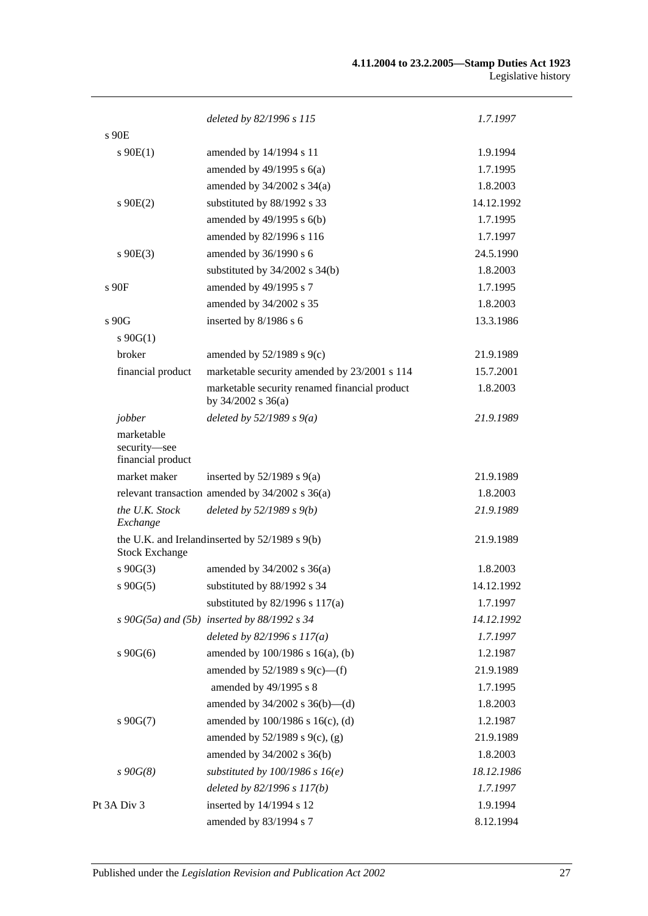| deleted by 82/1996 s 115<br>$s$ 90 $E$<br>$s \ 90E(1)$<br>amended by 14/1994 s 11 | 1.7.1997<br>1.9.1994<br>1.7.1995 |
|-----------------------------------------------------------------------------------|----------------------------------|
|                                                                                   |                                  |
|                                                                                   |                                  |
|                                                                                   |                                  |
| amended by $49/1995$ s $6(a)$                                                     |                                  |
| amended by $34/2002$ s $34(a)$                                                    | 1.8.2003                         |
| substituted by 88/1992 s 33<br>$s \ 90E(2)$                                       | 14.12.1992                       |
| amended by $49/1995$ s $6(b)$                                                     | 1.7.1995                         |
| amended by 82/1996 s 116                                                          | 1.7.1997                         |
| amended by 36/1990 s 6<br>$s$ 90E(3)                                              | 24.5.1990                        |
| substituted by $34/2002$ s $34(b)$                                                | 1.8.2003                         |
| amended by 49/1995 s 7<br>s90F                                                    | 1.7.1995                         |
| amended by 34/2002 s 35                                                           | 1.8.2003                         |
| inserted by 8/1986 s 6<br>s 90G                                                   | 13.3.1986                        |
| $s \ 90G(1)$                                                                      |                                  |
| broker<br>amended by $52/1989$ s $9(c)$                                           | 21.9.1989                        |
| marketable security amended by 23/2001 s 114<br>financial product                 | 15.7.2001                        |
| marketable security renamed financial product<br>by $34/2002$ s $36(a)$           | 1.8.2003                         |
| deleted by $52/1989 s 9(a)$<br>jobber                                             | 21.9.1989                        |
| marketable<br>security-see<br>financial product                                   |                                  |
| market maker<br>inserted by $52/1989$ s $9(a)$                                    | 21.9.1989                        |
| relevant transaction amended by $34/2002$ s $36(a)$                               | 1.8.2003                         |
| the U.K. Stock<br>deleted by $52/1989 s 9(b)$<br>Exchange                         | 21.9.1989                        |
| the U.K. and Irelandinserted by 52/1989 s 9(b)<br><b>Stock Exchange</b>           | 21.9.1989                        |
| $s\ 90G(3)$<br>amended by $34/2002$ s $36(a)$                                     | 1.8.2003                         |
| substituted by 88/1992 s 34<br>$s\ 90G(5)$                                        | 14.12.1992                       |
| substituted by $82/1996$ s $117(a)$                                               | 1.7.1997                         |
| $s\ 90G(5a)$ and $(5b)$ inserted by 88/1992 s 34                                  | 14.12.1992                       |
| deleted by $82/1996 s 117(a)$                                                     | 1.7.1997                         |
| amended by 100/1986 s 16(a), (b)<br>$s\,90G(6)$                                   | 1.2.1987                         |
| amended by $52/1989$ s $9(c)$ —(f)                                                | 21.9.1989                        |
| amended by 49/1995 s 8                                                            | 1.7.1995                         |
| amended by $34/2002$ s $36(b)$ —(d)                                               | 1.8.2003                         |
| $s\ 90G(7)$<br>amended by 100/1986 s 16(c), (d)                                   | 1.2.1987                         |
| amended by $52/1989$ s $9(c)$ , (g)                                               | 21.9.1989                        |
| amended by 34/2002 s 36(b)                                                        | 1.8.2003                         |
| $s\,90G(8)$<br>substituted by $100/1986$ s $16(e)$                                | 18.12.1986                       |
| deleted by 82/1996 s 117(b)                                                       | 1.7.1997                         |
| inserted by 14/1994 s 12<br>Pt 3A Div 3                                           | 1.9.1994                         |
| amended by 83/1994 s 7                                                            | 8.12.1994                        |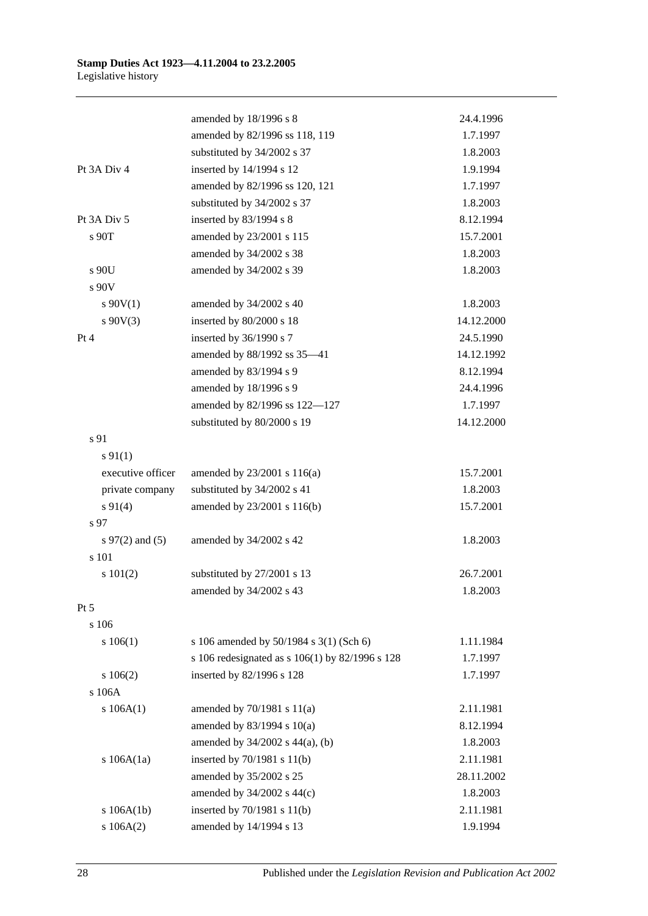|                      | amended by 18/1996 s 8                          | 24.4.1996  |
|----------------------|-------------------------------------------------|------------|
|                      | amended by 82/1996 ss 118, 119                  | 1.7.1997   |
|                      | substituted by 34/2002 s 37                     | 1.8.2003   |
| Pt 3A Div 4          | inserted by 14/1994 s 12                        | 1.9.1994   |
|                      | amended by 82/1996 ss 120, 121                  | 1.7.1997   |
|                      | substituted by 34/2002 s 37                     | 1.8.2003   |
| Pt 3A Div 5          | inserted by 83/1994 s 8                         | 8.12.1994  |
| s 90T                | amended by 23/2001 s 115                        | 15.7.2001  |
|                      | amended by 34/2002 s 38                         | 1.8.2003   |
| s 90U                | amended by 34/2002 s 39                         | 1.8.2003   |
| s 90V                |                                                 |            |
| $s \ 90V(1)$         | amended by 34/2002 s 40                         | 1.8.2003   |
| $s\ 90V(3)$          | inserted by 80/2000 s 18                        | 14.12.2000 |
| Pt 4                 | inserted by 36/1990 s 7                         | 24.5.1990  |
|                      | amended by 88/1992 ss 35-41                     | 14.12.1992 |
|                      | amended by 83/1994 s 9                          | 8.12.1994  |
|                      | amended by 18/1996 s 9                          | 24.4.1996  |
|                      | amended by 82/1996 ss 122-127                   | 1.7.1997   |
|                      | substituted by 80/2000 s 19                     | 14.12.2000 |
| s 91                 |                                                 |            |
| $s \, 91(1)$         |                                                 |            |
| executive officer    | amended by 23/2001 s 116(a)                     | 15.7.2001  |
| private company      | substituted by 34/2002 s 41                     | 1.8.2003   |
| $s\ 91(4)$           | amended by 23/2001 s 116(b)                     | 15.7.2001  |
| s 97                 |                                                 |            |
| $s \, 97(2)$ and (5) | amended by 34/2002 s 42                         | 1.8.2003   |
| s 101                |                                                 |            |
| s 101(2)             | substituted by 27/2001 s 13                     | 26.7.2001  |
|                      | amended by 34/2002 s 43                         | 1.8.2003   |
| $Pt\,5$              |                                                 |            |
| s 106                |                                                 |            |
| s 106(1)             | s 106 amended by 50/1984 s 3(1) (Sch 6)         | 1.11.1984  |
|                      | s 106 redesignated as s 106(1) by 82/1996 s 128 | 1.7.1997   |
| 106(2)               | inserted by 82/1996 s 128                       | 1.7.1997   |
| s 106A               |                                                 |            |
| s 106A(1)            | amended by $70/1981$ s $11(a)$                  | 2.11.1981  |
|                      | amended by $83/1994$ s $10(a)$                  | 8.12.1994  |
|                      | amended by $34/2002$ s $44(a)$ , (b)            | 1.8.2003   |
| s $106A(1a)$         | inserted by 70/1981 s 11(b)                     | 2.11.1981  |
|                      | amended by 35/2002 s 25                         | 28.11.2002 |
|                      | amended by 34/2002 s 44(c)                      | 1.8.2003   |
| s 106A(1b)           | inserted by 70/1981 s 11(b)                     | 2.11.1981  |
| s 106A(2)            | amended by 14/1994 s 13                         | 1.9.1994   |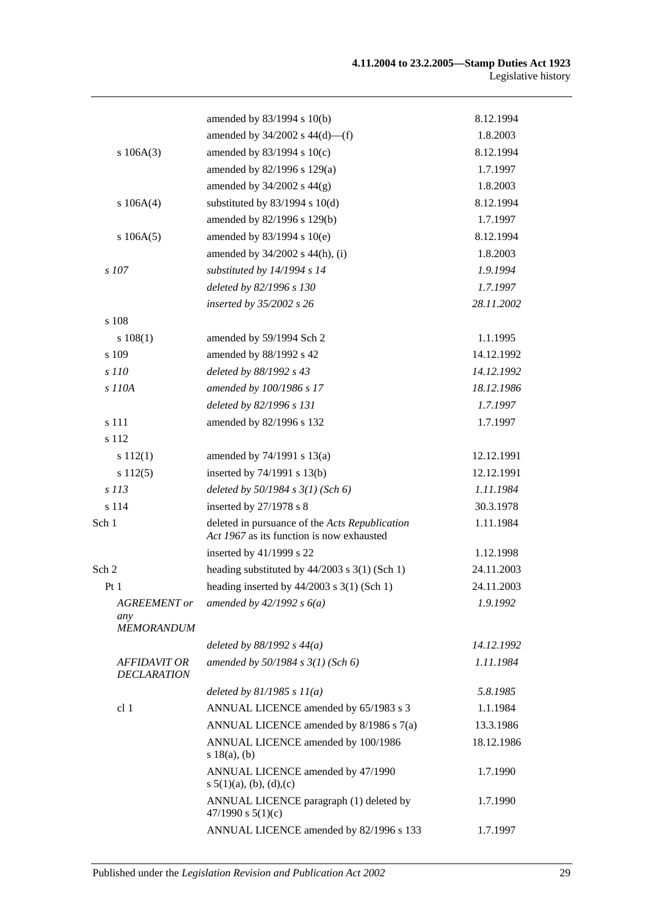|                                                 | amended by 83/1994 s 10(b)                                                                  | 8.12.1994  |
|-------------------------------------------------|---------------------------------------------------------------------------------------------|------------|
|                                                 | amended by $34/2002$ s $44(d)$ —(f)                                                         | 1.8.2003   |
| s 106A(3)                                       | amended by 83/1994 s 10(c)                                                                  | 8.12.1994  |
|                                                 | amended by 82/1996 s 129(a)                                                                 | 1.7.1997   |
|                                                 | amended by $34/2002$ s $44(g)$                                                              | 1.8.2003   |
| s 106A(4)                                       | substituted by $83/1994$ s $10(d)$                                                          | 8.12.1994  |
|                                                 | amended by 82/1996 s 129(b)                                                                 | 1.7.1997   |
| s 106A(5)                                       | amended by $83/1994$ s $10(e)$                                                              | 8.12.1994  |
|                                                 | amended by 34/2002 s 44(h), (i)                                                             | 1.8.2003   |
| $s$ 107                                         | substituted by 14/1994 s 14                                                                 | 1.9.1994   |
|                                                 | deleted by 82/1996 s 130                                                                    | 1.7.1997   |
|                                                 | inserted by 35/2002 s 26                                                                    | 28.11.2002 |
| s 108                                           |                                                                                             |            |
| 108(1)                                          | amended by 59/1994 Sch 2                                                                    | 1.1.1995   |
| s 109                                           | amended by 88/1992 s 42                                                                     | 14.12.1992 |
| s 110                                           | deleted by 88/1992 s 43                                                                     | 14.12.1992 |
| s 110A                                          | amended by 100/1986 s 17                                                                    | 18.12.1986 |
|                                                 | deleted by 82/1996 s 131                                                                    | 1.7.1997   |
| s 111                                           | amended by 82/1996 s 132                                                                    | 1.7.1997   |
| s 112                                           |                                                                                             |            |
| s 112(1)                                        | amended by $74/1991$ s $13(a)$                                                              | 12.12.1991 |
| s 112(5)                                        | inserted by $74/1991$ s $13(b)$                                                             | 12.12.1991 |
| s 113                                           | deleted by $50/1984$ s $3(1)$ (Sch 6)                                                       | 1.11.1984  |
| s 114                                           | inserted by 27/1978 s 8                                                                     | 30.3.1978  |
| Sch 1                                           | deleted in pursuance of the Acts Republication<br>Act 1967 as its function is now exhausted | 1.11.1984  |
|                                                 | inserted by 41/1999 s 22                                                                    | 1.12.1998  |
| Sch 2                                           | heading substituted by $44/2003$ s $3(1)$ (Sch 1)                                           | 24.11.2003 |
| Pt1                                             | heading inserted by $44/2003$ s 3(1) (Sch 1)                                                | 24.11.2003 |
| <b>AGREEMENT</b> or<br>any<br><b>MEMORANDUM</b> | amended by $42/1992 s 6(a)$                                                                 | 1.9.1992   |
|                                                 | deleted by $88/1992 s 44(a)$                                                                | 14.12.1992 |
| AFFIDAVIT OR<br><b>DECLARATION</b>              | amended by $50/1984 s 3(1)$ (Sch 6)                                                         | 1.11.1984  |
|                                                 | deleted by $81/1985 s 11(a)$                                                                | 5.8.1985   |
| cl 1                                            | ANNUAL LICENCE amended by 65/1983 s 3                                                       | 1.1.1984   |
|                                                 | ANNUAL LICENCE amended by 8/1986 s 7(a)                                                     | 13.3.1986  |
|                                                 | ANNUAL LICENCE amended by 100/1986<br>s 18(a), (b)                                          | 18.12.1986 |
|                                                 | ANNUAL LICENCE amended by 47/1990<br>s $5(1)(a)$ , (b), (d), (c)                            | 1.7.1990   |
|                                                 | ANNUAL LICENCE paragraph (1) deleted by<br>47/1990 s $5(1)(c)$                              | 1.7.1990   |
|                                                 | ANNUAL LICENCE amended by 82/1996 s 133                                                     | 1.7.1997   |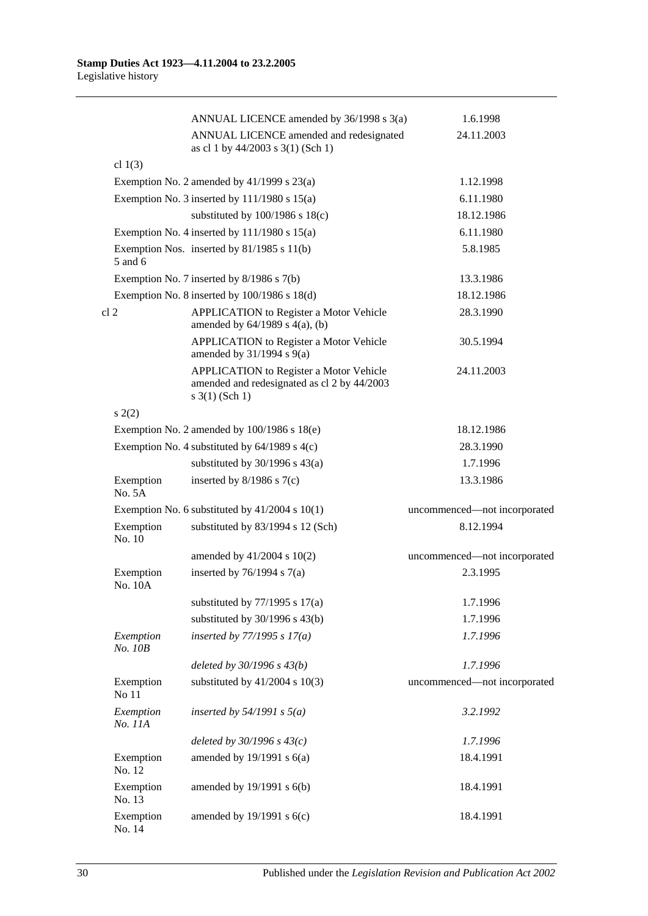|                      | ANNUAL LICENCE amended by 36/1998 s 3(a)                                                                             | 1.6.1998                     |
|----------------------|----------------------------------------------------------------------------------------------------------------------|------------------------------|
|                      | ANNUAL LICENCE amended and redesignated<br>as cl 1 by 44/2003 s 3(1) (Sch 1)                                         | 24.11.2003                   |
| cl $1(3)$            |                                                                                                                      |                              |
|                      | Exemption No. 2 amended by $41/1999$ s $23(a)$                                                                       | 1.12.1998                    |
|                      | Exemption No. 3 inserted by $111/1980$ s $15(a)$                                                                     | 6.11.1980                    |
|                      | substituted by $100/1986$ s $18(c)$                                                                                  | 18.12.1986                   |
|                      | Exemption No. 4 inserted by $111/1980$ s $15(a)$                                                                     | 6.11.1980                    |
| 5 and 6              | Exemption Nos. inserted by 81/1985 s 11(b)                                                                           | 5.8.1985                     |
|                      | Exemption No. 7 inserted by 8/1986 s 7(b)                                                                            | 13.3.1986                    |
|                      | Exemption No. 8 inserted by 100/1986 s 18(d)                                                                         | 18.12.1986                   |
| cl 2                 | APPLICATION to Register a Motor Vehicle<br>amended by $64/1989$ s $4(a)$ , (b)                                       | 28.3.1990                    |
|                      | <b>APPLICATION</b> to Register a Motor Vehicle<br>amended by $31/1994$ s $9(a)$                                      | 30.5.1994                    |
|                      | <b>APPLICATION</b> to Register a Motor Vehicle<br>amended and redesignated as cl 2 by 44/2003<br>$s \; 3(1)$ (Sch 1) | 24.11.2003                   |
| s(2)                 |                                                                                                                      |                              |
|                      | Exemption No. 2 amended by 100/1986 s 18(e)                                                                          | 18.12.1986                   |
|                      | Exemption No. 4 substituted by $64/1989$ s $4(c)$                                                                    | 28.3.1990                    |
|                      | substituted by $30/1996$ s $43(a)$                                                                                   | 1.7.1996                     |
| Exemption<br>No. 5A  | inserted by $8/1986$ s $7(c)$                                                                                        | 13.3.1986                    |
|                      | Exemption No. 6 substituted by $41/2004$ s $10(1)$                                                                   | uncommenced-not incorporated |
| Exemption<br>No. 10  | substituted by 83/1994 s 12 (Sch)                                                                                    | 8.12.1994                    |
|                      | amended by $41/2004$ s $10(2)$                                                                                       | uncommenced—not incorporated |
| Exemption<br>No. 10A | inserted by $76/1994$ s $7(a)$                                                                                       | 2.3.1995                     |
|                      | substituted by $77/1995$ s $17(a)$                                                                                   | 1.7.1996                     |
|                      | substituted by $30/1996$ s $43(b)$                                                                                   | 1.7.1996                     |
| Exemption<br>No. 10B | inserted by $77/1995 s 17(a)$                                                                                        | 1.7.1996                     |
|                      | deleted by $30/1996 s 43(b)$                                                                                         | 1.7.1996                     |
| Exemption<br>No 11   | substituted by $41/2004$ s $10(3)$                                                                                   | uncommenced-not incorporated |
| Exemption<br>No. 11A | inserted by $54/1991 s 5(a)$                                                                                         | 3.2.1992                     |
|                      | deleted by $30/1996 s 43(c)$                                                                                         | 1.7.1996                     |
| Exemption<br>No. 12  | amended by $19/1991$ s $6(a)$                                                                                        | 18.4.1991                    |
| Exemption<br>No. 13  | amended by 19/1991 s 6(b)                                                                                            | 18.4.1991                    |
| Exemption<br>No. 14  | amended by $19/1991$ s $6(c)$                                                                                        | 18.4.1991                    |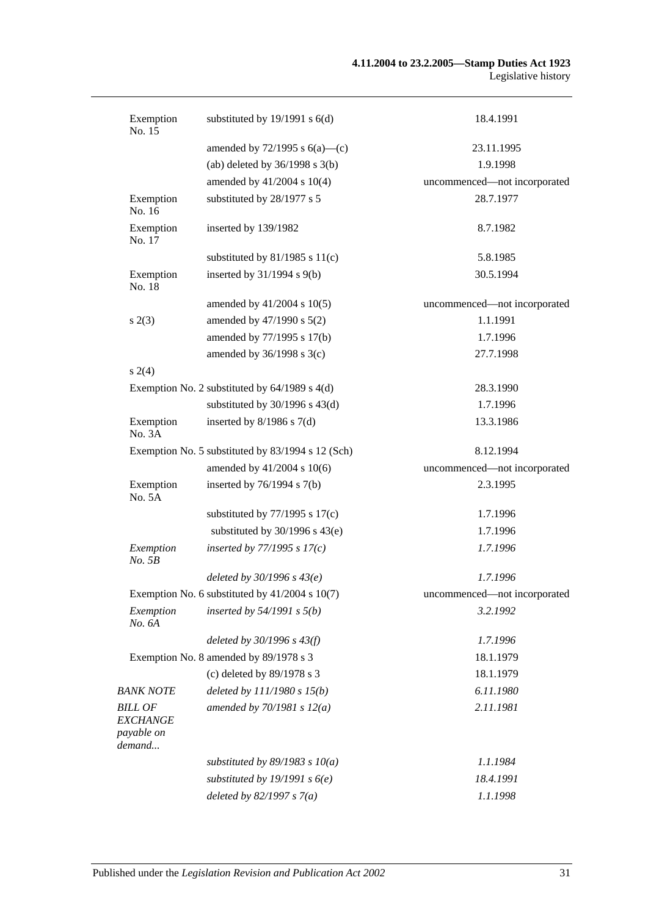#### **4.11.2004 to 23.2.2005—Stamp Duties Act 1923** Legislative history

| Exemption<br>No. 15                                       | substituted by $19/1991$ s $6(d)$                  | 18.4.1991                    |
|-----------------------------------------------------------|----------------------------------------------------|------------------------------|
|                                                           | amended by $72/1995$ s $6(a)$ —(c)                 | 23.11.1995                   |
|                                                           | (ab) deleted by $36/1998$ s $3(b)$                 | 1.9.1998                     |
|                                                           | amended by 41/2004 s 10(4)                         | uncommenced-not incorporated |
| Exemption<br>No. 16                                       | substituted by 28/1977 s 5                         | 28.7.1977                    |
| Exemption<br>No. 17                                       | inserted by 139/1982                               | 8.7.1982                     |
|                                                           | substituted by $81/1985$ s $11(c)$                 | 5.8.1985                     |
| Exemption<br>No. 18                                       | inserted by $31/1994$ s $9(b)$                     | 30.5.1994                    |
|                                                           | amended by $41/2004$ s $10(5)$                     | uncommenced-not incorporated |
| s(2(3))                                                   | amended by 47/1990 s 5(2)                          | 1.1.1991                     |
|                                                           | amended by 77/1995 s 17(b)                         | 1.7.1996                     |
|                                                           | amended by $36/1998$ s $3(c)$                      | 27.7.1998                    |
| $s \; 2(4)$                                               |                                                    |                              |
|                                                           | Exemption No. 2 substituted by $64/1989$ s $4(d)$  | 28.3.1990                    |
|                                                           | substituted by $30/1996$ s $43(d)$                 | 1.7.1996                     |
| Exemption<br>No. 3A                                       | inserted by $8/1986$ s $7(d)$                      | 13.3.1986                    |
|                                                           | Exemption No. 5 substituted by 83/1994 s 12 (Sch)  | 8.12.1994                    |
|                                                           | amended by 41/2004 s 10(6)                         | uncommenced-not incorporated |
| Exemption<br>No. 5A                                       | inserted by $76/1994$ s $7(b)$                     | 2.3.1995                     |
|                                                           | substituted by $77/1995$ s $17(c)$                 | 1.7.1996                     |
|                                                           | substituted by $30/1996$ s $43(e)$                 | 1.7.1996                     |
| Exemption<br>No. 5B                                       | inserted by $77/1995 s 17(c)$                      | 1.7.1996                     |
|                                                           | deleted by $30/1996 s 43(e)$                       | 1.7.1996                     |
|                                                           | Exemption No. 6 substituted by $41/2004$ s $10(7)$ | uncommenced-not incorporated |
| Exemption<br>No. 6A                                       | inserted by $54/1991$ s $5(b)$                     | 3.2.1992                     |
|                                                           | deleted by $30/1996 s 43(f)$                       | 1.7.1996                     |
|                                                           | Exemption No. 8 amended by 89/1978 s 3             | 18.1.1979                    |
|                                                           | (c) deleted by 89/1978 s 3                         | 18.1.1979                    |
| <b>BANK NOTE</b>                                          | deleted by $111/1980 s 15(b)$                      | 6.11.1980                    |
| <b>BILL OF</b><br><b>EXCHANGE</b><br>payable on<br>demand | amended by $70/1981 s 12(a)$                       | 2.11.1981                    |
|                                                           | substituted by $89/1983$ s $10(a)$                 | 1.1.1984                     |
|                                                           | substituted by 19/1991 s $6(e)$                    | 18.4.1991                    |
|                                                           | deleted by $82/1997 s 7(a)$                        | 1.1.1998                     |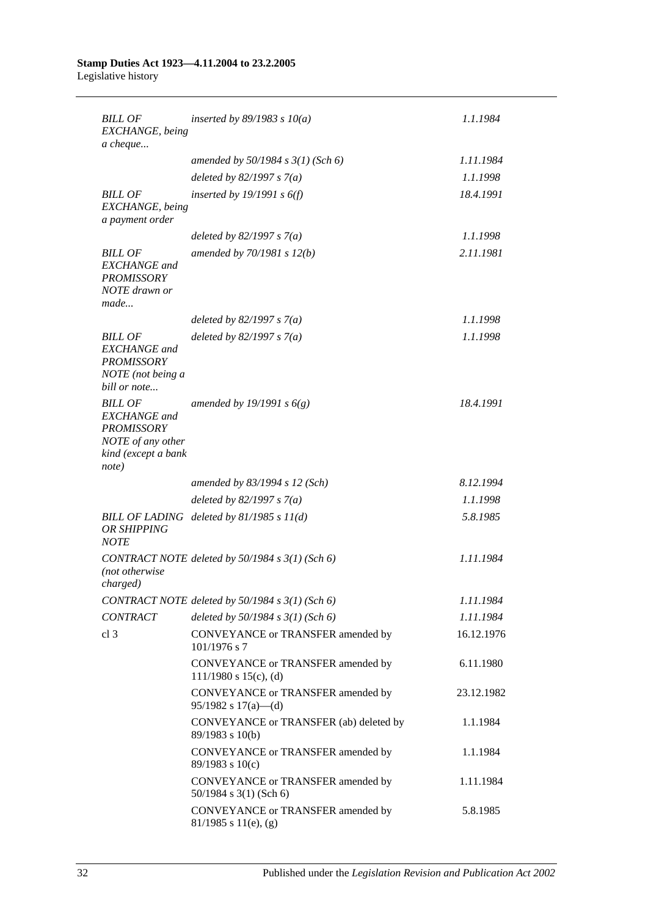#### **Stamp Duties Act 1923—4.11.2004 to 23.2.2005** Legislative history

| <b>BILL OF</b><br>EXCHANGE, being<br>a cheque                                                                   | inserted by $89/1983$ s $10(a)$                                 | 1.1.1984   |
|-----------------------------------------------------------------------------------------------------------------|-----------------------------------------------------------------|------------|
|                                                                                                                 | amended by $50/1984$ s $3(1)$ (Sch 6)                           | 1.11.1984  |
|                                                                                                                 | deleted by $82/1997 s 7(a)$                                     | 1.1.1998   |
| <b>BILL OF</b><br>EXCHANGE, being<br>a payment order                                                            | inserted by 19/1991 s $6(f)$                                    | 18.4.1991  |
|                                                                                                                 | deleted by $82/1997 s 7(a)$                                     | 1.1.1998   |
| <b>BILL OF</b><br><b>EXCHANGE</b> and<br><b>PROMISSORY</b><br>NOTE drawn or<br>made                             | amended by $70/1981 s 12(b)$                                    | 2.11.1981  |
|                                                                                                                 | deleted by $82/1997 s 7(a)$                                     | 1.1.1998   |
| <b>BILL OF</b><br><b>EXCHANGE</b> and<br><b>PROMISSORY</b><br>NOTE (not being a<br>bill or note                 | deleted by $82/1997 s 7(a)$                                     | 1.1.1998   |
| <b>BILL OF</b><br><b>EXCHANGE</b> and<br><b>PROMISSORY</b><br>NOTE of any other<br>kind (except a bank<br>note) | amended by 19/1991 s $6(g)$                                     | 18.4.1991  |
|                                                                                                                 | amended by 83/1994 s 12 (Sch)                                   | 8.12.1994  |
|                                                                                                                 | deleted by $82/1997 s 7(a)$                                     | 1.1.1998   |
| OR SHIPPING<br><b>NOTE</b>                                                                                      | BILL OF LADING deleted by 81/1985 s 11(d)                       | 5.8.1985   |
| (not otherwise<br>charged)                                                                                      | CONTRACT NOTE deleted by 50/1984 s 3(1) (Sch 6)                 | 1.11.1984  |
|                                                                                                                 | CONTRACT NOTE deleted by 50/1984 s 3(1) (Sch 6)                 | 1.11.1984  |
| <b>CONTRACT</b>                                                                                                 | deleted by $50/1984$ s $3(1)$ (Sch 6)                           | 1.11.1984  |
| cl <sub>3</sub>                                                                                                 | CONVEYANCE or TRANSFER amended by<br>$101/1976$ s 7             | 16.12.1976 |
|                                                                                                                 | CONVEYANCE or TRANSFER amended by<br>$111/1980$ s $15(c)$ , (d) | 6.11.1980  |
|                                                                                                                 | CONVEYANCE or TRANSFER amended by<br>$95/1982$ s $17(a)$ —(d)   | 23.12.1982 |
|                                                                                                                 | CONVEYANCE or TRANSFER (ab) deleted by<br>89/1983 s 10(b)       | 1.1.1984   |
|                                                                                                                 | CONVEYANCE or TRANSFER amended by<br>$89/1983$ s $10(c)$        | 1.1.1984   |
|                                                                                                                 | CONVEYANCE or TRANSFER amended by<br>50/1984 s 3(1) (Sch 6)     | 1.11.1984  |
|                                                                                                                 | CONVEYANCE or TRANSFER amended by<br>$81/1985$ s $11(e)$ , (g)  | 5.8.1985   |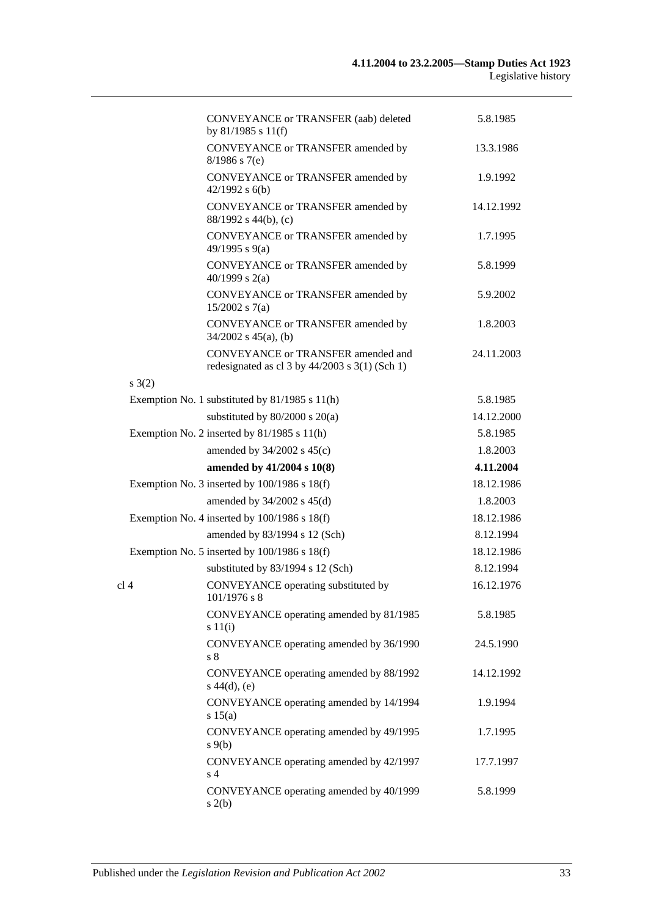|                 | CONVEYANCE or TRANSFER (aab) deleted<br>by $81/1985$ s $11(f)$                             | 5.8.1985   |
|-----------------|--------------------------------------------------------------------------------------------|------------|
|                 | CONVEYANCE or TRANSFER amended by<br>$8/1986$ s 7(e)                                       | 13.3.1986  |
|                 | CONVEYANCE or TRANSFER amended by<br>$42/1992$ s $6(b)$                                    | 1.9.1992   |
|                 | CONVEYANCE or TRANSFER amended by<br>88/1992 s 44(b), (c)                                  | 14.12.1992 |
|                 | CONVEYANCE or TRANSFER amended by<br>49/1995 s 9(a)                                        | 1.7.1995   |
|                 | CONVEYANCE or TRANSFER amended by<br>$40/1999$ s 2(a)                                      | 5.8.1999   |
|                 | CONVEYANCE or TRANSFER amended by<br>$15/2002$ s 7(a)                                      | 5.9.2002   |
|                 | CONVEYANCE or TRANSFER amended by<br>$34/2002$ s $45(a)$ , (b)                             | 1.8.2003   |
|                 | CONVEYANCE or TRANSFER amended and<br>redesignated as cl $3$ by $44/2003$ s $3(1)$ (Sch 1) | 24.11.2003 |
| $s \; 3(2)$     |                                                                                            |            |
|                 | Exemption No. 1 substituted by $81/1985$ s $11(h)$                                         | 5.8.1985   |
|                 | substituted by $80/2000$ s $20(a)$                                                         | 14.12.2000 |
|                 | Exemption No. 2 inserted by 81/1985 s 11(h)                                                | 5.8.1985   |
|                 | amended by $34/2002$ s $45(c)$                                                             | 1.8.2003   |
|                 | amended by 41/2004 s 10(8)                                                                 | 4.11.2004  |
|                 |                                                                                            |            |
|                 | Exemption No. 3 inserted by 100/1986 s 18(f)                                               | 18.12.1986 |
|                 | amended by $34/2002$ s $45(d)$                                                             | 1.8.2003   |
|                 | Exemption No. 4 inserted by 100/1986 s 18(f)                                               | 18.12.1986 |
|                 | amended by 83/1994 s 12 (Sch)                                                              | 8.12.1994  |
|                 | Exemption No. 5 inserted by $100/1986$ s $18(f)$                                           | 18.12.1986 |
|                 | substituted by 83/1994 s 12 (Sch)                                                          | 8.12.1994  |
| cl <sub>4</sub> | CONVEYANCE operating substituted by<br>101/19/6 s 8                                        | 16.12.1976 |
|                 | CONVEYANCE operating amended by 81/1985<br>s 11(i)                                         | 5.8.1985   |
|                 | CONVEYANCE operating amended by 36/1990<br>s <sub>8</sub>                                  | 24.5.1990  |
|                 | CONVEYANCE operating amended by 88/1992<br>$s\ 44(d), (e)$                                 | 14.12.1992 |
|                 | CONVEYANCE operating amended by 14/1994<br>s 15(a)                                         | 1.9.1994   |
|                 | CONVEYANCE operating amended by 49/1995<br>$s \theta(b)$                                   | 1.7.1995   |
|                 | CONVEYANCE operating amended by 42/1997<br>s <sub>4</sub>                                  | 17.7.1997  |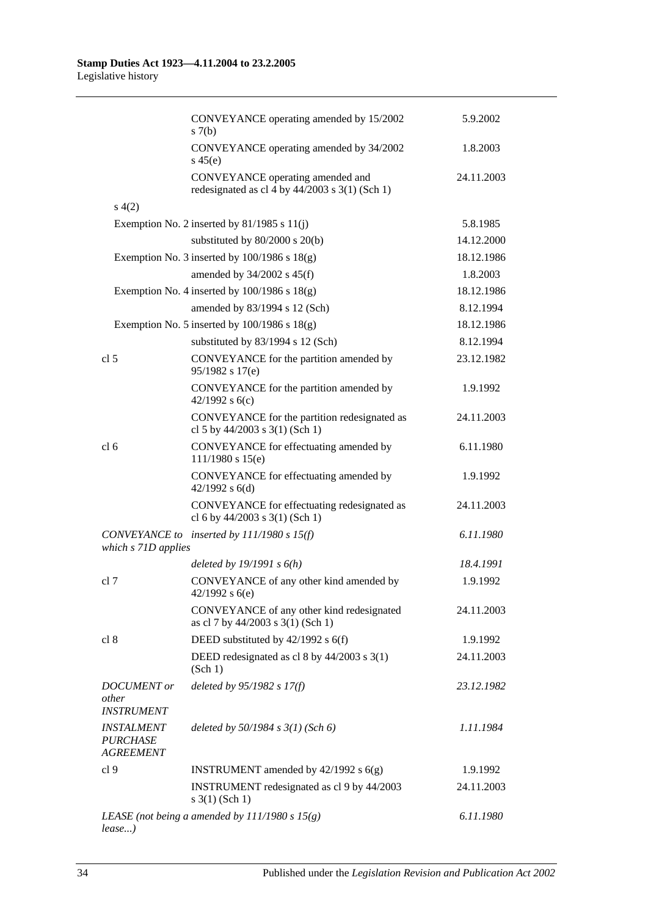|                                                          | CONVEYANCE operating amended by 15/2002<br>s(7(b)                                    | 5.9.2002   |
|----------------------------------------------------------|--------------------------------------------------------------------------------------|------------|
|                                                          | CONVEYANCE operating amended by 34/2002<br>s $45(e)$                                 | 1.8.2003   |
|                                                          | CONVEYANCE operating amended and<br>redesignated as cl 4 by $44/2003$ s 3(1) (Sch 1) | 24.11.2003 |
| s(4(2)                                                   |                                                                                      |            |
|                                                          | Exemption No. 2 inserted by $81/1985$ s $11(i)$                                      | 5.8.1985   |
|                                                          | substituted by 80/2000 s 20(b)                                                       | 14.12.2000 |
|                                                          | Exemption No. 3 inserted by $100/1986$ s $18(g)$                                     | 18.12.1986 |
|                                                          | amended by $34/2002$ s $45(f)$                                                       | 1.8.2003   |
|                                                          | Exemption No. 4 inserted by $100/1986$ s $18(g)$                                     | 18.12.1986 |
|                                                          | amended by 83/1994 s 12 (Sch)                                                        | 8.12.1994  |
|                                                          | Exemption No. 5 inserted by $100/1986$ s $18(g)$                                     | 18.12.1986 |
|                                                          | substituted by 83/1994 s 12 (Sch)                                                    | 8.12.1994  |
| cl <sub>5</sub>                                          | CONVEYANCE for the partition amended by<br>95/1982 s 17(e)                           | 23.12.1982 |
|                                                          | CONVEYANCE for the partition amended by<br>42/1992 s $6(c)$                          | 1.9.1992   |
|                                                          | CONVEYANCE for the partition redesignated as<br>cl 5 by 44/2003 s 3(1) (Sch 1)       | 24.11.2003 |
| cl <sub>6</sub>                                          | CONVEYANCE for effectuating amended by<br>$111/1980$ s $15(e)$                       | 6.11.1980  |
|                                                          | CONVEYANCE for effectuating amended by<br>42/1992 s $6(d)$                           | 1.9.1992   |
|                                                          | CONVEYANCE for effectuating redesignated as<br>cl 6 by $44/2003$ s 3(1) (Sch 1)      | 24.11.2003 |
| which s 71D applies                                      | CONVEYANCE to inserted by 111/1980 s 15(f)                                           | 6.11.1980  |
|                                                          | deleted by $19/1991 s 6(h)$                                                          | 18.4.1991  |
| cl 7                                                     | CONVEYANCE of any other kind amended by<br>$42/1992$ s 6(e)                          | 1.9.1992   |
|                                                          | CONVEYANCE of any other kind redesignated<br>as cl 7 by 44/2003 s 3(1) (Sch 1)       | 24.11.2003 |
| cl 8                                                     | DEED substituted by 42/1992 s 6(f)                                                   | 1.9.1992   |
|                                                          | DEED redesignated as cl 8 by 44/2003 s 3(1)<br>(Sch 1)                               | 24.11.2003 |
| <b>DOCUMENT</b> or                                       | deleted by 95/1982 s 17(f)                                                           | 23.12.1982 |
| other<br><b>INSTRUMENT</b>                               |                                                                                      |            |
| <b>INSTALMENT</b><br><b>PURCHASE</b><br><b>AGREEMENT</b> | deleted by $50/1984$ s $3(1)$ (Sch 6)                                                | 1.11.1984  |
| cl <sub>9</sub>                                          | <b>INSTRUMENT</b> amended by $42/1992$ s $6(g)$                                      | 1.9.1992   |
|                                                          | INSTRUMENT redesignated as cl 9 by 44/2003<br>$s \; 3(1)$ (Sch 1)                    | 24.11.2003 |
| lease)                                                   | LEASE (not being a amended by $111/1980 s 15(g)$ )                                   | 6.11.1980  |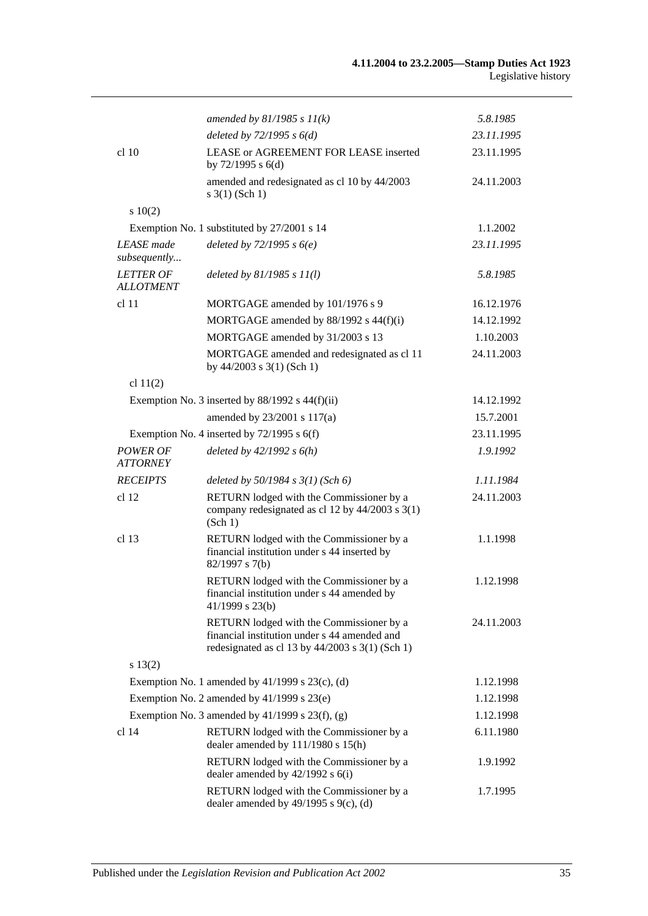#### **4.11.2004 to 23.2.2005—Stamp Duties Act 1923** Legislative history

|                                      | amended by $81/1985 s 11(k)$                                                                                                                  | 5.8.1985   |
|--------------------------------------|-----------------------------------------------------------------------------------------------------------------------------------------------|------------|
|                                      | deleted by $72/1995 s 6(d)$                                                                                                                   | 23.11.1995 |
| cl 10                                | LEASE or AGREEMENT FOR LEASE inserted<br>by $72/1995$ s $6(d)$                                                                                | 23.11.1995 |
|                                      | amended and redesignated as cl 10 by 44/2003<br>$s \; 3(1)$ (Sch 1)                                                                           | 24.11.2003 |
| 10(2)                                |                                                                                                                                               |            |
|                                      | Exemption No. 1 substituted by 27/2001 s 14                                                                                                   | 1.1.2002   |
| <b>LEASE</b> made<br>subsequently    | deleted by $72/1995$ s $6(e)$                                                                                                                 | 23.11.1995 |
| <b>LETTER OF</b><br><b>ALLOTMENT</b> | deleted by $81/1985 s 11(l)$                                                                                                                  | 5.8.1985   |
| cl 11                                | MORTGAGE amended by 101/1976 s 9                                                                                                              | 16.12.1976 |
|                                      | MORTGAGE amended by 88/1992 s 44(f)(i)                                                                                                        | 14.12.1992 |
|                                      | MORTGAGE amended by 31/2003 s 13                                                                                                              | 1.10.2003  |
|                                      | MORTGAGE amended and redesignated as cl 11<br>by $44/2003$ s $3(1)$ (Sch 1)                                                                   | 24.11.2003 |
| cl 11(2)                             |                                                                                                                                               |            |
|                                      | Exemption No. 3 inserted by $88/1992$ s $44(f)(ii)$                                                                                           | 14.12.1992 |
|                                      | amended by 23/2001 s 117(a)                                                                                                                   | 15.7.2001  |
|                                      | Exemption No. 4 inserted by $72/1995$ s $6(f)$                                                                                                | 23.11.1995 |
| <b>POWER OF</b><br><b>ATTORNEY</b>   | deleted by $42/1992 s 6(h)$                                                                                                                   | 1.9.1992   |
| <b>RECEIPTS</b>                      | deleted by $50/1984$ s $3(1)$ (Sch 6)                                                                                                         | 1.11.1984  |
| cl 12                                | RETURN lodged with the Commissioner by a<br>company redesignated as cl 12 by 44/2003 s 3(1)<br>(Sch 1)                                        | 24.11.2003 |
| cl 13                                | RETURN lodged with the Commissioner by a<br>financial institution under s 44 inserted by<br>$82/1997$ s 7(b)                                  | 1.1.1998   |
|                                      | RETURN lodged with the Commissioner by a<br>financial institution under s 44 amended by<br>$41/1999$ s 23(b)                                  | 1.12.1998  |
|                                      | RETURN lodged with the Commissioner by a<br>financial institution under s 44 amended and<br>redesignated as cl 13 by $44/2003$ s 3(1) (Sch 1) | 24.11.2003 |
| s 13(2)                              |                                                                                                                                               |            |
|                                      | Exemption No. 1 amended by $41/1999$ s $23(c)$ , (d)                                                                                          | 1.12.1998  |
|                                      | Exemption No. 2 amended by 41/1999 s 23(e)                                                                                                    | 1.12.1998  |
|                                      | Exemption No. 3 amended by $41/1999$ s $23(f)$ , (g)                                                                                          | 1.12.1998  |
| cl 14                                | RETURN lodged with the Commissioner by a<br>dealer amended by 111/1980 s 15(h)                                                                | 6.11.1980  |
|                                      | RETURN lodged with the Commissioner by a<br>dealer amended by $42/1992$ s $6(i)$                                                              | 1.9.1992   |
|                                      | RETURN lodged with the Commissioner by a<br>dealer amended by $49/1995$ s $9(c)$ , (d)                                                        | 1.7.1995   |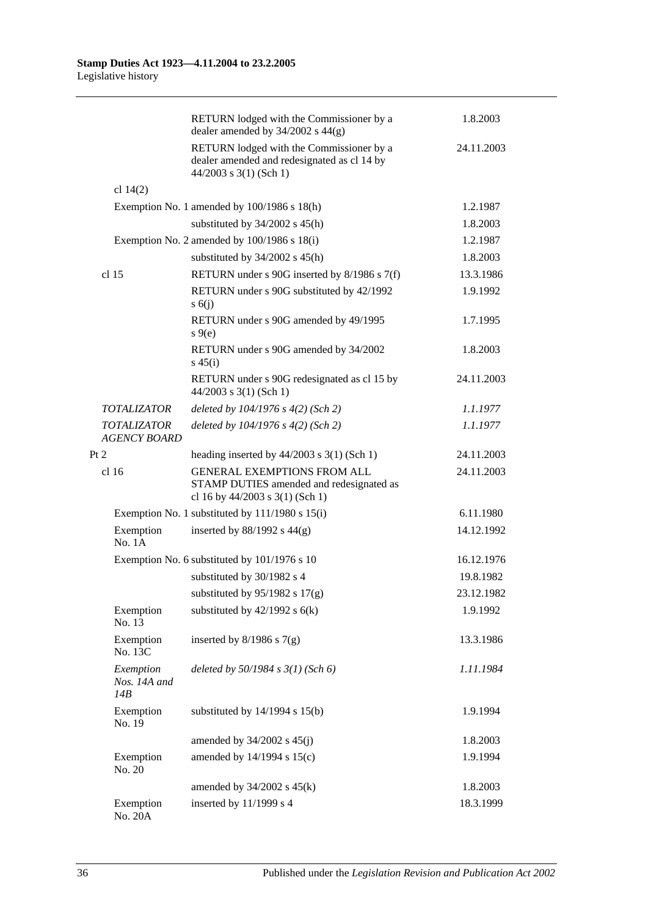|                                           | RETURN lodged with the Commissioner by a<br>dealer amended by $34/2002$ s $44(g)$                                 | 1.8.2003   |
|-------------------------------------------|-------------------------------------------------------------------------------------------------------------------|------------|
|                                           | RETURN lodged with the Commissioner by a<br>dealer amended and redesignated as cl 14 by<br>44/2003 s 3(1) (Sch 1) | 24.11.2003 |
| cl $14(2)$                                |                                                                                                                   |            |
|                                           | Exemption No. 1 amended by 100/1986 s 18(h)                                                                       | 1.2.1987   |
|                                           | substituted by $34/2002$ s $45(h)$                                                                                | 1.8.2003   |
|                                           | Exemption No. 2 amended by 100/1986 s 18(i)                                                                       | 1.2.1987   |
|                                           | substituted by $34/2002$ s $45(h)$                                                                                | 1.8.2003   |
| cl <sub>15</sub>                          | RETURN under s 90G inserted by 8/1986 s 7(f)                                                                      | 13.3.1986  |
|                                           | RETURN under s 90G substituted by 42/1992<br>s(6)                                                                 | 1.9.1992   |
|                                           | RETURN under s 90G amended by 49/1995<br>$s \theta(e)$                                                            | 1.7.1995   |
|                                           | RETURN under s 90G amended by 34/2002<br>$s\,45(i)$                                                               | 1.8.2003   |
|                                           | RETURN under s 90G redesignated as cl 15 by<br>$44/2003$ s 3(1) (Sch 1)                                           | 24.11.2003 |
| <i><b>TOTALIZATOR</b></i>                 | deleted by $104/1976$ s $4(2)$ (Sch 2)                                                                            | 1.1.1977   |
| <b>TOTALIZATOR</b><br><b>AGENCY BOARD</b> | deleted by $104/1976$ s $4(2)$ (Sch 2)                                                                            | 1.1.1977   |
| Pt 2                                      | heading inserted by $44/2003$ s 3(1) (Sch 1)                                                                      | 24.11.2003 |
| cl <sub>16</sub>                          | <b>GENERAL EXEMPTIONS FROM ALL</b><br>STAMP DUTIES amended and redesignated as<br>cl 16 by 44/2003 s 3(1) (Sch 1) | 24.11.2003 |
|                                           | Exemption No. 1 substituted by 111/1980 s 15(i)                                                                   | 6.11.1980  |
| Exemption<br>No. 1A                       | inserted by $88/1992$ s $44(g)$                                                                                   | 14.12.1992 |
|                                           | Exemption No. 6 substituted by 101/1976 s 10                                                                      | 16.12.1976 |
|                                           | substituted by 30/1982 s 4                                                                                        | 19.8.1982  |
|                                           | substituted by $95/1982$ s $17(g)$                                                                                | 23.12.1982 |
| Exemption<br>No. 13                       | substituted by $42/1992$ s $6(k)$                                                                                 | 1.9.1992   |
| Exemption<br>No. 13C                      | inserted by $8/1986$ s $7(g)$                                                                                     | 13.3.1986  |
| Exemption<br>Nos. 14A and<br>14B          | deleted by $50/1984$ s $3(1)$ (Sch 6)                                                                             | 1.11.1984  |
| Exemption<br>No. 19                       | substituted by $14/1994$ s $15(b)$                                                                                | 1.9.1994   |
|                                           | amended by $34/2002$ s $45(j)$                                                                                    | 1.8.2003   |
| Exemption<br>No. 20                       | amended by 14/1994 s 15(c)                                                                                        | 1.9.1994   |
|                                           | amended by $34/2002$ s $45(k)$                                                                                    | 1.8.2003   |
| Exemption<br>No. 20A                      | inserted by 11/1999 s 4                                                                                           | 18.3.1999  |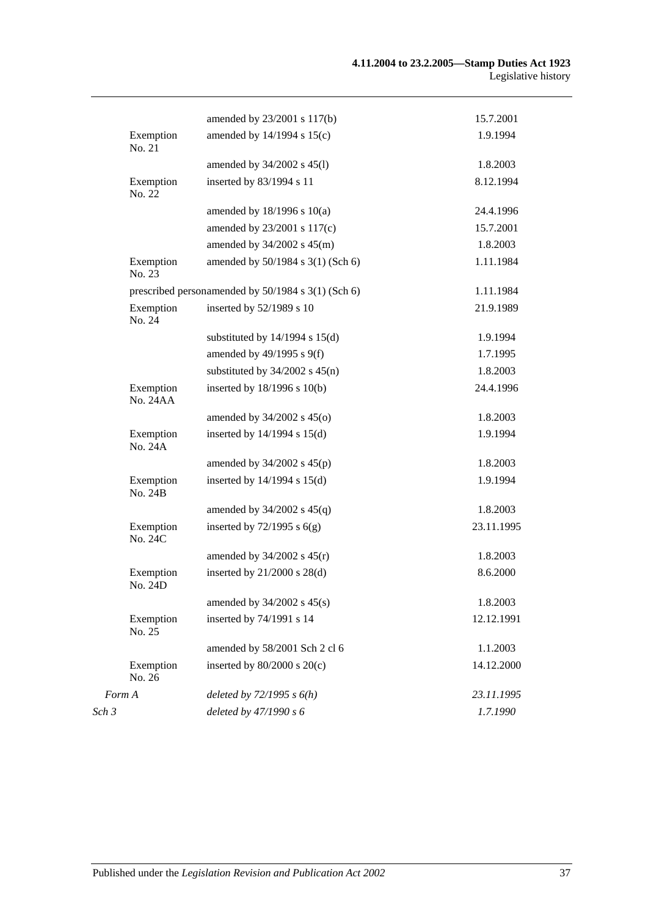|                              | amended by 23/2001 s 117(b)                        | 15.7.2001  |
|------------------------------|----------------------------------------------------|------------|
| Exemption<br>No. 21          | amended by 14/1994 s 15(c)                         | 1.9.1994   |
|                              | amended by 34/2002 s 45(1)                         | 1.8.2003   |
| Exemption<br>No. 22          | inserted by 83/1994 s 11                           | 8.12.1994  |
|                              | amended by $18/1996$ s $10(a)$                     | 24.4.1996  |
|                              | amended by 23/2001 s 117(c)                        | 15.7.2001  |
|                              | amended by 34/2002 s 45(m)                         | 1.8.2003   |
| Exemption<br>No. 23          | amended by 50/1984 s 3(1) (Sch 6)                  | 1.11.1984  |
|                              | prescribed personamended by 50/1984 s 3(1) (Sch 6) | 1.11.1984  |
| Exemption<br>No. 24          | inserted by 52/1989 s 10                           | 21.9.1989  |
|                              | substituted by $14/1994$ s $15(d)$                 | 1.9.1994   |
|                              | amended by 49/1995 s 9(f)                          | 1.7.1995   |
|                              | substituted by $34/2002$ s $45(n)$                 | 1.8.2003   |
| Exemption<br><b>No. 24AA</b> | inserted by 18/1996 s 10(b)                        | 24.4.1996  |
|                              | amended by $34/2002$ s $45(0)$                     | 1.8.2003   |
| Exemption<br>No. 24A         | inserted by $14/1994$ s $15(d)$                    | 1.9.1994   |
|                              | amended by $34/2002$ s $45(p)$                     | 1.8.2003   |
| Exemption<br>No. 24B         | inserted by $14/1994$ s $15(d)$                    | 1.9.1994   |
|                              | amended by $34/2002$ s $45(q)$                     | 1.8.2003   |
| Exemption<br>No. 24C         | inserted by $72/1995$ s $6(g)$                     | 23.11.1995 |
|                              | amended by $34/2002$ s $45(r)$                     | 1.8.2003   |
| Exemption<br>No. 24D         | inserted by $21/2000$ s $28(d)$                    | 8.6.2000   |
|                              | amended by $34/2002$ s $45(s)$                     | 1.8.2003   |
| Exemption<br>No. 25          | inserted by 74/1991 s 14                           | 12.12.1991 |
|                              | amended by 58/2001 Sch 2 cl 6                      | 1.1.2003   |
| Exemption<br>No. 26          | inserted by $80/2000$ s $20(c)$                    | 14.12.2000 |
| Form A                       | deleted by $72/1995$ s $6(h)$                      | 23.11.1995 |
| Sch 3                        | deleted by 47/1990 s 6                             | 1.7.1990   |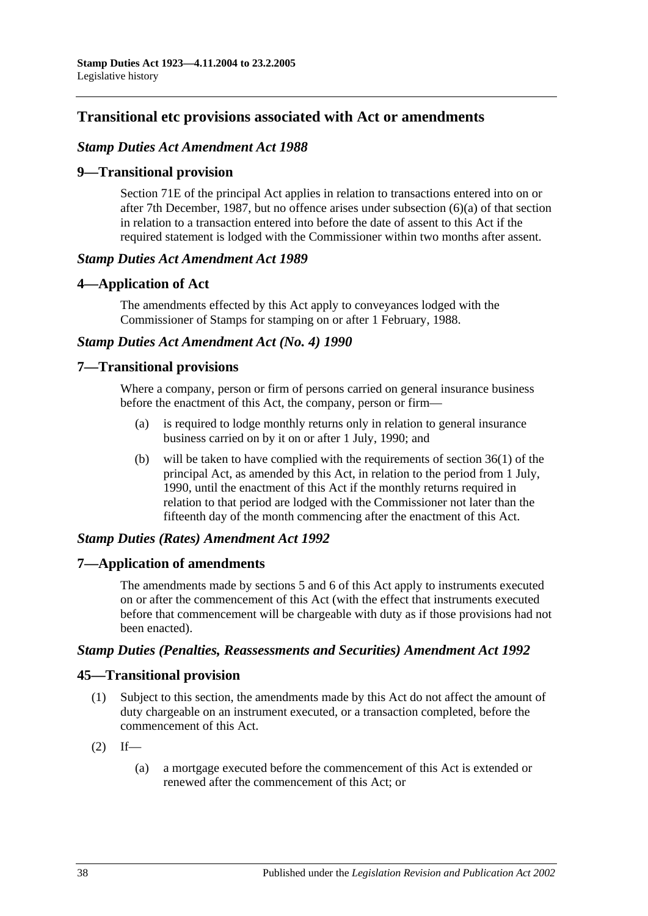# **Transitional etc provisions associated with Act or amendments**

# *Stamp Duties Act Amendment Act 1988*

# **9—Transitional provision**

Section 71E of the principal Act applies in relation to transactions entered into on or after 7th December, 1987, but no offence arises under subsection (6)(a) of that section in relation to a transaction entered into before the date of assent to this Act if the required statement is lodged with the Commissioner within two months after assent.

### *Stamp Duties Act Amendment Act 1989*

# **4—Application of Act**

The amendments effected by this Act apply to conveyances lodged with the Commissioner of Stamps for stamping on or after 1 February, 1988.

# *Stamp Duties Act Amendment Act (No. 4) 1990*

# **7—Transitional provisions**

Where a company, person or firm of persons carried on general insurance business before the enactment of this Act, the company, person or firm—

- (a) is required to lodge monthly returns only in relation to general insurance business carried on by it on or after 1 July, 1990; and
- (b) will be taken to have complied with the requirements of section 36(1) of the principal Act, as amended by this Act, in relation to the period from 1 July, 1990, until the enactment of this Act if the monthly returns required in relation to that period are lodged with the Commissioner not later than the fifteenth day of the month commencing after the enactment of this Act.

# *Stamp Duties (Rates) Amendment Act 1992*

# **7—Application of amendments**

The amendments made by sections 5 and 6 of this Act apply to instruments executed on or after the commencement of this Act (with the effect that instruments executed before that commencement will be chargeable with duty as if those provisions had not been enacted).

### *Stamp Duties (Penalties, Reassessments and Securities) Amendment Act 1992*

# **45—Transitional provision**

- (1) Subject to this section, the amendments made by this Act do not affect the amount of duty chargeable on an instrument executed, or a transaction completed, before the commencement of this Act.
- $(2)$  If—
	- (a) a mortgage executed before the commencement of this Act is extended or renewed after the commencement of this Act; or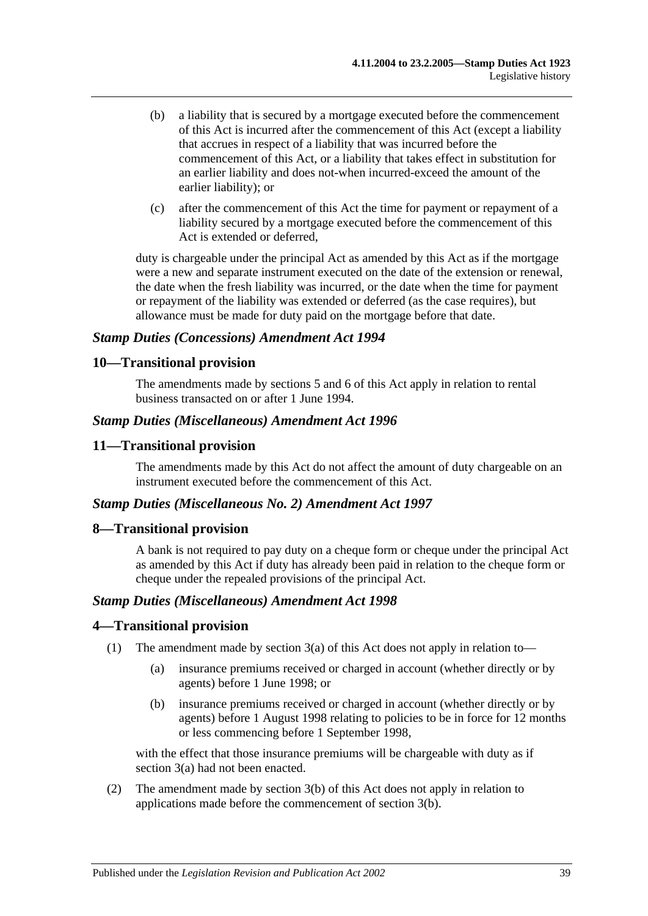- (b) a liability that is secured by a mortgage executed before the commencement of this Act is incurred after the commencement of this Act (except a liability that accrues in respect of a liability that was incurred before the commencement of this Act, or a liability that takes effect in substitution for an earlier liability and does not-when incurred-exceed the amount of the earlier liability); or
- (c) after the commencement of this Act the time for payment or repayment of a liability secured by a mortgage executed before the commencement of this Act is extended or deferred,

duty is chargeable under the principal Act as amended by this Act as if the mortgage were a new and separate instrument executed on the date of the extension or renewal, the date when the fresh liability was incurred, or the date when the time for payment or repayment of the liability was extended or deferred (as the case requires), but allowance must be made for duty paid on the mortgage before that date.

### *Stamp Duties (Concessions) Amendment Act 1994*

# **10—Transitional provision**

The amendments made by sections 5 and 6 of this Act apply in relation to rental business transacted on or after 1 June 1994.

### *Stamp Duties (Miscellaneous) Amendment Act 1996*

# **11—Transitional provision**

The amendments made by this Act do not affect the amount of duty chargeable on an instrument executed before the commencement of this Act.

### *Stamp Duties (Miscellaneous No. 2) Amendment Act 1997*

### **8—Transitional provision**

A bank is not required to pay duty on a cheque form or cheque under the principal Act as amended by this Act if duty has already been paid in relation to the cheque form or cheque under the repealed provisions of the principal Act.

### *Stamp Duties (Miscellaneous) Amendment Act 1998*

### **4—Transitional provision**

- (1) The amendment made by section 3(a) of this Act does not apply in relation to—
	- (a) insurance premiums received or charged in account (whether directly or by agents) before 1 June 1998; or
	- (b) insurance premiums received or charged in account (whether directly or by agents) before 1 August 1998 relating to policies to be in force for 12 months or less commencing before 1 September 1998,

with the effect that those insurance premiums will be chargeable with duty as if section 3(a) had not been enacted.

(2) The amendment made by section 3(b) of this Act does not apply in relation to applications made before the commencement of section 3(b).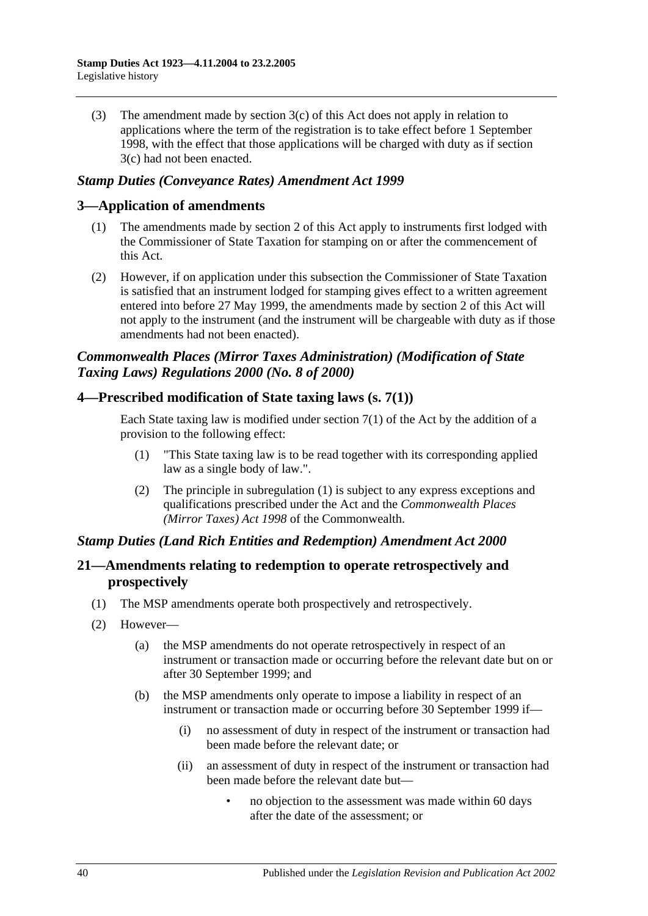(3) The amendment made by section 3(c) of this Act does not apply in relation to applications where the term of the registration is to take effect before 1 September 1998, with the effect that those applications will be charged with duty as if section 3(c) had not been enacted.

# *Stamp Duties (Conveyance Rates) Amendment Act 1999*

# **3—Application of amendments**

- (1) The amendments made by section 2 of this Act apply to instruments first lodged with the Commissioner of State Taxation for stamping on or after the commencement of this Act.
- (2) However, if on application under this subsection the Commissioner of State Taxation is satisfied that an instrument lodged for stamping gives effect to a written agreement entered into before 27 May 1999, the amendments made by section 2 of this Act will not apply to the instrument (and the instrument will be chargeable with duty as if those amendments had not been enacted).

# *Commonwealth Places (Mirror Taxes Administration) (Modification of State Taxing Laws) Regulations 2000 (No. 8 of 2000)*

# **4—Prescribed modification of State taxing laws (s. 7(1))**

Each State taxing law is modified under section  $7(1)$  of the Act by the addition of a provision to the following effect:

- (1) "This State taxing law is to be read together with its corresponding applied law as a single body of law.".
- (2) The principle in subregulation (1) is subject to any express exceptions and qualifications prescribed under the Act and the *Commonwealth Places (Mirror Taxes) Act 1998* of the Commonwealth.

# *Stamp Duties (Land Rich Entities and Redemption) Amendment Act 2000*

# **21—Amendments relating to redemption to operate retrospectively and prospectively**

- (1) The MSP amendments operate both prospectively and retrospectively.
- (2) However—
	- (a) the MSP amendments do not operate retrospectively in respect of an instrument or transaction made or occurring before the relevant date but on or after 30 September 1999; and
	- (b) the MSP amendments only operate to impose a liability in respect of an instrument or transaction made or occurring before 30 September 1999 if—
		- (i) no assessment of duty in respect of the instrument or transaction had been made before the relevant date; or
		- (ii) an assessment of duty in respect of the instrument or transaction had been made before the relevant date but—
			- no objection to the assessment was made within 60 days after the date of the assessment; or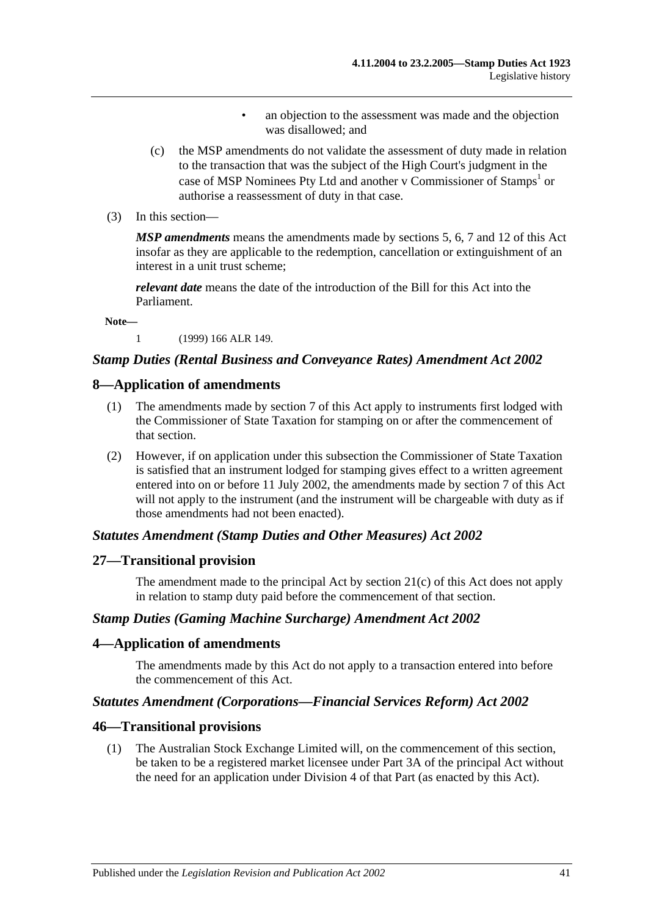- an objection to the assessment was made and the objection was disallowed; and
- (c) the MSP amendments do not validate the assessment of duty made in relation to the transaction that was the subject of the High Court's judgment in the case of MSP Nominees Pty Ltd and another v Commissioner of Stamps<sup>1</sup> or authorise a reassessment of duty in that case.
- (3) In this section—

*MSP amendments* means the amendments made by sections 5, 6, 7 and 12 of this Act insofar as they are applicable to the redemption, cancellation or extinguishment of an interest in a unit trust scheme;

*relevant date* means the date of the introduction of the Bill for this Act into the Parliament.

**Note—**

1 (1999) 166 ALR 149.

### *Stamp Duties (Rental Business and Conveyance Rates) Amendment Act 2002*

#### **8—Application of amendments**

- (1) The amendments made by section 7 of this Act apply to instruments first lodged with the Commissioner of State Taxation for stamping on or after the commencement of that section.
- (2) However, if on application under this subsection the Commissioner of State Taxation is satisfied that an instrument lodged for stamping gives effect to a written agreement entered into on or before 11 July 2002, the amendments made by section 7 of this Act will not apply to the instrument (and the instrument will be chargeable with duty as if those amendments had not been enacted).

#### *Statutes Amendment (Stamp Duties and Other Measures) Act 2002*

#### **27—Transitional provision**

The amendment made to the principal Act by section 21(c) of this Act does not apply in relation to stamp duty paid before the commencement of that section.

#### *Stamp Duties (Gaming Machine Surcharge) Amendment Act 2002*

#### **4—Application of amendments**

The amendments made by this Act do not apply to a transaction entered into before the commencement of this Act.

# *Statutes Amendment (Corporations—Financial Services Reform) Act 2002*

#### **46—Transitional provisions**

(1) The Australian Stock Exchange Limited will, on the commencement of this section, be taken to be a registered market licensee under Part 3A of the principal Act without the need for an application under Division 4 of that Part (as enacted by this Act).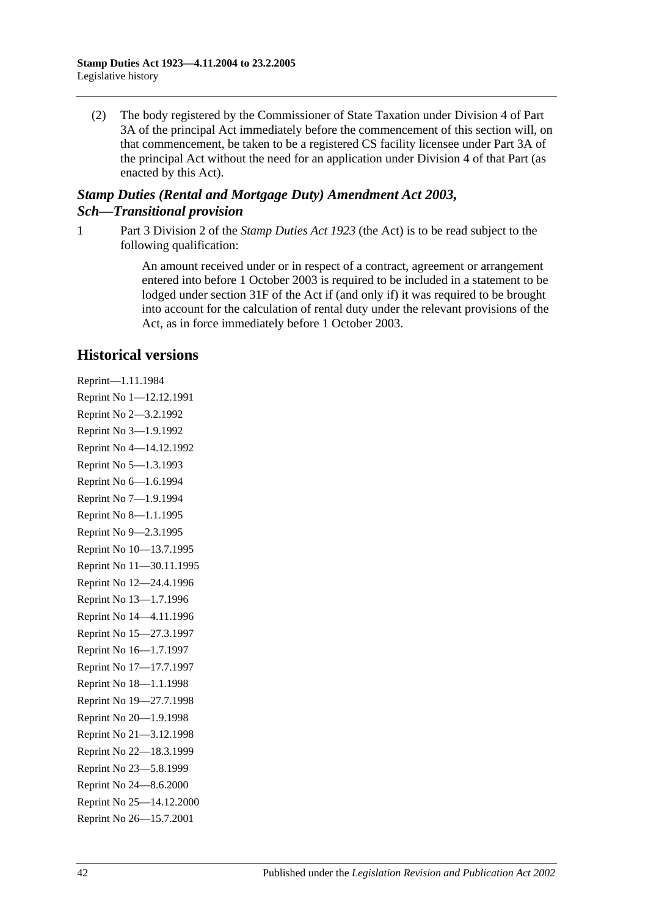(2) The body registered by the Commissioner of State Taxation under Division 4 of Part 3A of the principal Act immediately before the commencement of this section will, on that commencement, be taken to be a registered CS facility licensee under Part 3A of the principal Act without the need for an application under Division 4 of that Part (as enacted by this Act).

# *Stamp Duties (Rental and Mortgage Duty) Amendment Act 2003, Sch—Transitional provision*

1 Part 3 Division 2 of the *[Stamp Duties Act](http://www.legislation.sa.gov.au/index.aspx?action=legref&type=act&legtitle=Stamp%20Duties%20Act%201923) 1923* (the Act) is to be read subject to the following qualification:

> An amount received under or in respect of a contract, agreement or arrangement entered into before 1 October 2003 is required to be included in a statement to be lodged under section 31F of the Act if (and only if) it was required to be brought into account for the calculation of rental duty under the relevant provisions of the Act, as in force immediately before 1 October 2003.

# **Historical versions**

Reprint—1.11.1984 Reprint No 1—12.12.1991 Reprint No 2—3.2.1992 Reprint No 3—1.9.1992 Reprint No 4—14.12.1992 Reprint No 5—1.3.1993 Reprint No 6—1.6.1994 Reprint No 7—1.9.1994 Reprint No 8—1.1.1995 Reprint No 9—2.3.1995 Reprint No 10—13.7.1995 Reprint No 11—30.11.1995 Reprint No 12—24.4.1996 Reprint No 13—1.7.1996 Reprint No 14—4.11.1996 Reprint No 15—27.3.1997 Reprint No 16—1.7.1997 Reprint No 17—17.7.1997 Reprint No 18—1.1.1998 Reprint No 19—27.7.1998 Reprint No 20—1.9.1998 Reprint No 21—3.12.1998 Reprint No 22—18.3.1999 Reprint No 23—5.8.1999 Reprint No 24—8.6.2000 Reprint No 25—14.12.2000 Reprint No 26—15.7.2001